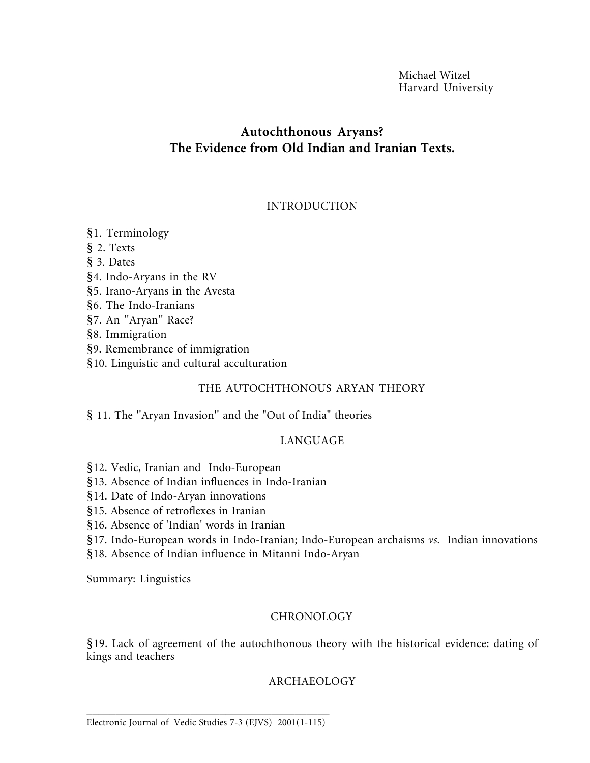Michael Witzel Harvard University

# **Autochthonous Aryans? The Evidence from Old Indian and Iranian Texts.**

# INTRODUCTION

§1. Terminology

§ 2. Texts

§ 3. Dates

§4. Indo-Aryans in the RV

§5. Irano-Aryans in the Avesta

§6. The Indo-Iranians

§7. An ''Aryan'' Race?

§8. Immigration

§9. Remembrance of immigration

§10. Linguistic and cultural acculturation

# THE AUTOCHTHONOUS ARYAN THEORY

§ 11. The ''Aryan Invasion'' and the "Out of India" theories

# LANGUAGE

§12. Vedic, Iranian and Indo-European

§13. Absence of Indian influences in Indo-Iranian

§14. Date of Indo-Aryan innovations

§15. Absence of retroflexes in Iranian

§16. Absence of 'Indian' words in Iranian

§17. Indo-European words in Indo-Iranian; Indo-European archaisms *vs.* Indian innovations

§18. Absence of Indian influence in Mitanni Indo-Aryan

Summary: Linguistics

# CHRONOLOGY

§19. Lack of agreement of the autochthonous theory with the historical evidence: dating of kings and teachers

# ARCHAEOLOGY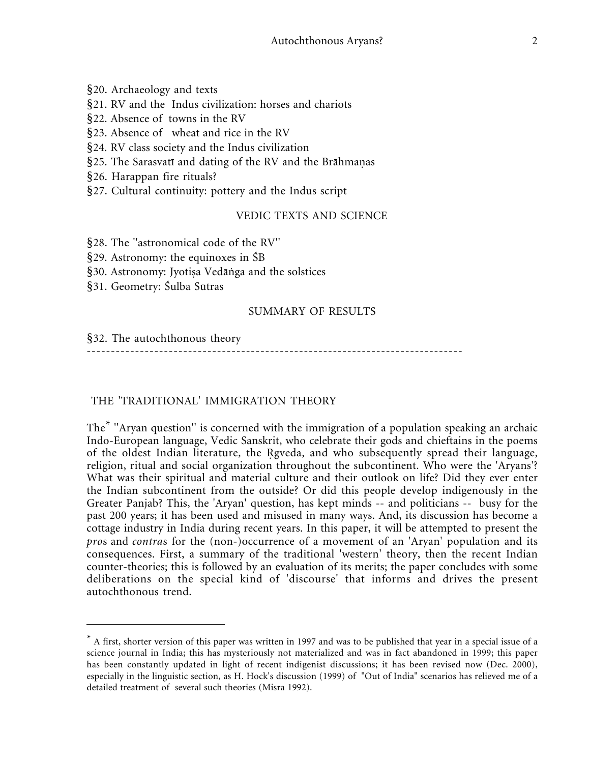§20. Archaeology and texts

- §21. RV and the Indus civilization: horses and chariots
- §22. Absence of towns in the RV
- §23. Absence of wheat and rice in the RV
- §24. RV class society and the Indus civilization
- §25. The Sarasvatī and dating of the RV and the Brāhmaṇas
- §26. Harappan fire rituals?
- §27. Cultural continuity: pottery and the Indus script

# VEDIC TEXTS AND SCIENCE

- §28. The ''astronomical code of the RV''
- §29. Astronomy: the equinoxes in ŚB
- §30. Astronomy: Jyotisa Vedāṅga and the solstices
- §31. Geometry: Śulba Sūtras

## SUMMARY OF RESULTS

§32. The autochthonous theory

------------------------------------------------------------------------------

## THE 'TRADITIONAL' IMMIGRATION THEORY

The<sup>\*</sup> "Aryan question" is concerned with the immigration of a population speaking an archaic Indo-European language, Vedic Sanskrit, who celebrate their gods and chieftains in the poems of the oldest Indian literature, the gveda, and who subsequently spread their language, religion, ritual and social organization throughout the subcontinent. Who were the 'Aryans'? What was their spiritual and material culture and their outlook on life? Did they ever enter the Indian subcontinent from the outside? Or did this people develop indigenously in the Greater Panjab? This, the 'Aryan' question, has kept minds -- and politicians -- busy for the past 200 years; it has been used and misused in many ways. And, its discussion has become a cottage industry in India during recent years. In this paper, it will be attempted to present the *pro*s and *contra*s for the (non-)occurrence of a movement of an 'Aryan' population and its consequences. First, a summary of the traditional 'western' theory, then the recent Indian counter-theories; this is followed by an evaluation of its merits; the paper concludes with some deliberations on the special kind of 'discourse' that informs and drives the present autochthonous trend.

 $*$  A first, shorter version of this paper was written in 1997 and was to be published that year in a special issue of a science journal in India; this has mysteriously not materialized and was in fact abandoned in 1999; this paper has been constantly updated in light of recent indigenist discussions; it has been revised now (Dec. 2000), especially in the linguistic section, as H. Hock's discussion (1999) of "Out of India" scenarios has relieved me of a detailed treatment of several such theories (Misra 1992).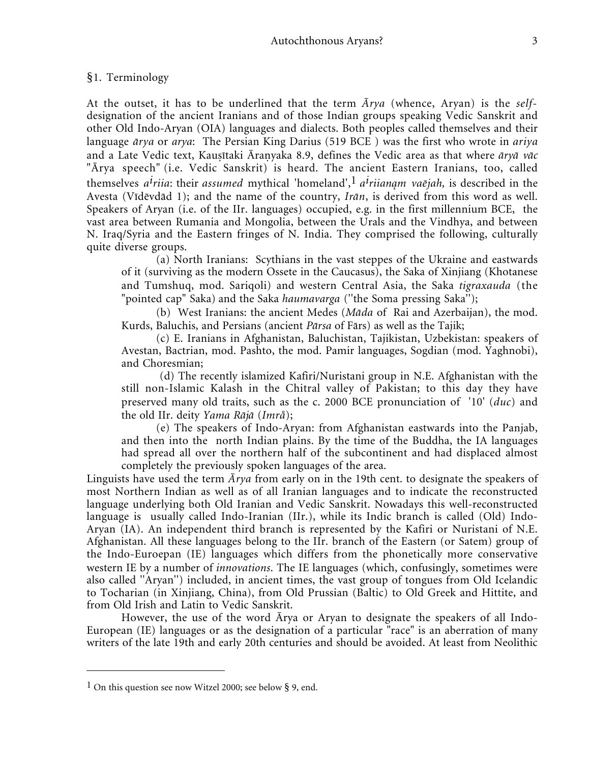# §1. Terminology

At the outset, it has to be underlined that the term *Ārya* (whence, Aryan) is the *self*designation of the ancient Iranians and of those Indian groups speaking Vedic Sanskrit and other Old Indo-Aryan (OIA) languages and dialects. Both peoples called themselves and their language *årya* or *arya*: The Persian King Darius (519 BCE ) was the first who wrote in *ariya* and a Late Vedic text, Kauṣītaki Āraṇyaka 8.9, defines the Vedic area as that where *āryā vāc* "Ārya speech" (i.e. Vedic Sanskrit) is heard. The ancient Eastern Iranians, too, called themselves *airiia*: their *assumed* mythical 'homeland',1 *airiianąm vaẽjah,* is described in the Avesta (Vīdẽvdåd 1); and the name of the country, *Irån*, is derived from this word as well. Speakers of Aryan (i.e. of the IIr. languages) occupied, e.g. in the first millennium BCE, the vast area between Rumania and Mongolia, between the Urals and the Vindhya, and between N. Iraq/Syria and the Eastern fringes of N. India. They comprised the following, culturally quite diverse groups.

(a) North Iranians: Scythians in the vast steppes of the Ukraine and eastwards of it (surviving as the modern Ossete in the Caucasus), the Saka of Xinjiang (Khotanese and Tumshuq, mod. Sariqoli) and western Central Asia, the Saka *tigraxauda* (the "pointed cap" Saka) and the Saka *haumavarga* (''the Soma pressing Saka'');

(b) West Iranians: the ancient Medes (*Måda* of Rai and Azerbaijan), the mod. Kurds, Baluchis, and Persians (ancient *Pårsa* of Fårs) as well as the Tajik;

(c) E. Iranians in Afghanistan, Baluchistan, Tajikistan, Uzbekistan: speakers of Avestan, Bactrian, mod. Pashto, the mod. Pamir languages, Sogdian (mod. Yaghnobi), and Choresmian;

(d) The recently islamized Kafiri/Nuristani group in N.E. Afghanistan with the still non-Islamic Kalash in the Chitral valley of Pakistan; to this day they have preserved many old traits, such as the c. 2000 BCE pronunciation of '10' (*duc*) and the old IIr. deity *Yama Råjå* (*Imrā*);

(e) The speakers of Indo-Aryan: from Afghanistan eastwards into the Panjab, and then into the north Indian plains. By the time of the Buddha, the IA languages had spread all over the northern half of the subcontinent and had displaced almost completely the previously spoken languages of the area.

Linguists have used the term *Ārya* from early on in the 19th cent. to designate the speakers of most Northern Indian as well as of all Iranian languages and to indicate the reconstructed language underlying both Old Iranian and Vedic Sanskrit. Nowadays this well-reconstructed language is usually called Indo-Iranian (IIr.), while its Indic branch is called (Old) Indo-Aryan (IA). An independent third branch is represented by the Kafiri or Nuristani of N.E. Afghanistan. All these languages belong to the IIr. branch of the Eastern (or Satem) group of the Indo-Euroepan (IE) languages which differs from the phonetically more conservative western IE by a number of *innovations*. The IE languages (which, confusingly, sometimes were also called ''Aryan'') included, in ancient times, the vast group of tongues from Old Icelandic to Tocharian (in Xinjiang, China), from Old Prussian (Baltic) to Old Greek and Hittite, and from Old Irish and Latin to Vedic Sanskrit.

However, the use of the word Ārya or Aryan to designate the speakers of all Indo-European (IE) languages or as the designation of a particular "race" is an aberration of many writers of the late 19th and early 20th centuries and should be avoided. At least from Neolithic

<sup>&</sup>lt;sup>1</sup> On this question see now Witzel 2000; see below § 9, end.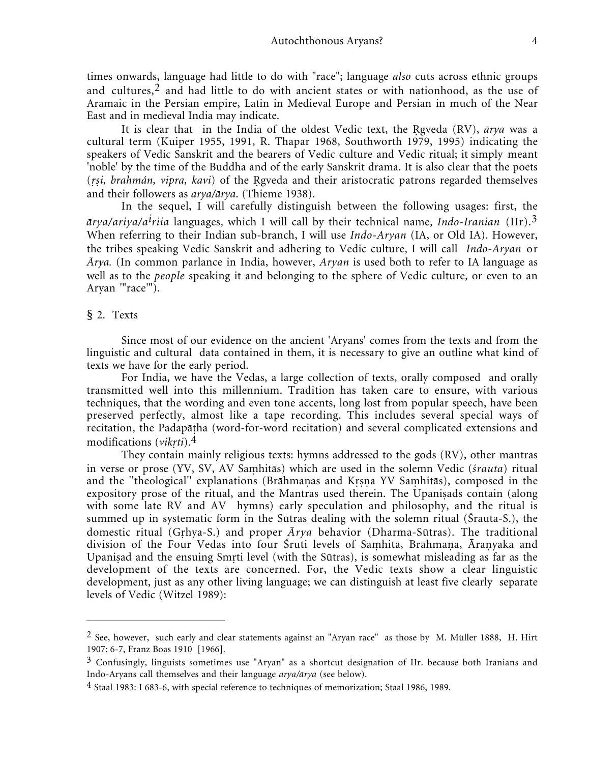times onwards, language had little to do with "race"; language *also* cuts across ethnic groups and cultures,<sup>2</sup> and had little to do with ancient states or with nationhood, as the use of Aramaic in the Persian empire, Latin in Medieval Europe and Persian in much of the Near East and in medieval India may indicate.

It is clear that in the India of the oldest Vedic text, the gveda (RV), *årya* was a cultural term (Kuiper 1955, 1991, R. Thapar 1968, Southworth 1979, 1995) indicating the speakers of Vedic Sanskrit and the bearers of Vedic culture and Vedic ritual; it simply meant 'noble' by the time of the Buddha and of the early Sanskrit drama. It is also clear that the poets (*rsi, brahmán, vipra, kavi*) of the Rgveda and their aristocratic patrons regarded themselves and their followers as *arya/årya*. (Thieme 1938).

In the sequel, I will carefully distinguish between the following usages: first, the *årya/ariya/airiia* languages, which I will call by their technical name, *Indo-Iranian* (IIr).3 When referring to their Indian sub-branch, I will use *Indo-Aryan* (IA, or Old IA). However, the tribes speaking Vedic Sanskrit and adhering to Vedic culture, I will call *Indo-Aryan* or *Ārya.* (In common parlance in India, however, *Aryan* is used both to refer to IA language as well as to the *people* speaking it and belonging to the sphere of Vedic culture, or even to an Aryan '"race'").

# § 2. Texts

Since most of our evidence on the ancient 'Aryans' comes from the texts and from the linguistic and cultural data contained in them, it is necessary to give an outline what kind of texts we have for the early period.

For India, we have the Vedas, a large collection of texts, orally composed and orally transmitted well into this millennium. Tradition has taken care to ensure, with various techniques, that the wording and even tone accents, long lost from popular speech, have been preserved perfectly, almost like a tape recording. This includes several special ways of recitation, the Padapāṭha (word-for-word recitation) and several complicated extensions and modifications (*vikti*).4

They contain mainly religious texts: hymns addressed to the gods (RV), other mantras in verse or prose (YV, SV, AV Sahitås) which are used in the solemn Vedic (*śrauta*) ritual and the "theological" explanations (Brāhmaṇas and Kṛṣṇa YV Saṃhitās), composed in the expository prose of the ritual, and the Mantras used therein. The Upaniads contain (along with some late RV and AV hymns) early speculation and philosophy, and the ritual is summed up in systematic form in the Sūtras dealing with the solemn ritual (Śrauta-S.), the domestic ritual (Ghya-S.) and proper *Ārya* behavior (Dharma-Sūtras). The traditional division of the Four Vedas into four Śruti levels of Saṃhitā, Brāhmaṇa, Āraṇyaka and Upaniad and the ensuing Smti level (with the Sūtras), is somewhat misleading as far as the development of the texts are concerned. For, the Vedic texts show a clear linguistic development, just as any other living language; we can distinguish at least five clearly separate levels of Vedic (Witzel 1989):

 $2$  See, however, such early and clear statements against an "Aryan race" as those by M. Müller 1888, H. Hirt 1907: 6-7, Franz Boas 1910 [1966].

 $3$  Confusingly, linguists sometimes use "Aryan" as a shortcut designation of IIr. because both Iranians and Indo-Aryans call themselves and their language *arya/årya* (see below).

<sup>4</sup> Staal 1983: I 683-6, with special reference to techniques of memorization; Staal 1986, 1989.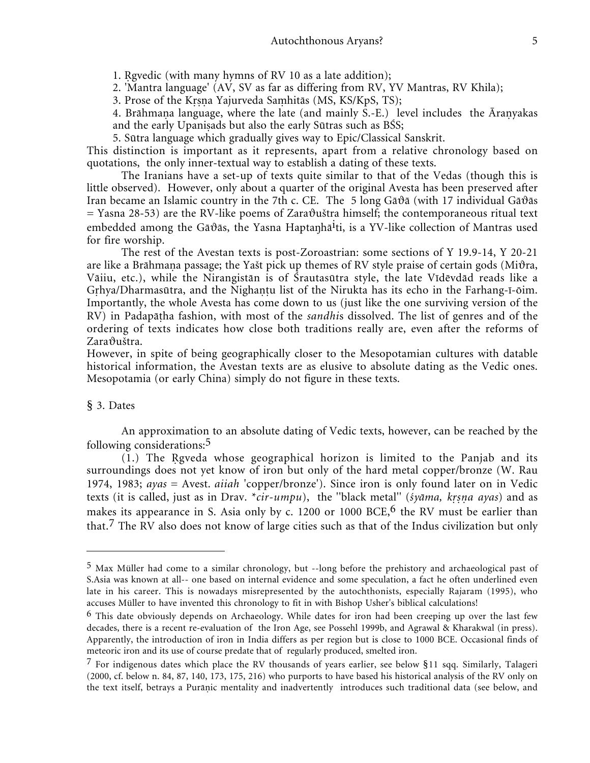1. Rgvedic (with many hymns of RV 10 as a late addition);

2. 'Mantra language' (AV, SV as far as differing from RV, YV Mantras, RV Khila);

3. Prose of the Krsna Yajurveda Samhitās (MS, KS/KpS, TS);

4. Brāhmaṇa language, where the late (and mainly S.-E.) level includes the Āraṇyakas and the early Upaniads but also the early Sūtras such as BŚS;

5. Sūtra language which gradually gives way to Epic/Classical Sanskrit.

This distinction is important as it represents, apart from a relative chronology based on quotations, the only inner-textual way to establish a dating of these texts.

The Iranians have a set-up of texts quite similar to that of the Vedas (though this is little observed). However, only about a quarter of the original Avesta has been preserved after Iran became an Islamic country in the 7th c. CE. The 5 long Gåθå (with 17 individual Gåθås  $=$  Yasna 28-53) are the RV-like poems of Zara $\vartheta$ uštra himself; the contemporaneous ritual text embedded among the Gāθās, the Yasna Haptaŋhā<sup>i</sup>ti, is a YV-like collection of Mantras used for fire worship.

The rest of the Avestan texts is post-Zoroastrian: some sections of Y 19.9-14, Y 20-21 are like a Brāhmaṇa passage; the Yašt pick up themes of RV style praise of certain gods (Mivra, Våiiu, etc.), while the Nirangistån is of Śrautasūtra style, the late Vīdẽvdåd reads like a Gṛhya/Dharmasūtra, and the Nighaṇṭu list of the Nirukta has its echo in the Farhang-ī-ōim. Importantly, the whole Avesta has come down to us (just like the one surviving version of the RV) in Padapå ha fashion, with most of the *sandhi*s dissolved. The list of genres and of the ordering of texts indicates how close both traditions really are, even after the reforms of Zaraθuštra.

However, in spite of being geographically closer to the Mesopotamian cultures with datable historical information, the Avestan texts are as elusive to absolute dating as the Vedic ones. Mesopotamia (or early China) simply do not figure in these texts.

## § 3. Dates

An approximation to an absolute dating of Vedic texts, however, can be reached by the following considerations:5

(1.) The Rgveda whose geographical horizon is limited to the Panjab and its surroundings does not yet know of iron but only of the hard metal copper/bronze (W. Rau 1974, 1983; *ayas* = Avest. *aiiah* 'copper/bronze'). Since iron is only found later on in Vedic texts (it is called, just as in Drav. *\*cir-umpu*), the "black metal" (*śyāma, krsna ayas*) and as makes its appearance in S. Asia only by c. 1200 or 1000 BCE,  $6$  the RV must be earlier than that.7 The RV also does not know of large cities such as that of the Indus civilization but only

<sup>5</sup> Max Müller had come to a similar chronology, but --long before the prehistory and archaeological past of S.Asia was known at all-- one based on internal evidence and some speculation, a fact he often underlined even late in his career. This is nowadays misrepresented by the autochthonists, especially Rajaram (1995), who accuses Müller to have invented this chronology to fit in with Bishop Usher's biblical calculations!

<sup>&</sup>lt;sup>6</sup> This date obviously depends on Archaeology. While dates for iron had been creeping up over the last few decades, there is a recent re-evaluation of the Iron Age, see Possehl 1999b, and Agrawal & Kharakwal (in press). Apparently, the introduction of iron in India differs as per region but is close to 1000 BCE. Occasional finds of meteoric iron and its use of course predate that of regularly produced, smelted iron.

 $7$  For indigenous dates which place the RV thousands of years earlier, see below §11 sqq. Similarly, Talageri (2000, cf. below n. 84, 87, 140, 173, 175, 216) who purports to have based his historical analysis of the RV only on the text itself, betrays a Purāṇic mentality and inadvertently introduces such traditional data (see below, and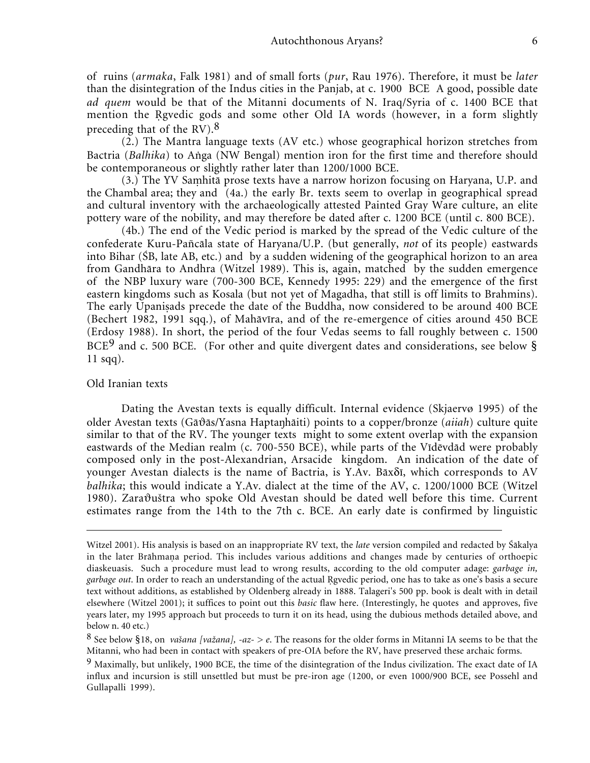of ruins (*armaka*, Falk 1981) and of small forts (*pur*, Rau 1976). Therefore, it must be *later* than the disintegration of the Indus cities in the Panjab, at c. 1900 BCE A good, possible date *ad quem* would be that of the Mitanni documents of N. Iraq/Syria of c. 1400 BCE that mention the Rgvedic gods and some other Old IA words (however, in a form slightly preceding that of the  $RV$ ).<sup>8</sup>

(2.) The Mantra language texts (AV etc.) whose geographical horizon stretches from Bactria (*Balhika*) to Anga (NW Bengal) mention iron for the first time and therefore should be contemporaneous or slightly rather later than 1200/1000 BCE.

 $(3.)$  The YV Samhitā prose texts have a narrow horizon focusing on Haryana, U.P. and the Chambal area; they and (4a.) the early Br. texts seem to overlap in geographical spread and cultural inventory with the archaeologically attested Painted Gray Ware culture, an elite pottery ware of the nobility, and may therefore be dated after c. 1200 BCE (until c. 800 BCE).

(4b.) The end of the Vedic period is marked by the spread of the Vedic culture of the confederate Kuru-Pañcåla state of Haryana/U.P. (but generally, *not* of its people) eastwards into Bihar (ŚB, late AB, etc.) and by a sudden widening of the geographical horizon to an area from Gandhåra to Andhra (Witzel 1989). This is, again, matched by the sudden emergence of the NBP luxury ware (700-300 BCE, Kennedy 1995: 229) and the emergence of the first eastern kingdoms such as Kosala (but not yet of Magadha, that still is off limits to Brahmins). The early Upaniads precede the date of the Buddha, now considered to be around 400 BCE (Bechert 1982, 1991 sqq.), of Mahåvīra, and of the re-emergence of cities around 450 BCE (Erdosy 1988). In short, the period of the four Vedas seems to fall roughly between c. 1500 BCE<sup>9</sup> and c. 500 BCE. (For other and quite divergent dates and considerations, see below § 11 sqq).

#### Old Iranian texts

Dating the Avestan texts is equally difficult. Internal evidence (Skjaervø 1995) of the older Avestan texts (Gåθås/Yasna Haptahåiti) points to a copper/bronze (*aiiah*) culture quite similar to that of the RV. The younger texts might to some extent overlap with the expansion eastwards of the Median realm (c. 700-550 BCE), while parts of the Vīdẽvdåd were probably composed only in the post-Alexandrian, Arsacide kingdom. An indication of the date of younger Avestan dialects is the name of Bactria, is Y.Av. Båxδī, which corresponds to AV *balhika*; this would indicate a Y.Av. dialect at the time of the AV, c. 1200/1000 BCE (Witzel 1980). Zaraθuštra who spoke Old Avestan should be dated well before this time. Current estimates range from the 14th to the 7th c. BCE. An early date is confirmed by linguistic

Witzel 2001). His analysis is based on an inappropriate RV text, the *late* version compiled and redacted by Śåkalya in the later Brāhmaṇa period. This includes various additions and changes made by centuries of orthoepic diaskeuasis. Such a procedure must lead to wrong results, according to the old computer adage: *garbage in,* garbage out. In order to reach an understanding of the actual Rgvedic period, one has to take as one's basis a secure text without additions, as established by Oldenberg already in 1888. Talageri's 500 pp. book is dealt with in detail elsewhere (Witzel 2001); it suffices to point out this *basic* flaw here. (Interestingly, he quotes and approves, five years later, my 1995 approach but proceeds to turn it on its head, using the dubious methods detailed above, and below n. 40 etc.)

<sup>8</sup> See below §18, on *vašana [važana], -az- > e*. The reasons for the older forms in Mitanni IA seems to be that the Mitanni, who had been in contact with speakers of pre-OIA before the RV, have preserved these archaic forms.

<sup>9</sup> Maximally, but unlikely, 1900 BCE, the time of the disintegration of the Indus civilization. The exact date of IA influx and incursion is still unsettled but must be pre-iron age (1200, or even 1000/900 BCE, see Possehl and Gullapalli 1999).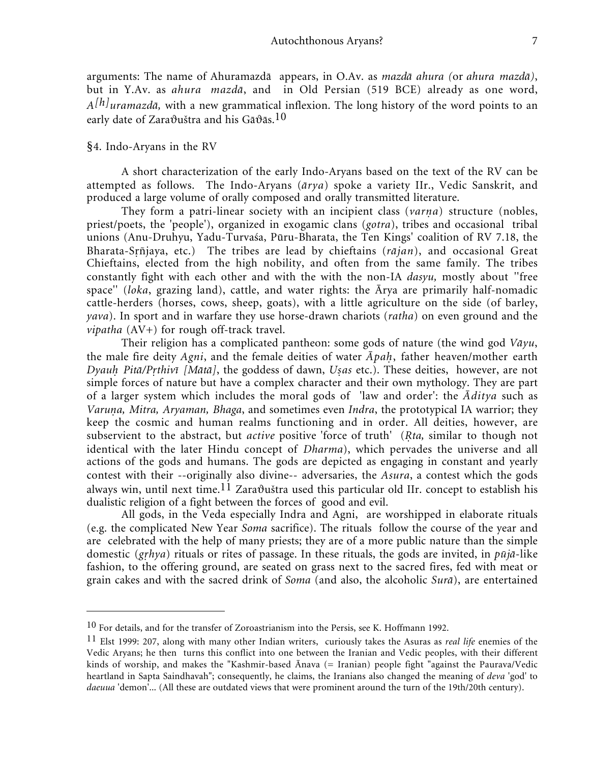arguments: The name of Ahuramazdå appears, in O.Av. as *mazdå ahura (*or *ahura mazdå)*, but in Y.Av. as *ahura mazdå*, and in Old Persian (519 BCE) already as one word, *A[h]uramazdå,* with a new grammatical inflexion. The long history of the word points to an early date of Zara $\vartheta$ uštra and his Gā $\vartheta$ ās.<sup>10</sup>

## §4. Indo-Aryans in the RV

A short characterization of the early Indo-Aryans based on the text of the RV can be attempted as follows. The Indo-Aryans (*årya*) spoke a variety IIr., Vedic Sanskrit, and produced a large volume of orally composed and orally transmitted literature.

They form a patri-linear society with an incipient class (*vara*) structure (nobles, priest/poets, the 'people'), organized in exogamic clans (*gotra*), tribes and occasional tribal unions (Anu-Druhyu, Yadu-Turvaśa, Pūru-Bharata, the Ten Kings' coalition of RV 7.18, the Bharata-Sñjaya, etc.) The tribes are lead by chieftains (*råjan*), and occasional Great Chieftains, elected from the high nobility, and often from the same family. The tribes constantly fight with each other and with the with the non-IA *dasyu,* mostly about ''free space'' (*loka*, grazing land), cattle, and water rights: the Ārya are primarily half-nomadic cattle-herders (horses, cows, sheep, goats), with a little agriculture on the side (of barley, *yava*). In sport and in warfare they use horse-drawn chariots (*ratha*) on even ground and the *vipatha* (AV+) for rough off-track travel.

Their religion has a complicated pantheon: some gods of nature (the wind god *Våyu*, the male fire deity  $Agni$ , and the female deities of water  $\bar{A}pah$ , father heaven/mother earth *Dyauh Pitā/Prthivī [Mātā]*, the goddess of dawn, *Usas* etc.). These deities, however, are not simple forces of nature but have a complex character and their own mythology. They are part of a larger system which includes the moral gods of 'law and order': the *Āditya* such as *Varua, Mitra, Aryaman, Bhaga*, and sometimes even *Indra*, the prototypical IA warrior; they keep the cosmic and human realms functioning and in order. All deities, however, are subservient to the abstract, but *active* positive 'force of truth' (*ta,* similar to though not identical with the later Hindu concept of *Dharma*), which pervades the universe and all actions of the gods and humans. The gods are depicted as engaging in constant and yearly contest with their --originally also divine-- adversaries, the *Asura*, a contest which the gods always win, until next time.<sup>11</sup> Zara $\vartheta$ uštra used this particular old IIr. concept to establish his dualistic religion of a fight between the forces of good and evil.

All gods, in the Veda especially Indra and Agni, are worshipped in elaborate rituals (e.g. the complicated New Year *Soma* sacrifice). The rituals follow the course of the year and are celebrated with the help of many priests; they are of a more public nature than the simple domestic (*ghya*) rituals or rites of passage. In these rituals, the gods are invited, in *pūjå*-like fashion, to the offering ground, are seated on grass next to the sacred fires, fed with meat or grain cakes and with the sacred drink of *Soma* (and also, the alcoholic *Surå*), are entertained

<sup>10</sup> For details, and for the transfer of Zoroastrianism into the Persis, see K. Hoffmann 1992.

<sup>11</sup> Elst 1999: 207, along with many other Indian writers, curiously takes the Asuras as *real life* enemies of the Vedic Aryans; he then turns this conflict into one between the Iranian and Vedic peoples, with their different kinds of worship, and makes the "Kashmir-based Ānava (= Iranian) people fight "against the Paurava/Vedic heartland in Sapta Saindhavah"; consequently, he claims, the Iranians also changed the meaning of *deva* 'god' to *daeuua* 'demon'... (All these are outdated views that were prominent around the turn of the 19th/20th century).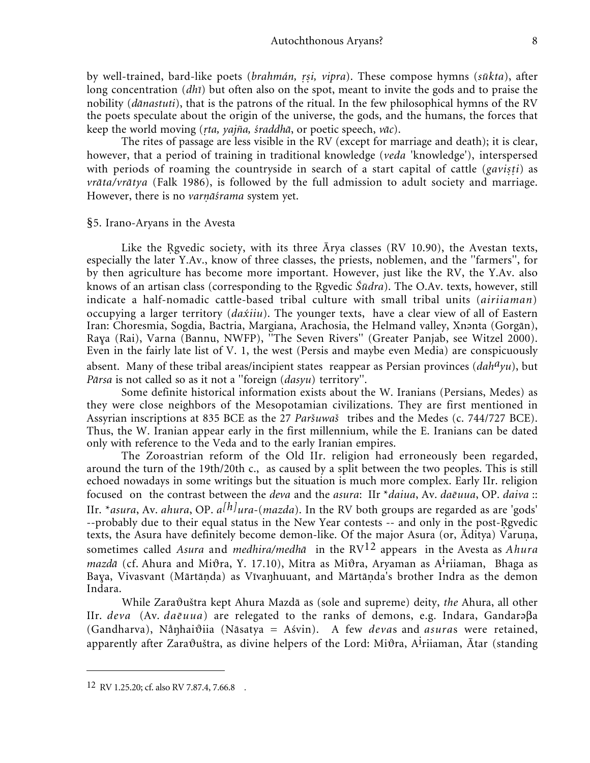by well-trained, bard-like poets (*brahmán, rsi, vipra*). These compose hymns (*sūkta*), after long concentration (*dhī*) but often also on the spot, meant to invite the gods and to praise the nobility (*dånastuti*), that is the patrons of the ritual. In the few philosophical hymns of the RV the poets speculate about the origin of the universe, the gods, and the humans, the forces that keep the world moving (*ta, yajña, śraddhå*, or poetic speech, *våc*).

The rites of passage are less visible in the RV (except for marriage and death); it is clear, however, that a period of training in traditional knowledge (*veda* 'knowledge'), interspersed with periods of roaming the countryside in search of a start capital of cattle (*gavisti*) as *vråta/vråtya* (Falk 1986), is followed by the full admission to adult society and marriage. However, there is no *varnāśrama* system yet.

#### §5. Irano-Aryans in the Avesta

Like the Rgvedic society, with its three  $\bar{A}$ rya classes (RV 10.90), the Avestan texts, especially the later Y.Av., know of three classes, the priests, noblemen, and the ''farmers'', for by then agriculture has become more important. However, just like the RV, the Y.Av. also knows of an artisan class (corresponding to the Rgvedic  $\hat{S} \bar{u}$ *dra*). The O.Av. texts, however, still indicate a half-nomadic cattle-based tribal culture with small tribal units (*airiiaman*) occupying a larger territory (*daxiiu*). The younger texts, have a clear view of all of Eastern Iran: Choresmia, Sogdia, Bactria, Margiana, Arachosia, the Helmand valley, Xnənta (Gorgån), Raγa (Rai), Varna (Bannu, NWFP), ''The Seven Rivers'' (Greater Panjab, see Witzel 2000). Even in the fairly late list of V. 1, the west (Persis and maybe even Media) are conspicuously absent. Many of these tribal areas/incipient states reappear as Persian provinces (*dahayu*), but *Pårsa* is not called so as it not a ''foreign (*dasyu*) territory''.

Some definite historical information exists about the W. Iranians (Persians, Medes) as they were close neighbors of the Mesopotamian civilizations. They are first mentioned in Assyrian inscriptions at 835 BCE as the 27 *Paršuwaš* tribes and the Medes (c. 744/727 BCE). Thus, the W. Iranian appear early in the first millennium, while the E. Iranians can be dated only with reference to the Veda and to the early Iranian empires.

The Zoroastrian reform of the Old IIr. religion had erroneously been regarded, around the turn of the 19th/20th c., as caused by a split between the two peoples. This is still echoed nowadays in some writings but the situation is much more complex. Early IIr. religion focused on the contrast between the *deva* and the *asura*: IIr \**daiua*, Av. *daẽuua*, OP. *daiva* :: IIr. \**asura*, Av. *ahura*, OP. *a[h]ura*-(*mazda*). In the RV both groups are regarded as are 'gods' --probably due to their equal status in the New Year contests -- and only in the post-Rgvedic texts, the Asura have definitely become demon-like. Of the major Asura (or, Āditya) Varuṇa, sometimes called *Asura* and *medhira/medhå* in the RV12 appears in the Avesta as *Ahura mazdå* (cf. Ahura and Miθra, Y. 17.10), Mitra as Miθra, Aryaman as Airiiaman, Bhaga as Baya, Vivasvant (Mārtāṇda) as Vīvaŋhuuant, and Mārtāṇda's brother Indra as the demon Indara.

While Zaraθuštra kept Ahura Mazdå as (sole and supreme) deity, *the* Ahura, all other IIr. *deva* (Av. *daẽuua*) are relegated to the ranks of demons, e.g. Indara, Gandarəβa (Gandharva), Nhaiθiia (Nåsatya = Aśvin). A few *deva*s and *asura*s were retained, apparently after Zaraθuštra, as divine helpers of the Lord: Miθra, Airiiaman, Ātar (standing

<sup>12</sup> RV 1.25.20; cf. also RV 7.87.4, 7.66.8 *.*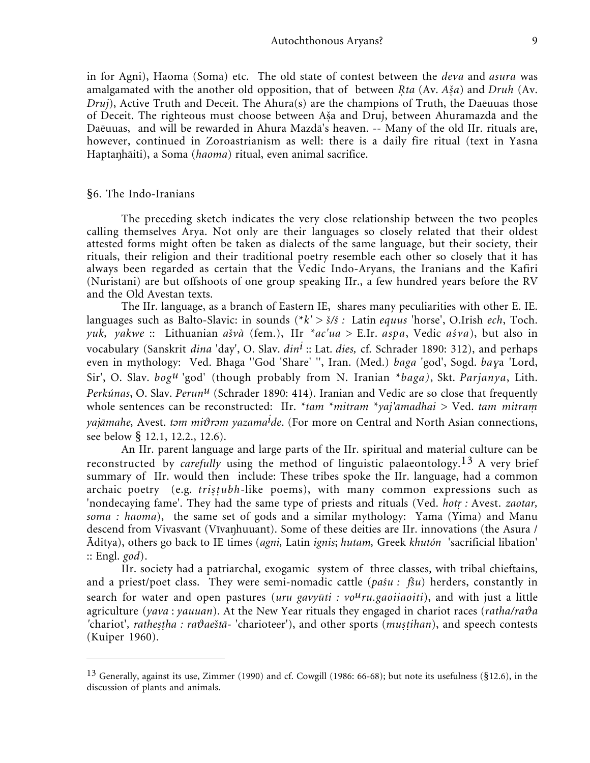#### Autochthonous Aryans? 9

in for Agni), Haoma (Soma) etc. The old state of contest between the *deva* and *asura* was amalgamated with the another old opposition, that of between *Rta* (Av. *Aša*) and *Druh* (Av. *Druj*), Active Truth and Deceit. The Ahura(s) are the champions of Truth, the Daẽuuas those of Deceit. The righteous must choose between Aša and Druj, between Ahuramazdā and the Daẽuuas, and will be rewarded in Ahura Mazdå's heaven. -- Many of the old IIr. rituals are, however, continued in Zoroastrianism as well: there is a daily fire ritual (text in Yasna Haptahåiti), a Soma (*haoma*) ritual, even animal sacrifice.

#### §6. The Indo-Iranians

The preceding sketch indicates the very close relationship between the two peoples calling themselves Arya. Not only are their languages so closely related that their oldest attested forms might often be taken as dialects of the same language, but their society, their rituals, their religion and their traditional poetry resemble each other so closely that it has always been regarded as certain that the Vedic Indo-Aryans, the Iranians and the Kafiri (Nuristani) are but offshoots of one group speaking IIr., a few hundred years before the RV and the Old Avestan texts.

The IIr. language, as a branch of Eastern IE, shares many peculiarities with other E. IE. languages such as Balto-Slavic: in sounds (\**k' > š/ś :* Latin *equus* 'horse', O.Irish *ech*, Toch. *yuk, yakwe* :: Lithuanian *ašvà* (fem.), IIr *\*ac'ua* > E.Ir. *aspa*, Vedic *aśva*), but also in vocabulary (Sanskrit *dina* 'day', O. Slav. *dini* :: Lat. *dies,* cf. Schrader 1890: 312), and perhaps even in mythology: Ved. Bhaga ''God 'Share' '', Iran. (Med.) *baga* 'god', Sogd. *baγ*a 'Lord, Sir', O. Slav. *bogu* 'god' (though probably from N. Iranian \**baga)*, Skt. *Parjanya*, Lith. *Perkúnas*, O. Slav. *Perunu* (Schrader 1890: 414). Iranian and Vedic are so close that frequently whole sentences can be reconstructed: IIr. *\*tam \*mitram \*yaj'åmadhai >* Ved. *tam mitra yajåmahe,* Avest. *təm miθrəm yazamaide*. (For more on Central and North Asian connections, see below § 12.1, 12.2., 12.6).

An IIr. parent language and large parts of the IIr. spiritual and material culture can be reconstructed by *carefully* using the method of linguistic palaeontology.13 A very brief summary of IIr. would then include: These tribes spoke the IIr. language, had a common archaic poetry (e.g. *tristubh*-like poems), with many common expressions such as 'nondecaying fame'. They had the same type of priests and rituals (Ved. *hotr*: Avest. *zaotar*, *soma : haoma*), the same set of gods and a similar mythology: Yama (Yima) and Manu descend from Vivasvant (Vīvanhuuant). Some of these deities are IIr. innovations (the Asura / Āditya), others go back to IE times (*agni,* Latin *ignis*; *hutam,* Greek *khutón* 'sacrificial libation' :: Engl. *god*).

IIr. society had a patriarchal, exogamic system of three classes, with tribal chieftains, and a priest/poet class. They were semi-nomadic cattle (*paśu : fšu*) herders, constantly in search for water and open pastures (*uru gavyūti : vo<sup>u</sup>ru.gaoiiaoiti*), and with just a little agriculture (*yava* : *yauuan*). At the New Year rituals they engaged in chariot races (*ratha/raθa '*chariot'*, rathe
ha : raθaeštå-* 'charioteer'), and other sports (*mu
ihan*), and speech contests (Kuiper 1960).

<sup>13</sup> Generally, against its use, Zimmer (1990) and cf. Cowgill (1986: 66-68); but note its usefulness (§12.6), in the discussion of plants and animals.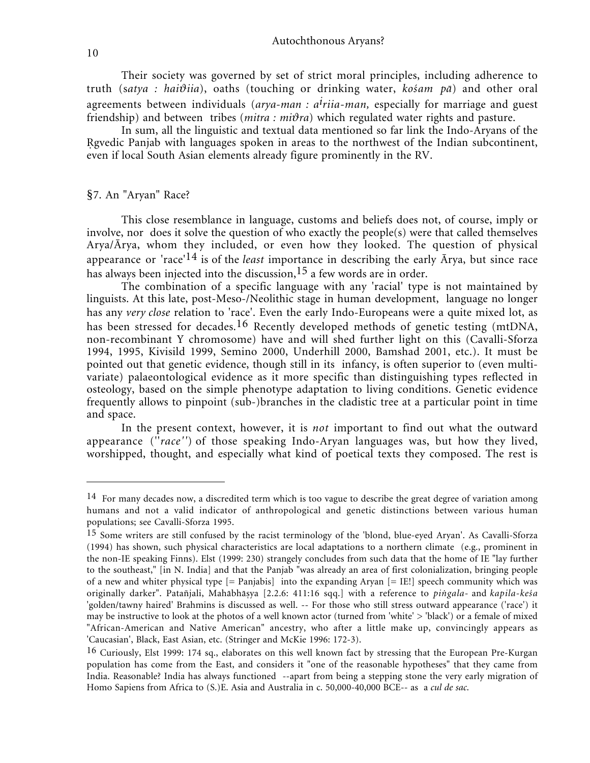#### Autochthonous Aryans?

Their society was governed by set of strict moral principles, including adherence to truth (s*atya : haiθiia*), oaths (touching or drinking water, *kośam på*) and other oral agreements between individuals (*arya-man : airiia-man,* especially for marriage and guest friendship) and between tribes (*mitra : miθra*) which regulated water rights and pasture.

In sum, all the linguistic and textual data mentioned so far link the Indo-Aryans of the Rgvedic Panjab with languages spoken in areas to the northwest of the Indian subcontinent, even if local South Asian elements already figure prominently in the RV.

### §7. An "Aryan" Race?

This close resemblance in language, customs and beliefs does not, of course, imply or involve, nor does it solve the question of who exactly the people(s) were that called themselves Arya/Ārya, whom they included, or even how they looked. The question of physical appearance or 'race'14 is of the *least* importance in describing the early Ārya, but since race has always been injected into the discussion,  $15$  a few words are in order.

The combination of a specific language with any 'racial' type is not maintained by linguists. At this late, post-Meso-/Neolithic stage in human development, language no longer has any *very close* relation to 'race'. Even the early Indo-Europeans were a quite mixed lot, as has been stressed for decades.<sup>16</sup> Recently developed methods of genetic testing (mtDNA, non-recombinant Y chromosome) have and will shed further light on this (Cavalli-Sforza 1994, 1995, Kivisild 1999, Semino 2000, Underhill 2000, Bamshad 2001, etc.). It must be pointed out that genetic evidence, though still in its infancy, is often superior to (even multivariate) palaeontological evidence as it more specific than distinguishing types reflected in osteology, based on the simple phenotype adaptation to living conditions. Genetic evidence frequently allows to pinpoint (sub-)branches in the cladistic tree at a particular point in time and space.

In the present context, however, it is *not* important to find out what the outward appearance (''*race''*) of those speaking Indo-Aryan languages was, but how they lived, worshipped, thought, and especially what kind of poetical texts they composed. The rest is

<sup>14</sup> For many decades now, a discredited term which is too vague to describe the great degree of variation among humans and not a valid indicator of anthropological and genetic distinctions between various human populations; see Cavalli-Sforza 1995.

<sup>&</sup>lt;sup>15</sup> Some writers are still confused by the racist terminology of the 'blond, blue-eyed Aryan'. As Cavalli-Sforza (1994) has shown, such physical characteristics are local adaptations to a northern climate (e.g., prominent in the non-IE speaking Finns). Elst (1999: 230) strangely concludes from such data that the home of IE "lay further to the southeast," [in N. India] and that the Panjab "was already an area of first colonialization, bringing people of a new and whiter physical type  $[=$  Panjabis $]$  into the expanding Aryan  $[=$  IE! $]$  speech community which was originally darker". Patañjali, Mahåbhåya [2.2.6: 411:16 sqq.] with a reference to *pigala-* and *kapila-keśa* 'golden/tawny haired' Brahmins is discussed as well. -- For those who still stress outward appearance ('race') it may be instructive to look at the photos of a well known actor (turned from 'white' > 'black') or a female of mixed "African-American and Native American" ancestry, who after a little make up, convincingly appears as 'Caucasian', Black, East Asian, etc. (Stringer and McKie 1996: 172-3).

<sup>16</sup> Curiously, Elst 1999: 174 sq., elaborates on this well known fact by stressing that the European Pre-Kurgan population has come from the East, and considers it "one of the reasonable hypotheses" that they came from India. Reasonable? India has always functioned --apart from being a stepping stone the very early migration of Homo Sapiens from Africa to (S.)E. Asia and Australia in c. 50,000-40,000 BCE-- as a *cul de sac*.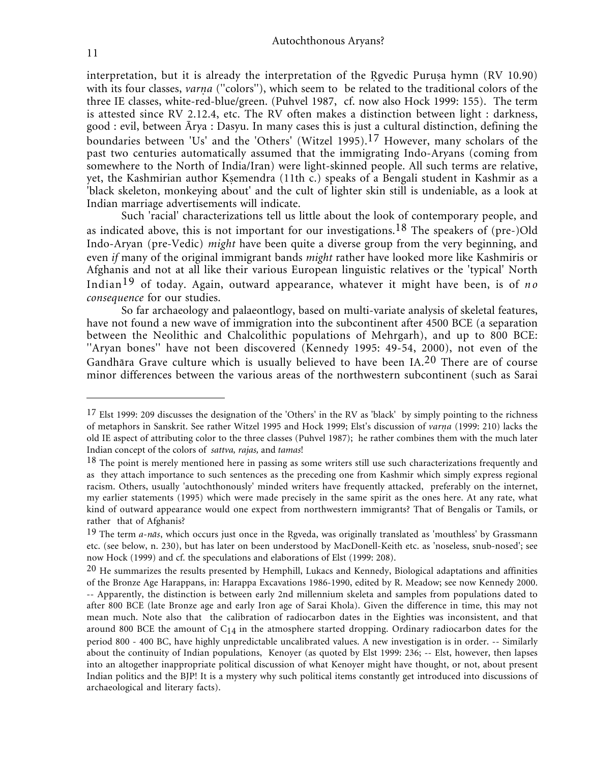interpretation, but it is already the interpretation of the Rgvedic Purusa hymn (RV 10.90) with its four classes, *vara* (''colors''), which seem to be related to the traditional colors of the three IE classes, white-red-blue/green. (Puhvel 1987, cf. now also Hock 1999: 155). The term is attested since RV 2.12.4, etc. The RV often makes a distinction between light : darkness, good : evil, between Ārya : Dasyu. In many cases this is just a cultural distinction, defining the boundaries between 'Us' and the 'Others' (Witzel 1995).<sup>17</sup> However, many scholars of the past two centuries automatically assumed that the immigrating Indo-Aryans (coming from somewhere to the North of India/Iran) were light-skinned people. All such terms are relative, yet, the Kashmirian author Kemendra (11th c.) speaks of a Bengali student in Kashmir as a 'black skeleton, monkeying about' and the cult of lighter skin still is undeniable, as a look at Indian marriage advertisements will indicate.

Such 'racial' characterizations tell us little about the look of contemporary people, and as indicated above, this is not important for our investigations.<sup>18</sup> The speakers of (pre-)Old Indo-Aryan (pre-Vedic) *might* have been quite a diverse group from the very beginning, and even *if* many of the original immigrant bands *might* rather have looked more like Kashmiris or Afghanis and not at all like their various European linguistic relatives or the 'typical' North Indian19 of today. Again, outward appearance, whatever it might have been, is of *n o consequence* for our studies.

So far archaeology and palaeontlogy, based on multi-variate analysis of skeletal features, have not found a new wave of immigration into the subcontinent after 4500 BCE (a separation between the Neolithic and Chalcolithic populations of Mehrgarh), and up to 800 BCE: ''Aryan bones'' have not been discovered (Kennedy 1995: 49-54, 2000), not even of the Gandhāra Grave culture which is usually believed to have been  $IA.20$  There are of course minor differences between the various areas of the northwestern subcontinent (such as Sarai

<sup>&</sup>lt;sup>17</sup> Elst 1999: 209 discusses the designation of the 'Others' in the RV as 'black' by simply pointing to the richness of metaphors in Sanskrit. See rather Witzel 1995 and Hock 1999; Elst's discussion of *vara* (1999: 210) lacks the old IE aspect of attributing color to the three classes (Puhvel 1987); he rather combines them with the much later Indian concept of the colors of *sattva, rajas,* and *tamas*!

<sup>&</sup>lt;sup>18</sup> The point is merely mentioned here in passing as some writers still use such characterizations frequently and as they attach importance to such sentences as the preceding one from Kashmir which simply express regional racism. Others, usually 'autochthonously' minded writers have frequently attacked, preferably on the internet, my earlier statements (1995) which were made precisely in the same spirit as the ones here. At any rate, what kind of outward appearance would one expect from northwestern immigrants? That of Bengalis or Tamils, or rather that of Afghanis?

<sup>&</sup>lt;sup>19</sup> The term *a-nās*, which occurs just once in the Rgveda, was originally translated as 'mouthless' by Grassmann etc. (see below, n. 230), but has later on been understood by MacDonell-Keith etc. as 'noseless, snub-nosed'; see now Hock (1999) and cf. the speculations and elaborations of Elst (1999: 208).

 $20$  He summarizes the results presented by Hemphill, Lukacs and Kennedy, Biological adaptations and affinities of the Bronze Age Harappans, in: Harappa Excavations 1986-1990, edited by R. Meadow; see now Kennedy 2000. -- Apparently, the distinction is between early 2nd millennium skeleta and samples from populations dated to after 800 BCE (late Bronze age and early Iron age of Sarai Khola). Given the difference in time, this may not mean much. Note also that the calibration of radiocarbon dates in the Eighties was inconsistent, and that around 800 BCE the amount of  $C_{14}$  in the atmosphere started dropping. Ordinary radiocarbon dates for the period 800 - 400 BC, have highly unpredictable uncalibrated values. A new investigation is in order. -- Similarly about the continuity of Indian populations, Kenoyer (as quoted by Elst 1999: 236; -- Elst, however, then lapses into an altogether inappropriate political discussion of what Kenoyer might have thought, or not, about present Indian politics and the BJP! It is a mystery why such political items constantly get introduced into discussions of archaeological and literary facts).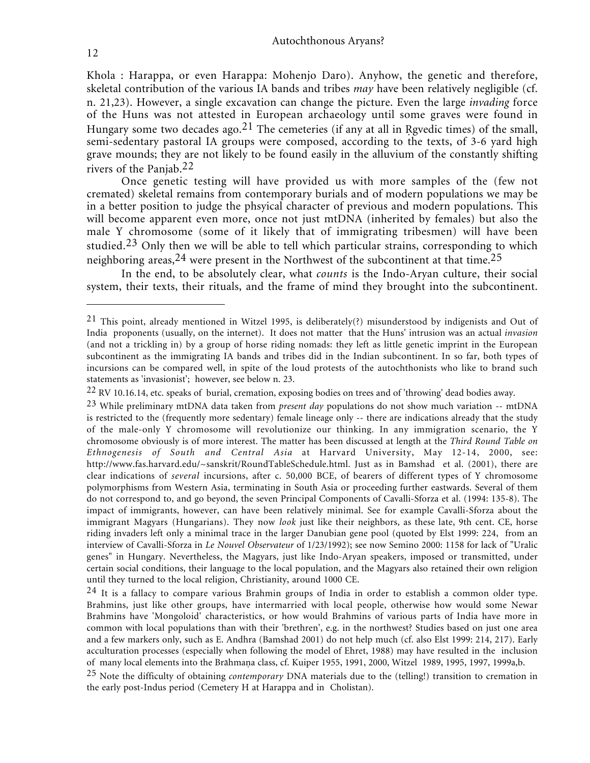Khola : Harappa, or even Harappa: Mohenjo Daro). Anyhow, the genetic and therefore, skeletal contribution of the various IA bands and tribes *may* have been relatively negligible (cf. n. 21,23). However, a single excavation can change the picture. Even the large *invading* force of the Huns was not attested in European archaeology until some graves were found in Hungary some two decades ago.<sup>21</sup> The cemeteries (if any at all in Rgvedic times) of the small, semi-sedentary pastoral IA groups were composed, according to the texts, of 3-6 yard high grave mounds; they are not likely to be found easily in the alluvium of the constantly shifting rivers of the Panjab.22

Once genetic testing will have provided us with more samples of the (few not cremated) skeletal remains from contemporary burials and of modern populations we may be in a better position to judge the phsyical character of previous and modern populations. This will become apparent even more, once not just mtDNA (inherited by females) but also the male Y chromosome (some of it likely that of immigrating tribesmen) will have been studied.<sup>23</sup> Only then we will be able to tell which particular strains, corresponding to which neighboring areas,  $24$  were present in the Northwest of the subcontinent at that time.  $25$ 

In the end, to be absolutely clear, what *counts* is the Indo-Aryan culture, their social system, their texts, their rituals, and the frame of mind they brought into the subcontinent.

<sup>&</sup>lt;sup>21</sup> This point, already mentioned in Witzel 1995, is deliberately(?) misunderstood by indigenists and Out of India proponents (usually, on the internet). It does not matter that the Huns' intrusion was an actual *invasion* (and not a trickling in) by a group of horse riding nomads: they left as little genetic imprint in the European subcontinent as the immigrating IA bands and tribes did in the Indian subcontinent. In so far, both types of incursions can be compared well, in spite of the loud protests of the autochthonists who like to brand such statements as 'invasionist'; however, see below n. 23.

<sup>22</sup> RV 10.16.14, etc. speaks of burial, cremation, exposing bodies on trees and of 'throwing' dead bodies away.

<sup>23</sup> While preliminary mtDNA data taken from *present day* populations do not show much variation -- mtDNA is restricted to the (frequently more sedentary) female lineage only -- there are indications already that the study of the male-only Y chromosome will revolutionize our thinking. In any immigration scenario, the Y chromosome obviously is of more interest. The matter has been discussed at length at the *Third Round Table on Ethnogenesis of South and Central Asia* at Harvard University, May 12-14, 2000, see: http://www.fas.harvard.edu/~sanskrit/RoundTableSchedule.html. Just as in Bamshad et al. (2001), there are clear indications of *several* incursions, after c. 50,000 BCE, of bearers of different types of Y chromosome polymorphisms from Western Asia, terminating in South Asia or proceeding further eastwards. Several of them do not correspond to, and go beyond, the seven Principal Components of Cavalli-Sforza et al. (1994: 135-8). The impact of immigrants, however, can have been relatively minimal. See for example Cavalli-Sforza about the immigrant Magyars (Hungarians). They now *look* just like their neighbors, as these late, 9th cent. CE, horse riding invaders left only a minimal trace in the larger Danubian gene pool (quoted by Elst 1999: 224, from an interview of Cavalli-Sforza in *Le Nouvel Observateur* of 1/23/1992); see now Semino 2000: 1158 for lack of "Uralic genes" in Hungary. Nevertheless, the Magyars, just like Indo-Aryan speakers, imposed or transmitted, under certain social conditions, their language to the local population, and the Magyars also retained their own religion until they turned to the local religion, Christianity, around 1000 CE.

 $^{24}$  It is a fallacy to compare various Brahmin groups of India in order to establish a common older type. Brahmins, just like other groups, have intermarried with local people, otherwise how would some Newar Brahmins have 'Mongoloid' characteristics, or how would Brahmins of various parts of India have more in common with local populations than with their 'brethren', e.g. in the northwest? Studies based on just one area and a few markers only, such as E. Andhra (Bamshad 2001) do not help much (cf. also Elst 1999: 214, 217). Early acculturation processes (especially when following the model of Ehret, 1988) may have resulted in the inclusion of many local elements into the Brāhmaṇa class, cf. Kuiper 1955, 1991, 2000, Witzel 1989, 1995, 1997, 1999a,b.

<sup>25</sup> Note the difficulty of obtaining *contemporary* DNA materials due to the (telling!) transition to cremation in the early post-Indus period (Cemetery H at Harappa and in Cholistan).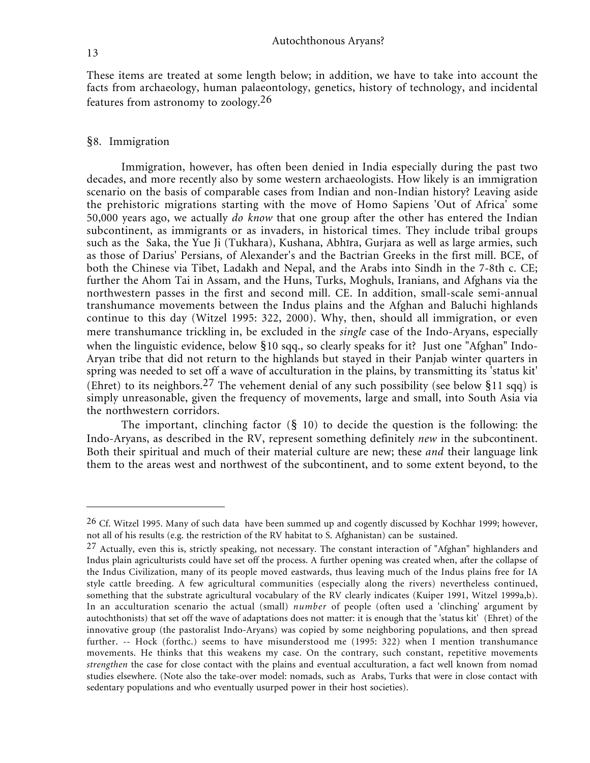These items are treated at some length below; in addition, we have to take into account the facts from archaeology, human palaeontology, genetics, history of technology, and incidental features from astronomy to zoology.<sup>26</sup>

# §8. Immigration

Immigration, however, has often been denied in India especially during the past two decades, and more recently also by some western archaeologists. How likely is an immigration scenario on the basis of comparable cases from Indian and non-Indian history? Leaving aside the prehistoric migrations starting with the move of Homo Sapiens 'Out of Africa' some 50,000 years ago, we actually *do know* that one group after the other has entered the Indian subcontinent, as immigrants or as invaders, in historical times. They include tribal groups such as the Saka, the Yue Ji (Tukhara), Kushana, Abhīra, Gurjara as well as large armies, such as those of Darius' Persians, of Alexander's and the Bactrian Greeks in the first mill. BCE, of both the Chinese via Tibet, Ladakh and Nepal, and the Arabs into Sindh in the 7-8th c. CE; further the Ahom Tai in Assam, and the Huns, Turks, Moghuls, Iranians, and Afghans via the northwestern passes in the first and second mill. CE. In addition, small-scale semi-annual transhumance movements between the Indus plains and the Afghan and Baluchi highlands continue to this day (Witzel 1995: 322, 2000). Why, then, should all immigration, or even mere transhumance trickling in, be excluded in the *single* case of the Indo-Aryans, especially when the linguistic evidence, below §10 sqq., so clearly speaks for it? Just one "Afghan" Indo-Aryan tribe that did not return to the highlands but stayed in their Panjab winter quarters in spring was needed to set off a wave of acculturation in the plains, by transmitting its 'status kit' (Ehret) to its neighbors.<sup>27</sup> The vehement denial of any such possibility (see below §11 sqq) is simply unreasonable, given the frequency of movements, large and small, into South Asia via the northwestern corridors.

The important, clinching factor  $(\S 10)$  to decide the question is the following: the Indo-Aryans, as described in the RV, represent something definitely *new* in the subcontinent. Both their spiritual and much of their material culture are new; these *and* their language link them to the areas west and northwest of the subcontinent, and to some extent beyond, to the

<sup>&</sup>lt;sup>26</sup> Cf. Witzel 1995. Many of such data have been summed up and cogently discussed by Kochhar 1999; however, not all of his results (e.g. the restriction of the RV habitat to S. Afghanistan) can be sustained.

 $^{27}$  Actually, even this is, strictly speaking, not necessary. The constant interaction of "Afghan" highlanders and Indus plain agriculturists could have set off the process. A further opening was created when, after the collapse of the Indus Civilization, many of its people moved eastwards, thus leaving much of the Indus plains free for IA style cattle breeding. A few agricultural communities (especially along the rivers) nevertheless continued, something that the substrate agricultural vocabulary of the RV clearly indicates (Kuiper 1991, Witzel 1999a,b). In an acculturation scenario the actual (small) *number* of people (often used a 'clinching' argument by autochthonists) that set off the wave of adaptations does not matter: it is enough that the 'status kit' (Ehret) of the innovative group (the pastoralist Indo-Aryans) was copied by some neighboring populations, and then spread further. -- Hock (forthc.) seems to have misunderstood me (1995: 322) when I mention transhumance movements. He thinks that this weakens my case. On the contrary, such constant, repetitive movements *strengthen* the case for close contact with the plains and eventual acculturation, a fact well known from nomad studies elsewhere. (Note also the take-over model: nomads, such as Arabs, Turks that were in close contact with sedentary populations and who eventually usurped power in their host societies).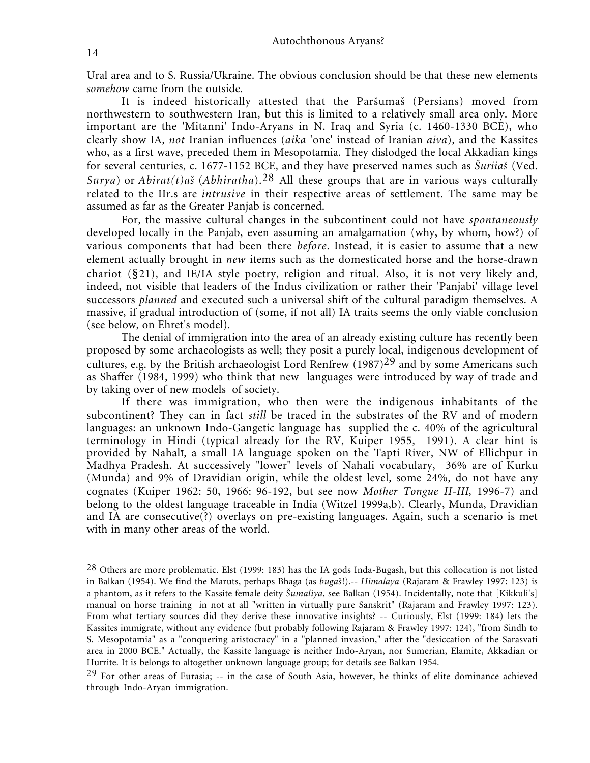Ural area and to S. Russia/Ukraine. The obvious conclusion should be that these new elements *somehow* came from the outside.

It is indeed historically attested that the Paršumaš (Persians) moved from northwestern to southwestern Iran, but this is limited to a relatively small area only. More important are the 'Mitanni' Indo-Aryans in N. Iraq and Syria (c. 1460-1330 BCE), who clearly show IA, *not* Iranian influences (*aika* 'one' instead of Iranian *aiva*), and the Kassites who, as a first wave, preceded them in Mesopotamia. They dislodged the local Akkadian kings for several centuries, c. 1677-1152 BCE, and they have preserved names such as *Šuriiaš* (Ved. *Sūrya*) or *Abirat(t)aš* (*Abhiratha*).28 All these groups that are in various ways culturally related to the IIr.s are *intrusive* in their respective areas of settlement. The same may be assumed as far as the Greater Panjab is concerned.

For, the massive cultural changes in the subcontinent could not have *spontaneously* developed locally in the Panjab, even assuming an amalgamation (why, by whom, how?) of various components that had been there *before*. Instead, it is easier to assume that a new element actually brought in *new* items such as the domesticated horse and the horse-drawn chariot (§21), and IE/IA style poetry, religion and ritual. Also, it is not very likely and, indeed, not visible that leaders of the Indus civilization or rather their 'Panjabi' village level successors *planned* and executed such a universal shift of the cultural paradigm themselves. A massive, if gradual introduction of (some, if not all) IA traits seems the only viable conclusion (see below, on Ehret's model).

The denial of immigration into the area of an already existing culture has recently been proposed by some archaeologists as well; they posit a purely local, indigenous development of cultures, e.g. by the British archaeologist Lord Renfrew (1987)<sup>29</sup> and by some Americans such as Shaffer (1984, 1999) who think that new languages were introduced by way of trade and by taking over of new models of society.

If there was immigration, who then were the indigenous inhabitants of the subcontinent? They can in fact *still* be traced in the substrates of the RV and of modern languages: an unknown Indo-Gangetic language has supplied the c. 40% of the agricultural terminology in Hindi (typical already for the RV, Kuiper 1955, 1991). A clear hint is provided by Nahalī, a small IA language spoken on the Tapti River, NW of Ellichpur in Madhya Pradesh. At successively "lower" levels of Nahali vocabulary, 36% are of Kurku (Munda) and 9% of Dravidian origin, while the oldest level, some 24%, do not have any cognates (Kuiper 1962: 50, 1966: 96-192, but see now *Mother Tongue II-III,* 1996-7) and belong to the oldest language traceable in India (Witzel 1999a,b). Clearly, Munda, Dravidian and IA are consecutive(?) overlays on pre-existing languages. Again, such a scenario is met with in many other areas of the world.

 $^{28}$  Others are more problematic. Elst (1999: 183) has the IA gods Inda-Bugash, but this collocation is not listed in Balkan (1954). We find the Maruts, perhaps Bhaga (as *bugaš*!).-- *Himalaya* (Rajaram & Frawley 1997: 123) is a phantom, as it refers to the Kassite female deity *Šumaliya*, see Balkan (1954). Incidentally, note that [Kikkuli's] manual on horse training in not at all "written in virtually pure Sanskrit" (Rajaram and Frawley 1997: 123). From what tertiary sources did they derive these innovative insights? -- Curiously, Elst (1999: 184) lets the Kassites immigrate, without any evidence (but probably following Rajaram & Frawley 1997: 124), "from Sindh to S. Mesopotamia" as a "conquering aristocracy" in a "planned invasion," after the "desiccation of the Sarasvati area in 2000 BCE." Actually, the Kassite language is neither Indo-Aryan, nor Sumerian, Elamite, Akkadian or Hurrite. It is belongs to altogether unknown language group; for details see Balkan 1954.

 $29$  For other areas of Eurasia;  $-$  in the case of South Asia, however, he thinks of elite dominance achieved through Indo-Aryan immigration.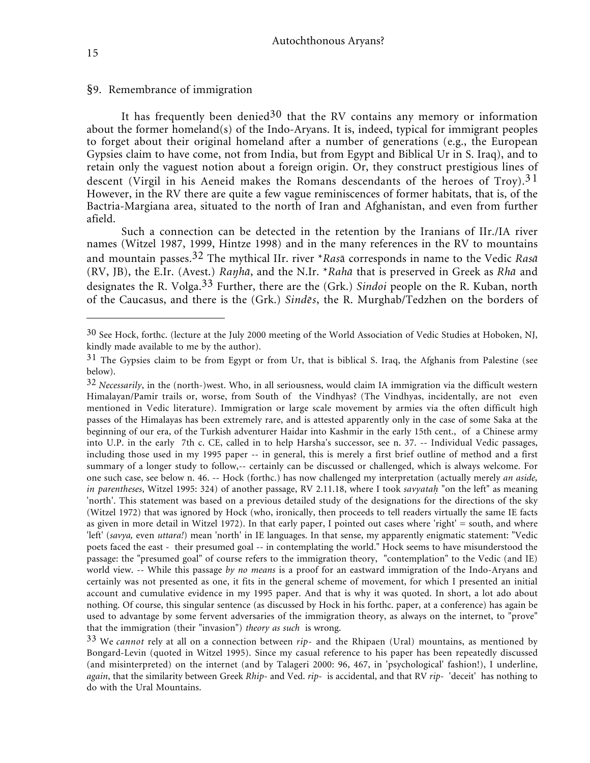# §9. Remembrance of immigration

It has frequently been denied<sup>30</sup> that the RV contains any memory or information about the former homeland(s) of the Indo-Aryans. It is, indeed, typical for immigrant peoples to forget about their original homeland after a number of generations (e.g., the European Gypsies claim to have come, not from India, but from Egypt and Biblical Ur in S. Iraq), and to retain only the vaguest notion about a foreign origin. Or, they construct prestigious lines of descent (Virgil in his Aeneid makes the Romans descendants of the heroes of Troy).<sup>31</sup> However, in the RV there are quite a few vague reminiscences of former habitats, that is, of the Bactria-Margiana area, situated to the north of Iran and Afghanistan, and even from further afield.

Such a connection can be detected in the retention by the Iranians of IIr./IA river names (Witzel 1987, 1999, Hintze 1998) and in the many references in the RV to mountains and mountain passes.32 The mythical IIr. river \**Ras*å corresponds in name to the Vedic *Raså* (RV, JB), the E.Ir. (Avest.) *Rahå*, and the N.Ir. \**Rahå* that is preserved in Greek as *Rhå* and designates the R. Volga.33 Further, there are the (Grk.) *Sindoi* people on the R. Kuban, north of the Caucasus, and there is the (Grk.) *Sindẽs*, the R. Murghab/Tedzhen on the borders of

32 *Necessarily*, in the (north-)west. Who, in all seriousness, would claim IA immigration via the difficult western Himalayan/Pamir trails or, worse, from South of the Vindhyas? (The Vindhyas, incidentally, are not even mentioned in Vedic literature). Immigration or large scale movement by armies via the often difficult high passes of the Himalayas has been extremely rare, and is attested apparently only in the case of some Saka at the beginning of our era, of the Turkish adventurer Haidar into Kashmir in the early 15th cent., of a Chinese army into U.P. in the early 7th c. CE, called in to help Harsha's successor, see n. 37. -- Individual Vedic passages, including those used in my 1995 paper -- in general, this is merely a first brief outline of method and a first summary of a longer study to follow,-- certainly can be discussed or challenged, which is always welcome. For one such case, see below n. 46. -- Hock (forthc.) has now challenged my interpretation (actually merely *an aside, in parentheses*, Witzel 1995: 324) of another passage, RV 2.11.18, where I took *savyatah* "on the left" as meaning 'north'. This statement was based on a previous detailed study of the designations for the directions of the sky (Witzel 1972) that was ignored by Hock (who, ironically, then proceeds to tell readers virtually the same IE facts as given in more detail in Witzel 1972). In that early paper, I pointed out cases where 'right' = south, and where 'left' (*savya,* even *uttara!*) mean 'north' in IE languages. In that sense, my apparently enigmatic statement: "Vedic poets faced the east - their presumed goal -- in contemplating the world." Hock seems to have misunderstood the passage: the "presumed goal" of course refers to the immigration theory, "contemplation" to the Vedic (and IE) world view. -- While this passage *by no means* is a proof for an eastward immigration of the Indo-Aryans and certainly was not presented as one, it fits in the general scheme of movement, for which I presented an initial account and cumulative evidence in my 1995 paper. And that is why it was quoted. In short, a lot ado about nothing. Of course, this singular sentence (as discussed by Hock in his forthc. paper, at a conference) has again be used to advantage by some fervent adversaries of the immigration theory, as always on the internet, to "prove" that the immigration (their "invasion") *theory as such* is wrong.

33 We *cannot* rely at all on a connection between *rip-* and the Rhipaen (Ural) mountains, as mentioned by Bongard-Levin (quoted in Witzel 1995). Since my casual reference to his paper has been repeatedly discussed (and misinterpreted) on the internet (and by Talageri 2000: 96, 467, in 'psychological' fashion!), I underline, *again*, that the similarity between Greek *Rhip*- and Ved. *rip*- is accidental, and that RV *rip*- 'deceit' has nothing to do with the Ural Mountains.

<sup>30</sup> See Hock, forthc. (lecture at the July 2000 meeting of the World Association of Vedic Studies at Hoboken, NJ, kindly made available to me by the author).

 $31$  The Gypsies claim to be from Egypt or from Ur, that is biblical S. Iraq, the Afghanis from Palestine (see below).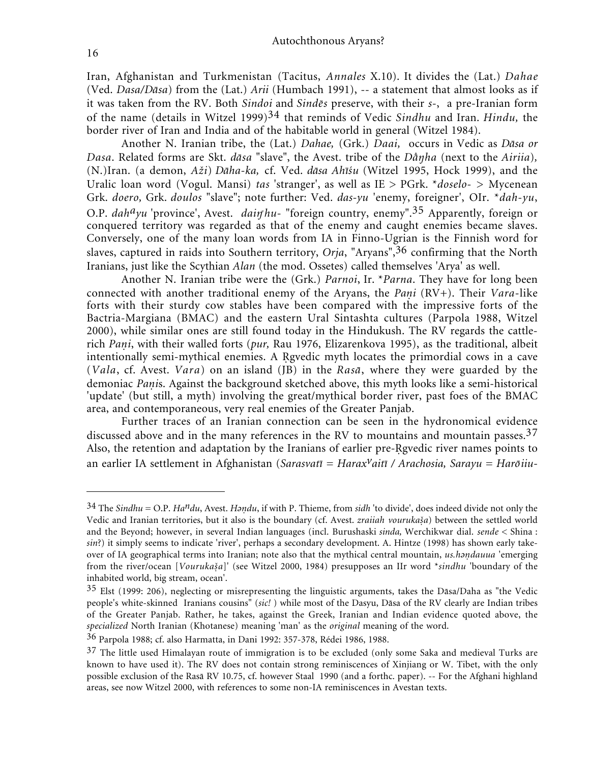Iran, Afghanistan and Turkmenistan (Tacitus, *Annales* X.10). It divides the (Lat.) *Dahae* (Ved. *Dasa/Dåsa*) from the (Lat.) *Arii* (Humbach 1991), -- a statement that almost looks as if it was taken from the RV. Both *Sindoi* and *Sindẽs* preserve, with their *s-*, a pre-Iranian form of the name (details in Witzel 1999)34 that reminds of Vedic *Sindhu* and Iran. *Hindu,* the border river of Iran and India and of the habitable world in general (Witzel 1984).

Another N. Iranian tribe, the (Lat.) *Dahae,* (Grk.) *Daai,* occurs in Vedic as *Dåsa or Dasa*. Related forms are Skt. *dāsa* "slave", the Avest. tribe of the *Dånha* (next to the *Airiia*), (N.)Iran. (a demon, *Aži*) *Dåha-ka,* cf. Ved. *dåsa Ahīśu* (Witzel 1995, Hock 1999), and the Uralic loan word (Vogul. Mansi) *tas* 'stranger', as well as IE > PGrk. \**doselo*- > Mycenean Grk. *doero,* Grk. *doulos* "slave"; note further: Ved. *das-yu* 'enemy, foreigner', OIr. \**dah-yu*, O.P. *dah<sup>a</sup>yu* 'province', Avest. *dain* hu- "foreign country, enemy".<sup>35</sup> Apparently, foreign or conquered territory was regarded as that of the enemy and caught enemies became slaves. Conversely, one of the many loan words from IA in Finno-Ugrian is the Finnish word for slaves, captured in raids into Southern territory, *Orja*, "Aryans",36 confirming that the North Iranians, just like the Scythian *Alan* (the mod. Ossetes) called themselves 'Arya' as well.

Another N. Iranian tribe were the (Grk.) *Parnoi*, Ir. \**Parna*. They have for long been connected with another traditional enemy of the Aryans, the *Pani* (RV+). Their *Vara-like* forts with their sturdy cow stables have been compared with the impressive forts of the Bactria-Margiana (BMAC) and the eastern Ural Sintashta cultures (Parpola 1988, Witzel 2000), while similar ones are still found today in the Hindukush. The RV regards the cattlerich *Pani*, with their walled forts (*pur*, Rau 1976, Elizarenkova 1995), as the traditional, albeit intentionally semi-mythical enemies. A Rgvedic myth locates the primordial cows in a cave (*Vala*, cf. Avest. *Vara*) on an island (JB) in the *Raså*, where they were guarded by the demoniac *Pai*s. Against the background sketched above, this myth looks like a semi-historical 'update' (but still, a myth) involving the great/mythical border river, past foes of the BMAC area, and contemporaneous, very real enemies of the Greater Panjab.

Further traces of an Iranian connection can be seen in the hydronomical evidence discussed above and in the many references in the RV to mountains and mountain passes.  $37$ Also, the retention and adaptation by the Iranians of earlier pre-Rgvedic river names points to an earlier IA settlement in Afghanistan (*Sarasvatī = Haraxvaitī / Arachosia, Sarayu = Harōiiu-*

<sup>34</sup> The *Sindhu* = O.P. *Handu*, Avest. *Hədu*, if with P. Thieme, from *sidh* 'to divide', does indeed divide not only the Vedic and Iranian territories, but it also is the boundary (cf. Avest. *zraiiah vourukaa*) between the settled world and the Beyond; however, in several Indian languages (incl. Burushaski *sinda,* Werchikwar dial. *sende* < Shina : *sin*?) it simply seems to indicate 'river', perhaps a secondary development. A. Hintze (1998) has shown early takeover of IA geographical terms into Iranian; note also that the mythical central mountain, *us.hədauua* 'emerging from the river/ocean [*Vourukaa*]' (see Witzel 2000, 1984) presupposes an IIr word \**sindhu* 'boundary of the inhabited world, big stream, ocean'.

<sup>35</sup> Elst (1999: 206), neglecting or misrepresenting the linguistic arguments, takes the Dåsa/Daha as "the Vedic people's white-skinned Iranians cousins" (*sic!* ) while most of the Dasyu, Dåsa of the RV clearly are Indian tribes of the Greater Panjab. Rather, he takes, against the Greek, Iranian and Indian evidence quoted above, the *specialized* North Iranian (Khotanese) meaning 'man' as the *original* meaning of the word.

<sup>36</sup> Parpola 1988; cf. also Harmatta, in Dani 1992: 357-378, Rédei 1986, 1988.

 $37$  The little used Himalayan route of immigration is to be excluded (only some Saka and medieval Turks are known to have used it). The RV does not contain strong reminiscences of Xinjiang or W. Tibet, with the only possible exclusion of the Raså RV 10.75, cf. however Staal 1990 (and a forthc. paper). -- For the Afghani highland areas, see now Witzel 2000, with references to some non-IA reminiscences in Avestan texts.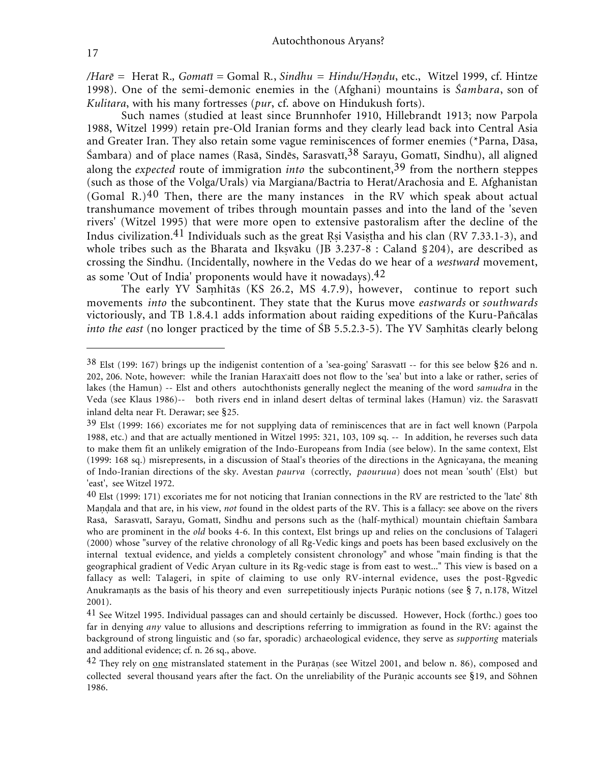*/Harẽ* = Herat R.*, Gomatī =* Gomal R*.*, *Sindhu = Hindu/Hədu*, etc., Witzel 1999, cf. Hintze 1998). One of the semi-demonic enemies in the (Afghani) mountains is *Śambara*, son of *Kulitara*, with his many fortresses (*pur*, cf. above on Hindukush forts).

Such names (studied at least since Brunnhofer 1910, Hillebrandt 1913; now Parpola 1988, Witzel 1999) retain pre-Old Iranian forms and they clearly lead back into Central Asia and Greater Iran. They also retain some vague reminiscences of former enemies (\*Parna, Dåsa, Śambara) and of place names (Raså, Sindẽs, Sarasvatī,38 Sarayu, Gomatī, Sindhu), all aligned along the *expected* route of immigration *into* the subcontinent,<sup>39</sup> from the northern steppes (such as those of the Volga/Urals) via Margiana/Bactria to Herat/Arachosia and E. Afghanistan (Gomal R.)<sup>40</sup> Then, there are the many instances in the RV which speak about actual transhumance movement of tribes through mountain passes and into the land of the 'seven rivers' (Witzel 1995) that were more open to extensive pastoralism after the decline of the Indus civilization. <sup>41</sup> Individuals such as the great Rsi Vasistha and his clan (RV 7.33.1-3), and whole tribes such as the Bharata and Ikṣvāku (JB 3.237-8 : Caland §204), are described as crossing the Sindhu. (Incidentally, nowhere in the Vedas do we hear of a *westward* movement, as some 'Out of India' proponents would have it nowadays).42

The early YV Samhitās (KS 26.2, MS 4.7.9), however, continue to report such movements *into* the subcontinent. They state that the Kurus move *eastwards* or *southwards* victoriously, and TB 1.8.4.1 adds information about raiding expeditions of the Kuru-Pañcålas *into the east* (no longer practiced by the time of *SB* 5.5.2.3-5). The YV Samhitās clearly belong

<sup>38</sup> Elst (199: 167) brings up the indigenist contention of a 'sea-going' Sarasvatī -- for this see below §26 and n. 202, 206. Note, however: while the Iranian Harax aitī does not flow to the 'sea' but into a lake or rather, series of lakes (the Hamun) -- Elst and others autochthonists generally neglect the meaning of the word *samudra* in the Veda (see Klaus 1986)-- both rivers end in inland desert deltas of terminal lakes (Hamun) viz. the Sarasvatī inland delta near Ft. Derawar; see §25.

<sup>39</sup> Elst (1999: 166) excoriates me for not supplying data of reminiscences that are in fact well known (Parpola 1988, etc.) and that are actually mentioned in Witzel 1995: 321, 103, 109 sq. -- In addition, he reverses such data to make them fit an unlikely emigration of the Indo-Europeans from India (see below). In the same context, Elst (1999: 168 sq.) misrepresents, in a discussion of Staal's theories of the directions in the Agnicayana, the meaning of Indo-Iranian directions of the sky. Avestan *paurva* (correctly, *paouruua*) does not mean 'south' (Elst) but 'east', see Witzel 1972.

 $40$  Elst (1999: 171) excoriates me for not noticing that Iranian connections in the RV are restricted to the 'late' 8th Mandala and that are, in his view, *not* found in the oldest parts of the RV. This is a fallacy: see above on the rivers Raså, Sarasvatī, Sarayu, Gomatī, Sindhu and persons such as the (half-mythical) mountain chieftain Śambara who are prominent in the *old* books 4-6. In this context, Elst brings up and relies on the conclusions of Talageri (2000) whose "survey of the relative chronology of all Rg-Vedic kings and poets has been based exclusively on the internal textual evidence, and yields a completely consistent chronology" and whose "main finding is that the geographical gradient of Vedic Aryan culture in its Rg-vedic stage is from east to west..." This view is based on a fallacy as well: Talageri, in spite of claiming to use only RV-internal evidence, uses the post-Rgvedic Anukramanīs as the basis of his theory and even surrepetitiously injects Purānic notions (see § 7, n.178, Witzel 2001).

<sup>&</sup>lt;sup>41</sup> See Witzel 1995. Individual passages can and should certainly be discussed. However, Hock (forthc.) goes too far in denying *any* value to allusions and descriptions referring to immigration as found in the RV: against the background of strong linguistic and (so far, sporadic) archaeological evidence, they serve as *supporting* materials and additional evidence; cf. n. 26 sq., above.

 $^{42}$  They rely on <u>one</u> mistranslated statement in the Purāṇas (see Witzel 2001, and below n. 86), composed and collected several thousand years after the fact. On the unreliability of the Purāṇic accounts see §19, and Söhnen 1986.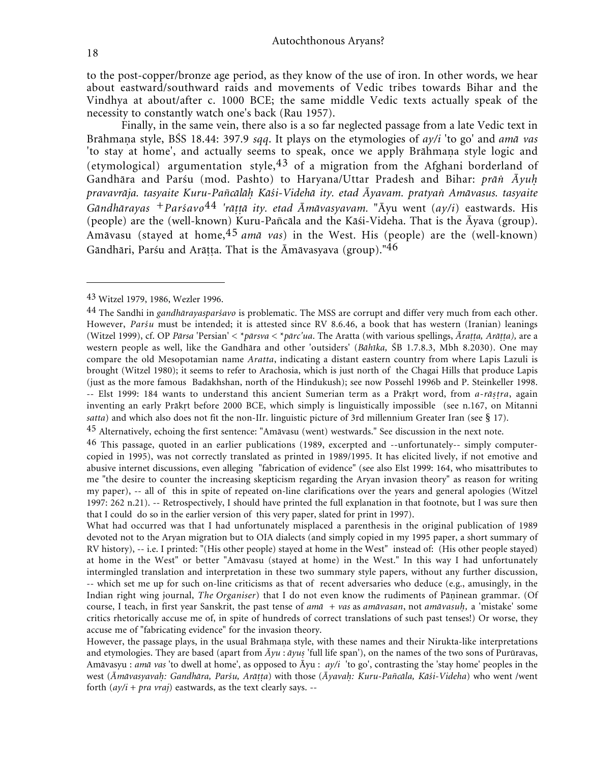to the post-copper/bronze age period, as they know of the use of iron. In other words, we hear about eastward/southward raids and movements of Vedic tribes towards Bihar and the Vindhya at about/after c. 1000 BCE; the same middle Vedic texts actually speak of the necessity to constantly watch one's back (Rau 1957).

Finally, in the same vein, there also is a so far neglected passage from a late Vedic text in Brāhmaṇa style, BŚS 18.44: 397.9 *sqq*. It plays on the etymologies of *ay/i* 'to go' and *amā vas* 'to stay at home', and actually seems to speak, once we apply Brāhmaṇa style logic and (etymological) argumentation style,  $43$  of a migration from the Afghani borderland of Gandhāra and Parśu (mod. Pashto) to Haryana/Uttar Pradesh and Bihar: *prāṅ Āyuh* pravavrāja. tasyaite Kuru-Pañcālāh Kāśi-Videhā ity. etad Āyavam. pratyan Amāvasus. tasyaite Gāndhāravas <sup>+</sup>Parśavo<sup>44</sup> 'rāttā ity. etad Āmāvasyavam. "Āyu went (ay/i) eastwards. His (people) are the (well-known) Kuru-Pañcåla and the Kåśi-Videha. That is the Āyava (group). Amåvasu (stayed at home,45 *amå vas*) in the West. His (people) are the (well-known) Gāndhāri, Parśu and Arāṭṭa. That is the Āmāvasyava (group)." $^{46}$ 

<sup>43</sup> Witzel 1979, 1986, Wezler 1996.

<sup>44</sup> The Sandhi in *gandhårayasparśavo* is problematic. The MSS are corrupt and differ very much from each other. However, *Parśu* must be intended; it is attested since RV 8.6.46, a book that has western (Iranian) leanings (Witzel 1999), cf. OP *Pārsa* 'Persian' < \**pārsva* < \**pārc'ua*. The Aratta (with various spellings, *Āratta*, *Arātta*), are a western people as well, like the Gandhåra and other 'outsiders' (*Båhīka,* ŚB 1.7.8.3, Mbh 8.2030). One may compare the old Mesopotamian name *Aratta*, indicating a distant eastern country from where Lapis Lazuli is brought (Witzel 1980); it seems to refer to Arachosia, which is just north of the Chagai Hills that produce Lapis (just as the more famous Badakhshan, north of the Hindukush); see now Possehl 1996b and P. Steinkeller 1998. -- Elst 1999: 184 wants to understand this ancient Sumerian term as a Pråkt word, from *a-rå
ra*, again inventing an early Pråkt before 2000 BCE, which simply is linguistically impossible (see n.167, on Mitanni *satta*) and which also does not fit the non-IIr. linguistic picture of 3rd millennium Greater Iran (see § 17).

<sup>&</sup>lt;sup>45</sup> Alternatively, echoing the first sentence: "Amāvasu (went) westwards." See discussion in the next note.

 $46$  This passage, quoted in an earlier publications (1989, excerpted and --unfortunately-- simply computercopied in 1995), was not correctly translated as printed in 1989/1995. It has elicited lively, if not emotive and abusive internet discussions, even alleging "fabrication of evidence" (see also Elst 1999: 164, who misattributes to me "the desire to counter the increasing skepticism regarding the Aryan invasion theory" as reason for writing my paper), -- all of this in spite of repeated on-line clarifications over the years and general apologies (Witzel 1997: 262 n.21). -- Retrospectively, I should have printed the full explanation in that footnote, but I was sure then that I could do so in the earlier version of this very paper, slated for print in 1997).

What had occurred was that I had unfortunately misplaced a parenthesis in the original publication of 1989 devoted not to the Aryan migration but to OIA dialects (and simply copied in my 1995 paper, a short summary of RV history), -- i.e. I printed: "(His other people) stayed at home in the West" instead of: (His other people stayed) at home in the West" or better "Amåvasu (stayed at home) in the West." In this way I had unfortunately intermingled translation and interpretation in these two summary style papers, without any further discussion, -- which set me up for such on-line criticisms as that of recent adversaries who deduce (e.g., amusingly, in the Indian right wing journal, *The Organiser*) that I do not even know the rudiments of Pāṇinean grammar. (Of course, I teach, in first year Sanskrit, the past tense of *amā* + vas as *amāvasan*, not *amāvasuh*, a 'mistake' some critics rhetorically accuse me of, in spite of hundreds of correct translations of such past tenses!) Or worse, they accuse me of "fabricating evidence" for the invasion theory.

However, the passage plays, in the usual Brāhmaṇa style, with these names and their Nirukta-like interpretations and etymologies. They are based (apart from  $\bar{A}yu$ :  $\bar{a}yus$  'full life span'), on the names of the two sons of Purūravas, Amåvasyu : *amå vas* 'to dwell at home', as opposed to Āyu : *ay/i* 'to go', contrasting the 'stay home' peoples in the west (*Āmāvasyavah: Gandhāra, Parśu, Arātta*) with those (*Āyavah: Kuru-Pañcāla, Kāśi-Videha*) who went /went forth  $\left(\frac{ay}{i} + \frac{bra}{v}a\right)$  eastwards, as the text clearly says. --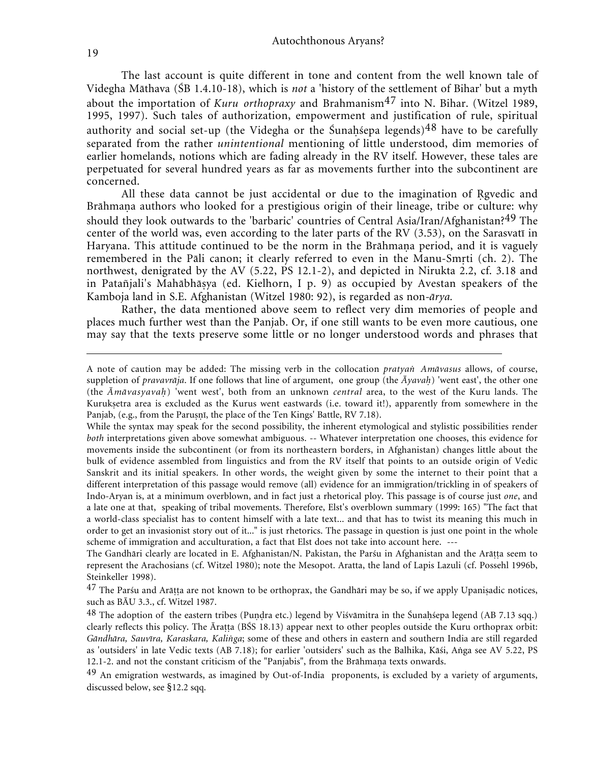The last account is quite different in tone and content from the well known tale of Videgha Måthava (ŚB 1.4.10-18), which is *not* a 'history of the settlement of Bihar' but a myth about the importation of *Kuru orthopraxy* and Brahmanism47 into N. Bihar. (Witzel 1989, 1995, 1997). Such tales of authorization, empowerment and justification of rule, spiritual authority and social set-up (the Videgha or the Sunahsepa legends)<sup>48</sup> have to be carefully separated from the rather *unintentional* mentioning of little understood, dim memories of earlier homelands, notions which are fading already in the RV itself. However, these tales are perpetuated for several hundred years as far as movements further into the subcontinent are concerned.

All these data cannot be just accidental or due to the imagination of Rgvedic and Brāhmaṇa authors who looked for a prestigious origin of their lineage, tribe or culture: why should they look outwards to the 'barbaric' countries of Central Asia/Iran/Afghanistan?<sup>49</sup> The center of the world was, even according to the later parts of the RV (3.53), on the Sarasvatī in Haryana. This attitude continued to be the norm in the Brāhmaṇa period, and it is vaguely remembered in the Påli canon; it clearly referred to even in the Manu-Smti (ch. 2). The northwest, denigrated by the AV (5.22, PS 12.1-2), and depicted in Nirukta 2.2, cf. 3.18 and in Patañjali's Mahåbhåya (ed. Kielhorn, I p. 9) as occupied by Avestan speakers of the Kamboja land in S.E. Afghanistan (Witzel 1980: 92), is regarded as non*-årya.*

Rather, the data mentioned above seem to reflect very dim memories of people and places much further west than the Panjab. Or, if one still wants to be even more cautious, one may say that the texts preserve some little or no longer understood words and phrases that

The Gandhāri clearly are located in E. Afghanistan/N. Pakistan, the Parśu in Afghanistan and the Arāṭṭa seem to represent the Arachosians (cf. Witzel 1980); note the Mesopot. Aratta, the land of Lapis Lazuli (cf. Possehl 1996b, Steinkeller 1998).

 $^{47}$  The Parśu and Arāṭṭa are not known to be orthoprax, the Gandhāri may be so, if we apply Upaniṣadic notices, such as BĀU 3.3., cf. Witzel 1987.

48 The adoption of the eastern tribes (Pundra etc.) legend by Viśvāmitra in the Śunaḥśepa legend (AB 7.13 sqq.) clearly reflects this policy. The Āraṭṭa (BŚS 18.13) appear next to other peoples outside the Kuru orthoprax orbit: *Gåndhåra, Sauvīra, Karaskara, Kaliga*; some of these and others in eastern and southern India are still regarded as 'outsiders' in late Vedic texts (AB 7.18); for earlier 'outsiders' such as the Balhika, Kāśi, Anga see AV 5.22, PS 12.1-2. and not the constant criticism of the "Panjabis", from the Brāhmaṇa texts onwards.

 $49$  An emigration westwards, as imagined by Out-of-India proponents, is excluded by a variety of arguments, discussed below, see §12.2 sqq.

A note of caution may be added: The missing verb in the collocation *pratyan Amāvasus* allows, of course, suppletion of *pravavrāja*. If one follows that line of argument, one group (the  $\bar{A}y$ *avah*) 'went east', the other one (the *Āmāvasyavah*) 'went west', both from an unknown *central* area, to the west of the Kuru lands. The Kuruketra area is excluded as the Kurus went eastwards (i.e. toward it!), apparently from somewhere in the Panjab, (e.g., from the Parusnī, the place of the Ten Kings' Battle, RV 7.18).

While the syntax may speak for the second possibility, the inherent etymological and stylistic possibilities render *both* interpretations given above somewhat ambiguous. -- Whatever interpretation one chooses, this evidence for movements inside the subcontinent (or from its northeastern borders, in Afghanistan) changes little about the bulk of evidence assembled from linguistics and from the RV itself that points to an outside origin of Vedic Sanskrit and its initial speakers. In other words, the weight given by some the internet to their point that a different interpretation of this passage would remove (all) evidence for an immigration/trickling in of speakers of Indo-Aryan is, at a minimum overblown, and in fact just a rhetorical ploy. This passage is of course just *one*, and a late one at that, speaking of tribal movements. Therefore, Elst's overblown summary (1999: 165) "The fact that a world-class specialist has to content himself with a late text... and that has to twist its meaning this much in order to get an invasionist story out of it..." is just rhetorics. The passage in question is just one point in the whole scheme of immigration and acculturation, a fact that Elst does not take into account here. ---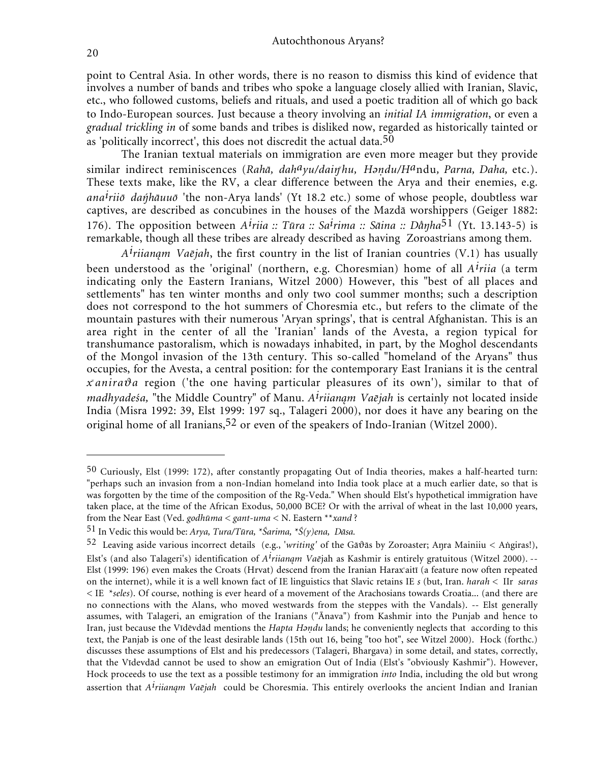point to Central Asia. In other words, there is no reason to dismiss this kind of evidence that involves a number of bands and tribes who spoke a language closely allied with Iranian, Slavic, etc., who followed customs, beliefs and rituals, and used a poetic tradition all of which go back to Indo-European sources. Just because a theory involving an *initial IA immigration*, or even a *gradual trickling in* of some bands and tribes is disliked now, regarded as historically tainted or as 'politically incorrect', this does not discredit the actual data.50

The Iranian textual materials on immigration are even more meager but they provide similar indirect reminiscences (*Rahā, dah<sup>a</sup>yu/dainhu, Həndu/H<sup>a</sup>ndu, Parna, Daha, etc.*). These texts make, like the RV, a clear difference between the Arya and their enemies, e.g. *anairiiō dahåuuō* 'the non-Arya lands' (Yt 18.2 etc.) some of whose people, doubtless war captives, are described as concubines in the houses of the Mazdå worshippers (Geiger 1882: 176). The opposition between  $A^i$ riia :: Tūra :: Sa<sup>i</sup>rima :: Sāina :: Dånha<sup>51</sup> (Yt. 13.143-5) is remarkable, though all these tribes are already described as having Zoroastrians among them.

*Airiianąm Vaẽjah*, the first country in the list of Iranian countries (V.1) has usually been understood as the 'original' (northern, e.g. Choresmian) home of all *Airiia* (a term indicating only the Eastern Iranians, Witzel 2000) However, this "best of all places and settlements" has ten winter months and only two cool summer months; such a description does not correspond to the hot summers of Choresmia etc., but refers to the climate of the mountain pastures with their numerous 'Aryan springs', that is central Afghanistan. This is an area right in the center of all the 'Iranian' lands of the Avesta, a region typical for transhumance pastoralism, which is nowadays inhabited, in part, by the Moghol descendants of the Mongol invasion of the 13th century. This so-called "homeland of the Aryans" thus occupies, for the Avesta, a central position: for the contemporary East Iranians it is the central *aniraθa* region ('the one having particular pleasures of its own'), similar to that of *madhyadeśa,* "the Middle Country" of Manu. *Airiianąm Vaẽjah* is certainly not located inside India (Misra 1992: 39, Elst 1999: 197 sq., Talageri 2000), nor does it have any bearing on the original home of all Iranians,  $52$  or even of the speakers of Indo-Iranian (Witzel 2000).

<sup>50</sup> Curiously, Elst (1999: 172), after constantly propagating Out of India theories, makes a half-hearted turn: "perhaps such an invasion from a non-Indian homeland into India took place at a much earlier date, so that is was forgotten by the time of the composition of the Rg-Veda." When should Elst's hypothetical immigration have taken place, at the time of the African Exodus, 50,000 BCE? Or with the arrival of wheat in the last 10,000 years, from the Near East (Ved. *godhūma* < *gant-uma* < N. Eastern \*\**xand* ?

<sup>51</sup> In Vedic this would be: *Arya, Tura/Tūra, \*Śarima, \*Ś(y)ena, Dåsa.*

<sup>52</sup> Leaving aside various incorrect details (e.g., 'writing' of the Gāθās by Zoroaster; Aŋra Mainiiu < Aṅgiras!), Elst's (and also Talageri's) identification of *Ai riianąm Vaẽ*jah as Kashmir is entirely gratuitous (Witzel 2000). -- Elst (1999: 196) even makes the Croats (Hrvat) descend from the Iranian Harax aitī (a feature now often repeated on the internet), while it is a well known fact of IE linguistics that Slavic retains IE *s* (but, Iran. *harah* < IIr *saras* < IE \**seles*). Of course, nothing is ever heard of a movement of the Arachosians towards Croatia... (and there are no connections with the Alans, who moved westwards from the steppes with the Vandals). -- Elst generally assumes, with Talageri, an emigration of the Iranians ("Ānava") from Kashmir into the Punjab and hence to Iran, just because the Vīdẽvdåd mentions the *Hapta Hədu* lands; he conveniently neglects that according to this text, the Panjab is one of the least desirable lands (15th out 16, being "too hot", see Witzel 2000). Hock (forthc.) discusses these assumptions of Elst and his predecessors (Talageri, Bhargava) in some detail, and states, correctly, that the Vīdevdåd cannot be used to show an emigration Out of India (Elst's "obviously Kashmir"). However, Hock proceeds to use the text as a possible testimony for an immigration *into* India, including the old but wrong assertion that *Ai riianąm Vaẽjah* could be Choresmia. This entirely overlooks the ancient Indian and Iranian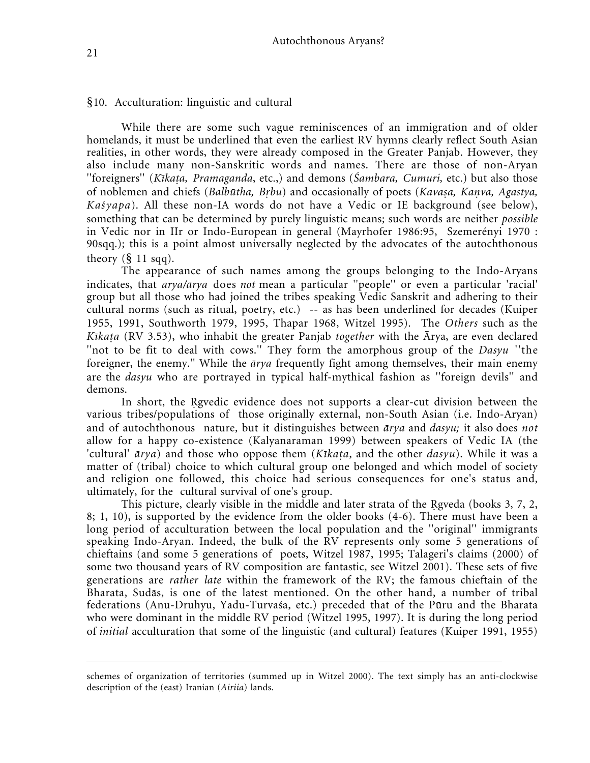# §10. Acculturation: linguistic and cultural

While there are some such vague reminiscences of an immigration and of older homelands, it must be underlined that even the earliest RV hymns clearly reflect South Asian realities, in other words, they were already composed in the Greater Panjab. However, they also include many non-Sanskritic words and names. There are those of non-Aryan ''foreigners'' (*Kīka
a, Pramaganda*, etc.,) and demons (*Śambara, Cumuri,* etc.) but also those of noblemen and chiefs (*Balbūtha, Bbu*) and occasionally of poets (*Kavaa, Kava, Agastya, Kaśyapa*). All these non-IA words do not have a Vedic or IE background (see below), something that can be determined by purely linguistic means; such words are neither *possible* in Vedic nor in IIr or Indo-European in general (Mayrhofer 1986:95, Szemerényi 1970 : 90sqq.); this is a point almost universally neglected by the advocates of the autochthonous theory  $(\S$  11 sqq).

The appearance of such names among the groups belonging to the Indo-Aryans indicates, that *arya/årya* does *not* mean a particular ''people'' or even a particular 'racial' group but all those who had joined the tribes speaking Vedic Sanskrit and adhering to their cultural norms (such as ritual, poetry, etc.) -- as has been underlined for decades (Kuiper 1955, 1991, Southworth 1979, 1995, Thapar 1968, Witzel 1995). The *Others* such as the *Kīka
a* (RV 3.53), who inhabit the greater Panjab *together* with the Ārya, are even declared ''not to be fit to deal with cows.'' They form the amorphous group of the *Dasyu* ''the foreigner, the enemy.'' While the *årya* frequently fight among themselves, their main enemy are the *dasyu* who are portrayed in typical half-mythical fashion as ''foreign devils'' and demons.

In short, the Rgyedic evidence does not supports a clear-cut division between the various tribes/populations of those originally external, non-South Asian (i.e. Indo-Aryan) and of autochthonous nature, but it distinguishes between *årya* and *dasyu;* it also does *not* allow for a happy co-existence (Kalyanaraman 1999) between speakers of Vedic IA (the 'cultural' *årya*) and those who oppose them (*Kīka
a*, and the other *dasyu*). While it was a matter of (tribal) choice to which cultural group one belonged and which model of society and religion one followed, this choice had serious consequences for one's status and, ultimately, for the cultural survival of one's group.

This picture, clearly visible in the middle and later strata of the Rgveda (books 3, 7, 2, 8; 1, 10), is supported by the evidence from the older books (4-6). There must have been a long period of acculturation between the local population and the ''original'' immigrants speaking Indo-Aryan. Indeed, the bulk of the RV represents only some 5 generations of chieftains (and some 5 generations of poets, Witzel 1987, 1995; Talageri's claims (2000) of some two thousand years of RV composition are fantastic, see Witzel 2001). These sets of five generations are *rather late* within the framework of the RV; the famous chieftain of the Bharata, Sudås, is one of the latest mentioned. On the other hand, a number of tribal federations (Anu-Druhyu, Yadu-Turvaśa, etc.) preceded that of the Pūru and the Bharata who were dominant in the middle RV period (Witzel 1995, 1997). It is during the long period of *initial* acculturation that some of the linguistic (and cultural) features (Kuiper 1991, 1955)

schemes of organization of territories (summed up in Witzel 2000). The text simply has an anti-clockwise description of the (east) Iranian (*Airiia*) lands.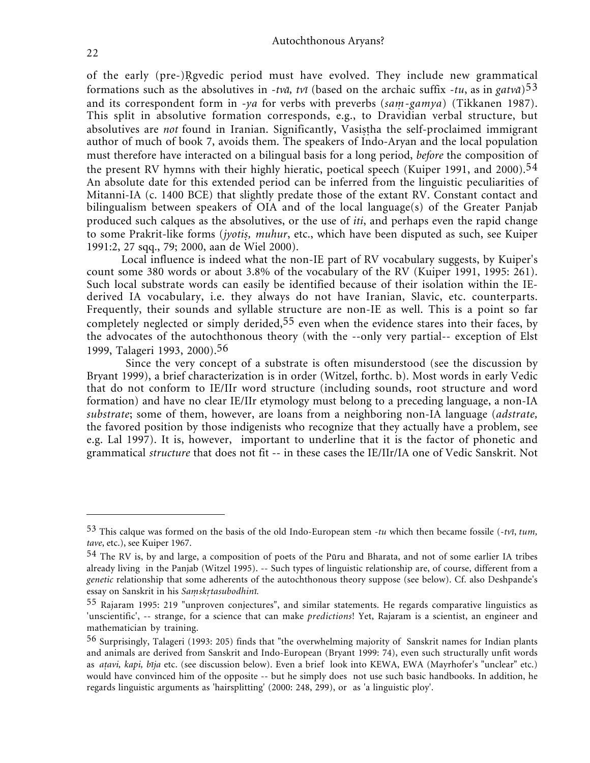of the early (pre-)gvedic period must have evolved. They include new grammatical formations such as the absolutives in -*två, tvī* (based on the archaic suffix -*tu*, as in *gatvå*)53 and its correspondent form in -ya for verbs with preverbs (sam-gamya) (Tikkanen 1987). This split in absolutive formation corresponds, e.g., to Dravidian verbal structure, but absolutives are *not* found in Iranian. Significantly, Vasi ha the self-proclaimed immigrant author of much of book 7, avoids them. The speakers of Indo-Aryan and the local population must therefore have interacted on a bilingual basis for a long period, *before* the composition of the present RV hymns with their highly hieratic, poetical speech (Kuiper 1991, and 2000).<sup>54</sup> An absolute date for this extended period can be inferred from the linguistic peculiarities of Mitanni-IA (c. 1400 BCE) that slightly predate those of the extant RV. Constant contact and bilingualism between speakers of OIA and of the local language(s) of the Greater Panjab produced such calques as the absolutives, or the use of *iti*, and perhaps even the rapid change to some Prakrit-like forms (*jyoti, muhur*, etc., which have been disputed as such, see Kuiper 1991:2, 27 sqq., 79; 2000, aan de Wiel 2000).

Local influence is indeed what the non-IE part of RV vocabulary suggests, by Kuiper's count some 380 words or about 3.8% of the vocabulary of the RV (Kuiper 1991, 1995: 261). Such local substrate words can easily be identified because of their isolation within the IEderived IA vocabulary, i.e. they always do not have Iranian, Slavic, etc. counterparts. Frequently, their sounds and syllable structure are non-IE as well. This is a point so far completely neglected or simply derided,<sup>55</sup> even when the evidence stares into their faces, by the advocates of the autochthonous theory (with the --only very partial-- exception of Elst 1999, Talageri 1993, 2000).56

Since the very concept of a substrate is often misunderstood (see the discussion by Bryant 1999), a brief characterization is in order (Witzel, forthc. b). Most words in early Vedic that do not conform to IE/IIr word structure (including sounds, root structure and word formation) and have no clear IE/IIr etymology must belong to a preceding language, a non-IA *substrate*; some of them, however, are loans from a neighboring non-IA language (*adstrate,* the favored position by those indigenists who recognize that they actually have a problem, see e.g. Lal 1997). It is, however, important to underline that it is the factor of phonetic and grammatical *structure* that does not fit -- in these cases the IE/IIr/IA one of Vedic Sanskrit. Not

<sup>53</sup> This calque was formed on the basis of the old Indo-European stem -*tu* which then became fossile (-*tvī*, *tum, tave*, etc.), see Kuiper 1967.

<sup>54</sup> The RV is, by and large, a composition of poets of the Pūru and Bharata, and not of some earlier IA tribes already living in the Panjab (Witzel 1995). -- Such types of linguistic relationship are, of course, different from a *genetic* relationship that some adherents of the autochthonous theory suppose (see below). Cf. also Deshpande's essay on Sanskrit in his Samskrtasubodhinī.

<sup>55</sup> Rajaram 1995: 219 "unproven conjectures", and similar statements. He regards comparative linguistics as 'unscientific', -- strange, for a science that can make *predictions*! Yet, Rajaram is a scientist, an engineer and mathematician by training.

<sup>56</sup> Surprisingly, Talageri (1993: 205) finds that "the overwhelming majority of Sanskrit names for Indian plants and animals are derived from Sanskrit and Indo-European (Bryant 1999: 74), even such structurally unfit words as *atavi, kapi, bīja* etc. (see discussion below). Even a brief look into KEWA, EWA (Mayrhofer's "unclear" etc.) would have convinced him of the opposite -- but he simply does not use such basic handbooks. In addition, he regards linguistic arguments as 'hairsplitting' (2000: 248, 299), or as 'a linguistic ploy'.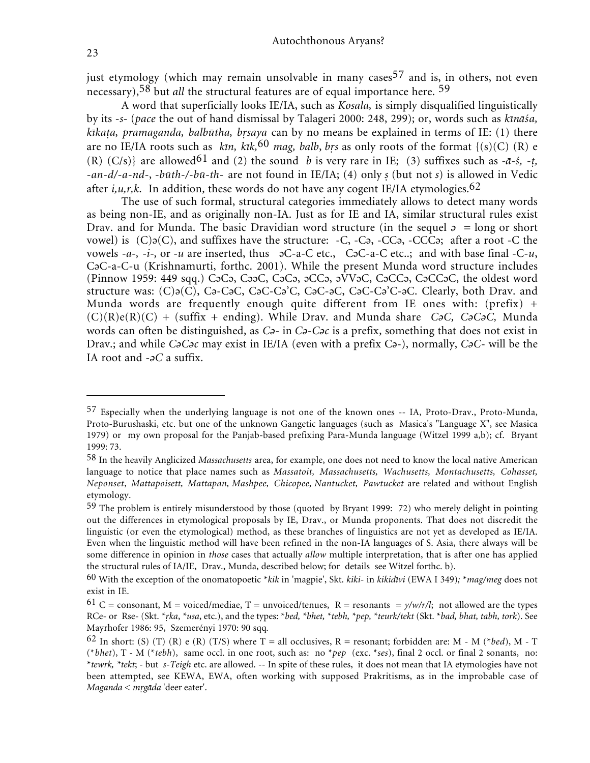just etymology (which may remain unsolvable in many cases<sup>57</sup> and is, in others, not even necessary),58 but *all* the structural features are of equal importance here. 59

A word that superficially looks IE/IA, such as *Kosala,* is simply disqualified linguistically by its -*s*- (*pace* the out of hand dismissal by Talageri 2000: 248, 299); or, words such as *kīnåśa,* kīkața, pramaganda, balbūtha, brsaya can by no means be explained in terms of IE: (1) there are no IE/IA roots such as  $k\bar{\imath}n$ ,  $k\bar{\imath}k$ ,  $60$  *mag, balb, brs* as only roots of the format {(s)(C) (R) e (R)  $(C/s)$  are allowed<sup>61</sup> and (2) the sound *b* is very rare in IE; (3) suffixes such as  $-\bar{a}-\dot{s}$ ,  $-\bar{t}$ , *-an-d/-a-nd*-, *-būth-/-bū-th-* are not found in IE/IA; (4) only (but not *s*) is allowed in Vedic after  $i, u, r, k$ . In addition, these words do not have any cogent IE/IA etymologies.<sup>62</sup>

The use of such formal, structural categories immediately allows to detect many words as being non-IE, and as originally non-IA. Just as for IE and IA, similar structural rules exist Drav. and for Munda. The basic Dravidian word structure (in the sequel  $\sigma = \log \sigma$  short vowel) is  $(C) \mathfrak{g}(C)$ , and suffixes have the structure:  $-C$ ,  $-C$ ,  $-C$ C $\mathfrak{g}$ ,  $-CCG$ ; after a root  $-C$  the vowels *-a-, -i-,* or -*u* are inserted, thus əC-a-C etc., CəC-a-C etc..; and with base final -C-*u*, CəC-a-C-u (Krishnamurti, forthc. 2001). While the present Munda word structure includes (Pinnow 1959: 449 sqq.) CəCə, CəəC, CəCə, əCCə, əVVəC, CəCCə, CəCCəC, the oldest word structure was:  $(C)$  $\phi(C)$ , C $\phi$ -C $\phi$ C, C $\phi$ C-C $\phi$ 'C,  $\phi$ C- $\phi$ C-C $\phi$ c-C $\phi$ 'C- $\phi$ c. Clearly, both Drav. and Munda words are frequently enough quite different from IE ones with: (prefix) + (C)(R)e(R)(C) + (suffix + ending). While Drav. and Munda share *CəC, CəCəC,* Munda words can often be distinguished, as *Cə-* in *Cə-Cəc* is a prefix, something that does not exist in Drav.; and while *CəCəc* may exist in IE/IA (even with a prefix Cə-), normally, *CəC*- will be the IA root and *-əC* a suffix.

<sup>57</sup> Especially when the underlying language is not one of the known ones -- IA, Proto-Drav., Proto-Munda, Proto-Burushaski, etc. but one of the unknown Gangetic languages (such as Masica's "Language X", see Masica 1979) or my own proposal for the Panjab-based prefixing Para-Munda language (Witzel 1999 a,b); cf. Bryant 1999: 73.

<sup>58</sup> In the heavily Anglicized *Massachusetts* area, for example, one does not need to know the local native American language to notice that place names such as *Massatoit, Massachusetts, Wachusetts, Montachusetts, Cohasset, Neponset*, *Mattapoisett, Mattapan, Mashpee, Chicopee, Nantucket, Pawtucket* are related and without English etymology.

 $59$  The problem is entirely misunderstood by those (quoted by Bryant 1999: 72) who merely delight in pointing out the differences in etymological proposals by IE, Drav., or Munda proponents. That does not discredit the linguistic (or even the etymological) method, as these branches of linguistics are not yet as developed as IE/IA. Even when the linguistic method will have been refined in the non-IA languages of S. Asia, there always will be some difference in opinion in *those* cases that actually *allow* multiple interpretation, that is after one has applied the structural rules of IA/IE, Drav., Munda, described below; for details see Witzel forthc. b).

<sup>60</sup> With the exception of the onomatopoetic \**kik* in 'magpie', Skt. *kiki-* in *kikidīvi* (EWA I 349)*;* \**mag/meg* does not exist in IE.

 $61$  C = consonant, M = voiced/mediae, T = unvoiced/tenues, R = resonants =  $y/w/r/l$ ; not allowed are the types RCe- or Rse- (Skt. *\*ka*, *\*usa*, etc.), and the types: \**bed, \*bhet, \*tebh, \*pep, \*teurk/tekt* (Skt. \**bad, bhat, tabh, tork*). See Mayrhofer 1986: 95, Szemerényi 1970: 90 sqq*.*

<sup>&</sup>lt;sup>62</sup> In short: (S) (T) (R) e (R) (T/S) where T = all occlusives, R = resonant; forbidden are: M - M (\**bed*), M - T (\**bhet*), T - M (\**tebh*), same occl. in one root, such as: no \**pep* (exc. \**ses*), final 2 occl. or final 2 sonants, no: \**tewrk, \*tekt*; - but *s-Teigh* etc. are allowed. -- In spite of these rules, it does not mean that IA etymologies have not been attempted, see KEWA, EWA, often working with supposed Prakritisms, as in the improbable case of *Maganda* < *mgåda* 'deer eater'.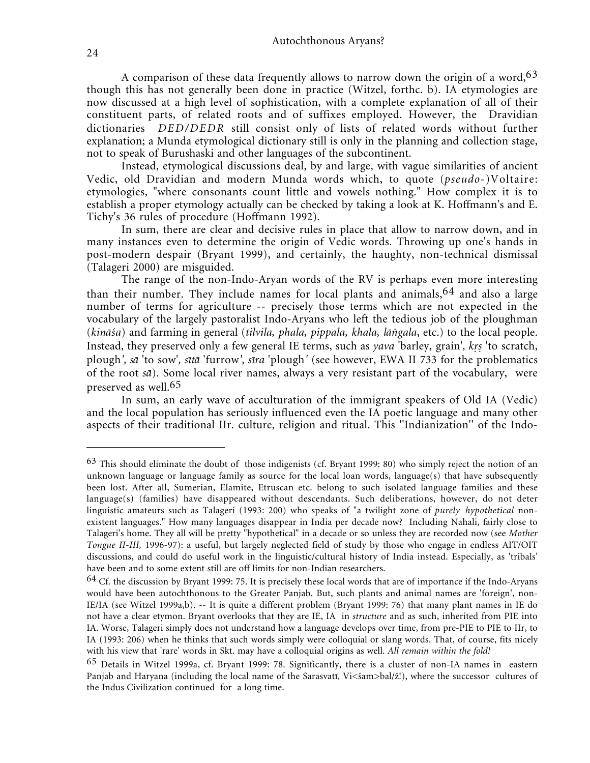A comparison of these data frequently allows to narrow down the origin of a word,  $63$ though this has not generally been done in practice (Witzel, forthc. b). IA etymologies are now discussed at a high level of sophistication, with a complete explanation of all of their constituent parts, of related roots and of suffixes employed. However, the Dravidian dictionaries *DED/DEDR* still consist only of lists of related words without further explanation; a Munda etymological dictionary still is only in the planning and collection stage, not to speak of Burushaski and other languages of the subcontinent.

Instead, etymological discussions deal, by and large, with vague similarities of ancient Vedic, old Dravidian and modern Munda words which, to quote (*pseudo*-)Voltaire: etymologies, "where consonants count little and vowels nothing." How complex it is to establish a proper etymology actually can be checked by taking a look at K. Hoffmann's and E. Tichy's 36 rules of procedure (Hoffmann 1992).

In sum, there are clear and decisive rules in place that allow to narrow down, and in many instances even to determine the origin of Vedic words. Throwing up one's hands in post-modern despair (Bryant 1999), and certainly, the haughty, non-technical dismissal (Talageri 2000) are misguided.

The range of the non-Indo-Aryan words of the RV is perhaps even more interesting than their number. They include names for local plants and animals,  $64$  and also a large number of terms for agriculture -- precisely those terms which are not expected in the vocabulary of the largely pastoralist Indo-Aryans who left the tedious job of the ploughman (*kinåśa*) and farming in general (*tilvila, phala, pippala, khala, lågala*, etc.) to the local people. Instead, they preserved only a few general IE terms, such as *yava* <sup>'b</sup>arley, grain', *krs* 'to scratch, plough*', så* 'to sow'*, sītå* 'furrow*', sīra* 'plough*'* (see however, EWA II 733 for the problematics of the root *så*). Some local river names, always a very resistant part of the vocabulary, were preserved as well.65

In sum, an early wave of acculturation of the immigrant speakers of Old IA (Vedic) and the local population has seriously influenced even the IA poetic language and many other aspects of their traditional IIr. culture, religion and ritual. This ''Indianization'' of the Indo-

 $63$  This should eliminate the doubt of those indigenists (cf. Bryant 1999: 80) who simply reject the notion of an unknown language or language family as source for the local loan words, language(s) that have subsequently been lost. After all, Sumerian, Elamite, Etruscan etc. belong to such isolated language families and these language(s) (families) have disappeared without descendants. Such deliberations, however, do not deter linguistic amateurs such as Talageri (1993: 200) who speaks of "a twilight zone of *purely hypothetical* nonexistent languages." How many languages disappear in India per decade now? Including Nahali, fairly close to Talageri's home. They all will be pretty "hypothetical" in a decade or so unless they are recorded now (see *Mother Tongue II-III,* 1996-97): a useful, but largely neglected field of study by those who engage in endless AIT/OIT discussions, and could do useful work in the linguistic/cultural history of India instead. Especially, as 'tribals' have been and to some extent still are off limits for non-Indian researchers.

 $64$  Cf. the discussion by Bryant 1999: 75. It is precisely these local words that are of importance if the Indo-Aryans would have been autochthonous to the Greater Panjab. But, such plants and animal names are 'foreign', non-IE/IA (see Witzel 1999a,b). -- It is quite a different problem (Bryant 1999: 76) that many plant names in IE do not have a clear etymon. Bryant overlooks that they are IE, IA in *structure* and as such, inherited from PIE into IA. Worse, Talageri simply does not understand how a language develops over time, from pre-PIE to PIE to IIr, to IA (1993: 206) when he thinks that such words simply were colloquial or slang words. That, of course, fits nicely with his view that 'rare' words in Skt. may have a colloquial origins as well. *All remain within the fold!*

 $65$  Details in Witzel 1999a, cf. Bryant 1999: 78. Significantly, there is a cluster of non-IA names in eastern Panjab and Haryana (including the local name of the Sarasvatī, Vi<šam>bal/ž!), where the successor cultures of the Indus Civilization continued for a long time.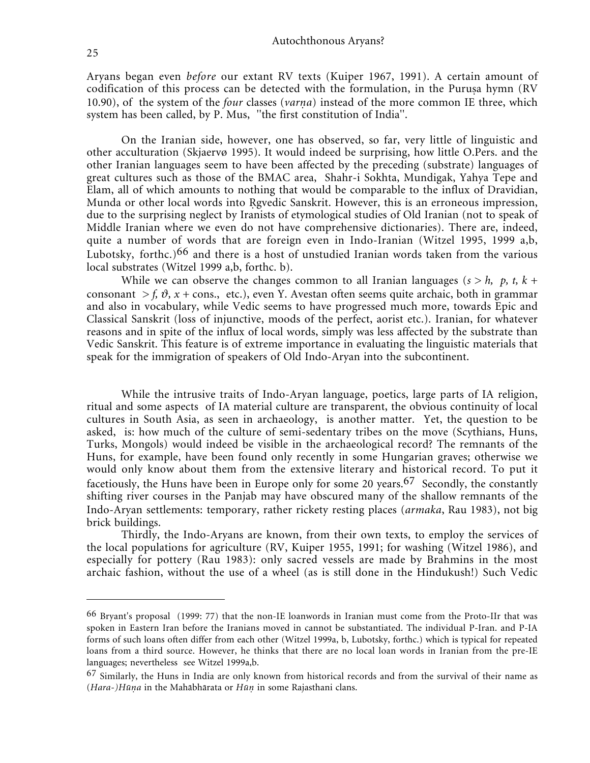Aryans began even *before* our extant RV texts (Kuiper 1967, 1991). A certain amount of codification of this process can be detected with the formulation, in the Purusa hymn (RV 10.90), of the system of the *four* classes (*vara*) instead of the more common IE three, which system has been called, by P. Mus, ''the first constitution of India''.

On the Iranian side, however, one has observed, so far, very little of linguistic and other acculturation (Skjaervø 1995). It would indeed be surprising, how little O.Pers. and the other Iranian languages seem to have been affected by the preceding (substrate) languages of great cultures such as those of the BMAC area, Shahr-i Sokhta, Mundigak, Yahya Tepe and Elam, all of which amounts to nothing that would be comparable to the influx of Dravidian, Munda or other local words into Rgvedic Sanskrit. However, this is an erroneous impression, due to the surprising neglect by Iranists of etymological studies of Old Iranian (not to speak of Middle Iranian where we even do not have comprehensive dictionaries). There are, indeed, quite a number of words that are foreign even in Indo-Iranian (Witzel 1995, 1999 a,b, Lubotsky, forthc.)66 and there is a host of unstudied Iranian words taken from the various local substrates (Witzel 1999 a,b, forthc. b).

While we can observe the changes common to all Iranian languages  $(s > h, p, t, k + \ell)$ consonant *> f, θ, x +* cons., etc.), even Y. Avestan often seems quite archaic, both in grammar and also in vocabulary, while Vedic seems to have progressed much more, towards Epic and Classical Sanskrit (loss of injunctive, moods of the perfect, aorist etc.). Iranian, for whatever reasons and in spite of the influx of local words, simply was less affected by the substrate than Vedic Sanskrit. This feature is of extreme importance in evaluating the linguistic materials that speak for the immigration of speakers of Old Indo-Aryan into the subcontinent.

While the intrusive traits of Indo-Aryan language, poetics, large parts of IA religion, ritual and some aspects of IA material culture are transparent, the obvious continuity of local cultures in South Asia, as seen in archaeology, is another matter. Yet, the question to be asked, is: how much of the culture of semi-sedentary tribes on the move (Scythians, Huns, Turks, Mongols) would indeed be visible in the archaeological record? The remnants of the Huns, for example, have been found only recently in some Hungarian graves; otherwise we would only know about them from the extensive literary and historical record. To put it facetiously, the Huns have been in Europe only for some 20 years.<sup>67</sup> Secondly, the constantly shifting river courses in the Panjab may have obscured many of the shallow remnants of the Indo-Aryan settlements: temporary, rather rickety resting places (*armaka*, Rau 1983), not big brick buildings.

Thirdly, the Indo-Aryans are known, from their own texts, to employ the services of the local populations for agriculture (RV, Kuiper 1955, 1991; for washing (Witzel 1986), and especially for pottery (Rau 1983): only sacred vessels are made by Brahmins in the most archaic fashion, without the use of a wheel (as is still done in the Hindukush!) Such Vedic

<sup>66</sup> Bryant's proposal (1999: 77) that the non-IE loanwords in Iranian must come from the Proto-IIr that was spoken in Eastern Iran before the Iranians moved in cannot be substantiated. The individual P-Iran. and P-IA forms of such loans often differ from each other (Witzel 1999a, b, Lubotsky, forthc.) which is typical for repeated loans from a third source. However, he thinks that there are no local loan words in Iranian from the pre-IE languages; nevertheless see Witzel 1999a,b.

 $67$  Similarly, the Huns in India are only known from historical records and from the survival of their name as (*Hara-)Hūa* in the Mahåbhårata or *Hū* in some Rajasthani clans.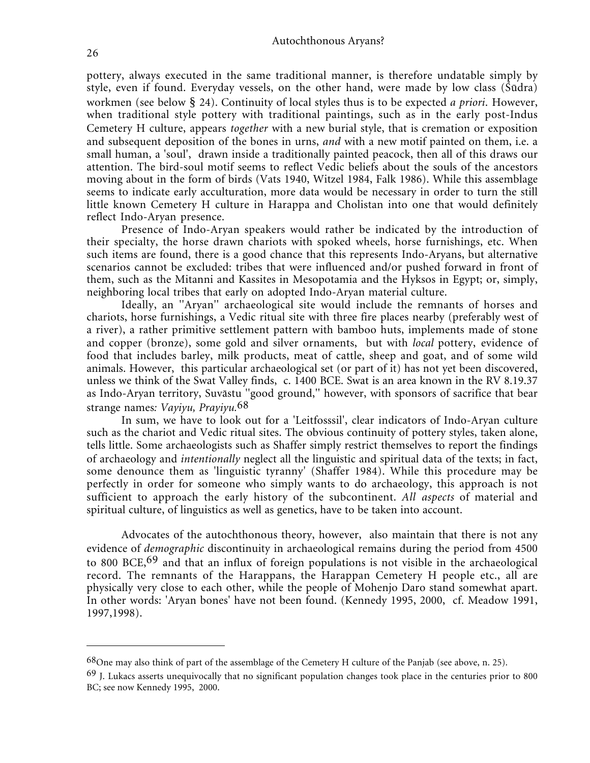pottery, always executed in the same traditional manner, is therefore undatable simply by style, even if found. Everyday vessels, on the other hand, were made by low class (Śūdra) workmen (see below § 24). Continuity of local styles thus is to be expected *a priori*. However, when traditional style pottery with traditional paintings, such as in the early post-Indus Cemetery H culture, appears *together* with a new burial style, that is cremation or exposition and subsequent deposition of the bones in urns, *and* with a new motif painted on them, i.e. a small human, a 'soul', drawn inside a traditionally painted peacock, then all of this draws our attention. The bird-soul motif seems to reflect Vedic beliefs about the souls of the ancestors moving about in the form of birds (Vats 1940, Witzel 1984, Falk 1986). While this assemblage seems to indicate early acculturation, more data would be necessary in order to turn the still little known Cemetery H culture in Harappa and Cholistan into one that would definitely reflect Indo-Aryan presence.

Presence of Indo-Aryan speakers would rather be indicated by the introduction of their specialty, the horse drawn chariots with spoked wheels, horse furnishings, etc. When such items are found, there is a good chance that this represents Indo-Aryans, but alternative scenarios cannot be excluded: tribes that were influenced and/or pushed forward in front of them, such as the Mitanni and Kassites in Mesopotamia and the Hyksos in Egypt; or, simply, neighboring local tribes that early on adopted Indo-Aryan material culture.

Ideally, an ''Aryan'' archaeological site would include the remnants of horses and chariots, horse furnishings, a Vedic ritual site with three fire places nearby (preferably west of a river), a rather primitive settlement pattern with bamboo huts, implements made of stone and copper (bronze), some gold and silver ornaments, but with *local* pottery, evidence of food that includes barley, milk products, meat of cattle, sheep and goat, and of some wild animals. However, this particular archaeological set (or part of it) has not yet been discovered, unless we think of the Swat Valley finds, c. 1400 BCE. Swat is an area known in the RV 8.19.37 as Indo-Aryan territory, Suvåstu ''good ground,'' however, with sponsors of sacrifice that bear strange names*: Vayiyu, Prayiyu.*68

In sum, we have to look out for a 'Leitfosssil', clear indicators of Indo-Aryan culture such as the chariot and Vedic ritual sites. The obvious continuity of pottery styles, taken alone, tells little. Some archaeologists such as Shaffer simply restrict themselves to report the findings of archaeology and *intentionally* neglect all the linguistic and spiritual data of the texts; in fact, some denounce them as 'linguistic tyranny' (Shaffer 1984). While this procedure may be perfectly in order for someone who simply wants to do archaeology, this approach is not sufficient to approach the early history of the subcontinent. *All aspects* of material and spiritual culture, of linguistics as well as genetics, have to be taken into account.

Advocates of the autochthonous theory, however, also maintain that there is not any evidence of *demographic* discontinuity in archaeological remains during the period from 4500 to 800 BCE,69 and that an influx of foreign populations is not visible in the archaeological record. The remnants of the Harappans, the Harappan Cemetery H people etc., all are physically very close to each other, while the people of Mohenjo Daro stand somewhat apart. In other words: 'Aryan bones' have not been found. (Kennedy 1995, 2000, cf. Meadow 1991, 1997,1998).

<sup>68</sup>One may also think of part of the assemblage of the Cemetery H culture of the Panjab (see above, n. 25).

 $69$  J. Lukacs asserts unequivocally that no significant population changes took place in the centuries prior to 800 BC; see now Kennedy 1995, 2000.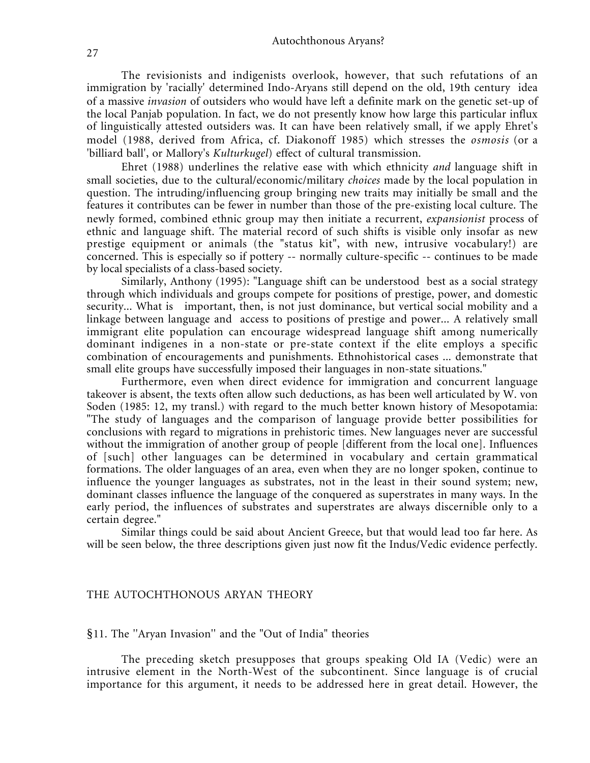#### Autochthonous Aryans?

The revisionists and indigenists overlook, however, that such refutations of an immigration by 'racially' determined Indo-Aryans still depend on the old, 19th century idea of a massive *invasion* of outsiders who would have left a definite mark on the genetic set-up of the local Panjab population. In fact, we do not presently know how large this particular influx of linguistically attested outsiders was. It can have been relatively small, if we apply Ehret's model (1988, derived from Africa, cf. Diakonoff 1985) which stresses the *osmosis* (or a 'billiard ball', or Mallory's *Kulturkugel*) effect of cultural transmission.

Ehret (1988) underlines the relative ease with which ethnicity *and* language shift in small societies, due to the cultural/economic/military *choices* made by the local population in question. The intruding/influencing group bringing new traits may initially be small and the features it contributes can be fewer in number than those of the pre-existing local culture. The newly formed, combined ethnic group may then initiate a recurrent, *expansionist* process of ethnic and language shift. The material record of such shifts is visible only insofar as new prestige equipment or animals (the "status kit", with new, intrusive vocabulary!) are concerned. This is especially so if pottery -- normally culture-specific -- continues to be made by local specialists of a class-based society.

Similarly, Anthony (1995): "Language shift can be understood best as a social strategy through which individuals and groups compete for positions of prestige, power, and domestic security... What is important, then, is not just dominance, but vertical social mobility and a linkage between language and access to positions of prestige and power... A relatively small immigrant elite population can encourage widespread language shift among numerically dominant indigenes in a non-state or pre-state context if the elite employs a specific combination of encouragements and punishments. Ethnohistorical cases ... demonstrate that small elite groups have successfully imposed their languages in non-state situations."

Furthermore, even when direct evidence for immigration and concurrent language takeover is absent, the texts often allow such deductions, as has been well articulated by W. von Soden (1985: 12, my transl.) with regard to the much better known history of Mesopotamia: "The study of languages and the comparison of language provide better possibilities for conclusions with regard to migrations in prehistoric times. New languages never are successful without the immigration of another group of people [different from the local one]. Influences of [such] other languages can be determined in vocabulary and certain grammatical formations. The older languages of an area, even when they are no longer spoken, continue to influence the younger languages as substrates, not in the least in their sound system; new, dominant classes influence the language of the conquered as superstrates in many ways. In the early period, the influences of substrates and superstrates are always discernible only to a certain degree."

Similar things could be said about Ancient Greece, but that would lead too far here. As will be seen below, the three descriptions given just now fit the Indus/Vedic evidence perfectly.

# THE AUTOCHTHONOUS ARYAN THEORY

§11. The ''Aryan Invasion'' and the "Out of India" theories

The preceding sketch presupposes that groups speaking Old IA (Vedic) were an intrusive element in the North-West of the subcontinent. Since language is of crucial importance for this argument, it needs to be addressed here in great detail. However, the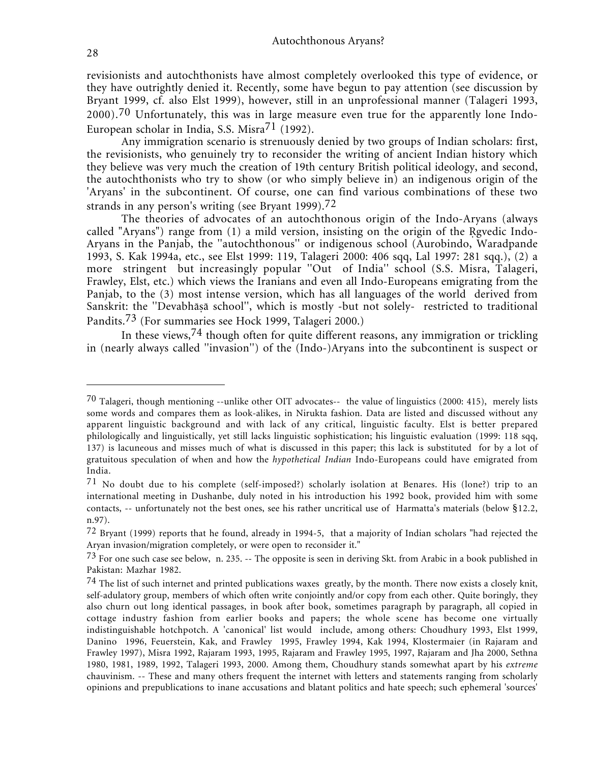revisionists and autochthonists have almost completely overlooked this type of evidence, or they have outrightly denied it. Recently, some have begun to pay attention (see discussion by Bryant 1999, cf. also Elst 1999), however, still in an unprofessional manner (Talageri 1993,  $2000$ ).<sup>70</sup> Unfortunately, this was in large measure even true for the apparently lone Indo-European scholar in India, S.S. Misra71 (1992).

Any immigration scenario is strenuously denied by two groups of Indian scholars: first, the revisionists, who genuinely try to reconsider the writing of ancient Indian history which they believe was very much the creation of 19th century British political ideology, and second, the autochthonists who try to show (or who simply believe in) an indigenous origin of the 'Aryans' in the subcontinent. Of course, one can find various combinations of these two strands in any person's writing (see Bryant 1999).<sup>72</sup>

The theories of advocates of an autochthonous origin of the Indo-Aryans (always called "Aryans") range from (1) a mild version, insisting on the origin of the Rgvedic Indo-Aryans in the Panjab, the ''autochthonous'' or indigenous school (Aurobindo, Waradpande 1993, S. Kak 1994a, etc., see Elst 1999: 119, Talageri 2000: 406 sqq, Lal 1997: 281 sqq.), (2) a more stringent but increasingly popular ''Out of India'' school (S.S. Misra, Talageri, Frawley, Elst, etc.) which views the Iranians and even all Indo-Europeans emigrating from the Panjab, to the (3) most intense version, which has all languages of the world derived from Sanskrit: the "Devabhāsā school", which is mostly -but not solely- restricted to traditional Pandits.73 (For summaries see Hock 1999, Talageri 2000.)

In these views,74 though often for quite different reasons, any immigration or trickling in (nearly always called ''invasion'') of the (Indo-)Aryans into the subcontinent is suspect or

 $70$  Talageri, though mentioning --unlike other OIT advocates-- the value of linguistics (2000: 415), merely lists some words and compares them as look-alikes, in Nirukta fashion. Data are listed and discussed without any apparent linguistic background and with lack of any critical, linguistic faculty. Elst is better prepared philologically and linguistically, yet still lacks linguistic sophistication; his linguistic evaluation (1999: 118 sqq, 137) is lacuneous and misses much of what is discussed in this paper; this lack is substituted for by a lot of gratuitous speculation of when and how the *hypothetical Indian* Indo-Europeans could have emigrated from India.

<sup>71</sup> No doubt due to his complete (self-imposed?) scholarly isolation at Benares. His (lone?) trip to an international meeting in Dushanbe, duly noted in his introduction his 1992 book, provided him with some contacts, -- unfortunately not the best ones, see his rather uncritical use of Harmatta's materials (below §12.2, n.97).

 $72$  Bryant (1999) reports that he found, already in 1994-5, that a majority of Indian scholars "had rejected the Aryan invasion/migration completely, or were open to reconsider it."

<sup>73</sup> For one such case see below, n. 235. -- The opposite is seen in deriving Skt. from Arabic in a book published in Pakistan: Mazhar 1982.

 $^{74}$  The list of such internet and printed publications waxes greatly, by the month. There now exists a closely knit, self-adulatory group, members of which often write conjointly and/or copy from each other. Quite boringly, they also churn out long identical passages, in book after book, sometimes paragraph by paragraph, all copied in cottage industry fashion from earlier books and papers; the whole scene has become one virtually indistinguishable hotchpotch. A 'canonical' list would include, among others: Choudhury 1993, Elst 1999, Danino 1996, Feuerstein, Kak, and Frawley 1995, Frawley 1994, Kak 1994, Klostermaier (in Rajaram and Frawley 1997), Misra 1992, Rajaram 1993, 1995, Rajaram and Frawley 1995, 1997, Rajaram and Jha 2000, Sethna 1980, 1981, 1989, 1992, Talageri 1993, 2000. Among them, Choudhury stands somewhat apart by his *extreme* chauvinism. -- These and many others frequent the internet with letters and statements ranging from scholarly opinions and prepublications to inane accusations and blatant politics and hate speech; such ephemeral 'sources'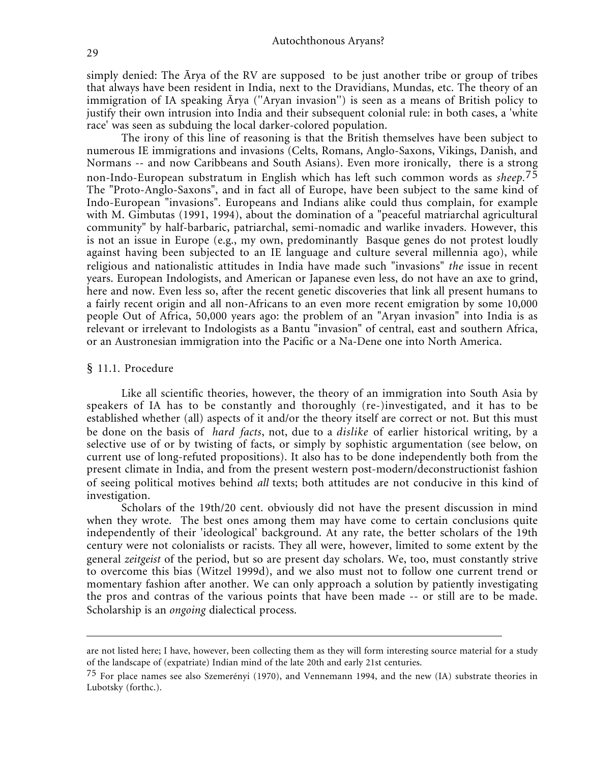simply denied: The Ārya of the RV are supposed to be just another tribe or group of tribes that always have been resident in India, next to the Dravidians, Mundas, etc. The theory of an immigration of IA speaking Ārya (''Aryan invasion'') is seen as a means of British policy to justify their own intrusion into India and their subsequent colonial rule: in both cases, a 'white race' was seen as subduing the local darker-colored population.

The irony of this line of reasoning is that the British themselves have been subject to numerous IE immigrations and invasions (Celts, Romans, Anglo-Saxons, Vikings, Danish, and Normans -- and now Caribbeans and South Asians). Even more ironically, there is a strong non-Indo-European substratum in English which has left such common words as *sheep.*75 The "Proto-Anglo-Saxons", and in fact all of Europe, have been subject to the same kind of Indo-European "invasions". Europeans and Indians alike could thus complain, for example with M. Gimbutas (1991, 1994), about the domination of a "peaceful matriarchal agricultural community" by half-barbaric, patriarchal, semi-nomadic and warlike invaders. However, this is not an issue in Europe (e.g., my own, predominantly Basque genes do not protest loudly against having been subjected to an IE language and culture several millennia ago), while religious and nationalistic attitudes in India have made such "invasions" *the* issue in recent years. European Indologists, and American or Japanese even less, do not have an axe to grind, here and now. Even less so, after the recent genetic discoveries that link all present humans to a fairly recent origin and all non-Africans to an even more recent emigration by some 10,000 people Out of Africa, 50,000 years ago: the problem of an "Aryan invasion" into India is as relevant or irrelevant to Indologists as a Bantu "invasion" of central, east and southern Africa, or an Austronesian immigration into the Pacific or a Na-Dene one into North America.

### § 11.1. Procedure

Like all scientific theories, however, the theory of an immigration into South Asia by speakers of IA has to be constantly and thoroughly (re-)investigated, and it has to be established whether (all) aspects of it and/or the theory itself are correct or not. But this must be done on the basis of *hard facts*, not, due to a *dislike* of earlier historical writing, by a selective use of or by twisting of facts, or simply by sophistic argumentation (see below, on current use of long-refuted propositions). It also has to be done independently both from the present climate in India, and from the present western post-modern/deconstructionist fashion of seeing political motives behind *all* texts; both attitudes are not conducive in this kind of investigation.

Scholars of the 19th/20 cent. obviously did not have the present discussion in mind when they wrote. The best ones among them may have come to certain conclusions quite independently of their 'ideological' background. At any rate, the better scholars of the 19th century were not colonialists or racists. They all were, however, limited to some extent by the general *zeitgeist* of the period, but so are present day scholars. We, too, must constantly strive to overcome this bias (Witzel 1999d), and we also must not to follow one current trend or momentary fashion after another. We can only approach a solution by patiently investigating the pros and contras of the various points that have been made -- or still are to be made. Scholarship is an *ongoing* dialectical process.

are not listed here; I have, however, been collecting them as they will form interesting source material for a study of the landscape of (expatriate) Indian mind of the late 20th and early 21st centuries.

<sup>&</sup>lt;sup>75</sup> For place names see also Szemerényi (1970), and Vennemann 1994, and the new (IA) substrate theories in Lubotsky (forthc.).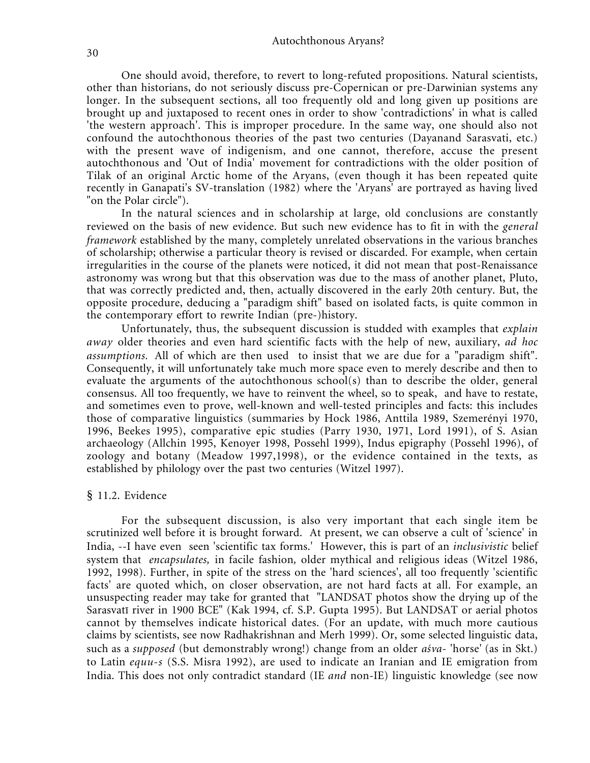#### Autochthonous Aryans?

One should avoid, therefore, to revert to long-refuted propositions. Natural scientists, other than historians, do not seriously discuss pre-Copernican or pre-Darwinian systems any longer. In the subsequent sections, all too frequently old and long given up positions are brought up and juxtaposed to recent ones in order to show 'contradictions' in what is called 'the western approach'. This is improper procedure. In the same way, one should also not confound the autochthonous theories of the past two centuries (Dayanand Sarasvati, etc.) with the present wave of indigenism, and one cannot, therefore, accuse the present autochthonous and 'Out of India' movement for contradictions with the older position of Tilak of an original Arctic home of the Aryans, (even though it has been repeated quite recently in Ganapati's SV-translation (1982) where the 'Aryans' are portrayed as having lived "on the Polar circle").

In the natural sciences and in scholarship at large, old conclusions are constantly reviewed on the basis of new evidence. But such new evidence has to fit in with the *general framework* established by the many, completely unrelated observations in the various branches of scholarship; otherwise a particular theory is revised or discarded. For example, when certain irregularities in the course of the planets were noticed, it did not mean that post-Renaissance astronomy was wrong but that this observation was due to the mass of another planet, Pluto, that was correctly predicted and, then, actually discovered in the early 20th century. But, the opposite procedure, deducing a "paradigm shift" based on isolated facts, is quite common in the contemporary effort to rewrite Indian (pre-)history.

Unfortunately, thus, the subsequent discussion is studded with examples that *explain away* older theories and even hard scientific facts with the help of new, auxiliary, *ad hoc assumptions.* All of which are then used to insist that we are due for a "paradigm shift". Consequently, it will unfortunately take much more space even to merely describe and then to evaluate the arguments of the autochthonous school(s) than to describe the older, general consensus. All too frequently, we have to reinvent the wheel, so to speak, and have to restate, and sometimes even to prove, well-known and well-tested principles and facts: this includes those of comparative linguistics (summaries by Hock 1986, Anttila 1989, Szemerényi 1970, 1996, Beekes 1995), comparative epic studies (Parry 1930, 1971, Lord 1991), of S. Asian archaeology (Allchin 1995, Kenoyer 1998, Possehl 1999), Indus epigraphy (Possehl 1996), of zoology and botany (Meadow 1997,1998), or the evidence contained in the texts, as established by philology over the past two centuries (Witzel 1997).

#### § 11.2. Evidence

For the subsequent discussion, is also very important that each single item be scrutinized well before it is brought forward. At present, we can observe a cult of 'science' in India, --I have even seen 'scientific tax forms.' However, this is part of an *inclusivistic* belief system that *encapsulates,* in facile fashion*,* older mythical and religious ideas (Witzel 1986, 1992, 1998). Further, in spite of the stress on the 'hard sciences', all too frequently 'scientific facts' are quoted which, on closer observation, are not hard facts at all. For example, an unsuspecting reader may take for granted that "LANDSAT photos show the drying up of the Sarasvatī river in 1900 BCE" (Kak 1994, cf. S.P. Gupta 1995). But LANDSAT or aerial photos cannot by themselves indicate historical dates. (For an update, with much more cautious claims by scientists, see now Radhakrishnan and Merh 1999). Or, some selected linguistic data, such as a *supposed* (but demonstrably wrong!) change from an older *aśva-* 'horse' (as in Skt.) to Latin *equu-s* (S.S. Misra 1992), are used to indicate an Iranian and IE emigration from India. This does not only contradict standard (IE *and* non-IE) linguistic knowledge (see now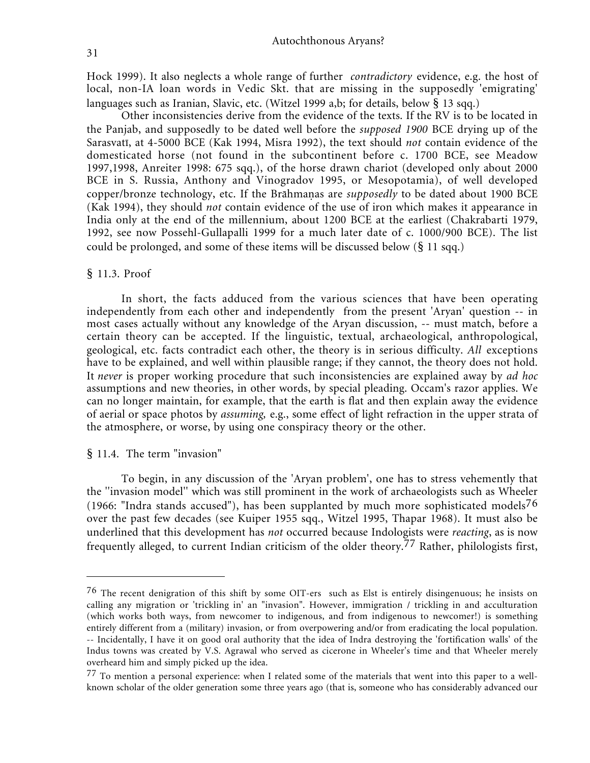Hock 1999). It also neglects a whole range of further *contradictory* evidence, e.g. the host of local, non-IA loan words in Vedic Skt. that are missing in the supposedly 'emigrating' languages such as Iranian, Slavic, etc. (Witzel 1999 a,b; for details, below § 13 sqq.)

Other inconsistencies derive from the evidence of the texts. If the RV is to be located in the Panjab, and supposedly to be dated well before the *supposed 1900* BCE drying up of the Sarasvatī, at 4-5000 BCE (Kak 1994, Misra 1992), the text should *not* contain evidence of the domesticated horse (not found in the subcontinent before c. 1700 BCE, see Meadow 1997,1998, Anreiter 1998: 675 sqq.), of the horse drawn chariot (developed only about 2000 BCE in S. Russia, Anthony and Vinogradov 1995, or Mesopotamia), of well developed copper/bronze technology, etc. If the Brāhmaṇas are *supposedly* to be dated about 1900 BCE (Kak 1994), they should *not* contain evidence of the use of iron which makes it appearance in India only at the end of the millennium, about 1200 BCE at the earliest (Chakrabarti 1979, 1992, see now Possehl-Gullapalli 1999 for a much later date of c. 1000/900 BCE). The list could be prolonged, and some of these items will be discussed below (§ 11 sqq.)

# § 11.3. Proof

In short, the facts adduced from the various sciences that have been operating independently from each other and independently from the present 'Aryan' question -- in most cases actually without any knowledge of the Aryan discussion, -- must match, before a certain theory can be accepted. If the linguistic, textual, archaeological, anthropological, geological, etc. facts contradict each other, the theory is in serious difficulty. *All* exceptions have to be explained, and well within plausible range; if they cannot, the theory does not hold. It *never* is proper working procedure that such inconsistencies are explained away by *ad hoc* assumptions and new theories, in other words, by special pleading. Occam's razor applies. We can no longer maintain, for example, that the earth is flat and then explain away the evidence of aerial or space photos by *assuming,* e.g., some effect of light refraction in the upper strata of the atmosphere, or worse, by using one conspiracy theory or the other.

# § 11.4. The term "invasion"

To begin, in any discussion of the 'Aryan problem', one has to stress vehemently that the ''invasion model'' which was still prominent in the work of archaeologists such as Wheeler (1966: "Indra stands accused"), has been supplanted by much more sophisticated models<sup>76</sup> over the past few decades (see Kuiper 1955 sqq., Witzel 1995, Thapar 1968). It must also be underlined that this development has *not* occurred because Indologists were *reacting*, as is now frequently alleged, to current Indian criticism of the older theory.<sup>77</sup> Rather, philologists first,

<sup>76</sup> The recent denigration of this shift by some OIT-ers such as Elst is entirely disingenuous; he insists on calling any migration or 'trickling in' an "invasion". However, immigration / trickling in and acculturation (which works both ways, from newcomer to indigenous, and from indigenous to newcomer!) is something entirely different from a (military) invasion, or from overpowering and/or from eradicating the local population. -- Incidentally, I have it on good oral authority that the idea of Indra destroying the 'fortification walls' of the Indus towns was created by V.S. Agrawal who served as cicerone in Wheeler's time and that Wheeler merely overheard him and simply picked up the idea.

<sup>77</sup> To mention a personal experience: when I related some of the materials that went into this paper to a wellknown scholar of the older generation some three years ago (that is, someone who has considerably advanced our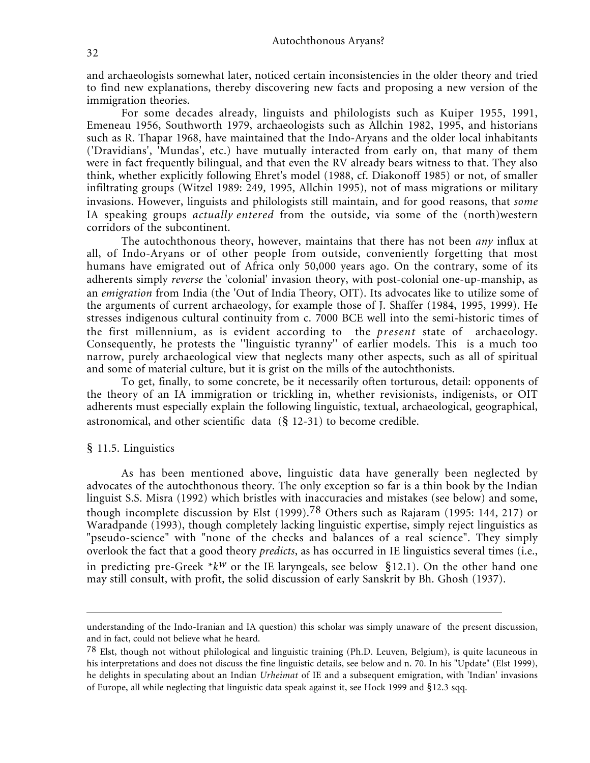and archaeologists somewhat later, noticed certain inconsistencies in the older theory and tried to find new explanations, thereby discovering new facts and proposing a new version of the immigration theories.

For some decades already, linguists and philologists such as Kuiper 1955, 1991, Emeneau 1956, Southworth 1979, archaeologists such as Allchin 1982, 1995, and historians such as R. Thapar 1968, have maintained that the Indo-Aryans and the older local inhabitants ('Dravidians', 'Mundas', etc.) have mutually interacted from early on, that many of them were in fact frequently bilingual, and that even the RV already bears witness to that. They also think, whether explicitly following Ehret's model (1988, cf. Diakonoff 1985) or not, of smaller infiltrating groups (Witzel 1989: 249, 1995, Allchin 1995), not of mass migrations or military invasions. However, linguists and philologists still maintain, and for good reasons, that *some* IA speaking groups *actually entered* from the outside, via some of the (north)western corridors of the subcontinent.

The autochthonous theory, however, maintains that there has not been *any* influx at all, of Indo-Aryans or of other people from outside, conveniently forgetting that most humans have emigrated out of Africa only 50,000 years ago. On the contrary, some of its adherents simply *reverse* the 'colonial' invasion theory, with post-colonial one-up-manship, as an *emigration* from India (the 'Out of India Theory, OIT). Its advocates like to utilize some of the arguments of current archaeology, for example those of J. Shaffer (1984, 1995, 1999). He stresses indigenous cultural continuity from c. 7000 BCE well into the semi-historic times of the first millennium, as is evident according to the *present* state of archaeology. Consequently, he protests the ''linguistic tyranny'' of earlier models. This is a much too narrow, purely archaeological view that neglects many other aspects, such as all of spiritual and some of material culture, but it is grist on the mills of the autochthonists.

To get, finally, to some concrete, be it necessarily often torturous, detail: opponents of the theory of an IA immigration or trickling in, whether revisionists, indigenists, or OIT adherents must especially explain the following linguistic, textual, archaeological, geographical, astronomical, and other scientific data (§ 12-31) to become credible.

# § 11.5. Linguistics

As has been mentioned above, linguistic data have generally been neglected by advocates of the autochthonous theory. The only exception so far is a thin book by the Indian linguist S.S. Misra (1992) which bristles with inaccuracies and mistakes (see below) and some, though incomplete discussion by Elst (1999).78 Others such as Rajaram (1995: 144, 217) or Waradpande  $(1993)$ , though completely lacking linguistic expertise, simply reject linguistics as "pseudo-science" with "none of the checks and balances of a real science". They simply overlook the fact that a good theory *predicts*, as has occurred in IE linguistics several times (i.e., in predicting pre-Greek  $* k^w$  or the IE laryngeals, see below §12.1). On the other hand one may still consult, with profit, the solid discussion of early Sanskrit by Bh. Ghosh (1937).

understanding of the Indo-Iranian and IA question) this scholar was simply unaware of the present discussion, and in fact, could not believe what he heard.

<sup>78</sup> Elst, though not without philological and linguistic training (Ph.D. Leuven, Belgium), is quite lacuneous in his interpretations and does not discuss the fine linguistic details, see below and n. 70. In his "Update" (Elst 1999), he delights in speculating about an Indian *Urheimat* of IE and a subsequent emigration, with 'Indian' invasions of Europe, all while neglecting that linguistic data speak against it, see Hock 1999 and §12.3 sqq.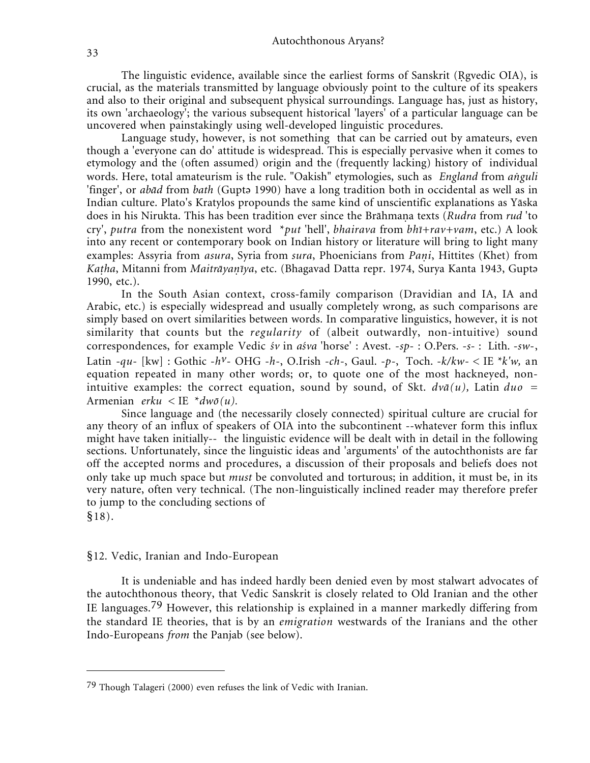The linguistic evidence, available since the earliest forms of Sanskrit (Rgvedic OIA), is crucial, as the materials transmitted by language obviously point to the culture of its speakers and also to their original and subsequent physical surroundings. Language has, just as history, its own 'archaeology'; the various subsequent historical 'layers' of a particular language can be uncovered when painstakingly using well-developed linguistic procedures.

Language study, however, is not something that can be carried out by amateurs, even though a 'everyone can do' attitude is widespread. This is especially pervasive when it comes to etymology and the (often assumed) origin and the (frequently lacking) history of individual words. Here, total amateurism is the rule. "Oakish" etymologies, such as *England* from *anguli* 'finger', or *abåd* from *bath* (Guptə 1990) have a long tradition both in occidental as well as in Indian culture. Plato's Kratylos propounds the same kind of unscientific explanations as Yåska does in his Nirukta. This has been tradition ever since the Brāhmaṇa texts (*Rudra* from *rud* 'to cry', *putra* from the nonexistent word \**put* 'hell', *bhairava* from *bhī+rav+vam*, etc.) A look into any recent or contemporary book on Indian history or literature will bring to light many examples: Assyria from *asura*, Syria from *sura*, Phoenicians from *Pani*, Hittites (Khet) from *Ka
ha*, Mitanni from *Maitråyaīya*, etc. (Bhagavad Datta repr. 1974, Surya Kanta 1943, Guptə 1990, etc.).

In the South Asian context, cross-family comparison (Dravidian and IA, IA and Arabic, etc.) is especially widespread and usually completely wrong, as such comparisons are simply based on overt similarities between words. In comparative linguistics, however, it is not similarity that counts but the *regularity* of (albeit outwardly, non-intuitive) sound correspondences, for example Vedic *śv* in *aśva* 'horse' : Avest. *-sp*- : O.Pers. -*s*- : Lith. -*sw*-, Latin -*qu*- [kw] : Gothic -*hv*- OHG -*h*-, O.Irish -*ch*-, Gaul. -*p*-, Toch. -*k/kw-* < IE *\*k'w,* an equation repeated in many other words; or, to quote one of the most hackneyed, nonintuitive examples: the correct equation, sound by sound, of Skt.  $dv\bar{a}(u)$ , Latin  $du\sigma =$ Armenian *erku* < IE \**dwō(u).*

Since language and (the necessarily closely connected) spiritual culture are crucial for any theory of an influx of speakers of OIA into the subcontinent --whatever form this influx might have taken initially-- the linguistic evidence will be dealt with in detail in the following sections. Unfortunately, since the linguistic ideas and 'arguments' of the autochthonists are far off the accepted norms and procedures, a discussion of their proposals and beliefs does not only take up much space but *must* be convoluted and torturous; in addition, it must be, in its very nature, often very technical. (The non-linguistically inclined reader may therefore prefer to jump to the concluding sections of §18).

# §12. Vedic, Iranian and Indo-European

It is undeniable and has indeed hardly been denied even by most stalwart advocates of the autochthonous theory, that Vedic Sanskrit is closely related to Old Iranian and the other IE languages.79 However, this relationship is explained in a manner markedly differing from the standard IE theories, that is by an *emigration* westwards of the Iranians and the other Indo-Europeans *from* the Panjab (see below).

<sup>79</sup> Though Talageri (2000) even refuses the link of Vedic with Iranian.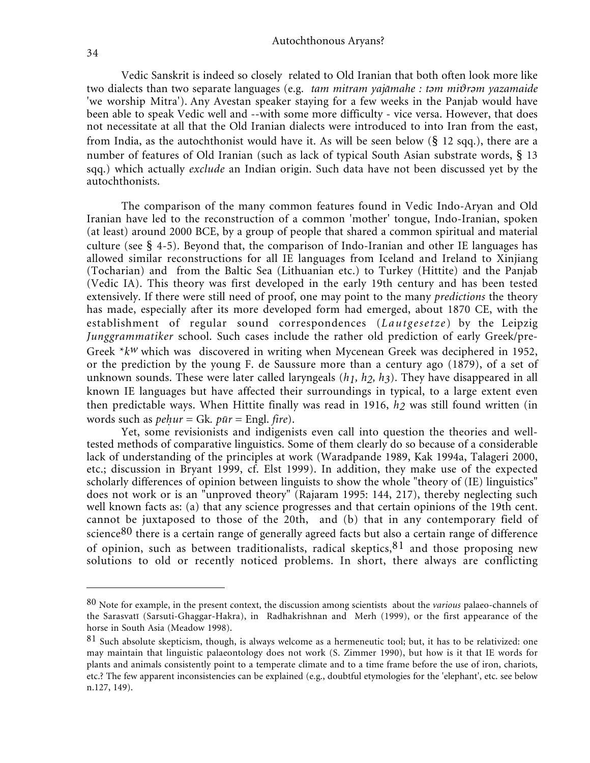Vedic Sanskrit is indeed so closely related to Old Iranian that both often look more like two dialects than two separate languages (e.g. *tam mitram yajåmahe : təm miθrəm yazamaide* 'we worship Mitra'). Any Avestan speaker staying for a few weeks in the Panjab would have been able to speak Vedic well and --with some more difficulty - vice versa. However, that does not necessitate at all that the Old Iranian dialects were introduced to into Iran from the east, from India, as the autochthonist would have it. As will be seen below (§ 12 sqq.), there are a number of features of Old Iranian (such as lack of typical South Asian substrate words, § 13 sqq.) which actually *exclude* an Indian origin. Such data have not been discussed yet by the autochthonists.

The comparison of the many common features found in Vedic Indo-Aryan and Old Iranian have led to the reconstruction of a common 'mother' tongue, Indo-Iranian, spoken (at least) around 2000 BCE, by a group of people that shared a common spiritual and material culture (see § 4-5). Beyond that, the comparison of Indo-Iranian and other IE languages has allowed similar reconstructions for all IE languages from Iceland and Ireland to Xinjiang (Tocharian) and from the Baltic Sea (Lithuanian etc.) to Turkey (Hittite) and the Panjab (Vedic IA). This theory was first developed in the early 19th century and has been tested extensively. If there were still need of proof, one may point to the many *predictions* the theory has made, especially after its more developed form had emerged, about 1870 CE, with the establishment of regular sound correspondences (*Lautgesetze*) by the Leipzig *Junggrammatiker* school. Such cases include the rather old prediction of early Greek/pre-Greek \**kw* which was discovered in writing when Mycenean Greek was deciphered in 1952, or the prediction by the young F. de Saussure more than a century ago (1879), of a set of unknown sounds. These were later called laryngeals (*h1, h2, h3*). They have disappeared in all known IE languages but have affected their surroundings in typical, to a large extent even then predictable ways. When Hittite finally was read in 1916, *h2* was still found written (in words such as *pe ur* = Gk*. pūr* = Engl. *fire*).

Yet, some revisionists and indigenists even call into question the theories and welltested methods of comparative linguistics. Some of them clearly do so because of a considerable lack of understanding of the principles at work (Waradpande 1989, Kak 1994a, Talageri 2000, etc.; discussion in Bryant 1999, cf. Elst 1999). In addition, they make use of the expected scholarly differences of opinion between linguists to show the whole "theory of (IE) linguistics" does not work or is an "unproved theory" (Rajaram 1995: 144, 217), thereby neglecting such well known facts as: (a) that any science progresses and that certain opinions of the 19th cent. cannot be juxtaposed to those of the 20th, and (b) that in any contemporary field of science $80$  there is a certain range of generally agreed facts but also a certain range of difference of opinion, such as between traditionalists, radical skeptics,  $81$  and those proposing new solutions to old or recently noticed problems. In short, there always are conflicting

<sup>80</sup> Note for example, in the present context, the discussion among scientists about the *various* palaeo-channels of the Sarasvatī (Sarsuti-Ghaggar-Hakra), in Radhakrishnan and Merh (1999), or the first appearance of the horse in South Asia (Meadow 1998).

<sup>81</sup> Such absolute skepticism, though, is always welcome as a hermeneutic tool; but, it has to be relativized: one may maintain that linguistic palaeontology does not work (S. Zimmer 1990), but how is it that IE words for plants and animals consistently point to a temperate climate and to a time frame before the use of iron, chariots, etc.? The few apparent inconsistencies can be explained (e.g., doubtful etymologies for the 'elephant', etc. see below n.127, 149).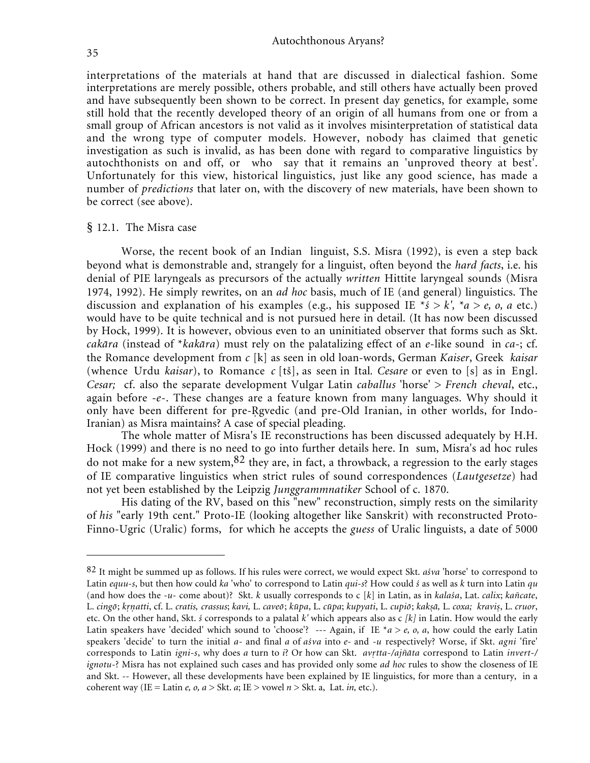#### Autochthonous Aryans?

interpretations of the materials at hand that are discussed in dialectical fashion. Some interpretations are merely possible, others probable, and still others have actually been proved and have subsequently been shown to be correct. In present day genetics, for example, some still hold that the recently developed theory of an origin of all humans from one or from a small group of African ancestors is not valid as it involves misinterpretation of statistical data and the wrong type of computer models. However, nobody has claimed that genetic investigation as such is invalid, as has been done with regard to comparative linguistics by autochthonists on and off, or who say that it remains an 'unproved theory at best'. Unfortunately for this view, historical linguistics, just like any good science, has made a number of *predictions* that later on, with the discovery of new materials, have been shown to be correct (see above).

# § 12.1. The Misra case

Worse, the recent book of an Indian linguist, S.S. Misra (1992), is even a step back beyond what is demonstrable and, strangely for a linguist, often beyond the *hard facts*, i.e. his denial of PIE laryngeals as precursors of the actually *written* Hittite laryngeal sounds (Misra 1974, 1992). He simply rewrites, on an *ad hoc* basis, much of IE (and general) linguistics. The discussion and explanation of his examples (e.g., his supposed IE  $*_s > k'$ ,  $*_a > e$ , *o*, *a* etc.) would have to be quite technical and is not pursued here in detail. (It has now been discussed by Hock, 1999). It is however, obvious even to an uninitiated observer that forms such as Skt. *cakåra* (instead of \**kakåra*) must rely on the palatalizing effect of an *e-*like sound in *ca*-; cf. the Romance development from *c* [k] as seen in old loan-words, German *Kaiser*, Greek *kaisar* (whence Urdu *kaisar*), to Romance *c* [tš], as seen in Ital*. Cesare* or even to [s] as inEngl. *Cesar;* cf. also the separate development Vulgar Latin *caballus* 'horse' > *French cheval*, etc., again before -*e-*. These changes are a feature known from many languages. Why should it only have been different for pre-Rgvedic (and pre-Old Iranian, in other worlds, for Indo-Iranian) as Misra maintains? A case of special pleading.

The whole matter of Misra's IE reconstructions has been discussed adequately by H.H. Hock (1999) and there is no need to go into further details here. In sum, Misra's ad hoc rules do not make for a new system,  $82$  they are, in fact, a throwback, a regression to the early stages of IE comparative linguistics when strict rules of sound correspondences (*Lautgesetze*) had not yet been established by the Leipzig *Junggrammnatiker* School of c. 1870.

His dating of the RV, based on this "new" reconstruction, simply rests on the similarity of *his* "early 19th cent." Proto-IE (looking altogether like Sanskrit) with reconstructed Proto-Finno-Ugric (Uralic) forms, for which he accepts the *guess* of Uralic linguists, a date of 5000

<sup>82</sup> It might be summed up as follows. If his rules were correct, we would expect Skt. *aśva* 'horse' to correspond to Latin *equu-s*, but then how could *ka* 'who' to correspond to Latin *qui-s*? How could *ś* as well as *k* turn into Latin *qu* (and how does the -*u-* come about)? Skt. *k* usually corresponds to c [*k*] in Latin, as in *kalaśa*, Lat. *calix*; *kañcate*, L. *cingō*; *katti*, cf. L. *cratis, crassus*; *kavi,* L. *caveō*; *kūpa*, L. *cūpa*; *kupyati*, L. *cupiō*; *kakå,* L. *coxa; kravi*, L. *cruor*, etc. On the other hand, Skt. *ś* corresponds to a palatal *k'* which appears also as c *[k]* in Latin. How would the early Latin speakers have 'decided' which sound to 'choose'? --- Again, if IE  $a > e$ , o, a, how could the early Latin speakers 'decide' to turn the initial *a*- and final *a* of *aśva* into *e-* and -*u* respectively? Worse, if Skt. *agni* 'fire' corresponds to Latin *igni-s*, why does *a* turn to *i*? Or how can Skt. *avtta-/ajñåta* correspond to Latin *invert-/ ignotu-*? Misra has not explained such cases and has provided only some *ad hoc* rules to show the closeness of IE and Skt. -- However, all these developments have been explained by IE linguistics, for more than a century, in a coherent way (IE = Latin *e, o, a* > Skt. *a*; IE > vowel *n* > Skt. a, Lat. *in,* etc.).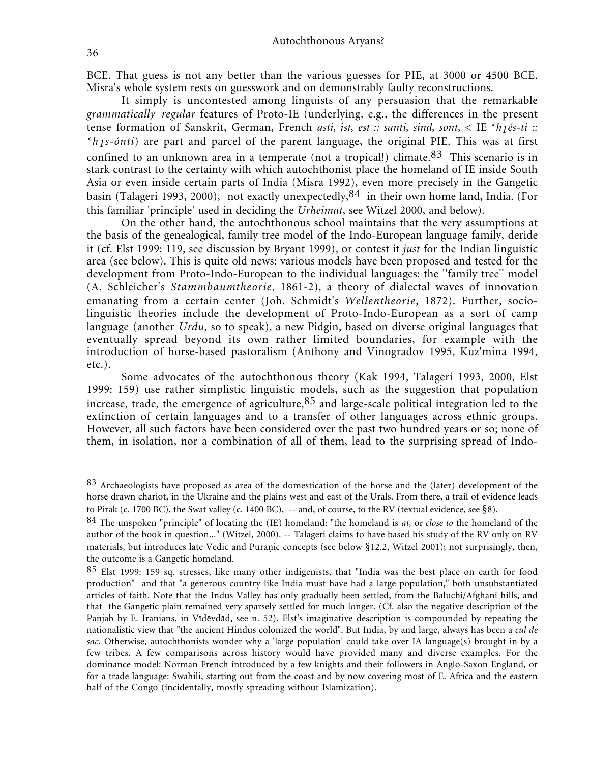BCE. That guess is not any better than the various guesses for PIE, at 3000 or 4500 BCE. Misra's whole system rests on guesswork and on demonstrably faulty reconstructions.

It simply is uncontested among linguists of any persuasion that the remarkable *grammatically regular* features of Proto-IE (underlying, e.g., the differences in the present tense formation of Sanskrit, German, French *asti, ist, est :: santi, sind, sont,* < IE *\*h1és-ti :: \*h1s-ónti*) are part and parcel of the parent language, the original PIE. This was at first confined to an unknown area in a temperate (not a tropical!) climate.<sup>83</sup> This scenario is in stark contrast to the certainty with which autochthonist place the homeland of IE inside South Asia or even inside certain parts of India (Misra 1992), even more precisely in the Gangetic basin (Talageri 1993, 2000), not exactly unexpectedly,84 in their own home land, India. (For this familiar 'principle' used in deciding the *Urheimat*, see Witzel 2000, and below).

On the other hand, the autochthonous school maintains that the very assumptions at the basis of the genealogical, family tree model of the Indo-European language family, deride it (cf. Elst 1999: 119, see discussion by Bryant 1999), or contest it *just* for the Indian linguistic area (see below). This is quite old news: various models have been proposed and tested for the development from Proto-Indo-European to the individual languages: the ''family tree'' model (A. Schleicher's *Stammbaumtheorie*, 1861-2), a theory of dialectal waves of innovation emanating from a certain center (Joh. Schmidt's *Wellentheorie*, 1872). Further, sociolinguistic theories include the development of Proto-Indo-European as a sort of camp language (another *Urdu*, so to speak), a new Pidgin, based on diverse original languages that eventually spread beyond its own rather limited boundaries, for example with the introduction of horse-based pastoralism (Anthony and Vinogradov 1995, Kuz'mina 1994, etc.).

Some advocates of the autochthonous theory (Kak 1994, Talageri 1993, 2000, Elst 1999: 159) use rather simplistic linguistic models, such as the suggestion that population increase, trade, the emergence of agriculture,  $85$  and large-scale political integration led to the extinction of certain languages and to a transfer of other languages across ethnic groups. However, all such factors have been considered over the past two hundred years or so; none of them, in isolation, nor a combination of all of them, lead to the surprising spread of Indo-

 $83$  Archaeologists have proposed as area of the domestication of the horse and the (later) development of the horse drawn chariot, in the Ukraine and the plains west and east of the Urals. From there, a trail of evidence leads to Pirak (c. 1700 BC), the Swat valley (c. 1400 BC), -- and, of course, to the RV (textual evidence, see §8).

<sup>84</sup> The unspoken "principle" of locating the (IE) homeland: "the homeland is *at,* or *close to* the homeland of the author of the book in question..." (Witzel, 2000). -- Talageri claims to have based his study of the RV only on RV materials, but introduces late Vedic and Purāņic concepts (see below §12.2, Witzel 2001); not surprisingly, then, the outcome is a Gangetic homeland.

 $85$  Elst 1999: 159 sq. stresses, like many other indigenists, that "India was the best place on earth for food production" and that "a generous country like India must have had a large population," both unsubstantiated articles of faith. Note that the Indus Valley has only gradually been settled, from the Baluchi/Afghani hills, and that the Gangetic plain remained very sparsely settled for much longer. (Cf. also the negative description of the Panjab by E. Iranians, in Vīdẽvdåd, see n. 52). Elst's imaginative description is compounded by repeating the nationalistic view that "the ancient Hindus colonized the world". But India, by and large, always has been a *cul de sac*. Otherwise, autochthonists wonder why a 'large population' could take over IA language(s) brought in by a few tribes. A few comparisons across history would have provided many and diverse examples. For the dominance model: Norman French introduced by a few knights and their followers in Anglo-Saxon England, or for a trade language: Swahili, starting out from the coast and by now covering most of E. Africa and the eastern half of the Congo (incidentally, mostly spreading without Islamization).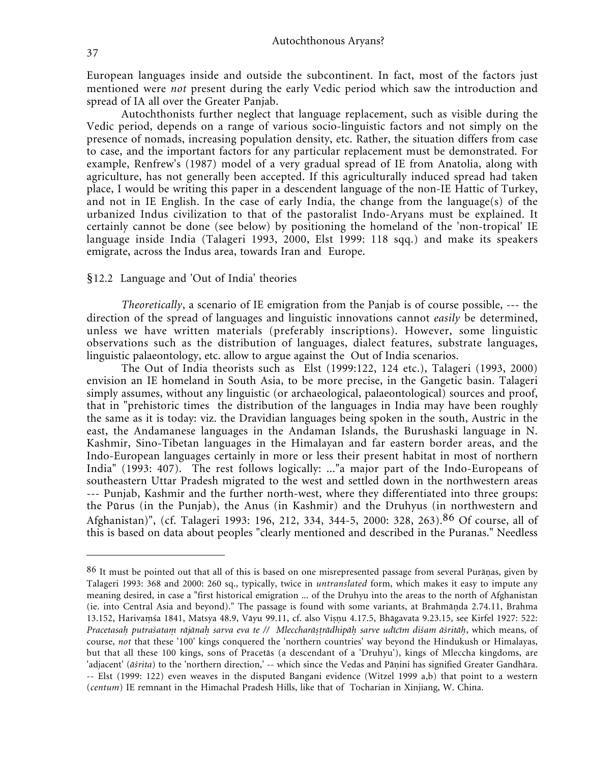European languages inside and outside the subcontinent. In fact, most of the factors just mentioned were *not* present during the early Vedic period which saw the introduction and spread of IA all over the Greater Panjab.

Autochthonists further neglect that language replacement, such as visible during the Vedic period, depends on a range of various socio-linguistic factors and not simply on the presence of nomads, increasing population density, etc. Rather, the situation differs from case to case, and the important factors for any particular replacement must be demonstrated. For example, Renfrew's (1987) model of a very gradual spread of IE from Anatolia, along with agriculture, has not generally been accepted. If this agriculturally induced spread had taken place, I would be writing this paper in a descendent language of the non-IE Hattic of Turkey, and not in IE English. In the case of early India, the change from the language(s) of the urbanized Indus civilization to that of the pastoralist Indo-Aryans must be explained. It certainly cannot be done (see below) by positioning the homeland of the 'non-tropical' IE language inside India (Talageri 1993, 2000, Elst 1999: 118 sqq.) and make its speakers emigrate, across the Indus area, towards Iran and Europe.

## §12.2 Language and 'Out of India' theories

*Theoretically*, a scenario of IE emigration from the Panjab is of course possible, --- the direction of the spread of languages and linguistic innovations cannot *easily* be determined, unless we have written materials (preferably inscriptions). However, some linguistic observations such as the distribution of languages, dialect features, substrate languages, linguistic palaeontology, etc. allow to argue against the Out of India scenarios.

The Out of India theorists such as Elst (1999:122, 124 etc.), Talageri (1993, 2000) envision an IE homeland in South Asia, to be more precise, in the Gangetic basin. Talageri simply assumes, without any linguistic (or archaeological, palaeontological) sources and proof, that in "prehistoric times the distribution of the languages in India may have been roughly the same as it is today: viz. the Dravidian languages being spoken in the south, Austric in the east, the Andamanese languages in the Andaman Islands, the Burushaski language in N. Kashmir, Sino-Tibetan languages in the Himalayan and far eastern border areas, and the Indo-European languages certainly in more or less their present habitat in most of northern India" (1993: 407). The rest follows logically: ..."a major part of the Indo-Europeans of southeastern Uttar Pradesh migrated to the west and settled down in the northwestern areas --- Punjab, Kashmir and the further north-west, where they differentiated into three groups: the Pūrus (in the Punjab), the Anus (in Kashmir) and the Druhyus (in northwestern and Afghanistan)", (cf. Talageri 1993: 196, 212, 334, 344-5, 2000: 328, 263).86 Of course, all of this is based on data about peoples "clearly mentioned and described in the Puranas." Needless

 $86$  It must be pointed out that all of this is based on one misrepresented passage from several Purāṇas, given by Talageri 1993: 368 and 2000: 260 sq., typically, twice in *untranslated* form, which makes it easy to impute any meaning desired, in case a "first historical emigration ... of the Druhyu into the areas to the north of Afghanistan (ie. into Central Asia and beyond)." The passage is found with some variants, at Brahmāṇda 2.74.11, Brahma 13.152, Harivamśa 1841, Matsya 48.9, Vāyu 99.11, cf. also Vișņu 4.17.5, Bhāgavata 9.23.15, see Kirfel 1927: 522: Pracetasah putraśatam rājānah sarva eva te // Mleccharāṣṭrādhipāḥ sarve udīcīm diśam āśritāḥ, which means, of course, *not* that these '100' kings conquered the 'northern countries' way beyond the Hindukush or Himalayas, but that all these 100 kings, sons of Pracetås (a descendant of a 'Druhyu'), kings of Mleccha kingdoms, are 'adjacent' (*āśrita*) to the 'northern direction,' -- which since the Vedas and Pāṇini has signified Greater Gandhāra. -- Elst (1999: 122) even weaves in the disputed Bangani evidence (Witzel 1999 a,b) that point to a western (*centum*) IE remnant in the Himachal Pradesh Hills, like that of Tocharian in Xinjiang, W. China.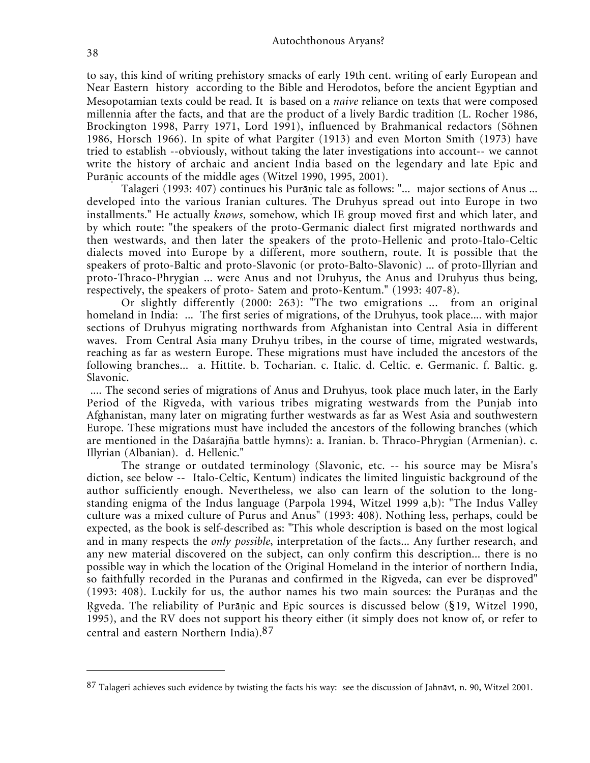to say, this kind of writing prehistory smacks of early 19th cent. writing of early European and Near Eastern history according to the Bible and Herodotos, before the ancient Egyptian and Mesopotamian texts could be read. It is based on a *naive* reliance on texts that were composed millennia after the facts, and that are the product of a lively Bardic tradition (L. Rocher 1986, Brockington 1998, Parry 1971, Lord 1991), influenced by Brahmanical redactors (Söhnen 1986, Horsch 1966). In spite of what Pargiter (1913) and even Morton Smith (1973) have tried to establish --obviously, without taking the later investigations into account-- we cannot write the history of archaic and ancient India based on the legendary and late Epic and Purāņic accounts of the middle ages (Witzel 1990, 1995, 2001).

Talageri (1993: 407) continues his Purāṇic tale as follows: "... major sections of Anus ... developed into the various Iranian cultures. The Druhyus spread out into Europe in two installments." He actually *knows*, somehow, which IE group moved first and which later, and by which route: "the speakers of the proto-Germanic dialect first migrated northwards and then westwards, and then later the speakers of the proto-Hellenic and proto-Italo-Celtic dialects moved into Europe by a different, more southern, route. It is possible that the speakers of proto-Baltic and proto-Slavonic (or proto-Balto-Slavonic) ... of proto-Illyrian and proto-Thraco-Phrygian ... were Anus and not Druhyus, the Anus and Druhyus thus being, respectively, the speakers of proto- Satem and proto-Kentum." (1993: 407-8).

Or slightly differently (2000: 263): "The two emigrations ... from an original homeland in India: ... The first series of migrations, of the Druhyus, took place.... with major sections of Druhyus migrating northwards from Afghanistan into Central Asia in different waves. From Central Asia many Druhyu tribes, in the course of time, migrated westwards, reaching as far as western Europe. These migrations must have included the ancestors of the following branches... a. Hittite. b. Tocharian. c. Italic. d. Celtic. e. Germanic. f. Baltic. g. Slavonic.

.... The second series of migrations of Anus and Druhyus, took place much later, in the Early Period of the Rigveda, with various tribes migrating westwards from the Punjab into Afghanistan, many later on migrating further westwards as far as West Asia and southwestern Europe. These migrations must have included the ancestors of the following branches (which are mentioned in the Dåśaråjña battle hymns): a. Iranian. b. Thraco-Phrygian (Armenian). c. Illyrian (Albanian). d. Hellenic."

The strange or outdated terminology (Slavonic, etc. -- his source may be Misra's diction, see below -- Italo-Celtic, Kentum) indicates the limited linguistic background of the author sufficiently enough. Nevertheless, we also can learn of the solution to the longstanding enigma of the Indus language (Parpola 1994, Witzel 1999 a,b): "The Indus Valley culture was a mixed culture of Pūrus and Anus" (1993: 408). Nothing less, perhaps, could be expected, as the book is self-described as: "This whole description is based on the most logical and in many respects the *only possible*, interpretation of the facts... Any further research, and any new material discovered on the subject, can only confirm this description... there is no possible way in which the location of the Original Homeland in the interior of northern India, so faithfully recorded in the Puranas and confirmed in the Rigveda, can ever be disproved" (1993: 408). Luckily for us, the author names his two main sources: the Purāṇas and the Rgveda. The reliability of Purāņic and Epic sources is discussed below (§19, Witzel 1990, 1995), and the RV does not support his theory either (it simply does not know of, or refer to central and eastern Northern India).87

 $87$  Talageri achieves such evidence by twisting the facts his way: see the discussion of Jahnāvī, n. 90, Witzel 2001.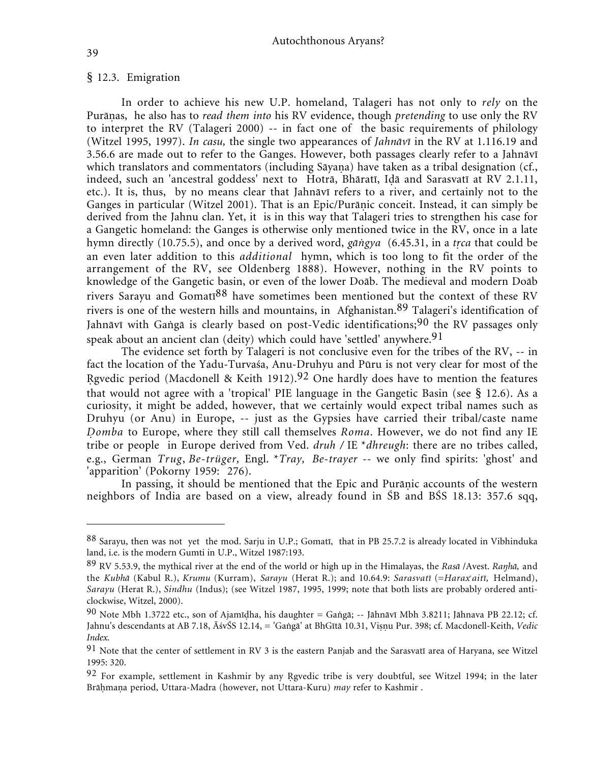# § 12.3. Emigration

In order to achieve his new U.P. homeland, Talageri has not only to *rely* on the Purāņas, he also has to *read them into* his RV evidence, though *pretending* to use only the RV to interpret the RV (Talageri 2000) -- in fact one of the basic requirements of philology (Witzel 1995, 1997). *In casu,* the single two appearances of *Jahnåvī* in the RV at 1.116.19 and 3.56.6 are made out to refer to the Ganges. However, both passages clearly refer to a Jahnåvī which translators and commentators (including Sāyaṇa) have taken as a tribal designation (cf., indeed, such an 'ancestral goddess' next to Hotrā, Bhāratī, Idā and Sarasvatī at RV 2.1.11, etc.). It is, thus, by no means clear that Jahnåvī refers to a river, and certainly not to the Ganges in particular (Witzel 2001). That is an Epic/Purāṇic conceit. Instead, it can simply be derived from the Jahnu clan. Yet, it is in this way that Talageri tries to strengthen his case for a Gangetic homeland: the Ganges is otherwise only mentioned twice in the RV, once in a late hymn directly (10.75.5), and once by a derived word, *gāngya* (6.45.31, in a *trca* that could be an even later addition to this *additional* hymn, which is too long to fit the order of the arrangement of the RV, see Oldenberg 1888). However, nothing in the RV points to knowledge of the Gangetic basin, or even of the lower Doåb. The medieval and modern Doåb rivers Sarayu and Gomatī88 have sometimes been mentioned but the context of these RV rivers is one of the western hills and mountains, in Afghanistan.89 Talageri's identification of Jahnāvī with Gangā is clearly based on post-Vedic identifications;<sup>90</sup> the RV passages only speak about an ancient clan (deity) which could have 'settled' anywhere.<sup>91</sup>

The evidence set forth by Talageri is not conclusive even for the tribes of the RV, -- in fact the location of the Yadu-Turvaśa, Anu-Druhyu and Pūru is not very clear for most of the Rgvedic period (Macdonell & Keith 1912).<sup>92</sup> One hardly does have to mention the features that would not agree with a 'tropical' PIE language in the Gangetic Basin (see § 12.6). As a curiosity, it might be added, however, that we certainly would expect tribal names such as Druhyu (or Anu) in Europe, -- just as the Gypsies have carried their tribal/caste name *omba* to Europe, where they still call themselves *Roma*. However, we do not find any IE tribe or people in Europe derived from Ved. *druh /* IE \**dhreugh*: there are no tribes called, e.g., German *Trug*, *Be-trüger,* Engl. \**Tray, Be-trayer* -- we only find spirits: 'ghost' and 'apparition' (Pokorny 1959: 276).

In passing, it should be mentioned that the Epic and Purāṇic accounts of the western neighbors of India are based on a view, already found in ŚB and BŚS 18.13: 357.6 sqq,

<sup>88</sup> Sarayu, then was not yet the mod. Sarju in U.P.; Gomatī, that in PB 25.7.2 is already located in Vibhinduka land, i.e. is the modern Gumti in U.P., Witzel 1987:193.

<sup>89</sup> RV 5.53.9, the mythical river at the end of the world or high up in the Himalayas, the *Raså* /Avest. *Rahå,* and the *Kubhā* (Kabul R.), *Krumu* (Kurram), *Sarayu* (Herat R.); and 10.64.9: *Sarasvatī* (=*Harax\*aitī*, Helmand), *Sarayu* (Herat R.), *Sindhu* (Indus); (see Witzel 1987, 1995, 1999; note that both lists are probably ordered anticlockwise, Witzel, 2000).

 $90$  Note Mbh 1.3722 etc., son of Ajamīḍha, his daughter = Gaṅgā; -- Jāhnāvī Mbh 3.8211; Jāhnava PB 22.12; cf. Jahnu's descendants at AB 7.18, ĀśvŚS 12.14, = 'Gaṅgā' at BhGītā 10.31, Viṣṇu Pur. 398; cf. Macdonell-Keith, *Vedic Index.*

 $91$  Note that the center of settlement in RV 3 is the eastern Panjab and the Sarasvatī area of Haryana, see Witzel 1995: 320.

<sup>92</sup> For example, settlement in Kashmir by any Rgvedic tribe is very doubtful, see Witzel 1994; in the later Brāhmaņa period, Uttara-Madra (however, not Uttara-Kuru) *may* refer to Kashmir .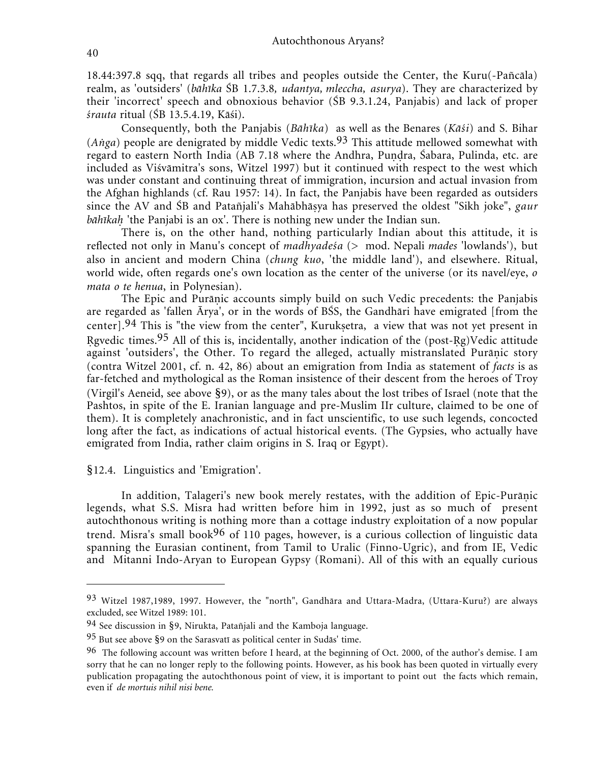18.44:397.8 sqq, that regards all tribes and peoples outside the Center, the Kuru(-Pañcåla) realm, as 'outsiders' (*båhīka* ŚB 1.7.3.8*, udantya, mleccha, asurya*). They are characterized by their 'incorrect' speech and obnoxious behavior (ŚB 9.3.1.24, Panjabis) and lack of proper *śrauta* ritual (ŚB 13.5.4.19, Kåśi).

Consequently, both the Panjabis (*Båhīka*) as well as the Benares (*Kåśi*) and S. Bihar (*Anga*) people are denigrated by middle Vedic texts.<sup>93</sup> This attitude mellowed somewhat with regard to eastern North India (AB 7.18 where the Andhra, Puṇḍra, Śabara, Pulinda, etc. are included as Viśvåmitra's sons, Witzel 1997) but it continued with respect to the west which was under constant and continuing threat of immigration, incursion and actual invasion from the Afghan highlands (cf. Rau 1957: 14). In fact, the Panjabis have been regarded as outsiders since the AV and ŚB and Patañjali's Mahåbhåya has preserved the oldest "Sikh joke", *gaur bāhīkah* 'the Panjabi is an ox'. There is nothing new under the Indian sun.

There is, on the other hand, nothing particularly Indian about this attitude, it is reflected not only in Manu's concept of *madhyade'sa* (> mod. Nepali *mades* 'lowlands'), but also in ancient and modern China (*chung kuo*, 'the middle land'), and elsewhere. Ritual, world wide, often regards one's own location as the center of the universe (or its navel/eye, *o mata o te henua*, in Polynesian).

The Epic and Purāṇic accounts simply build on such Vedic precedents: the Panjabis are regarded as 'fallen Ārya', or in the words of BŚS, the Gandhåri have emigrated [from the center].<sup>94</sup> This is "the view from the center", Kuruksetra, a view that was not yet present in Revedic times.<sup>95</sup> All of this is, incidentally, another indication of the (post-Re)Vedic attitude against 'outsiders', the Other. To regard the alleged, actually mistranslated Purāṇic story (contra Witzel 2001, cf. n. 42, 86) about an emigration from India as statement of *facts* is as far-fetched and mythological as the Roman insistence of their descent from the heroes of Troy (Virgil's Aeneid, see above §9), or as the many tales about the lost tribes of Israel (note that the Pashtos, in spite of the E. Iranian language and pre-Muslim IIr culture, claimed to be one of them). It is completely anachronistic, and in fact unscientific, to use such legends, concocted long after the fact, as indications of actual historical events. (The Gypsies, who actually have emigrated from India, rather claim origins in S. Iraq or Egypt).

§12.4. Linguistics and 'Emigration'.

In addition, Talageri's new book merely restates, with the addition of Epic-Purāṇic legends, what S.S. Misra had written before him in 1992, just as so much of present autochthonous writing is nothing more than a cottage industry exploitation of a now popular trend. Misra's small book96 of 110 pages, however, is a curious collection of linguistic data spanning the Eurasian continent, from Tamil to Uralic (Finno-Ugric), and from IE, Vedic and Mitanni Indo-Aryan to European Gypsy (Romani). All of this with an equally curious

<sup>93</sup> Witzel 1987,1989, 1997. However, the "north", Gandhåra and Uttara-Madra, (Uttara-Kuru?) are always excluded, see Witzel 1989: 101.

 $94$  See discussion in §9, Nirukta, Patañjali and the Kamboja language.

 $95$  But see above §9 on the Sarasvatī as political center in Sudās' time.

 $96$  The following account was written before I heard, at the beginning of Oct. 2000, of the author's demise. I am sorry that he can no longer reply to the following points. However, as his book has been quoted in virtually every publication propagating the autochthonous point of view, it is important to point out the facts which remain, even if *de mortuis nihil nisi bene.*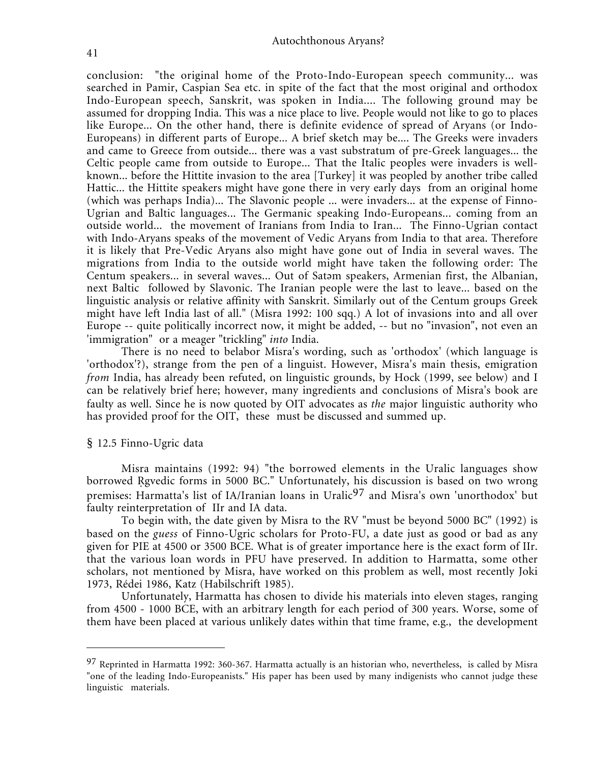conclusion: "the original home of the Proto-Indo-European speech community... was searched in Pamir, Caspian Sea etc. in spite of the fact that the most original and orthodox Indo-European speech, Sanskrit, was spoken in India.... The following ground may be assumed for dropping India. This was a nice place to live. People would not like to go to places like Europe... On the other hand, there is definite evidence of spread of Aryans (or Indo-Europeans) in different parts of Europe... A brief sketch may be.... The Greeks were invaders and came to Greece from outside... there was a vast substratum of pre-Greek languages... the Celtic people came from outside to Europe... That the Italic peoples were invaders is wellknown... before the Hittite invasion to the area [Turkey] it was peopled by another tribe called Hattic... the Hittite speakers might have gone there in very early days from an original home (which was perhaps India)... The Slavonic people ... were invaders... at the expense of Finno-Ugrian and Baltic languages... The Germanic speaking Indo-Europeans... coming from an outside world... the movement of Iranians from India to Iran... The Finno-Ugrian contact with Indo-Aryans speaks of the movement of Vedic Aryans from India to that area. Therefore it is likely that Pre-Vedic Aryans also might have gone out of India in several waves. The migrations from India to the outside world might have taken the following order: The Centum speakers... in several waves... Out of Satəm speakers, Armenian first, the Albanian, next Baltic followed by Slavonic. The Iranian people were the last to leave... based on the linguistic analysis or relative affinity with Sanskrit. Similarly out of the Centum groups Greek might have left India last of all." (Misra 1992: 100 sqq.) A lot of invasions into and all over Europe -- quite politically incorrect now, it might be added, -- but no "invasion", not even an 'immigration" or a meager "trickling" *into* India.

There is no need to belabor Misra's wording, such as 'orthodox' (which language is 'orthodox'?), strange from the pen of a linguist. However, Misra's main thesis, emigration *from* India, has already been refuted, on linguistic grounds, by Hock (1999, see below) and I can be relatively brief here; however, many ingredients and conclusions of Misra's book are faulty as well. Since he is now quoted by OIT advocates as *the* major linguistic authority who has provided proof for the OIT, these must be discussed and summed up.

# § 12.5 Finno-Ugric data

Misra maintains (1992: 94) "the borrowed elements in the Uralic languages show borrowed Rgvedic forms in 5000 BC." Unfortunately, his discussion is based on two wrong premises: Harmatta's list of IA/Iranian loans in Uralic<sup>97</sup> and Misra's own 'unorthodox' but faulty reinterpretation of IIr and IA data.

To begin with, the date given by Misra to the RV "must be beyond 5000 BC" (1992) is based on the *guess* of Finno-Ugric scholars for Proto-FU, a date just as good or bad as any given for PIE at 4500 or 3500 BCE. What is of greater importance here is the exact form of IIr. that the various loan words in PFU have preserved. In addition to Harmatta, some other scholars, not mentioned by Misra, have worked on this problem as well, most recently Joki 1973, Rédei 1986, Katz (Habilschrift 1985).

Unfortunately, Harmatta has chosen to divide his materials into eleven stages, ranging from 4500 - 1000 BCE, with an arbitrary length for each period of 300 years. Worse, some of them have been placed at various unlikely dates within that time frame, e.g., the development

<sup>97</sup> Reprinted in Harmatta 1992: 360-367. Harmatta actually is an historian who, nevertheless, is called by Misra "one of the leading Indo-Europeanists." His paper has been used by many indigenists who cannot judge these linguistic materials.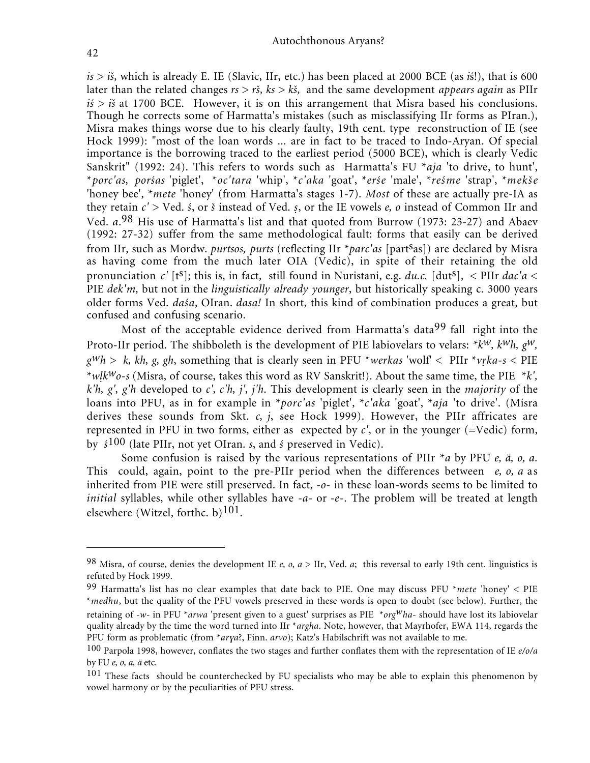*is > iš,* which is already E. IE (Slavic, IIr, etc.) has been placed at 2000 BCE (as *i*ś!), that is 600 later than the related changes *rs > rš, ks > kš,* and the same development *appears again* as PIIr  $i\acute{s}$   $> i\acute{s}$  at 1700 BCE. However, it is on this arrangement that Misra based his conclusions. Though he corrects some of Harmatta's mistakes (such as misclassifying IIr forms as PIran.), Misra makes things worse due to his clearly faulty, 19th cent. type reconstruction of IE (see Hock 1999): "most of the loan words ... are in fact to be traced to Indo-Aryan. Of special importance is the borrowing traced to the earliest period (5000 BCE), which is clearly Vedic Sanskrit" (1992: 24). This refers to words such as Harmatta's FU \**aja* 'to drive, to hunt', \**porc'as, porśas* 'piglet', \**oc'tara* 'whip', \**c'aka* 'goat', \**erśe* 'male', \**reśme* 'strap', \**mekše* 'honey bee', \**mete* 'honey' (from Harmatta's stages 1-7). *Most* of these are actually pre-IA as they retain *c'* > Ved. *ś*, or *š* instead of Ved. , or the IE vowels *e, o* instead of Common IIr and Ved. *a*.98 His use of Harmatta's list and that quoted from Burrow (1973: 23-27) and Abaev (1992: 27-32) suffer from the same methodological fault: forms that easily can be derived from IIr, such as Mordw. *purtsos, purts* (reflecting IIr \**parc'as* [partsas]) are declared by Misra as having come from the much later OIA (Vedic), in spite of their retaining the old pronunciation  $c'$  [t<sup>s</sup>]; this is, in fact, still found in Nuristani, e.g. *du.c.* [dut<sup>s</sup>], < PIIr *dac'a* < PIE *dek'm,* but not in the *linguistically already younger*, but historically speaking c. 3000 years older forms Ved. *daśa*, OIran. *dasa!* In short, this kind of combination produces a great, but confused and confusing scenario.

Most of the acceptable evidence derived from Harmatta's data<sup>99</sup> fall right into the Proto-IIr period. The shibboleth is the development of PIE labiovelars to velars: *\*kw, kwh, gw,*  $g^w h > k$ , kh, g, gh, something that is clearly seen in PFU \**werkas* 'wolf' < PIIr \**vrka-s* < PIE \**wkwo*-*s* (Misra, of course, takes this word as RV Sanskrit!). About the same time, the PIE \**k', k'h, g', g'h* developed to *c', c'h, j', j'h*. This development is clearly seen in the *majority* of the loans into PFU, as in for example in \**porc'as* 'piglet', \**c'aka* 'goat', \**aja* 'to drive'. (Misra derives these sounds from Skt. *c, j*, see Hock 1999). However, the PIIr affricates are represented in PFU in two forms, either as expected by *c'*, or in the younger (=Vedic) form, by *ś*100 (late PIIr, not yet OIran. *s*, and *ś* preserved in Vedic).

Some confusion is raised by the various representations of PIIr \**a* by PFU *e, ä, o, a*. This could, again, point to the pre-PIIr period when the differences between *e, o, a* as inherited from PIE were still preserved. In fact, -*o*- in these loan-words seems to be limited to *initial* syllables, while other syllables have -*a*- or -*e*-. The problem will be treated at length elsewhere (Witzel, forthc. b)101.

<sup>98</sup> Misra, of course, denies the development IE *e*, *o*,  $a > \text{IIr}$ , Ved. *a*; this reversal to early 19th cent. linguistics is refuted by Hock 1999.

<sup>99</sup> Harmatta's list has no clear examples that date back to PIE. One may discuss PFU \**mete* 'honey' < PIE \**medhu*, but the quality of the PFU vowels preserved in these words is open to doubt (see below). Further, the retaining of -*w*- in PFU \**arwa* 'present given to a guest' surprises as PIE \**orgwha*- should have lost its labiovelar quality already by the time the word turned into IIr \**argha*. Note, however, that Mayrhofer, EWA 114, regards the PFU form as problematic (from \**arγa*?, Finn. *arvo*); Katz's Habilschrift was not available to me.

<sup>100</sup> Parpola 1998, however, conflates the two stages and further conflates them with the representation of IE *e/o/a* by FU *e, o, a, ä* etc.

<sup>&</sup>lt;sup>101</sup> These facts should be counterchecked by FU specialists who may be able to explain this phenomenon by vowel harmony or by the peculiarities of PFU stress.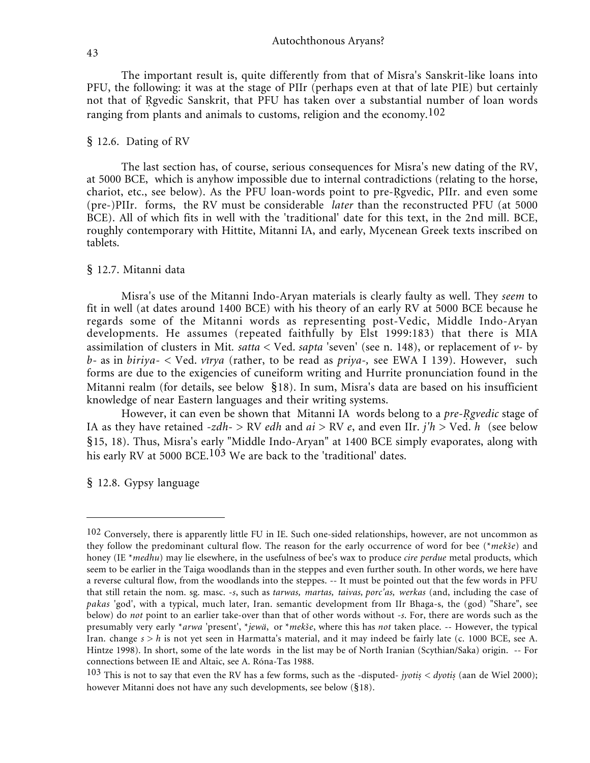The important result is, quite differently from that of Misra's Sanskrit-like loans into PFU, the following: it was at the stage of PIIr (perhaps even at that of late PIE) but certainly not that of Rgvedic Sanskrit, that PFU has taken over a substantial number of loan words ranging from plants and animals to customs, religion and the economy.  $102$ 

# § 12.6. Dating of RV

The last section has, of course, serious consequences for Misra's new dating of the RV, at 5000 BCE, which is anyhow impossible due to internal contradictions (relating to the horse, chariot, etc., see below). As the PFU loan-words point to pre-gvedic, PIIr. and even some (pre-)PIIr. forms, the RV must be considerable *later* than the reconstructed PFU (at 5000 BCE). All of which fits in well with the 'traditional' date for this text, in the 2nd mill. BCE, roughly contemporary with Hittite, Mitanni IA, and early, Mycenean Greek texts inscribed on tablets.

# § 12.7. Mitanni data

Misra's use of the Mitanni Indo-Aryan materials is clearly faulty as well. They *seem* to fit in well (at dates around 1400 BCE) with his theory of an early RV at 5000 BCE because he regards some of the Mitanni words as representing post-Vedic, Middle Indo-Aryan developments. He assumes (repeated faithfully by Elst 1999:183) that there is MIA assimilation of clusters in Mit*. satta* < Ved. *sapta* 'seven' (see n. 148), or replacement of *v*- by *b*- as in *biriya-* < Ved. *vīrya* (rather, to be read as *priya-,* see EWA I 139). However, such forms are due to the exigencies of cuneiform writing and Hurrite pronunciation found in the Mitanni realm (for details, see below §18). In sum, Misra's data are based on his insufficient knowledge of near Eastern languages and their writing systems.

However, it can even be shown that Mitanni IA words belong to a *pre-gvedic* stage of IA as they have retained  $-zdh - > RV$  *edh* and  $ai > RV$  *e*, and even IIr.  $i'h > Ved$ . *h* (see below §15, 18). Thus, Misra's early "Middle Indo-Aryan" at 1400 BCE simply evaporates, along with his early RV at 5000 BCE.<sup>103</sup> We are back to the 'traditional' dates.

§ 12.8. Gypsy language

<sup>102</sup> Conversely, there is apparently little FU in IE. Such one-sided relationships, however, are not uncommon as they follow the predominant cultural flow. The reason for the early occurrence of word for bee (\**mekše*) and honey (IE \**medhu*) may lie elsewhere, in the usefulness of bee's wax to produce *cire perdue* metal products, which seem to be earlier in the Taiga woodlands than in the steppes and even further south. In other words, we here have a reverse cultural flow, from the woodlands into the steppes. -- It must be pointed out that the few words in PFU that still retain the nom. sg. masc. -*s*, such as *tarwas, martas, taivas, porc'as, werkas* (and, including the case of *pakas* 'god', with a typical, much later, Iran. semantic development from IIr Bhaga-s, the (god) "Share", see below) do *not* point to an earlier take-over than that of other words without -*s*. For, there are words such as the presumably very early \**arwa* 'present', \**jewä*, or \**mekše*, where this has *not* taken place. -- However, the typical Iran. change *s > h* is not yet seen in Harmatta's material, and it may indeed be fairly late (c. 1000 BCE, see A. Hintze 1998). In short, some of the late words in the list may be of North Iranian (Scythian/Saka) origin. -- For connections between IE and Altaic, see A. Róna-Tas 1988.

 $103$  This is not to say that even the RV has a few forms, such as the -disputed- *jyotis* < *dyotis* (aan de Wiel 2000); however Mitanni does not have any such developments, see below (§18).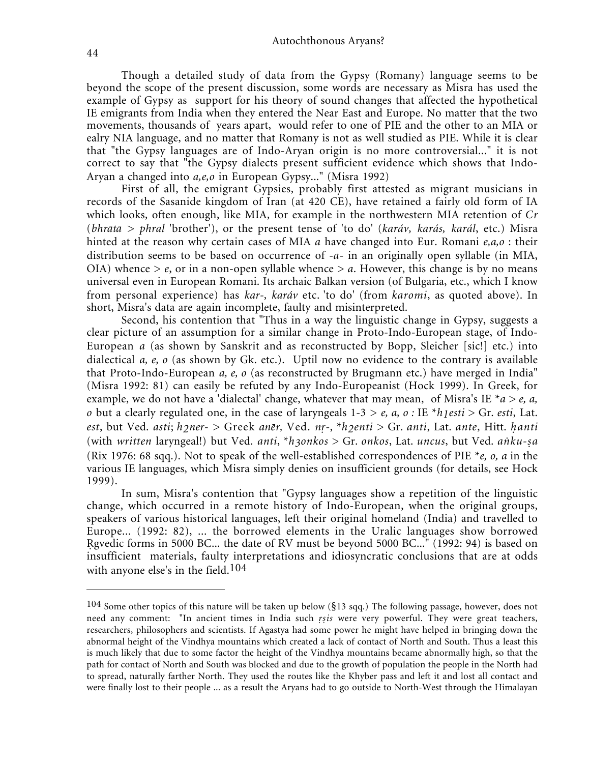#### Autochthonous Aryans?

Though a detailed study of data from the Gypsy (Romany) language seems to be beyond the scope of the present discussion, some words are necessary as Misra has used the example of Gypsy as support for his theory of sound changes that affected the hypothetical IE emigrants from India when they entered the Near East and Europe. No matter that the two movements, thousands of years apart, would refer to one of PIE and the other to an MIA or ealry NIA language, and no matter that Romany is not as well studied as PIE. While it is clear that "the Gypsy languages are of Indo-Aryan origin is no more controversial..." it is not correct to say that "the Gypsy dialects present sufficient evidence which shows that Indo-Aryan a changed into *a,e,o* in European Gypsy..." (Misra 1992)

First of all, the emigrant Gypsies, probably first attested as migrant musicians in records of the Sasanide kingdom of Iran (at 420 CE), have retained a fairly old form of IA which looks, often enough, like MIA, for example in the northwestern MIA retention of *Cr* (*bhråtå > phral* 'brother'), or the present tense of 'to do' (*karáv, karás, karál*, etc.) Misra hinted at the reason why certain cases of MIA *a* have changed into Eur. Romani *e,a,o* : their distribution seems to be based on occurrence of -*a*- in an originally open syllable (in MIA, OIA) whence  $> e$ , or in a non-open syllable whence  $> a$ . However, this change is by no means universal even in European Romani. Its archaic Balkan version (of Bulgaria, etc., which I know from personal experience) has *kar-, karáv* etc. 'to do' (from *karomi*, as quoted above). In short, Misra's data are again incomplete, faulty and misinterpreted.

Second, his contention that "Thus in a way the linguistic change in Gypsy, suggests a clear picture of an assumption for a similar change in Proto-Indo-European stage, of Indo-European *a* (as shown by Sanskrit and as reconstructed by Bopp, Sleicher [sic!] etc.) into dialectical *a, e, o* (as shown by Gk. etc.). Uptil now no evidence to the contrary is available that Proto-Indo-European *a, e, o* (as reconstructed by Brugmann etc.) have merged in India" (Misra 1992: 81) can easily be refuted by any Indo-Europeanist (Hock 1999). In Greek, for example, we do not have a 'dialectal' change, whatever that may mean, of Misra's IE \**a > e, a, o* but a clearly regulated one, in the case of laryngeals 1-3 > *e, a, o :* IE \**h1esti* > Gr. *esti*, Lat. *est*, but Ved. *asti*; *h2ner- >* Greek *anẽr,* Ved. *n-*, \**h2enti* > Gr. *anti*, Lat. *ante*, Hitt.  *anti* (with *written* laryngeal!) but Ved. *anti*, \**h3onkos* > Gr. *onkos*, Lat. *uncus*, but Ved. *aku-a* (Rix 1976: 68 sqq.). Not to speak of the well-established correspondences of PIE \**e, o, a* in the various IE languages, which Misra simply denies on insufficient grounds (for details, see Hock 1999).

In sum, Misra's contention that "Gypsy languages show a repetition of the linguistic change, which occurred in a remote history of Indo-European, when the original groups, speakers of various historical languages, left their original homeland (India) and travelled to Europe... (1992: 82), ... the borrowed elements in the Uralic languages show borrowed Rgvedic forms in 5000 BC... the date of RV must be beyond 5000 BC..." (1992: 94) is based on insufficient materials, faulty interpretations and idiosyncratic conclusions that are at odds with anyone else's in the field.<sup>104</sup>

<sup>104</sup> Some other topics of this nature will be taken up below (§13 sqq.) The following passage, however, does not need any comment: "In ancient times in India such *rsis* were very powerful. They were great teachers, researchers, philosophers and scientists. If Agastya had some power he might have helped in bringing down the abnormal height of the Vindhya mountains which created a lack of contact of North and South. Thus a least this is much likely that due to some factor the height of the Vindhya mountains became abnormally high, so that the path for contact of North and South was blocked and due to the growth of population the people in the North had to spread, naturally farther North. They used the routes like the Khyber pass and left it and lost all contact and were finally lost to their people ... as a result the Aryans had to go outside to North-West through the Himalayan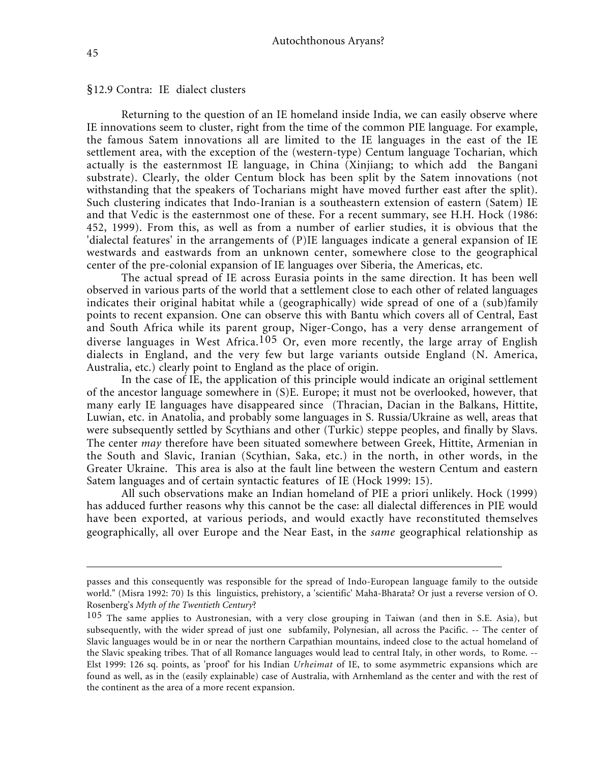## §12.9 Contra: IE dialect clusters

Returning to the question of an IE homeland inside India, we can easily observe where IE innovations seem to cluster, right from the time of the common PIE language. For example, the famous Satem innovations all are limited to the IE languages in the east of the IE settlement area, with the exception of the (western-type) Centum language Tocharian, which actually is the easternmost IE language, in China (Xinjiang; to which add the Bangani substrate). Clearly, the older Centum block has been split by the Satem innovations (not withstanding that the speakers of Tocharians might have moved further east after the split). Such clustering indicates that Indo-Iranian is a southeastern extension of eastern (Satem) IE and that Vedic is the easternmost one of these. For a recent summary, see H.H. Hock (1986: 452, 1999). From this, as well as from a number of earlier studies, it is obvious that the 'dialectal features' in the arrangements of (P)IE languages indicate a general expansion of IE westwards and eastwards from an unknown center, somewhere close to the geographical center of the pre-colonial expansion of IE languages over Siberia, the Americas, etc.

The actual spread of IE across Eurasia points in the same direction. It has been well observed in various parts of the world that a settlement close to each other of related languages indicates their original habitat while a (geographically) wide spread of one of a (sub)family points to recent expansion. One can observe this with Bantu which covers all of Central, East and South Africa while its parent group, Niger-Congo, has a very dense arrangement of diverse languages in West Africa.<sup>105</sup> Or, even more recently, the large array of English dialects in England, and the very few but large variants outside England (N. America, Australia, etc.) clearly point to England as the place of origin.

In the case of IE, the application of this principle would indicate an original settlement of the ancestor language somewhere in (S)E. Europe; it must not be overlooked, however, that many early IE languages have disappeared since (Thracian, Dacian in the Balkans, Hittite, Luwian, etc. in Anatolia, and probably some languages in S. Russia/Ukraine as well, areas that were subsequently settled by Scythians and other (Turkic) steppe peoples, and finally by Slavs. The center *may* therefore have been situated somewhere between Greek, Hittite, Armenian in the South and Slavic, Iranian (Scythian, Saka, etc.) in the north, in other words, in the Greater Ukraine. This area is also at the fault line between the western Centum and eastern Satem languages and of certain syntactic features of IE (Hock 1999: 15).

All such observations make an Indian homeland of PIE a priori unlikely. Hock (1999) has adduced further reasons why this cannot be the case: all dialectal differences in PIE would have been exported, at various periods, and would exactly have reconstituted themselves geographically, all over Europe and the Near East, in the *same* geographical relationship as

passes and this consequently was responsible for the spread of Indo-European language family to the outside world." (Misra 1992: 70) Is this linguistics, prehistory, a 'scientific' Mahå-Bhårata? Or just a reverse version of O. Rosenberg's *Myth of the Twentieth Century*?

<sup>105</sup> The same applies to Austronesian, with a very close grouping in Taiwan (and then in S.E. Asia), but subsequently, with the wider spread of just one subfamily, Polynesian, all across the Pacific. -- The center of Slavic languages would be in or near the northern Carpathian mountains, indeed close to the actual homeland of the Slavic speaking tribes. That of all Romance languages would lead to central Italy, in other words, to Rome. -- Elst 1999: 126 sq. points, as 'proof' for his Indian *Urheimat* of IE, to some asymmetric expansions which are found as well, as in the (easily explainable) case of Australia, with Arnhemland as the center and with the rest of the continent as the area of a more recent expansion.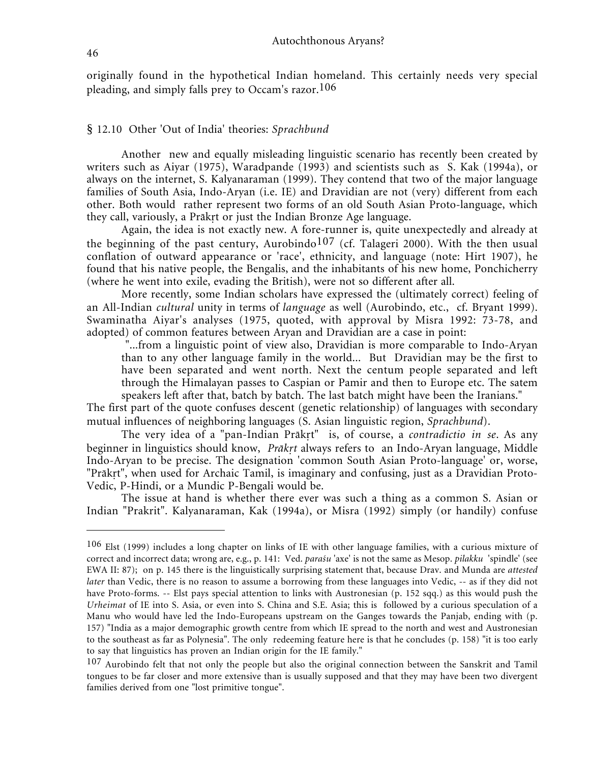originally found in the hypothetical Indian homeland. This certainly needs very special pleading, and simply falls prey to Occam's razor.  $106$ 

# § 12.10 Other 'Out of India' theories: *Sprachbund*

Another new and equally misleading linguistic scenario has recently been created by writers such as Aiyar (1975), Waradpande (1993) and scientists such as S. Kak (1994a), or always on the internet, S. Kalyanaraman (1999). They contend that two of the major language families of South Asia, Indo-Aryan (i.e. IE) and Dravidian are not (very) different from each other. Both would rather represent two forms of an old South Asian Proto-language, which they call, variously, a Pråkt or just the Indian Bronze Age language.

Again, the idea is not exactly new. A fore-runner is, quite unexpectedly and already at the beginning of the past century, Aurobindo<sup>107</sup> (cf. Talageri 2000). With the then usual conflation of outward appearance or 'race', ethnicity, and language (note: Hirt 1907), he found that his native people, the Bengalis, and the inhabitants of his new home, Ponchicherry (where he went into exile, evading the British), were not so different after all.

More recently, some Indian scholars have expressed the (ultimately correct) feeling of an All-Indian *cultural* unity in terms of *language* as well (Aurobindo, etc., cf. Bryant 1999). Swaminatha Aiyar's analyses (1975, quoted, with approval by Misra 1992: 73-78, and adopted) of common features between Aryan and Dravidian are a case in point:

"...from a linguistic point of view also, Dravidian is more comparable to Indo-Aryan than to any other language family in the world... But Dravidian may be the first to have been separated and went north. Next the centum people separated and left through the Himalayan passes to Caspian or Pamir and then to Europe etc. The satem speakers left after that, batch by batch. The last batch might have been the Iranians."

The first part of the quote confuses descent (genetic relationship) of languages with secondary mutual influences of neighboring languages (S. Asian linguistic region, *Sprachbund*).

The very idea of a "pan-Indian Pråkt" is, of course, a *contradictio in se*. As any beginner in linguistics should know, *Pråkt* always refers to an Indo-Aryan language, Middle Indo-Aryan to be precise. The designation 'common South Asian Proto-language' or, worse, "Pråkt", when used for Archaic Tamil, is imaginary and confusing, just as a Dravidian Proto-Vedic, P-Hindi, or a Mundic P-Bengali would be.

The issue at hand is whether there ever was such a thing as a common S. Asian or Indian "Prakrit". Kalyanaraman, Kak (1994a), or Misra (1992) simply (or handily) confuse

<sup>106</sup> Elst (1999) includes a long chapter on links of IE with other language families, with a curious mixture of correct and incorrect data; wrong are, e.g., p. 141: Ved. *paraśu* 'axe' is not the same as Mesop. *pilakku* 'spindle' (see EWA II: 87); on p. 145 there is the linguistically surprising statement that, because Drav. and Munda are *attested later* than Vedic, there is no reason to assume a borrowing from these languages into Vedic, -- as if they did not have Proto-forms. -- Elst pays special attention to links with Austronesian (p. 152 sqq.) as this would push the *Urheimat* of IE into S. Asia, or even into S. China and S.E. Asia; this is followed by a curious speculation of a Manu who would have led the Indo-Europeans upstream on the Ganges towards the Panjab, ending with (p. 157) "India as a major demographic growth centre from which IE spread to the north and west and Austronesian to the southeast as far as Polynesia". The only redeeming feature here is that he concludes (p. 158) "it is too early to say that linguistics has proven an Indian origin for the IE family."

<sup>107</sup> Aurobindo felt that not only the people but also the original connection between the Sanskrit and Tamil tongues to be far closer and more extensive than is usually supposed and that they may have been two divergent families derived from one "lost primitive tongue".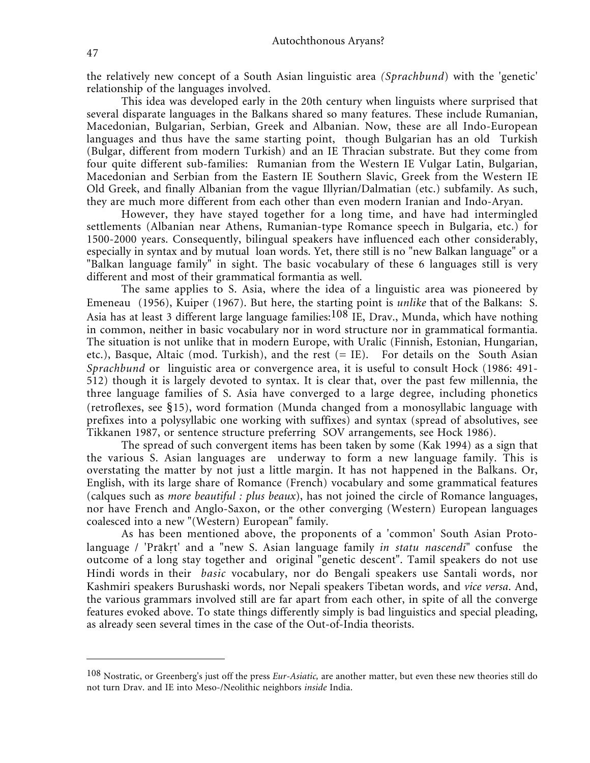the relatively new concept of a South Asian linguistic area *(Sprachbund*) with the 'genetic' relationship of the languages involved.

This idea was developed early in the 20th century when linguists where surprised that several disparate languages in the Balkans shared so many features. These include Rumanian, Macedonian, Bulgarian, Serbian, Greek and Albanian. Now, these are all Indo-European languages and thus have the same starting point, though Bulgarian has an old Turkish (Bulgar, different from modern Turkish) and an IE Thracian substrate. But they come from four quite different sub-families: Rumanian from the Western IE Vulgar Latin, Bulgarian, Macedonian and Serbian from the Eastern IE Southern Slavic, Greek from the Western IE Old Greek, and finally Albanian from the vague Illyrian/Dalmatian (etc.) subfamily. As such, they are much more different from each other than even modern Iranian and Indo-Aryan.

However, they have stayed together for a long time, and have had intermingled settlements (Albanian near Athens, Rumanian-type Romance speech in Bulgaria, etc.) for 1500-2000 years. Consequently, bilingual speakers have influenced each other considerably, especially in syntax and by mutual loan words. Yet, there still is no "new Balkan language" or a "Balkan language family" in sight. The basic vocabulary of these 6 languages still is very different and most of their grammatical formantia as well.

The same applies to S. Asia, where the idea of a linguistic area was pioneered by Emeneau (1956), Kuiper (1967). But here, the starting point is *unlike* that of the Balkans: S. Asia has at least 3 different large language families:  $108$  IE, Drav., Munda, which have nothing in common, neither in basic vocabulary nor in word structure nor in grammatical formantia. The situation is not unlike that in modern Europe, with Uralic (Finnish, Estonian, Hungarian, etc.), Basque, Altaic (mod. Turkish), and the rest (= IE). For details on the South Asian *Sprachbund* or linguistic area or convergence area, it is useful to consult Hock (1986: 491- 512) though it is largely devoted to syntax. It is clear that, over the past few millennia, the three language families of S. Asia have converged to a large degree, including phonetics (retroflexes, see §15), word formation (Munda changed from a monosyllabic language with prefixes into a polysyllabic one working with suffixes) and syntax (spread of absolutives, see Tikkanen 1987, or sentence structure preferring SOV arrangements, see Hock 1986).

The spread of such convergent items has been taken by some (Kak 1994) as a sign that the various S. Asian languages are underway to form a new language family. This is overstating the matter by not just a little margin. It has not happened in the Balkans. Or, English, with its large share of Romance (French) vocabulary and some grammatical features (calques such as *more beautiful : plus beaux*), has not joined the circle of Romance languages, nor have French and Anglo-Saxon, or the other converging (Western) European languages coalesced into a new "(Western) European" family.

As has been mentioned above, the proponents of a 'common' South Asian Protolanguage / 'Pråkt' and a "new S. Asian language family *in statu nascendi*" confuse the outcome of a long stay together and original "genetic descent". Tamil speakers do not use Hindi words in their *basic* vocabulary, nor do Bengali speakers use Santali words, nor Kashmiri speakers Burushaski words, nor Nepali speakers Tibetan words, and *vice versa*. And, the various grammars involved still are far apart from each other, in spite of all the converge features evoked above. To state things differently simply is bad linguistics and special pleading, as already seen several times in the case of the Out-of-India theorists.

<sup>108</sup> Nostratic, or Greenberg's just off the press *Eur-Asiatic,* are another matter, but even these new theories still do not turn Drav. and IE into Meso-/Neolithic neighbors *inside* India.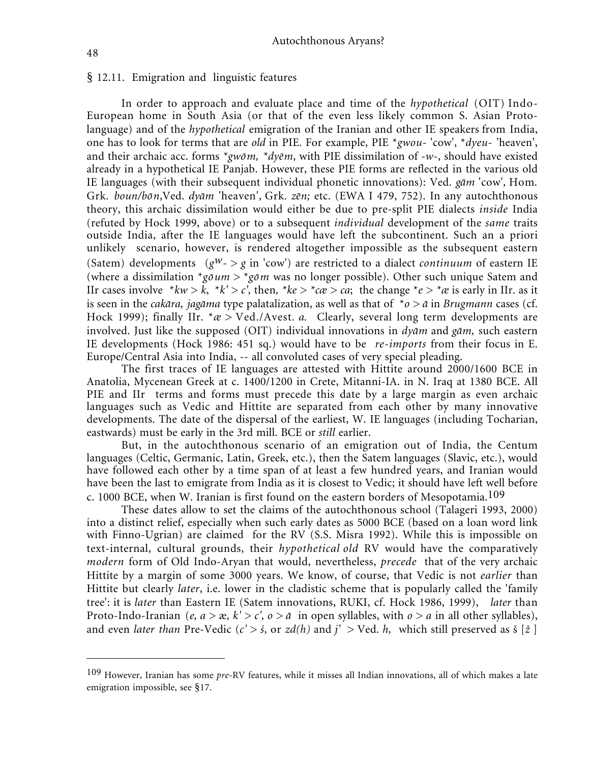### § 12.11. Emigration and linguistic features

In order to approach and evaluate place and time of the *hypothetical* (OIT) Indo-European home in South Asia (or that of the even less likely common S. Asian Protolanguage) and of the *hypothetical* emigration of the Iranian and other IE speakers from India, one has to look for terms that are *old* in PIE. For example, PIE \**gwou-* 'cow', \**dyeu-* 'heaven', and their archaic acc. forms *\*gwōm, \*dyẽm*, with PIE dissimilation of -*w-*, should have existed already in a hypothetical IE Panjab. However, these PIE forms are reflected in the various old IE languages (with their subsequent individual phonetic innovations): Ved. *gåm* 'cow'*,* Hom*.* Grk*. boun/bōn*,Ved. *dyåm* 'heaven'*,* Grk*. zẽn;* etc. (EWA I 479, 752). In any autochthonous theory, this archaic dissimilation would either be due to pre-split PIE dialects *inside* India (refuted by Hock 1999, above) or to a subsequent *individual* development of the *same* traits outside India, after the IE languages would have left the subcontinent. Such an a priori unlikely scenario, however, is rendered altogether impossible as the subsequent eastern (Satem) developments  $(g^W - > g \text{ in } 'cov')$  are restricted to a dialect *continuum* of eastern IE (where a dissimilation \**gōum* > \**gōm* was no longer possible). Other such unique Satem and IIr cases involve  $*kw > k$ ,  $*k' > c'$ , then,  $*ke > *c\neq c\neq$ ; the change  $*e > * \neq a$  is early in IIr. as it is seen in the *cakåra, jagåma* type palatalization, as well as that of \**o > å* in *Brugmann* cases (cf. Hock 1999); finally IIr. \**æ >* Ved./Avest*. a.* Clearly, several long term developments are involved. Just like the supposed (OIT) individual innovations in *dyåm* and *gåm,* such eastern IE developments (Hock 1986: 451 sq.) would have to be *re-imports* from their focus in E. Europe/Central Asia into India, -- all convoluted cases of very special pleading.

The first traces of IE languages are attested with Hittite around 2000/1600 BCE in Anatolia, Mycenean Greek at c. 1400/1200 in Crete, Mitanni-IA. in N. Iraq at 1380 BCE. All PIE and IIr terms and forms must precede this date by a large margin as even archaic languages such as Vedic and Hittite are separated from each other by many innovative developments. The date of the dispersal of the earliest, W. IE languages (including Tocharian, eastwards) must be early in the 3rd mill. BCE or *still* earlier.

But, in the autochthonous scenario of an emigration out of India, the Centum languages (Celtic, Germanic, Latin, Greek, etc.), then the Satem languages (Slavic, etc.), would have followed each other by a time span of at least a few hundred years, and Iranian would have been the last to emigrate from India as it is closest to Vedic; it should have left well before c. 1000 BCE, when W. Iranian is first found on the eastern borders of Mesopotamia.109

These dates allow to set the claims of the autochthonous school (Talageri 1993, 2000) into a distinct relief, especially when such early dates as 5000 BCE (based on a loan word link with Finno-Ugrian) are claimed for the RV (S.S. Misra 1992). While this is impossible on text-internal, cultural grounds, their *hypothetical old* RV would have the comparatively *modern* form of Old Indo-Aryan that would, nevertheless, *precede* that of the very archaic Hittite by a margin of some 3000 years. We know, of course, that Vedic is not *earlier* than Hittite but clearly *later*, i.e. lower in the cladistic scheme that is popularly called the 'family tree': it is *later* than Eastern IE (Satem innovations, RUKI, cf. Hock 1986, 1999), *later* than Proto-Indo-Iranian (*e, a* >  $x$ ,  $k'$  >  $c'$ ,  $o$  >  $\bar{a}$  in open syllables, with  $o > a$  in all other syllables), and even *later than* Pre-Vedic ( $c' > s$ , or  $zd(h)$  and  $j' > V$ ed. *h*, which still preserved as  $\check{s}$  [ $\check{z}$ ]

<sup>109</sup> However, Iranian has some *pre*-RV features, while it misses all Indian innovations, all of which makes a late emigration impossible, see §17.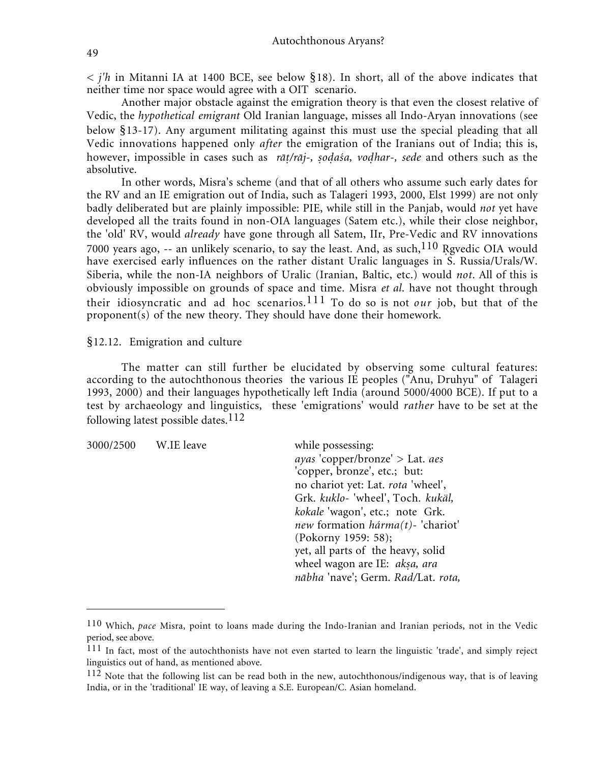$\langle i^{\prime}h$  in Mitanni IA at 1400 BCE, see below §18). In short, all of the above indicates that neither time nor space would agree with a OIT scenario.

Another major obstacle against the emigration theory is that even the closest relative of Vedic, the *hypothetical emigrant* Old Iranian language, misses all Indo-Aryan innovations (see below §13-17). Any argument militating against this must use the special pleading that all Vedic innovations happened only *after* the emigration of the Iranians out of India; this is, however, impossible in cases such as *rāt/rāj-, sodaśa, vodhar-, sede* and others such as the absolutive.

In other words, Misra's scheme (and that of all others who assume such early dates for the RV and an IE emigration out of India, such as Talageri 1993, 2000, Elst 1999) are not only badly deliberated but are plainly impossible: PIE, while still in the Panjab, would *not* yet have developed all the traits found in non-OIA languages (Satem etc.), while their close neighbor, the 'old' RV, would *already* have gone through all Satem, IIr, Pre-Vedic and RV innovations 7000 years ago,  $-$  an unlikely scenario, to say the least. And, as such,  $110$  Rgvedic OIA would have exercised early influences on the rather distant Uralic languages in S. Russia/Urals/W. Siberia, while the non-IA neighbors of Uralic (Iranian, Baltic, etc.) would *not*. All of this is obviously impossible on grounds of space and time. Misra *et al*. have not thought through their idiosyncratic and ad hoc scenarios.<sup>111</sup> To do so is not *our* job, but that of the proponent(s) of the new theory. They should have done their homework.

§12.12. Emigration and culture

The matter can still further be elucidated by observing some cultural features: according to the autochthonous theories the various IE peoples ("Anu, Druhyu" of Talageri 1993, 2000) and their languages hypothetically left India (around 5000/4000 BCE). If put to a test by archaeology and linguistics, these 'emigrations' would *rather* have to be set at the following latest possible dates.<sup>112</sup>

| 3000/2500 | W.IE leave | while possessing:                               |
|-----------|------------|-------------------------------------------------|
|           |            | <i>ayas</i> 'copper/bronze' $>$ Lat. <i>aes</i> |
|           |            | 'copper, bronze', etc.; but:                    |
|           |            | no chariot yet: Lat. rota 'wheel',              |
|           |            | Grk. kuklo- 'wheel', Toch. kukäl,               |
|           |            | kokale 'wagon', etc.; note Grk.                 |
|           |            | new formation $hárma(t)$ - 'chariot'            |
|           |            | (Pokorny 1959: 58);                             |
|           |            | yet, all parts of the heavy, solid              |
|           |            | wheel wagon are IE: aksa, ara                   |
|           |            | nābha 'nave'; Germ. Rad/Lat. rota,              |
|           |            |                                                 |

<sup>110</sup> Which, *pace* Misra, point to loans made during the Indo-Iranian and Iranian periods, not in the Vedic period, see above.

<sup>111</sup> In fact, most of the autochthonists have not even started to learn the linguistic 'trade', and simply reject linguistics out of hand, as mentioned above.

<sup>112</sup> Note that the following list can be read both in the new, autochthonous/indigenous way, that is of leaving India, or in the 'traditional' IE way, of leaving a S.E. European/C. Asian homeland.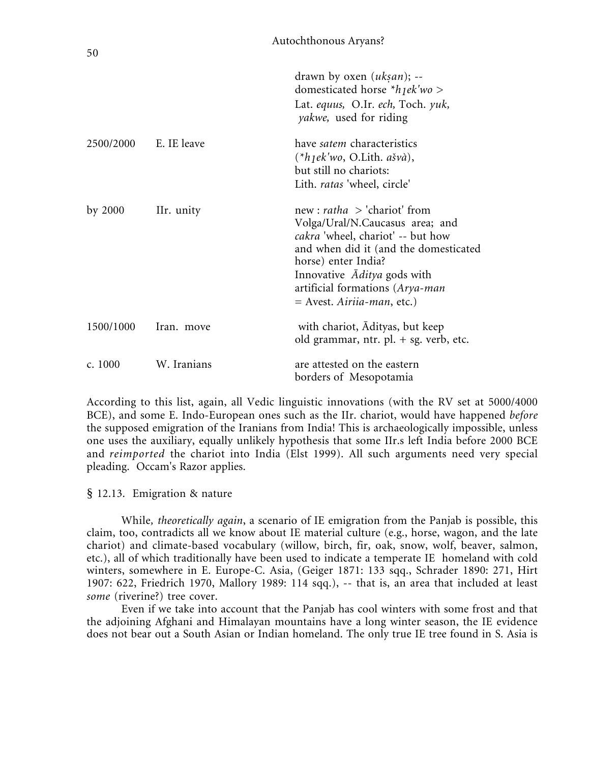| 50        | Autochthonous Aryans? |                                                                                                                                                                                                                                                                                                   |
|-----------|-----------------------|---------------------------------------------------------------------------------------------------------------------------------------------------------------------------------------------------------------------------------------------------------------------------------------------------|
|           |                       | drawn by oxen $(uk\sin);$ --<br>domesticated horse $*h_1ek'wo >$<br>Lat. equus, O.Ir. ech, Toch. yuk,<br><i>yakwe</i> , used for riding                                                                                                                                                           |
| 2500/2000 | E. IE leave           | have satem characteristics<br>$(*h\n 1ek'wo, O.Lith. ašvà),$<br>but still no chariots:<br>Lith. ratas 'wheel, circle'                                                                                                                                                                             |
| by $2000$ | IIr. unity            | $new : \mathit{ratha} > 'chariot'$ from<br>Volga/Ural/N.Caucasus area; and<br>cakra 'wheel, chariot' -- but how<br>and when did it (and the domesticated<br>horse) enter India?<br>Innovative $\bar{A}$ <i>ditya</i> gods with<br>artificial formations (Arya-man<br>$=$ Avest. Airiia-man, etc.) |
| 1500/1000 | Iran. move            | with chariot, Adityas, but keep<br>old grammar, ntr. pl. + sg. verb, etc.                                                                                                                                                                                                                         |
| c. $1000$ | W. Iranians           | are attested on the eastern<br>borders of Mesopotamia                                                                                                                                                                                                                                             |

According to this list, again, all Vedic linguistic innovations (with the RV set at 5000/4000 BCE), and some E. Indo-European ones such as the IIr. chariot, would have happened *before* the supposed emigration of the Iranians from India! This is archaeologically impossible, unless one uses the auxiliary, equally unlikely hypothesis that some IIr.s left India before 2000 BCE and *reimported* the chariot into India (Elst 1999). All such arguments need very special pleading. Occam's Razor applies.

§ 12.13. Emigration & nature

While*, theoretically again*, a scenario of IE emigration from the Panjab is possible, this claim, too, contradicts all we know about IE material culture (e.g., horse, wagon, and the late chariot) and climate-based vocabulary (willow, birch, fir, oak, snow, wolf, beaver, salmon, etc.), all of which traditionally have been used to indicate a temperate IE homeland with cold winters, somewhere in E. Europe-C. Asia, (Geiger 1871: 133 sqq., Schrader 1890: 271, Hirt 1907: 622, Friedrich 1970, Mallory 1989: 114 sqq.), -- that is, an area that included at least *some* (riverine?) tree cover.

Even if we take into account that the Panjab has cool winters with some frost and that the adjoining Afghani and Himalayan mountains have a long winter season, the IE evidence does not bear out a South Asian or Indian homeland. The only true IE tree found in S. Asia is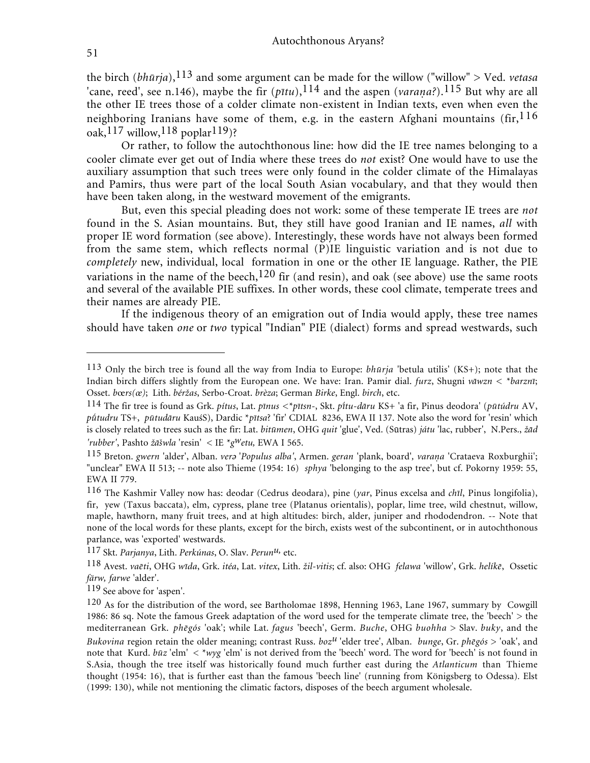the birch (*bhūrja*),113 and some argument can be made for the willow ("willow" > Ved. *vetasa* 'cane, reed', see n.146), maybe the fir  $(p\bar{t}tu)$ , <sup>114</sup> and the aspen (*varana?*).<sup>115</sup> But why are all the other IE trees those of a colder climate non-existent in Indian texts, even when even the neighboring Iranians have some of them, e.g. in the eastern Afghani mountains (fir,  $116$ ) oak,  $117$  willow,  $118$  poplar $119$ ?

Or rather, to follow the autochthonous line: how did the IE tree names belonging to a cooler climate ever get out of India where these trees do *not* exist? One would have to use the auxiliary assumption that such trees were only found in the colder climate of the Himalayas and Pamirs, thus were part of the local South Asian vocabulary, and that they would then have been taken along, in the westward movement of the emigrants.

But, even this special pleading does not work: some of these temperate IE trees are *not* found in the S. Asian mountains. But, they still have good Iranian and IE names, *all* with proper IE word formation (see above). Interestingly, these words have not always been formed from the same stem, which reflects normal (P)IE linguistic variation and is not due to *completely* new, individual, local formation in one or the other IE language. Rather, the PIE variations in the name of the beech,<sup>120</sup> fir (and resin), and oak (see above) use the same roots and several of the available PIE suffixes. In other words, these cool climate, temperate trees and their names are already PIE.

If the indigenous theory of an emigration out of India would apply, these tree names should have taken *one* or *two* typical "Indian" PIE (dialect) forms and spread westwards, such

51

<sup>113</sup> Only the birch tree is found all the way from India to Europe: *bhūrja* 'betula utilis' (KS+); note that the Indian birch differs slightly from the European one. We have: Iran. Pamir dial. *furz*, Shugni *våwzn < \*barznī*; Osset. *b*œ*rs(œ)*; Lith. *béržas*, Serbo-Croat. *brèza*; German *Birke*, Engl. *birch*, etc.

<sup>114</sup> The fir tree is found as Grk. *pítus*, Lat. *pīnus <\*pītsn-*, Skt. *ptu-dåru* KS+ 'a fir, Pinus deodora' (*pūtúdru* AV, *p"tudru* TS+, *pūtudåru* KauśS), Dardic \**pītsa*? 'fir' CDIAL 8236, EWA II 137. Note also the word for 'resin' which is closely related to trees such as the fir: Lat. *bitūmen*, OHG *quit* 'glue', Ved. (Sūtras) *játu* 'lac, rubber', N.Pers., *žåd 'rubber'*, Pashto *žåšwla* 'resin' < IE *\*gwetu,* EWA I 565.

<sup>115</sup> Breton. *gwern* 'alder', Alban. *verə* '*Populus alba'*, Armen. *geran* 'plank, board'*, varaa* 'Crataeva Roxburghii'; "unclear" EWA II 513; -- note also Thieme (1954: 16) *sphya* 'belonging to the asp tree', but cf. Pokorny 1959: 55, EWA II 779.

<sup>116</sup> The Kashmir Valley now has: deodar (Cedrus deodara), pine (*yar*, Pinus excelsa and *chīl*, Pinus longifolia), fir, yew (Taxus baccata), elm, cypress, plane tree (Platanus orientalis), poplar, lime tree, wild chestnut, willow, maple, hawthorn, many fruit trees, and at high altitudes: birch, alder, juniper and rhododendron. -- Note that none of the local words for these plants, except for the birch, exists west of the subcontinent, or in autochthonous parlance, was 'exported' westwards.

<sup>117</sup> Skt. *Parjanya*, Lith. *Perkúnas*, O. Slav. *Perunu,* etc.

<sup>118</sup> Avest. *vaẽti*, OHG *wīda*, Grk. *itéa*, Lat. *vitex*, Lith. *žil-vitis*; cf. also: OHG *felawa* 'willow', Grk. *helíkẽ*, Ossetic *färw, farwe* 'alder'.

<sup>119</sup> See above for 'aspen'.

<sup>120</sup> As for the distribution of the word, see Bartholomae 1898, Henning 1963, Lane 1967, summary by Cowgill 1986: 86 sq. Note the famous Greek adaptation of the word used for the temperate climate tree, the 'beech' > the mediterranean Grk. *phẽgós* 'oak'; while Lat. *fagus* 'beech', Germ. *Buche*, OHG *buohha* > Slav. *buky*, and the *Bukovina* region retain the older meaning; contrast Russ. *bozu* 'elder tree', Alban. *bunge*, Gr. *phẽgós* > 'oak', and note that Kurd. *būz* 'elm' < *\*wyg* 'elm' is not derived from the 'beech' word. The word for 'beech' is not found in S.Asia, though the tree itself was historically found much further east during the *Atlanticum* than Thieme thought (1954: 16), that is further east than the famous 'beech line' (running from Königsberg to Odessa)*.* Elst (1999: 130), while not mentioning the climatic factors, disposes of the beech argument wholesale.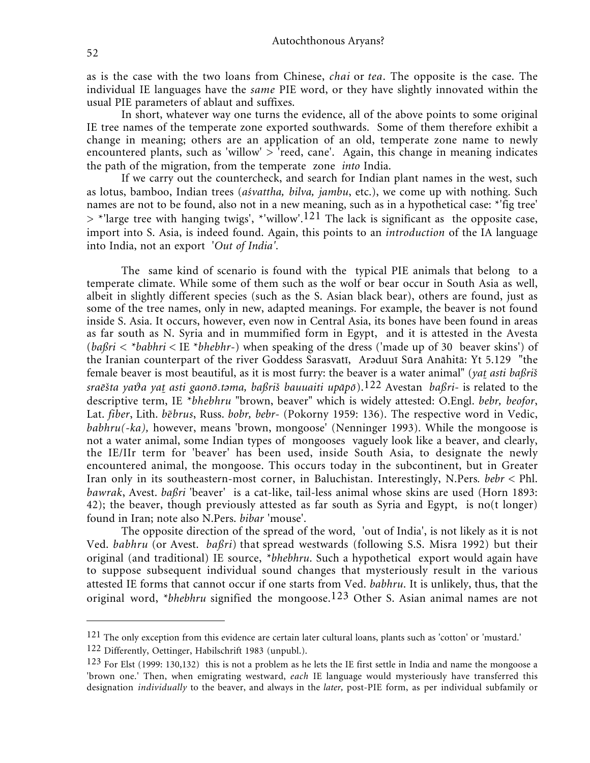as is the case with the two loans from Chinese, *chai* or *tea*. The opposite is the case. The individual IE languages have the *same* PIE word, or they have slightly innovated within the usual PIE parameters of ablaut and suffixes.

In short, whatever way one turns the evidence, all of the above points to some original IE tree names of the temperate zone exported southwards. Some of them therefore exhibit a change in meaning; others are an application of an old, temperate zone name to newly encountered plants, such as 'willow' > 'reed, cane'. Again, this change in meaning indicates the path of the migration, from the temperate zone *into* India.

If we carry out the countercheck, and search for Indian plant names in the west, such as lotus, bamboo, Indian trees (*aśvattha, bilva, jambu*, etc.), we come up with nothing. Such names are not to be found, also not in a new meaning, such as in a hypothetical case: \*'fig tree'  $>$  \*'large tree with hanging twigs', \*'willow'.<sup>121</sup> The lack is significant as the opposite case, import into S. Asia, is indeed found. Again, this points to an *introduction* of the IA language into India, not an export '*Out of India'*.

The same kind of scenario is found with the typical PIE animals that belong to a temperate climate. While some of them such as the wolf or bear occur in South Asia as well, albeit in slightly different species (such as the S. Asian black bear), others are found, just as some of the tree names, only in new, adapted meanings. For example, the beaver is not found inside S. Asia. It occurs, however, even now in Central Asia, its bones have been found in areas as far south as N. Syria and in mummified form in Egypt, and it is attested in the Avesta (*baßri < \*babhri* < IE *\*bhebhr*-) when speaking of the dress ('made up of 30 beaver skins') of the Iranian counterpart of the river Goddess Sarasvatī, Arəduuī Sūrå Anåhitå: Yt 5.129 "the female beaver is most beautiful, as it is most furry: the beaver is a water animal<sup>"</sup> (*yat asti baßriš sraẽšta yaθa ya# asti gaonō.təma, baßriš bauuaiti upåpō*).122 Avestan *baßri*- is related to the descriptive term, IE *\*bhebhru* "brown, beaver" which is widely attested: O.Engl. *bebr, beofor*, Lat. *fiber*, Lith. *bēbrus*, Russ. *bobr, bebr-* (Pokorny 1959: 136). The respective word in Vedic, *babhru(-ka),* however, means 'brown, mongoose' (Nenninger 1993). While the mongoose is not a water animal, some Indian types of mongooses vaguely look like a beaver, and clearly, the IE/IIr term for 'beaver' has been used, inside South Asia, to designate the newly encountered animal, the mongoose. This occurs today in the subcontinent, but in Greater Iran only in its southeastern-most corner, in Baluchistan. Interestingly, N.Pers*. bebr* < Phl. *bawrak*, Avest. *baßri* 'beaver' is a cat-like, tail-less animal whose skins are used (Horn 1893: 42); the beaver, though previously attested as far south as Syria and Egypt, is no(t longer) found in Iran; note also N.Pers. *bibar* 'mouse'.

The opposite direction of the spread of the word, 'out of India', is not likely as it is not Ved. *babhru* (or Avest. *baßri*) that spread westwards (following S.S. Misra 1992) but their original (and traditional) IE source, *\*bhebhru*. Such a hypothetical export would again have to suppose subsequent individual sound changes that mysteriously result in the various attested IE forms that cannot occur if one starts from Ved. *babhru*. It is unlikely, thus, that the original word, *\*bhebhru* signified the mongoose.123 Other S. Asian animal names are not

<sup>121</sup> The only exception from this evidence are certain later cultural loans, plants such as 'cotton' or 'mustard.' 122 Differently, Oettinger, Habilschrift 1983 (unpubl.).

<sup>123</sup> For Elst (1999: 130,132) this is not a problem as he lets the IE first settle in India and name the mongoose a 'brown one.' Then, when emigrating westward, *each* IE language would mysteriously have transferred this designation *individually* to the beaver, and always in the *later,* post-PIE form, as per individual subfamily or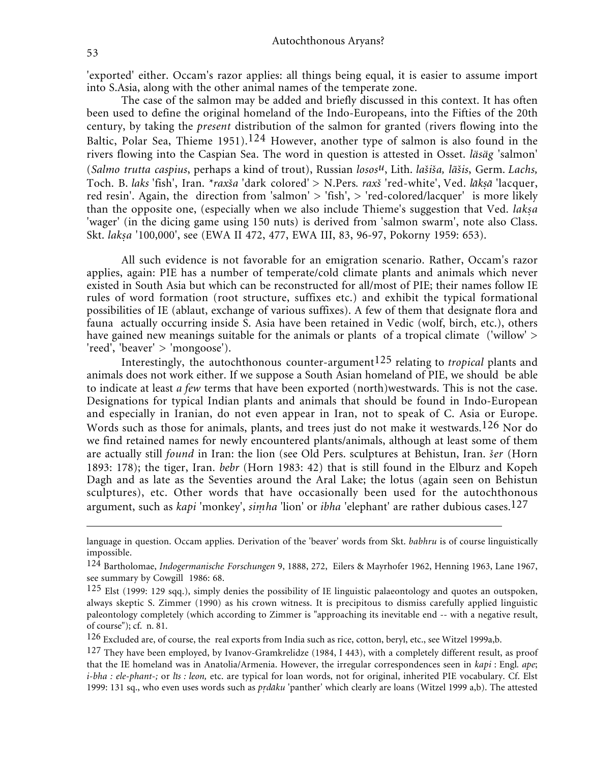'exported' either. Occam's razor applies: all things being equal, it is easier to assume import into S.Asia, along with the other animal names of the temperate zone.

The case of the salmon may be added and briefly discussed in this context. It has often been used to define the original homeland of the Indo-Europeans, into the Fifties of the 20th century, by taking the *present* distribution of the salmon for granted (rivers flowing into the Baltic, Polar Sea, Thieme 1951).124 However, another type of salmon is also found in the rivers flowing into the Caspian Sea. The word in question is attested in Osset. *läsäg* 'salmon' (*Salmo trutta caspius*, perhaps a kind of trout), Russian *lososu*, Lith. *lašiša, lãšis*, Germ. *Lachs,* Toch. B. *laks* 'fish', Iran. *\*raxša* 'dark colored' > N.Pers*. raxš* 'red-white', Ved. *låkå* 'lacquer, red resin'. Again, the direction from 'salmon' > 'fish', > 'red-colored/lacquer' is more likely than the opposite one, (especially when we also include Thieme's suggestion that Ved. *laka* 'wager' (in the dicing game using 150 nuts) is derived from 'salmon swarm', note also Class. Skt. *laka* '100,000', see (EWA II 472, 477, EWA III, 83, 96-97, Pokorny 1959: 653).

All such evidence is not favorable for an emigration scenario. Rather, Occam's razor applies, again: PIE has a number of temperate/cold climate plants and animals which never existed in South Asia but which can be reconstructed for all/most of PIE; their names follow IE rules of word formation (root structure, suffixes etc.) and exhibit the typical formational possibilities of IE (ablaut, exchange of various suffixes). A few of them that designate flora and fauna actually occurring inside S. Asia have been retained in Vedic (wolf, birch, etc.), others have gained new meanings suitable for the animals or plants of a tropical climate ('willow' > 'reed', 'beaver' > 'mongoose').

Interestingly, the autochthonous counter-argument125 relating to *tropical* plants and animals does not work either. If we suppose a South Asian homeland of PIE, we should be able to indicate at least *a few* terms that have been exported (north)westwards. This is not the case. Designations for typical Indian plants and animals that should be found in Indo-European and especially in Iranian, do not even appear in Iran, not to speak of C. Asia or Europe. Words such as those for animals, plants, and trees just do not make it westwards.126 Nor do we find retained names for newly encountered plants/animals, although at least some of them are actually still *found* in Iran: the lion (see Old Pers. sculptures at Behistun, Iran. *šer* (Horn 1893: 178); the tiger, Iran. *bebr* (Horn 1983: 42) that is still found in the Elburz and Kopeh Dagh and as late as the Seventies around the Aral Lake; the lotus (again seen on Behistun sculptures), etc. Other words that have occasionally been used for the autochthonous argument, such as *kapi* 'monkey', *simha* 'lion' or *ibha* 'elephant' are rather dubious cases.<sup>127</sup>

language in question. Occam applies. Derivation of the 'beaver' words from Skt. *babhru* is of course linguistically impossible.

<sup>124</sup> Bartholomae, *Indogermanische Forschungen* 9, 1888, 272, Eilers & Mayrhofer 1962, Henning 1963, Lane 1967, see summary by Cowgill 1986: 68.

<sup>&</sup>lt;sup>125</sup> Elst (1999: 129 sqq.), simply denies the possibility of IE linguistic palaeontology and quotes an outspoken, always skeptic S. Zimmer (1990) as his crown witness. It is precipitous to dismiss carefully applied linguistic paleontology completely (which according to Zimmer is "approaching its inevitable end -- with a negative result, of course"); cf. n. 81.

<sup>126</sup> Excluded are, of course, the real exports from India such as rice, cotton, beryl, etc., see Witzel 1999a,b.

 $127$  They have been employed, by Ivanov-Gramkrelidze (1984, I 443), with a completely different result, as proof that the IE homeland was in Anatolia/Armenia. However, the irregular correspondences seen in *kapi* : Engl*. ape*; *i-bha : ele-phant-;* or *līs : leon,* etc. are typical for loan words, not for original, inherited PIE vocabulary. Cf. Elst 1999: 131 sq., who even uses words such as *pdåku* 'panther' which clearly are loans (Witzel 1999 a,b). The attested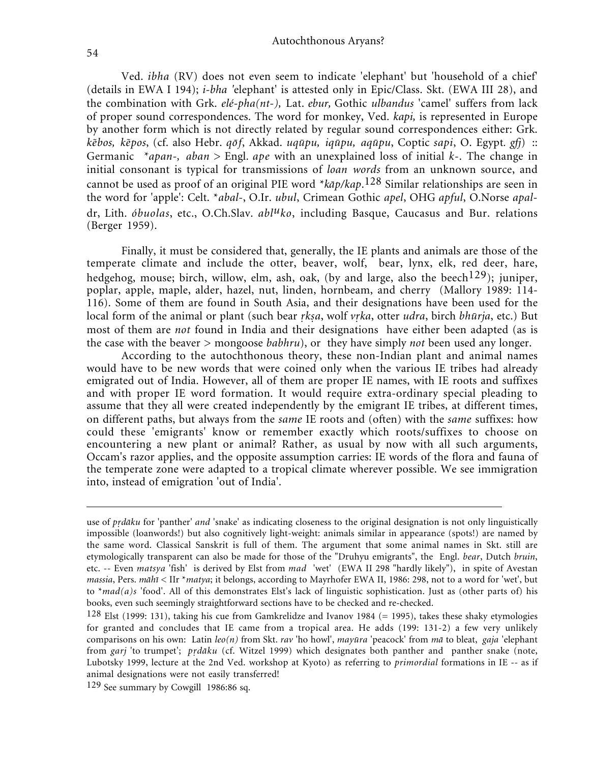#### Autochthonous Aryans?

Ved. *ibha* (RV) does not even seem to indicate 'elephant' but 'household of a chief' (details in EWA I 194); *i-bha '*elephant' is attested only in Epic/Class. Skt. (EWA III 28), and the combination with Grk. *elé-pha(nt-),* Lat. *ebur,* Gothic *ulbandus* 'camel' suffers from lack of proper sound correspondences. The word for monkey, Ved. *kapi,* is represented in Europe by another form which is not directly related by regular sound correspondences either: Grk. *kēbos, kēpos*, (cf. also Hebr. *qōf*, Akkad. *uqūpu, iqūpu, aqūpu*, Coptic *sapi*, O. Egypt*. gfj*) :: Germanic *\*apan-, aban* > Engl. *ape* with an unexplained loss of initial *k*-. The change in initial consonant is typical for transmissions of *loan words* from an unknown source, and cannot be used as proof of an original PIE word *\*kåp/kap*. 128 Similar relationships are seen in the word for 'apple': Celt. \**abal*-, O.Ir. *ubul*, Crimean Gothic *apel*, OHG *apful*, O.Norse *apal*dr, Lith. *óbuolas*, etc., O.Ch.Slav. *abluko*, including Basque, Caucasus and Bur. relations (Berger 1959).

Finally, it must be considered that, generally, the IE plants and animals are those of the temperate climate and include the otter, beaver, wolf, bear, lynx, elk, red deer, hare, hedgehog, mouse; birch, willow, elm, ash, oak, (by and large, also the beech<sup>129</sup>); juniper, poplar, apple, maple, alder, hazel, nut, linden, hornbeam, and cherry (Mallory 1989: 114- 116). Some of them are found in South Asia, and their designations have been used for the local form of the animal or plant (such bear *rkṣa*, wolf *vrka*, otter *udra*, birch *bhūrja*, etc.) But most of them are *not* found in India and their designations have either been adapted (as is the case with the beaver > mongoose *babhru*), or they have simply *not* been used any longer.

According to the autochthonous theory, these non-Indian plant and animal names would have to be new words that were coined only when the various IE tribes had already emigrated out of India. However, all of them are proper IE names, with IE roots and suffixes and with proper IE word formation. It would require extra-ordinary special pleading to assume that they all were created independently by the emigrant IE tribes, at different times, on different paths, but always from the *same* IE roots and (often) with the *same* suffixes: how could these 'emigrants' know or remember exactly which roots/suffixes to choose on encountering a new plant or animal? Rather, as usual by now with all such arguments, Occam's razor applies, and the opposite assumption carries: IE words of the flora and fauna of the temperate zone were adapted to a tropical climate wherever possible. We see immigration into, instead of emigration 'out of India'.

129 See summary by Cowgill 1986:86 sq.

use of *pdåku* for 'panther' *and* 'snake' as indicating closeness to the original designation is not only linguistically impossible (loanwords!) but also cognitively light-weight: animals similar in appearance (spots!) are named by the same word. Classical Sanskrit is full of them. The argument that some animal names in Skt. still are etymologically transparent can also be made for those of the "Druhyu emigrants", the Engl. *bear*, Dutch *bruin*, etc. -- Even *matsya* 'fish' is derived by Elst from *mad* 'wet' (EWA II 298 "hardly likely"), in spite of Avestan *massia*, Pers. *måhī* < IIr \**matya*; it belongs, according to Mayrhofer EWA II, 1986: 298, not to a word for 'wet', but to \**mad(a)s* 'food'. All of this demonstrates Elst's lack of linguistic sophistication. Just as (other parts of) his books, even such seemingly straightforward sections have to be checked and re-checked.

<sup>128</sup> Elst (1999: 131), taking his cue from Gamkrelidze and Ivanov 1984 (= 1995), takes these shaky etymologies for granted and concludes that IE came from a tropical area. He adds (199: 131-2) a few very unlikely comparisons on his own: Latin *leo(n)* from Skt. *rav* 'ho howl', *mayūra* 'peacock' from *må* to bleat, *gaja* 'elephant from *garj* 'to trumpet'; *pdåku* (cf. Witzel 1999) which designates both panther and panther snake (note, Lubotsky 1999, lecture at the 2nd Ved. workshop at Kyoto) as referring to *primordial* formations in IE -- as if animal designations were not easily transferred!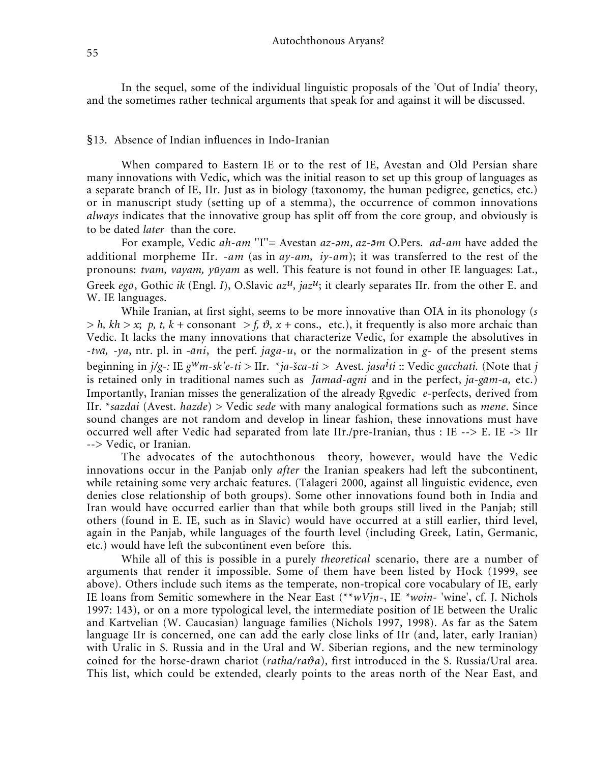In the sequel, some of the individual linguistic proposals of the 'Out of India' theory, and the sometimes rather technical arguments that speak for and against it will be discussed.

## §13. Absence of Indian influences in Indo-Iranian

When compared to Eastern IE or to the rest of IE, Avestan and Old Persian share many innovations with Vedic, which was the initial reason to set up this group of languages as a separate branch of IE, IIr. Just as in biology (taxonomy, the human pedigree, genetics, etc.) or in manuscript study (setting up of a stemma), the occurrence of common innovations *always* indicates that the innovative group has split off from the core group, and obviously is to be dated *later* than the core.

For example, Vedic *ah-am* "I"= Avestan *az-əm*, *az-5m* O.Pers. *ad-am* have added the additional morpheme IIr. -*am* (as in *ay-am, iy-am*); it was transferred to the rest of the pronouns: *tvam, vayam, yūyam* as well. This feature is not found in other IE languages: Lat., Greek *egō*, Gothic *ik* (Engl. *I*), O.Slavic *az<sup>u</sup>*, *jaz<sup>u</sup>*; it clearly separates IIr. from the other E. and W. IE languages.

While Iranian, at first sight, seems to be more innovative than OIA in its phonology (*s*  $> h$ , kh  $> x$ ; p, t, k + consonant  $> f$ ,  $\vartheta$ ,  $x$  + cons., etc.), it frequently is also more archaic than Vedic. It lacks the many innovations that characterize Vedic, for example the absolutives in -*två, -ya*, ntr. pl. in -*åni*, the perf. *jaga-u*, or the normalization in *g-* of the present stems beginning in *j/g-:* IE *gwm-sk'e-ti* > IIr. \**ja-šca-ti* > Avest. *jasaiti* :: Vedic *gacchati.* (Note that *j* is retained only in traditional names such as *Jamad-agni* and in the perfect, *ja-gåm-a,* etc.) Importantly, Iranian misses the generalization of the already Rgyedic *e*-perfects, derived from IIr. \**sazdai* (Avest. *hazde*) > Vedic *sede* with many analogical formations such as *mene*. Since sound changes are not random and develop in linear fashion, these innovations must have occurred well after Vedic had separated from late IIr./pre-Iranian, thus : IE --> E. IE -> IIr --> Vedic, or Iranian.

The advocates of the autochthonous theory, however, would have the Vedic innovations occur in the Panjab only *after* the Iranian speakers had left the subcontinent, while retaining some very archaic features. (Talageri 2000, against all linguistic evidence, even denies close relationship of both groups). Some other innovations found both in India and Iran would have occurred earlier than that while both groups still lived in the Panjab; still others (found in E. IE, such as in Slavic) would have occurred at a still earlier, third level, again in the Panjab, while languages of the fourth level (including Greek, Latin, Germanic, etc.) would have left the subcontinent even before this.

While all of this is possible in a purely *theoretical* scenario, there are a number of arguments that render it impossible. Some of them have been listed by Hock (1999, see above). Others include such items as the temperate, non-tropical core vocabulary of IE, early IE loans from Semitic somewhere in the Near East (\*\**wVjn-*, IE *\*woin-* 'wine', cf. J. Nichols 1997: 143), or on a more typological level, the intermediate position of IE between the Uralic and Kartvelian (W. Caucasian) language families (Nichols 1997, 1998). As far as the Satem language IIr is concerned, one can add the early close links of IIr (and, later, early Iranian) with Uralic in S. Russia and in the Ural and W. Siberian regions, and the new terminology coined for the horse-drawn chariot (*ratha/raθa*), first introduced in the S. Russia/Ural area. This list, which could be extended, clearly points to the areas north of the Near East, and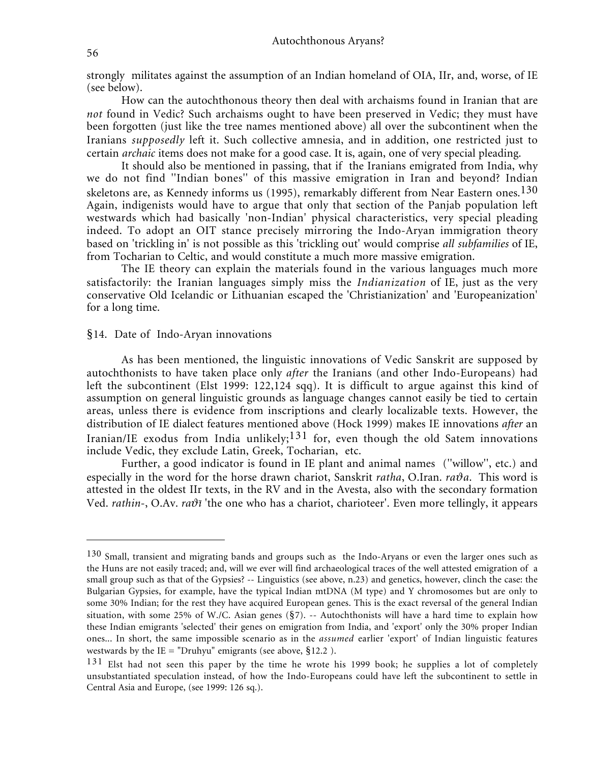strongly militates against the assumption of an Indian homeland of OIA, IIr, and, worse, of IE (see below).

How can the autochthonous theory then deal with archaisms found in Iranian that are *not* found in Vedic? Such archaisms ought to have been preserved in Vedic; they must have been forgotten (just like the tree names mentioned above) all over the subcontinent when the Iranians *supposedly* left it. Such collective amnesia, and in addition, one restricted just to certain *archaic* items does not make for a good case. It is, again, one of very special pleading.

It should also be mentioned in passing, that if the Iranians emigrated from India, why we do not find ''Indian bones'' of this massive emigration in Iran and beyond? Indian skeletons are, as Kennedy informs us (1995), remarkably different from Near Eastern ones.<sup>130</sup> Again, indigenists would have to argue that only that section of the Panjab population left westwards which had basically 'non-Indian' physical characteristics, very special pleading indeed. To adopt an OIT stance precisely mirroring the Indo-Aryan immigration theory based on 'trickling in' is not possible as this 'trickling out' would comprise *all subfamilies* of IE, from Tocharian to Celtic, and would constitute a much more massive emigration.

The IE theory can explain the materials found in the various languages much more satisfactorily: the Iranian languages simply miss the *Indianization* of IE, just as the very conservative Old Icelandic or Lithuanian escaped the 'Christianization' and 'Europeanization' for a long time.

# §14. Date of Indo-Aryan innovations

As has been mentioned, the linguistic innovations of Vedic Sanskrit are supposed by autochthonists to have taken place only *after* the Iranians (and other Indo-Europeans) had left the subcontinent (Elst 1999: 122,124 sqq). It is difficult to argue against this kind of assumption on general linguistic grounds as language changes cannot easily be tied to certain areas, unless there is evidence from inscriptions and clearly localizable texts. However, the distribution of IE dialect features mentioned above (Hock 1999) makes IE innovations *after* an Iranian/IE exodus from India unlikely;<sup>131</sup> for, even though the old Satem innovations include Vedic, they exclude Latin, Greek, Tocharian, etc.

Further, a good indicator is found in IE plant and animal names (''willow'', etc.) and especially in the word for the horse drawn chariot, Sanskrit *ratha*, O.Iran. *raθa*. This word is attested in the oldest IIr texts, in the RV and in the Avesta, also with the secondary formation Ved. *rathin*-, O.Av. *raθī* 'the one who has a chariot, charioteer'. Even more tellingly, it appears

<sup>130</sup> Small, transient and migrating bands and groups such as the Indo-Aryans or even the larger ones such as the Huns are not easily traced; and, will we ever will find archaeological traces of the well attested emigration of a small group such as that of the Gypsies? -- Linguistics (see above, n.23) and genetics, however, clinch the case: the Bulgarian Gypsies, for example, have the typical Indian mtDNA (M type) and Y chromosomes but are only to some 30% Indian; for the rest they have acquired European genes. This is the exact reversal of the general Indian situation, with some 25% of W./C. Asian genes (§7). -- Autochthonists will have a hard time to explain how these Indian emigrants 'selected' their genes on emigration from India, and 'export' only the 30% proper Indian ones... In short, the same impossible scenario as in the *assumed* earlier 'export' of Indian linguistic features westwards by the IE = "Druhyu" emigrants (see above,  $§12.2$ ).

<sup>131</sup> Elst had not seen this paper by the time he wrote his 1999 book; he supplies a lot of completely unsubstantiated speculation instead, of how the Indo-Europeans could have left the subcontinent to settle in Central Asia and Europe, (see 1999: 126 sq.).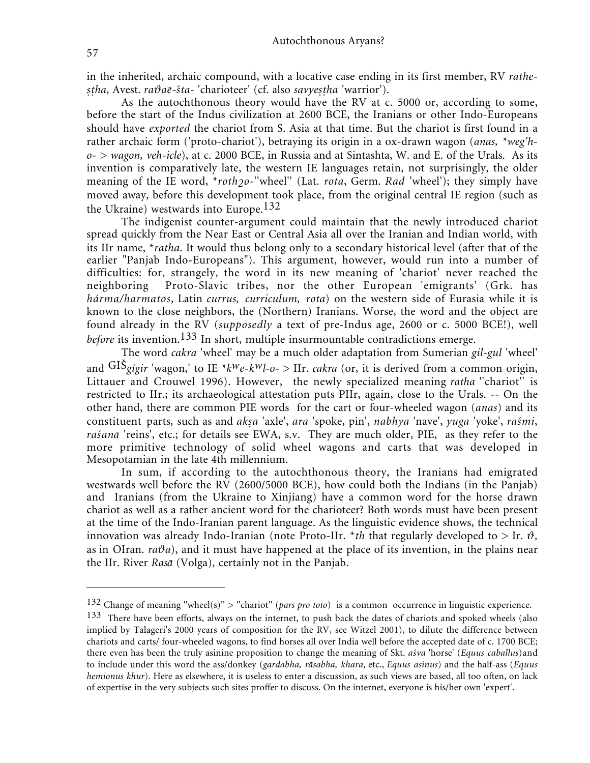in the inherited, archaic compound, with a locative case ending in its first member, RV *rathe ha*, Avest. *raθaẽ-šta*- 'charioteer' (cf. also *savye
ha* 'warrior').

As the autochthonous theory would have the RV at c. 5000 or, according to some, before the start of the Indus civilization at 2600 BCE, the Iranians or other Indo-Europeans should have *exported* the chariot from S. Asia at that time. But the chariot is first found in a rather archaic form ('proto-chariot'), betraying its origin in a ox-drawn wagon (*anas, \*weg'ho- > wagon, veh-icle*), at c. 2000 BCE, in Russia and at Sintashta, W. and E. of the Urals. As its invention is comparatively late, the western IE languages retain, not surprisingly, the older meaning of the IE word, \**roth2o*-''wheel'' (Lat. *rota*, Germ. *Rad* 'wheel'); they simply have moved away, before this development took place, from the original central IE region (such as the Ukraine) westwards into Europe.132

The indigenist counter-argument could maintain that the newly introduced chariot spread quickly from the Near East or Central Asia all over the Iranian and Indian world, with its IIr name, \**ratha*. It would thus belong only to a secondary historical level (after that of the earlier "Panjab Indo-Europeans"). This argument, however, would run into a number of difficulties: for, strangely, the word in its new meaning of 'chariot' never reached the neighboring Proto-Slavic tribes, nor the other European 'emigrants' (Grk. has *hárma/harmatos*, Latin *currus, curriculum, rota*) on the western side of Eurasia while it is known to the close neighbors, the (Northern) Iranians. Worse, the word and the object are found already in the RV (*supposedly* a text of pre-Indus age, 2600 or c. 5000 BCE!), well *before* its invention.<sup>133</sup> In short, multiple insurmountable contradictions emerge.

The word *cakra* 'wheel' may be a much older adaptation from Sumerian *gil-gul* 'wheel' and GIŠ*gígir* 'wagon,' to IE *\*kwe-kwl-o- >* IIr. *cakra* (or, it is derived from a common origin, Littauer and Crouwel 1996). However, the newly specialized meaning *ratha* "chariot" is restricted to IIr.; its archaeological attestation puts PIIr, again, close to the Urals. -- On the other hand, there are common PIE words for the cart or four-wheeled wagon (*anas*) and its constituent parts*,* such as and *aka* 'axle', *ara* 'spoke, pin', *nabhya* 'nave', *yuga* 'yoke', *raśmi*, *raśanå* 'reins', etc.; for details see EWA, s.v. They are much older, PIE, as they refer to the more primitive technology of solid wheel wagons and carts that was developed in Mesopotamian in the late 4th millennium.

In sum, if according to the autochthonous theory, the Iranians had emigrated westwards well before the RV (2600/5000 BCE), how could both the Indians (in the Panjab) and Iranians (from the Ukraine to Xinjiang) have a common word for the horse drawn chariot as well as a rather ancient word for the charioteer? Both words must have been present at the time of the Indo-Iranian parent language. As the linguistic evidence shows, the technical innovation was already Indo-Iranian (note Proto-IIr. \**th* that regularly developed to > Ir. *θ,* as in OIran. *raθa*), and it must have happened at the place of its invention, in the plains near the IIr. River *Raså* (Volga), certainly not in the Panjab.

<sup>132</sup> Change of meaning ''wheel(s)'' > ''chariot'' (*pars pro toto*) is a common occurrence in linguistic experience.

<sup>&</sup>lt;sup>133</sup> There have been efforts, always on the internet, to push back the dates of chariots and spoked wheels (also implied by Talageri's 2000 years of composition for the RV, see Witzel 2001), to dilute the difference between chariots and carts/ four-wheeled wagons, to find horses all over India well before the accepted date of c. 1700 BCE; there even has been the truly asinine proposition to change the meaning of Skt. *aśva* 'horse' (*Equus caballus*)and to include under this word the ass/donkey (*gardabha, råsabha, khara*, etc., *Equus asinus*) and the half-ass (*Equus hemionus khur*). Here as elsewhere, it is useless to enter a discussion, as such views are based, all too often, on lack of expertise in the very subjects such sites proffer to discuss. On the internet, everyone is his/her own 'expert'.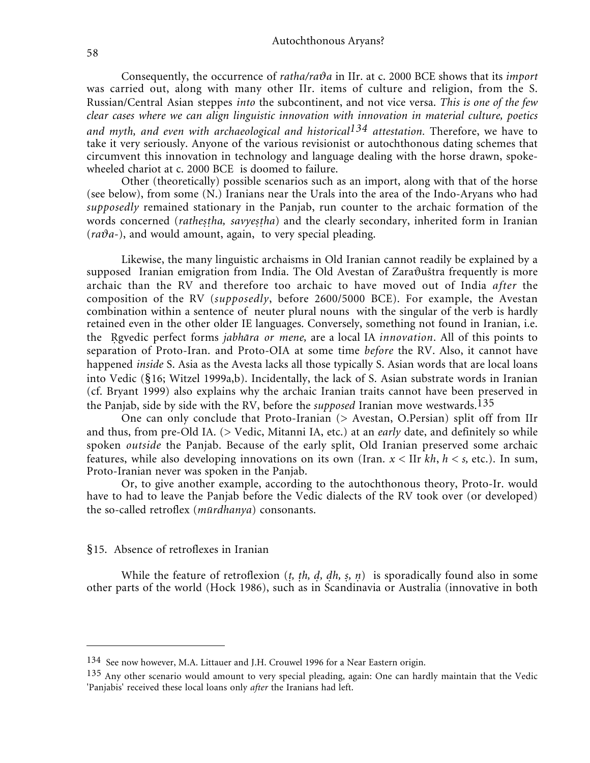Consequently, the occurrence of *ratha/raθa* in IIr. at c. 2000 BCE shows that its *import* was carried out, along with many other IIr. items of culture and religion, from the S. Russian/Central Asian steppes *into* the subcontinent, and not vice versa. *This is one of the few clear cases where we can align linguistic innovation with innovation in material culture, poetics and myth, and even with archaeological and historical134 attestation.* Therefore, we have to take it very seriously. Anyone of the various revisionist or autochthonous dating schemes that circumvent this innovation in technology and language dealing with the horse drawn, spokewheeled chariot at c. 2000 BCE is doomed to failure.

Other (theoretically) possible scenarios such as an import, along with that of the horse (see below), from some (N.) Iranians near the Urals into the area of the Indo-Aryans who had *supposedly* remained stationary in the Panjab, run counter to the archaic formation of the words concerned (*rathe
ha, savye
ha*) and the clearly secondary, inherited form in Iranian (*raθa*-), and would amount, again, to very special pleading.

Likewise, the many linguistic archaisms in Old Iranian cannot readily be explained by a supposed Iranian emigration from India. The Old Avestan of Zaraθuštra frequently is more archaic than the RV and therefore too archaic to have moved out of India *after* the composition of the RV (*supposedly*, before 2600/5000 BCE). For example, the Avestan combination within a sentence of neuter plural nouns with the singular of the verb is hardly retained even in the other older IE languages. Conversely, something not found in Iranian, i.e. the gvedic perfect forms *jabhåra or mene,* are a local IA *innovation*. All of this points to separation of Proto-Iran. and Proto-OIA at some time *before* the RV. Also, it cannot have happened *inside* S. Asia as the Avesta lacks all those typically S. Asian words that are local loans into Vedic (§16; Witzel 1999a,b). Incidentally, the lack of S. Asian substrate words in Iranian (cf. Bryant 1999) also explains why the archaic Iranian traits cannot have been preserved in the Panjab, side by side with the RV, before the *supposed* Iranian move westwards.135

One can only conclude that Proto-Iranian (> Avestan, O.Persian) split off from IIr and thus, from pre-Old IA. (> Vedic, Mitanni IA, etc.) at an *early* date, and definitely so while spoken *outside* the Panjab. Because of the early split, Old Iranian preserved some archaic features, while also developing innovations on its own (Iran. *x* < IIr *kh*, *h* < *s,* etc.). In sum, Proto-Iranian never was spoken in the Panjab.

Or, to give another example, according to the autochthonous theory, Proto-Ir. would have to had to leave the Panjab before the Vedic dialects of the RV took over (or developed) the so-called retroflex (*mūrdhanya*) consonants.

#### §15. Absence of retroflexes in Iranian

While the feature of retroflexion  $(t, th, d, dh, s, n)$  is sporadically found also in some other parts of the world (Hock 1986), such as in Scandinavia or Australia (innovative in both

<sup>134</sup> See now however, M.A. Littauer and J.H. Crouwel 1996 for a Near Eastern origin.

<sup>135</sup> Any other scenario would amount to very special pleading, again: One can hardly maintain that the Vedic 'Panjabis' received these local loans only *after* the Iranians had left.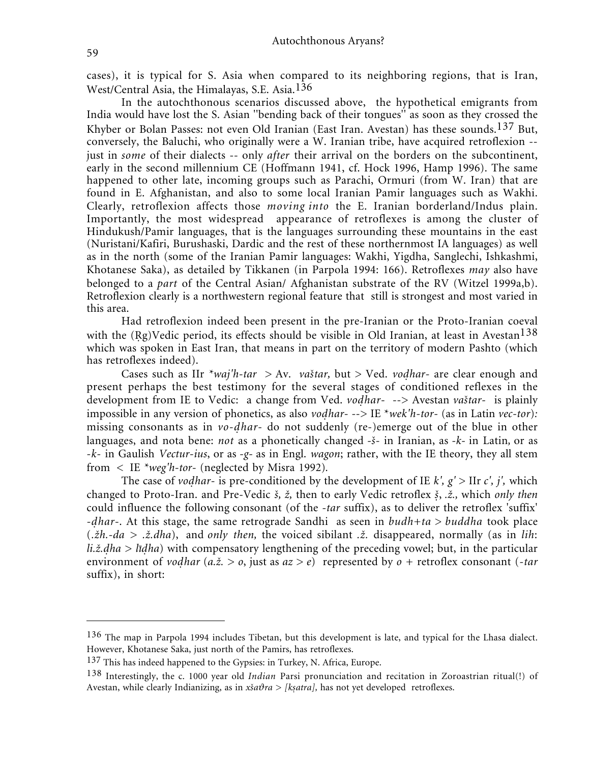cases), it is typical for S. Asia when compared to its neighboring regions, that is Iran, West/Central Asia, the Himalayas, S.E. Asia.136

In the autochthonous scenarios discussed above, the hypothetical emigrants from India would have lost the S. Asian ''bending back of their tongues'' as soon as they crossed the Khyber or Bolan Passes: not even Old Iranian (East Iran. Avestan) has these sounds.<sup>137</sup> But, conversely, the Baluchi, who originally were a W. Iranian tribe, have acquired retroflexion - just in *some* of their dialects -- only *after* their arrival on the borders on the subcontinent, early in the second millennium CE (Hoffmann 1941, cf. Hock 1996, Hamp 1996). The same happened to other late, incoming groups such as Parachi, Ormuri (from W. Iran) that are found in E. Afghanistan, and also to some local Iranian Pamir languages such as Wakhi. Clearly, retroflexion affects those *moving into* the E. Iranian borderland/Indus plain. Importantly, the most widespread appearance of retroflexes is among the cluster of Hindukush/Pamir languages, that is the languages surrounding these mountains in the east (Nuristani/Kafiri, Burushaski, Dardic and the rest of these northernmost IA languages) as well as in the north (some of the Iranian Pamir languages: Wakhi, Yigdha, Sanglechi, Ishkashmi, Khotanese Saka), as detailed by Tikkanen (in Parpola 1994: 166). Retroflexes *may* also have belonged to a *part* of the Central Asian/ Afghanistan substrate of the RV (Witzel 1999a,b). Retroflexion clearly is a northwestern regional feature that still is strongest and most varied in this area.

Had retroflexion indeed been present in the pre-Iranian or the Proto-Iranian coeval with the (Rg)Vedic period, its effects should be visible in Old Iranian, at least in Avestan<sup>138</sup> which was spoken in East Iran, that means in part on the territory of modern Pashto (which has retroflexes indeed).

Cases such as IIr *\*waj'h-tar >* Av. *vaštar,* but > Ved. *vohar-* are clear enough and present perhaps the best testimony for the several stages of conditioned reflexes in the development from IE to Vedic: a change from Ved. *vohar*- --> Avestan *vaštar-* is plainly impossible in any version of phonetics, as also *vohar*- --> IE \**wek'h-tor*- (as in Latin *vec-tor*)*:* missing consonants as in *vo-dhar-* do not suddenly (re-)emerge out of the blue in other languages, and nota bene: *not* as a phonetically changed *-š*- in Iranian, as *-k-* in Latin*,* or as -*k-* in Gaulish *Vectur-ius*, or as *-g-* as in Engl. *wagon*; rather, with the IE theory, they all stem from  $\langle$  IE \**weg'h-tor-* (neglected by Misra 1992).

The case of *vodhar*- is pre-conditioned by the development of IE  $k'$ ,  $g'$  > IIr  $c'$ ,  $j'$ , which changed to Proto-Iran. and Pre-Vedic *š, ž,* then to early Vedic retroflex , *.ž.,* which *only then* could influence the following consonant (of the *-tar* suffix), as to deliver the retroflex 'suffix' *-har*-. At this stage, the same retrograde Sandhi as seen in *budh+ta* > *buddha* took place (*.žh.-da > .ž.dha*), and *only then,* the voiced sibilant *.ž.* disappeared, normally (as in *lih*:  $li.\dot{z}.dha > līdha)$  with compensatory lengthening of the preceding vowel; but, in the particular environment of *vodhar* (*a.ž.*  $> 0$ , just as  $az > e$ ) represented by  $o +$  retroflex consonant (*-tar* suffix), in short:

<sup>136</sup> The map in Parpola 1994 includes Tibetan, but this development is late, and typical for the Lhasa dialect. However, Khotanese Saka, just north of the Pamirs, has retroflexes.

<sup>137</sup> This has indeed happened to the Gypsies: in Turkey, N. Africa, Europe.

<sup>138</sup> Interestingly, the c. 1000 year old *Indian* Parsi pronunciation and recitation in Zoroastrian ritual(!) of Avestan, while clearly Indianizing, as in *xšaθra > [katra],* has not yet developed retroflexes.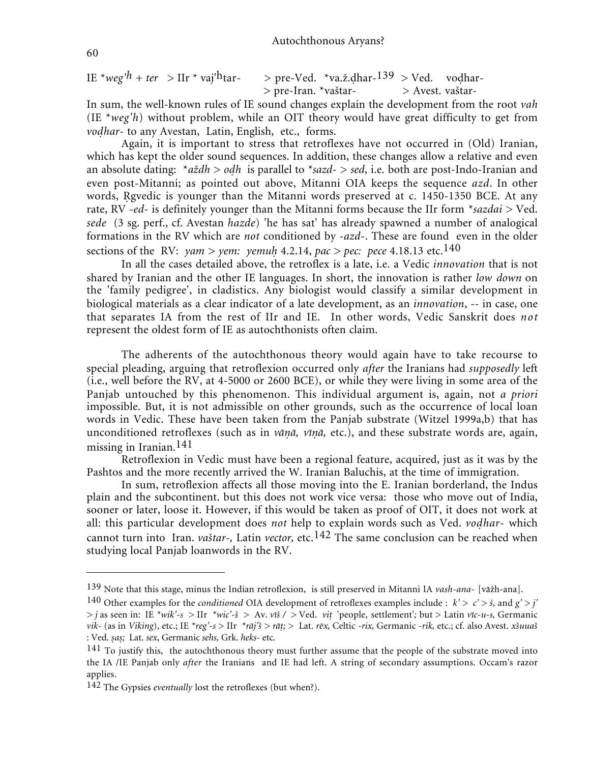IE \**weg'h* + ter > IIr \* vaj'<sup>h</sup>tar- > pre-Ved. \*va.ž.dhar-<sup>139</sup> > Ved. vodhar-<br>> pre-Iran. \*vaštar- > Avest. vaštar- $>$  pre-Iran. \*vaštar-

In sum, the well-known rules of IE sound changes explain the development from the root *vah* (IE \**weg'h*) without problem, while an OIT theory would have great difficulty to get from *vohar-* to any Avestan, Latin, English, etc., forms.

Again, it is important to stress that retroflexes have not occurred in (Old) Iranian, which has kept the older sound sequences. In addition, these changes allow a relative and even an absolute dating: *\*aždh > odh* is parallel to *\*sazd- > sed*, i.e. both are post-Indo-Iranian and even post-Mitanni; as pointed out above, Mitanni OIA keeps the sequence *azd*. In other words, Rgvedic is younger than the Mitanni words preserved at c. 1450-1350 BCE. At any rate, RV -*ed*- is definitely younger than the Mitanni forms because the IIr form *\*sazdai* > Ved. *sede* (3 sg. perf., cf. Avestan *hazde*) 'he has sat' has already spawned a number of analogical formations in the RV which are *not* conditioned by -*azd*-. These are found even in the older sections of the RV: *yam > yem: yemuh* 4.2.14, *pac > pec: pece* 4.18.13 etc.<sup>140</sup>

In all the cases detailed above, the retroflex is a late, i.e. a Vedic *innovation* that is not shared by Iranian and the other IE languages. In short, the innovation is rather *low down* on the 'family pedigree', in cladistics. Any biologist would classify a similar development in biological materials as a clear indicator of a late development, as an *innovation*, -- in case, one that separates IA from the rest of IIr and IE. In other words, Vedic Sanskrit does *not* represent the oldest form of IE as autochthonists often claim.

The adherents of the autochthonous theory would again have to take recourse to special pleading, arguing that retroflexion occurred only *after* the Iranians had *supposedly* left (i.e., well before the RV, at 4-5000 or 2600 BCE), or while they were living in some area of the Panjab untouched by this phenomenon. This individual argument is, again, not *a priori* impossible. But, it is not admissible on other grounds, such as the occurrence of local loan words in Vedic. These have been taken from the Panjab substrate (Witzel 1999a,b) that has unconditioned retroflexes (such as in *vāṇā*, *vīṇā*, etc.), and these substrate words are, again, missing in Iranian.141

Retroflexion in Vedic must have been a regional feature, acquired, just as it was by the Pashtos and the more recently arrived the W. Iranian Baluchis, at the time of immigration.

In sum, retroflexion affects all those moving into the E. Iranian borderland, the Indus plain and the subcontinent. but this does not work vice versa: those who move out of India, sooner or later, loose it. However, if this would be taken as proof of OIT, it does not work at all: this particular development does *not* help to explain words such as Ved. *vodhar*- which cannot turn into Iran. *vaštar-,* Latin *vector,* etc.142 The same conclusion can be reached when studying local Panjab loanwords in the RV.

<sup>139</sup> Note that this stage, minus the Indian retroflexion, is still preserved in Mitanni IA *vash-ana-* [våžh-ana].

<sup>&</sup>lt;sup>140</sup> Other examples for the *conditioned* OIA development of retroflexes examples include :  $k' > c' > \epsilon$ , and  $g' > j'$ *> j* as seen in:IE *\*wik'-s >* IIr *\*wic'-š >* Av. *vīš / >* Ved. *vi* 'people, settlement'*;* but > Latin *vīc-u-s,* Germanic *vik*- (as in *Viking*), etc.; IE *\*reg'-s* > IIr *\*råj'š > rå
;* > Lat. *rẽx,* Celtic *-rix,* Germanic *-rik,* etc.; cf. also Avest. *xšuuaš* : Ved. *a;* Lat. *sex*, Germanic *sehs,* Grk. *heks-* etc*.*

<sup>&</sup>lt;sup>141</sup> To justify this, the autochthonous theory must further assume that the people of the substrate moved into the IA /IE Panjab only *after* the Iranians and IE had left. A string of secondary assumptions. Occam's razor applies.

<sup>142</sup> The Gypsies *eventually* lost the retroflexes (but when?).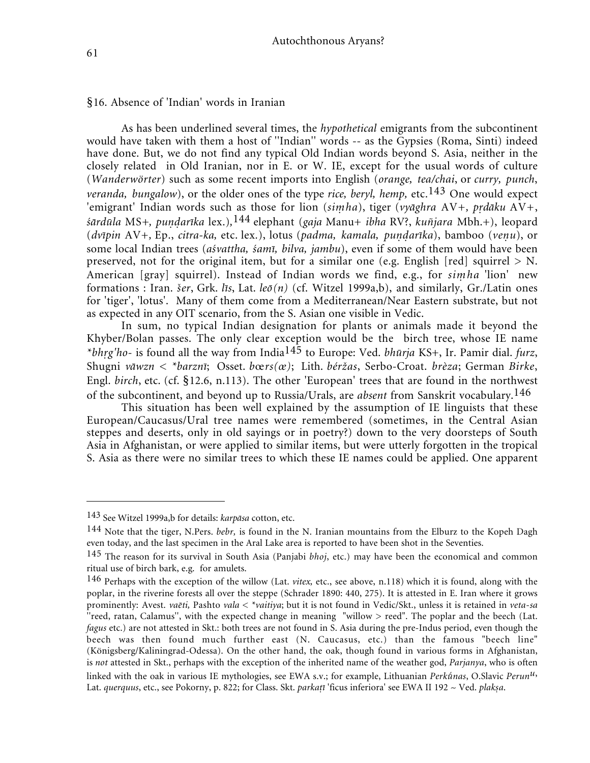§16. Absence of 'Indian' words in Iranian

As has been underlined several times, the *hypothetical* emigrants from the subcontinent would have taken with them a host of ''Indian'' words -- as the Gypsies (Roma, Sinti) indeed have done. But, we do not find any typical Old Indian words beyond S. Asia, neither in the closely related in Old Iranian, nor in E. or W. IE, except for the usual words of culture (*Wanderwörter*) such as some recent imports into English (*orange, tea/chai*, or *curry, punch*, *veranda, bungalow*), or the older ones of the type *rice, beryl, hemp,* etc.143 One would expect 'emigrant' Indian words such as those for lion (*siha*), tiger (*vyåghra* AV+*, pdåku* AV+, *śårdūla* MS*+, puarīka* lex.)*,*144 elephant (*gaja* Manu+ *ibha* RV?, *kuñjara* Mbh.+), leopard (*dvīpin* AV+*,* Ep., *citra-ka,* etc. lex*.*), lotus (*padma, kamala, puarīka*), bamboo (*veu*), or some local Indian trees (*aśvattha, śamī, bilva, jambu*), even if some of them would have been preserved, not for the original item, but for a similar one (e.g. English [red] squirrel  $> N$ . American [gray] squirrel). Instead of Indian words we find, e.g., for *simha* 'lion' new formations : Iran. *šer*, Grk. *līs*, Lat. *leō(n)* (cf. Witzel 1999a,b), and similarly, Gr./Latin ones for 'tiger', 'lotus'. Many of them come from a Mediterranean/Near Eastern substrate, but not as expected in any OIT scenario, from the S. Asian one visible in Vedic.

In sum, no typical Indian designation for plants or animals made it beyond the Khyber/Bolan passes. The only clear exception would be the birch tree, whose IE name *\*bhg'ho-* is found all the way from India145 to Europe: Ved. *bhūrja* KS+, Ir. Pamir dial. *furz*, Shugni *våwzn < \*barznī*; Osset. *b*œ*rs(œ)*; Lith. *béržas*, Serbo-Croat. *brèza*; German *Birke*, Engl. *birch*, etc. (cf. §12.6, n.113). The other 'European' trees that are found in the northwest of the subcontinent, and beyond up to Russia/Urals, are *absent* from Sanskrit vocabulary.146

This situation has been well explained by the assumption of IE linguists that these European/Caucasus/Ural tree names were remembered (sometimes, in the Central Asian steppes and deserts, only in old sayings or in poetry?) down to the very doorsteps of South Asia in Afghanistan, or were applied to similar items, but were utterly forgotten in the tropical S. Asia as there were no similar trees to which these IE names could be applied. One apparent

<sup>143</sup> See Witzel 1999a,b for details: *karpåsa* cotton, etc.

<sup>144</sup> Note that the tiger, N.Pers. *bebr,* is found in the N. Iranian mountains from the Elburz to the Kopeh Dagh even today, and the last specimen in the Aral Lake area is reported to have been shot in the Seventies.

<sup>145</sup> The reason for its survival in South Asia (Panjabi *bhoj*, etc.) may have been the economical and common ritual use of birch bark, e.g. for amulets.

<sup>146</sup> Perhaps with the exception of the willow (Lat. *vitex,* etc., see above, n.118) which it is found, along with the poplar, in the riverine forests all over the steppe (Schrader 1890: 440, 275). It is attested in E. Iran where it grows prominently: Avest. *vaẽti,* Pashto *vala < \*vaitiya*; but it is not found in Vedic/Skt., unless it is retained in *veta-sa* ''reed, ratan, Calamus'', with the expected change in meaning "willow > reed". The poplar and the beech (Lat. *fagus* etc.) are not attested in Skt.: both trees are not found in S. Asia during the pre-Indus period, even though the beech was then found much further east (N. Caucasus, etc.) than the famous "beech line" (Königsberg/Kaliningrad-Odessa). On the other hand, the oak, though found in various forms in Afghanistan, is *not* attested in Skt., perhaps with the exception of the inherited name of the weather god, *Parjanya*, who is often linked with the oak in various IE mythologies, see EWA s.v.; for example, Lithuanian *Perkûnas*, O.Slavic *Perun<sup>u,</sup>* Lat. *querquus*, etc., see Pokorny, p. 822; for Class. Skt. *parka
ī* 'ficus inferiora' see EWA II 192 ~ Ved. *plaka*.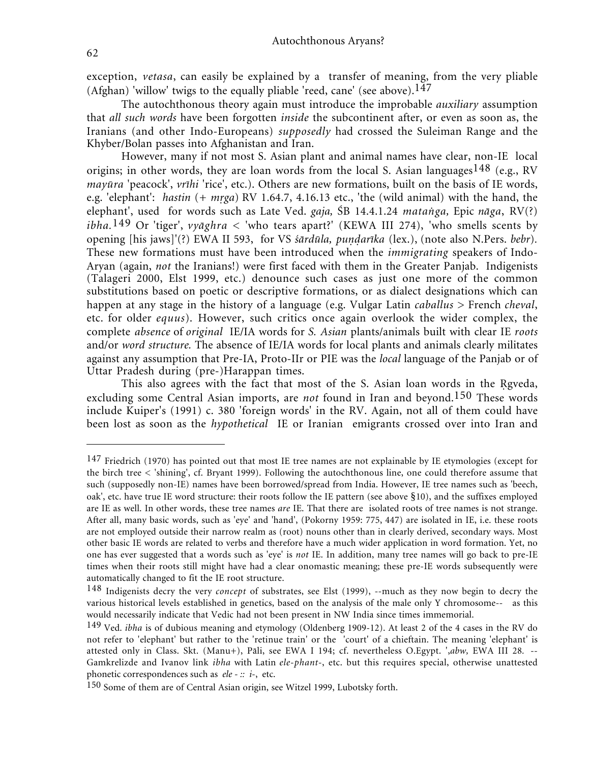exception, *vetasa*, can easily be explained by a transfer of meaning, from the very pliable (Afghan) 'willow' twigs to the equally pliable 'reed, cane' (see above).<sup>147</sup>

The autochthonous theory again must introduce the improbable *auxiliary* assumption that *all such words* have been forgotten *inside* the subcontinent after, or even as soon as, the Iranians (and other Indo-Europeans) *supposedly* had crossed the Suleiman Range and the Khyber/Bolan passes into Afghanistan and Iran.

However, many if not most S. Asian plant and animal names have clear, non-IE local origins; in other words, they are loan words from the local S. Asian languages<sup>148</sup> (e.g., RV *mayūra* 'peacock', *vrīhi* 'rice', etc.). Others are new formations, built on the basis of IE words, e.g. 'elephant': *hastin* (*+ mga*) RV 1.64.7, 4.16.13 etc., 'the (wild animal) with the hand, the elephant', used for words such as Late Ved. *gaja*, *SB* 14.4.1.24 *matanga*, *Epic nāga*, *RV*(?) *ibha.*149 Or 'tiger', *vyåghra* < 'who tears apart?' (KEWA III 274), 'who smells scents by opening [his jaws]'(?) EWA II 593, for VS *śårdūla, puarīka* (lex.), (note also N.Pers. *bebr*)*.* These new formations must have been introduced when the *immigrating* speakers of Indo-Aryan (again, *not* the Iranians!) were first faced with them in the Greater Panjab. Indigenists (Talageri 2000, Elst 1999, etc.) denounce such cases as just one more of the common substitutions based on poetic or descriptive formations, or as dialect designations which can happen at any stage in the history of a language (e.g. Vulgar Latin *caballus* > French *cheval*, etc. for older *equus*). However, such critics once again overlook the wider complex, the complete *absence* of *original* IE/IA words for *S. Asian* plants/animals built with clear IE *roots* and/or *word structure.* The absence of IE/IA words for local plants and animals clearly militates against any assumption that Pre-IA, Proto-IIr or PIE was the *local* language of the Panjab or of Uttar Pradesh during (pre-)Harappan times.

This also agrees with the fact that most of the S. Asian loan words in the Rgveda, excluding some Central Asian imports, are *not* found in Iran and beyond.150 These words include Kuiper's (1991) c. 380 'foreign words' in the RV. Again, not all of them could have been lost as soon as the *hypothetical* IE or Iranian emigrants crossed over into Iran and

<sup>147</sup> Friedrich (1970) has pointed out that most IE tree names are not explainable by IE etymologies (except for the birch tree < 'shining', cf. Bryant 1999). Following the autochthonous line, one could therefore assume that such (supposedly non-IE) names have been borrowed/spread from India. However, IE tree names such as 'beech, oak', etc. have true IE word structure: their roots follow the IE pattern (see above §10), and the suffixes employed are IE as well. In other words, these tree names *are* IE. That there are isolated roots of tree names is not strange. After all, many basic words, such as 'eye' and 'hand', (Pokorny 1959: 775, 447) are isolated in IE, i.e. these roots are not employed outside their narrow realm as (root) nouns other than in clearly derived, secondary ways. Most other basic IE words are related to verbs and therefore have a much wider application in word formation. Yet, no one has ever suggested that a words such as 'eye' is *not* IE. In addition, many tree names will go back to pre-IE times when their roots still might have had a clear onomastic meaning; these pre-IE words subsequently were automatically changed to fit the IE root structure.

<sup>148</sup> Indigenists decry the very *concept* of substrates, see Elst (1999), --much as they now begin to decry the various historical levels established in genetics, based on the analysis of the male only Y chromosome-- as this would necessarily indicate that Vedic had not been present in NW India since times immemorial.

<sup>149</sup> Ved. *ibha* is of dubious meaning and etymology (Oldenberg 1909-12). At least 2 of the 4 cases in the RV do not refer to 'elephant' but rather to the 'retinue train' or the 'court' of a chieftain. The meaning 'elephant' is attested only in Class. Skt. (Manu+), Påli, see EWA I 194; cf. nevertheless O.Egypt. ',*abw,* EWA III 28*.* -- Gamkrelizde and Ivanov link *ibha* with Latin *ele-phant*-, etc. but this requires special, otherwise unattested phonetic correspondences such as *ele - :: i*-, etc.

<sup>150</sup> Some of them are of Central Asian origin, see Witzel 1999, Lubotsky forth.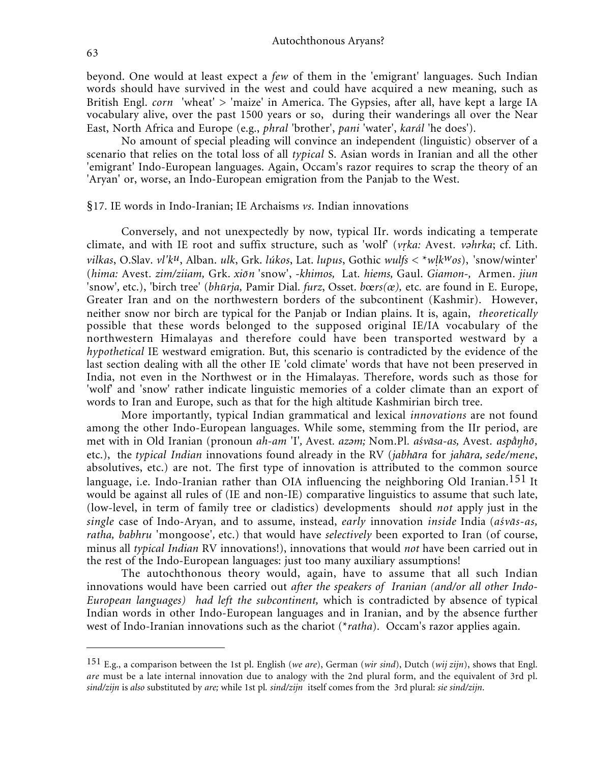beyond. One would at least expect a *few* of them in the 'emigrant' languages. Such Indian words should have survived in the west and could have acquired a new meaning, such as British Engl. *corn* 'wheat' > 'maize' in America. The Gypsies, after all, have kept a large IA vocabulary alive, over the past 1500 years or so, during their wanderings all over the Near East, North Africa and Europe (e.g., *phral* 'brother', *pani* 'water', *karál* 'he does').

No amount of special pleading will convince an independent (linguistic) observer of a scenario that relies on the total loss of all *typical* S. Asian words in Iranian and all the other 'emigrant' Indo-European languages. Again, Occam's razor requires to scrap the theory of an 'Aryan' or, worse, an Indo-European emigration from the Panjab to the West.

# §17. IE words in Indo-Iranian; IE Archaisms *vs*. Indian innovations

Conversely, and not unexpectedly by now, typical IIr. words indicating a temperate climate, and with IE root and suffix structure, such as 'wolf' (*vka:* Avest*. vəhrka*; cf. Lith. *vilkas*, O.Slav. *vl'ku*, Alban. *ulk*, Grk. *lúkos*, Lat. *lupus*, Gothic *wulfs* < \**wkwos*), 'snow/winter' (*hima:* Avest. *zim/ziiam,* Grk. *xiōn* 'snow', *-khimos,* Lat*. hiems,* Gaul. *Giamon-,* Armen. *jiun* 'snow'*,* etc.), 'birch tree' (*bhūrja,* Pamir Dial. *furz*, Osset. *b*œ*rs(œ),* etc*.* are found in E. Europe, Greater Iran and on the northwestern borders of the subcontinent (Kashmir). However, neither snow nor birch are typical for the Panjab or Indian plains. It is, again, *theoretically* possible that these words belonged to the supposed original IE/IA vocabulary of the northwestern Himalayas and therefore could have been transported westward by a *hypothetical* IE westward emigration. But, this scenario is contradicted by the evidence of the last section dealing with all the other IE 'cold climate' words that have not been preserved in India, not even in the Northwest or in the Himalayas. Therefore, words such as those for 'wolf' and 'snow' rather indicate linguistic memories of a colder climate than an export of words to Iran and Europe, such as that for the high altitude Kashmirian birch tree.

More importantly, typical Indian grammatical and lexical *innovations* are not found among the other Indo-European languages. While some, stemming from the IIr period, are met with in Old Iranian (pronoun *ah-am* 'I'*,* Avest*. azəm;* Nom.Pl*. aśvåsa-as,* Avest. *asphō,* etc.), the *typical Indian* innovations found already in the RV (*jabhåra* for *jahåra, sede/mene*, absolutives, etc.) are not. The first type of innovation is attributed to the common source language, i.e. Indo-Iranian rather than OIA influencing the neighboring Old Iranian.<sup>151</sup> It would be against all rules of (IE and non-IE) comparative linguistics to assume that such late, (low-level, in term of family tree or cladistics) developments should *not* apply just in the *single* case of Indo-Aryan, and to assume, instead, *early* innovation *inside* India (*aśvås-as, ratha, babhru* 'mongoose'*,* etc.) that would have *selectively* been exported to Iran (of course, minus all *typical Indian* RV innovations!), innovations that would *not* have been carried out in the rest of the Indo-European languages: just too many auxiliary assumptions!

The autochthonous theory would, again, have to assume that all such Indian innovations would have been carried out *after the speakers of Iranian (and/or all other Indo-European languages) had left the subcontinent,* which is contradicted by absence of typical Indian words in other Indo-European languages and in Iranian, and by the absence further west of Indo-Iranian innovations such as the chariot (\**ratha*). Occam's razor applies again.

<sup>151</sup> E.g., a comparison between the 1st pl. English (*we are*), German (*wir sind*), Dutch (*wij zijn*), shows that Engl. *are* must be a late internal innovation due to analogy with the 2nd plural form, and the equivalent of 3rd pl. *sind/zijn* is *also* substituted by *are;* while 1st pl*. sind/zijn* itself comes from the 3rd plural: *sie sind/zijn*.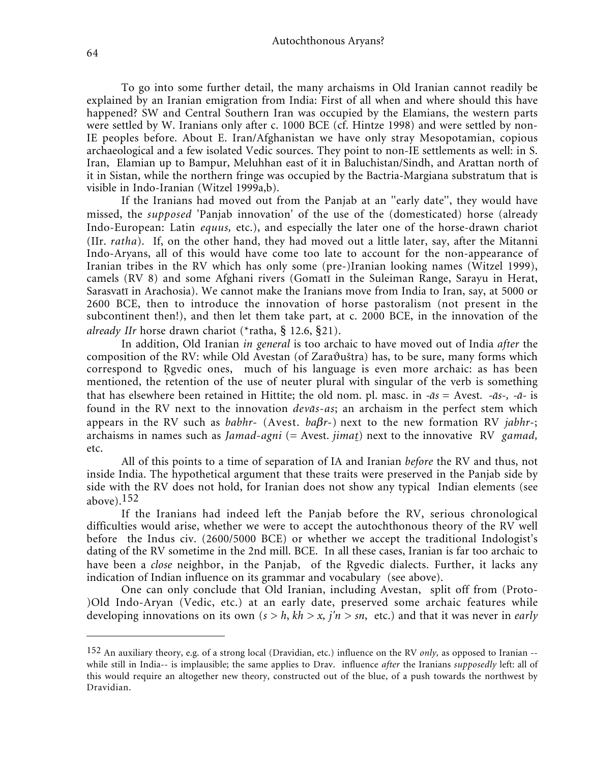#### Autochthonous Aryans?

To go into some further detail, the many archaisms in Old Iranian cannot readily be explained by an Iranian emigration from India: First of all when and where should this have happened? SW and Central Southern Iran was occupied by the Elamians, the western parts were settled by W. Iranians only after c. 1000 BCE (cf. Hintze 1998) and were settled by non-IE peoples before. About E. Iran/Afghanistan we have only stray Mesopotamian, copious archaeological and a few isolated Vedic sources. They point to non-IE settlements as well: in S. Iran, Elamian up to Bampur, Meluhhan east of it in Baluchistan/Sindh, and Arattan north of it in Sistan, while the northern fringe was occupied by the Bactria-Margiana substratum that is visible in Indo-Iranian (Witzel 1999a,b).

If the Iranians had moved out from the Panjab at an ''early date'', they would have missed, the *supposed* 'Panjab innovation' of the use of the (domesticated) horse (already Indo-European: Latin *equus,* etc.), and especially the later one of the horse-drawn chariot (IIr. *ratha*). If, on the other hand, they had moved out a little later, say, after the Mitanni Indo-Aryans, all of this would have come too late to account for the non-appearance of Iranian tribes in the RV which has only some (pre-)Iranian looking names (Witzel 1999), camels (RV 8) and some Afghani rivers (Gomatī in the Suleiman Range, Sarayu in Herat, Sarasvatī in Arachosia). We cannot make the Iranians move from India to Iran, say, at 5000 or 2600 BCE, then to introduce the innovation of horse pastoralism (not present in the subcontinent then!), and then let them take part, at c. 2000 BCE, in the innovation of the *already IIr* horse drawn chariot (\*ratha, § 12.6, §21).

In addition, Old Iranian *in general* is too archaic to have moved out of India *after* the composition of the RV: while Old Avestan (of Zaraθuštra) has, to be sure, many forms which correspond to Rgvedic ones, much of his language is even more archaic: as has been mentioned, the retention of the use of neuter plural with singular of the verb is something that has elsewhere been retained in Hittite; the old nom. pl. masc. in *-ås* = Avest*. -ås-, -å*- is found in the RV next to the innovation *devås-as*; an archaism in the perfect stem which appears in the RV such as *babhr-* (Avest. *baβr*-) next to the new formation RV *jabhr-*; archaisms in names such as *Jamad-agni* (= Avest. *jimat*) next to the innovative RV *gamad*, etc.

All of this points to a time of separation of IA and Iranian *before* the RV and thus, not inside India. The hypothetical argument that these traits were preserved in the Panjab side by side with the RV does not hold, for Iranian does not show any typical Indian elements (see above). $152$ 

If the Iranians had indeed left the Panjab before the RV, serious chronological difficulties would arise, whether we were to accept the autochthonous theory of the RV well before the Indus civ. (2600/5000 BCE) or whether we accept the traditional Indologist's dating of the RV sometime in the 2nd mill. BCE. In all these cases, Iranian is far too archaic to have been a *close* neighbor, in the Panjab, of the Rgyedic dialects. Further, it lacks any indication of Indian influence on its grammar and vocabulary (see above).

One can only conclude that Old Iranian, including Avestan, split off from (Proto- )Old Indo-Aryan (Vedic, etc.) at an early date, preserved some archaic features while developing innovations on its own (*s > h*, *kh > x, j'n > sn*, etc.) and that it was never in *early*

<sup>152</sup> An auxiliary theory, e.g. of a strong local (Dravidian, etc.) influence on the RV *only,* as opposed to Iranian - while still in India-- is implausible; the same applies to Drav. influence *after* the Iranians *supposedly* left: all of this would require an altogether new theory, constructed out of the blue, of a push towards the northwest by Dravidian.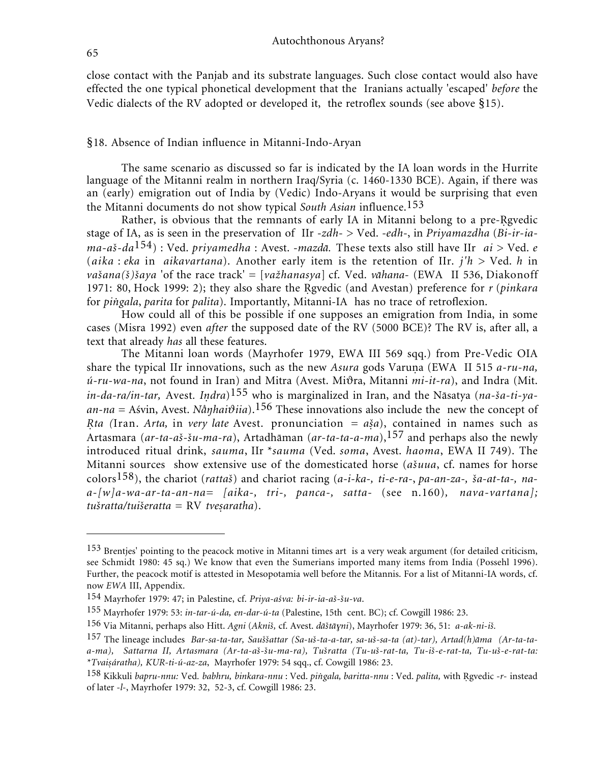close contact with the Panjab and its substrate languages. Such close contact would also have effected the one typical phonetical development that the Iranians actually 'escaped' *before* the Vedic dialects of the RV adopted or developed it, the retroflex sounds (see above §15).

# §18. Absence of Indian influence in Mitanni-Indo-Aryan

The same scenario as discussed so far is indicated by the IA loan words in the Hurrite language of the Mitanni realm in northern Iraq/Syria (c. 1460-1330 BCE). Again, if there was an (early) emigration out of India by (Vedic) Indo-Aryans it would be surprising that even the Mitanni documents do not show typical *South Asian* influence.153

Rather, is obvious that the remnants of early IA in Mitanni belong to a pre-Rgvedic stage of IA, as is seen in the preservation of IIr -*zdh*- > Ved. -*edh*-, in *Priyamazdha* (*Bi-ir-iama-aš-da*154) : Ved. *priyamedha* : Avest. -*mazdå.* These texts also still have IIr *ai* > Ved. *e* (*aika* : *eka* in *aikavartana*). Another early item is the retention of IIr. *j'h* > Ved. *h* in *vašana(š)šaya* 'of the race track' = [*važhanasya*] cf. Ved. *våhana-* (EWA II 536, Diakonoff 1971: 80, Hock 1999: 2); they also share the gvedic (and Avestan) preference for *r* (*pinkara* for *pigala*, *parita* for *palita*). Importantly, Mitanni-IA has no trace of retroflexion.

How could all of this be possible if one supposes an emigration from India, in some cases (Misra 1992) even *after* the supposed date of the RV (5000 BCE)? The RV is, after all, a text that already *has* all these features.

The Mitanni loan words (Mayrhofer 1979, EWA III 569 sqq.) from Pre-Vedic OIA share the typical IIr innovations, such as the new *Asura* gods Varuṇa (EWA II 515 *a-ru-na*, *ú-ru-wa-na*, not found in Iran) and Mitra (Avest. Miθra, Mitanni *mi-it-ra*), and Indra (Mit. in-da-ra/in-tar, Avest. Indra)<sup>155</sup> who is marginalized in Iran, and the Nāsatya (na-ša-ti-ya $an-na = A$ śvin, Avest. *Nånhaivo*iia).<sup>156</sup> These innovations also include the new the concept of *Rta* (Iran. *Arta*, in *very late* Avest. pronunciation =  $a\dot{s}a$ ), contained in names such as Artasmara (*ar-ta-aš-šu-ma-ra*), Artadhåman (*ar-ta-ta-a-ma*),157 and perhaps also the newly introduced ritual drink, *sauma*, IIr \**sauma* (Ved. *soma*, Avest. *haoma*, EWA II 749). The Mitanni sources show extensive use of the domesticated horse (*ašuua*, cf. names for horse colors158), the chariot (*rattaš*) and chariot racing (*a-i-ka-, ti-e-ra-*, *pa-an-za-, ša-at-ta-, naa-[w]a-wa-ar-ta-an-na= [aika-, tri-, panca-, satta-* (see n.160)*, nava-vartana]; tušratta/tuišeratta =* RV *tvearatha*).

<sup>&</sup>lt;sup>153</sup> Brentjes' pointing to the peacock motive in Mitanni times art is a very weak argument (for detailed criticism, see Schmidt 1980: 45 sq.) We know that even the Sumerians imported many items from India (Possehl 1996). Further, the peacock motif is attested in Mesopotamia well before the Mitannis. For a list of Mitanni-IA words, cf. now *EWA* III, Appendix.

<sup>154</sup> Mayrhofer 1979: 47; in Palestine, cf. *Priya-aśva: bi-ir-ia-aš-šu-va*.

<sup>155</sup> Mayrhofer 1979: 53: *in-tar-ú-da, en-dar-ú-ta* (Palestine, 15th cent. BC); cf. Cowgill 1986: 23.

<sup>156</sup> Via Mitanni, perhaps also Hitt. *Agni* (*Akniš,* cf. Avest. *dåštåγni*), Mayrhofer 1979: 36, 51: *a-ak-ni-iš.*

<sup>157</sup> The lineage includes *Bar-sa-ta-tar, Sauššattar (Sa-uš-ta-a-tar, sa-uš-sa-ta (at)-tar), Artad(h)åma (Ar-ta-taa-ma), Sattarna II, Artasmara (Ar-ta-aš-šu-ma-ra), Tušratta (Tu-uš-rat-ta, Tu-iš-e-rat-ta, Tu-uš-e-rat-ta: \*Tvaiáratha), KUR-ti-ú-az-za*, Mayrhofer 1979: 54 sqq., cf. Cowgill 1986: 23.

<sup>158</sup> Kikkuli *bapru-nnu:* Ved*. babhru, binkara-nnu* : Ved. *pigala, baritta-nnu* : Ved. *palita,* with gvedic -*r*- instead of later -*l*-, Mayrhofer 1979: 32, 52-3, cf. Cowgill 1986: 23.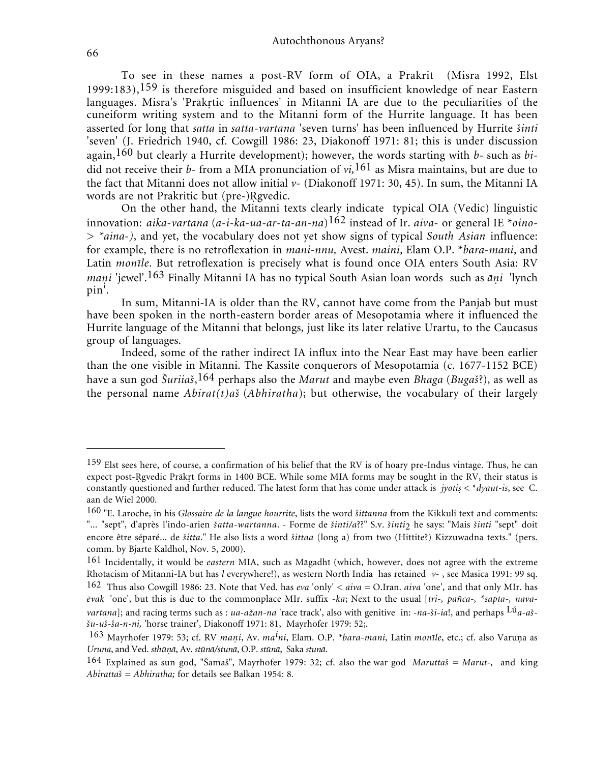To see in these names a post-RV form of OIA, a Prakrit (Misra 1992, Elst  $1999:183$ ,  $159$  is therefore misguided and based on insufficient knowledge of near Eastern languages. Misra's 'Pråktic influences' in Mitanni IA are due to the peculiarities of the cuneiform writing system and to the Mitanni form of the Hurrite language. It has been asserted for long that *satta* in *satta-vartana* 'seven turns' has been influenced by Hurrite *šinti* 'seven' (J. Friedrich 1940, cf. Cowgill 1986: 23, Diakonoff 1971: 81; this is under discussion again,160 but clearly a Hurrite development); however, the words starting with *b*- such as *bi*did not receive their *b*- from a MIA pronunciation of *vi,*161 as Misra maintains, but are due to the fact that Mitanni does not allow initial *v*- (Diakonoff 1971: 30, 45). In sum, the Mitanni IA words are not Prakritic but (pre-)Rgvedic.

On the other hand, the Mitanni texts clearly indicate typical OIA (Vedic) linguistic innovation: *aika-vartana* (*a-i-ka-ua-ar-ta-an-na*)162 instead of Ir. *aiva*- or general IE \**oino- > \*aina-)*, and yet, the vocabulary does not yet show signs of typical *South Asian* influence: for example, there is no retroflexation in *mani-nnu,* Avest. *maini*, Elam O.P. \**bara-mani*, and Latin *monīle*. But retroflexation is precisely what is found once OIA enters South Asia: RV *mani* 'jewel'.<sup>163</sup> Finally Mitanni IA has no typical South Asian loan words such as *āni* 'lynch pin'.

In sum, Mitanni-IA is older than the RV, cannot have come from the Panjab but must have been spoken in the north-eastern border areas of Mesopotamia where it influenced the Hurrite language of the Mitanni that belongs, just like its later relative Urartu, to the Caucasus group of languages.

Indeed, some of the rather indirect IA influx into the Near East may have been earlier than the one visible in Mitanni. The Kassite conquerors of Mesopotamia (c. 1677-1152 BCE) have a sun god *Šuriiaš*,164 perhaps also the *Marut* and maybe even *Bhaga* (*Bugaš*?), as well as the personal name *Abirat(t)aš* (*Abhiratha*); but otherwise, the vocabulary of their largely

<sup>159</sup> Elst sees here, of course, a confirmation of his belief that the RV is of hoary pre-Indus vintage. Thus, he can expect post-Rgvedic Prākrt forms in 1400 BCE. While some MIA forms may be sought in the RV, their status is constantly questioned and further reduced. The latest form that has come under attack is *jyoti* < \**dyaut-is*, see C. aan de Wiel 2000.

<sup>160</sup> "E. Laroche, in his *Glossaire de la langue hourrite*, lists the word *šittanna* from the Kikkuli text and comments: "... "sept", d'après l'indo-arien *šatta-wartanna*. - Forme de *šinti/a*??" S.v. *šinti*2 he says: "Mais *šinti* "sept" doit encore être séparé... de *šitta*." He also lists a word *šittaa* (long a) from two (Hittite?) Kizzuwadna texts." (pers. comm. by Bjarte Kaldhol, Nov. 5, 2000).

<sup>161</sup> Incidentally, it would be *eastern* MIA, such as Mågadhī (which, however, does not agree with the extreme Rhotacism of Mitanni-IA but has *l* everywhere!), as western North India has retained *v-* , see Masica 1991: 99 sq. 162 Thus also Cowgill 1986: 23. Note that Ved. has *eva* 'only' *< aiva* = O.Iran. *aiva* 'one', and that only MIr. has *ẽvak* 'one', but this is due to the commonplace MIr. suffix *-ka*; Next to the usual [*tri-, pañca-, \*sapta-, navavartana*]; and racing terms such as : *ua-ažan-na* 'race track', also with genitive in: -*na-ši-ia*!, and perhaps Lú*a-aššu-uš-ša-n-ni,* 'horse trainer', Diakonoff 1971: 81, Mayrhofer 1979: 52;.

<sup>163</sup> Mayrhofer 1979: 53; cf. RV mani, Av. ma<sup>i</sup>ni, Elam. O.P. *\*bara-mani*, Latin monīle, etc.; cf. also Varuna as *Uruna*, and Ved. *sthūå*, Av. *stūnå/stunå*, O.P. *stūnå*, Saka *stunå*.

<sup>164</sup> Explained as sun god, "Šamaš", Mayrhofer 1979: 32; cf. also the war god *Maruttaš = Marut-,* and king *Abirattaš = Abhiratha;* for details see Balkan 1954: 8*.*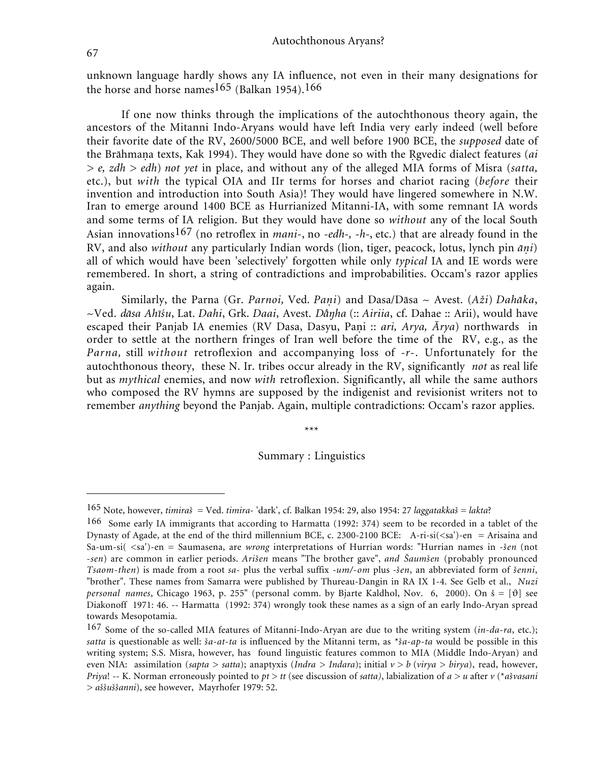unknown language hardly shows any IA influence, not even in their many designations for the horse and horse names<sup>165</sup> (Balkan 1954).<sup>166</sup>

If one now thinks through the implications of the autochthonous theory again, the ancestors of the Mitanni Indo-Aryans would have left India very early indeed (well before their favorite date of the RV, 2600/5000 BCE, and well before 1900 BCE, the *supposed* date of the Brāhmaṇa texts, Kak 1994). They would have done so with the Rgvedic dialect features (*ai > e, zdh > edh*) *not yet* in place, and without any of the alleged MIA forms of Misra (*satta,* etc.), but *with* the typical OIA and IIr terms for horses and chariot racing (*before* their invention and introduction into South Asia)! They would have lingered somewhere in N.W. Iran to emerge around 1400 BCE as Hurrianized Mitanni-IA, with some remnant IA words and some terms of IA religion. But they would have done so *without* any of the local South Asian innovations167 (no retroflex in *mani*-, no *-edh-, -h-*, etc.) that are already found in the RV, and also *without* any particularly Indian words (lion, tiger, peacock, lotus, lynch pin  $\bar{a}ni$ ) all of which would have been 'selectively' forgotten while only *typical* IA and IE words were remembered. In short, a string of contradictions and improbabilities. Occam's razor applies again.

Similarly, the Parna (Gr. *Parnoi,* Ved. *Pai*) and Dasa/Dåsa ~ Avest. (*Aži*) *Dahåka*, ~Ved. *dåsa Ahīśu*, Lat. *Dahi*, Grk. *Daai*, Avest. *Dha* (:: *Airiia*, cf. Dahae :: Arii), would have escaped their Panjab IA enemies (RV Dasa, Dasyu, Paṇi :: *ari, Arya, Ārya*) northwards in order to settle at the northern fringes of Iran well before the time of the RV, e.g., as the *Parna,* still *without* retroflexion and accompanying loss of -*r-*. Unfortunately for the autochthonous theory, these N. Ir. tribes occur already in the RV, significantly *not* as real life but as *mythical* enemies, and now *with* retroflexion. Significantly, all while the same authors who composed the RV hymns are supposed by the indigenist and revisionist writers not to remember *anything* beyond the Panjab. Again, multiple contradictions: Occam's razor applies.

\*\*\*

Summary : Linguistics

<sup>165</sup> Note, however, *timiraš* = Ved. *timira*- 'dark', cf. Balkan 1954: 29, also 1954: 27 *laggatakkaš* = *lakta*?

<sup>166</sup> Some early IA immigrants that according to Harmatta (1992: 374) seem to be recorded in a tablet of the Dynasty of Agade, at the end of the third millennium BCE, c. 2300-2100 BCE: A-ri-si(<sa')-en = Arisaina and Sa-um-si( <sa')-en = Saumasena, are *wrong* interpretations of Hurrian words: "Hurrian names in -*šen* (not -*sen*) are common in earlier periods. *Arišen* means "The brother gave", *and Šaumšen* (probably pronounced *Tsaom-then*) is made from a root *sa*- plus the verbal suffix -*um/-om* plus -*šen*, an abbreviated form of *šenni*, "brother". These names from Samarra were published by Thureau-Dangin in RA IX 1-4. See Gelb et al., *Nuzi personal names*, Chicago 1963, p. 255" (personal comm. by Bjarte Kaldhol, Nov. 6, 2000). On š = [θ] see Diakonoff 1971: 46. -- Harmatta (1992: 374) wrongly took these names as a sign of an early Indo-Aryan spread towards Mesopotamia.

<sup>167</sup> Some of the so-called MIA features of Mitanni-Indo-Aryan are due to the writing system (*in-da-ra*, etc.); *satta* is questionable as well: *ša-at-ta* is influenced by the Mitanni term, as *\*ša-ap-ta* would be possible in this writing system; S.S. Misra, however, has found linguistic features common to MIA (Middle Indo-Aryan) and even NIA: assimilation (*sapta > satta*); anaptyxis (*Indra > Indara*); initial *v > b* (*virya > birya*), read, however, *Priya*! -- K. Norman erroneously pointed to *pt > tt* (see discussion of *satta)*, labialization of *a > u* after *v* (\**ašvasani > aššuššanni*), see however, Mayrhofer 1979: 52.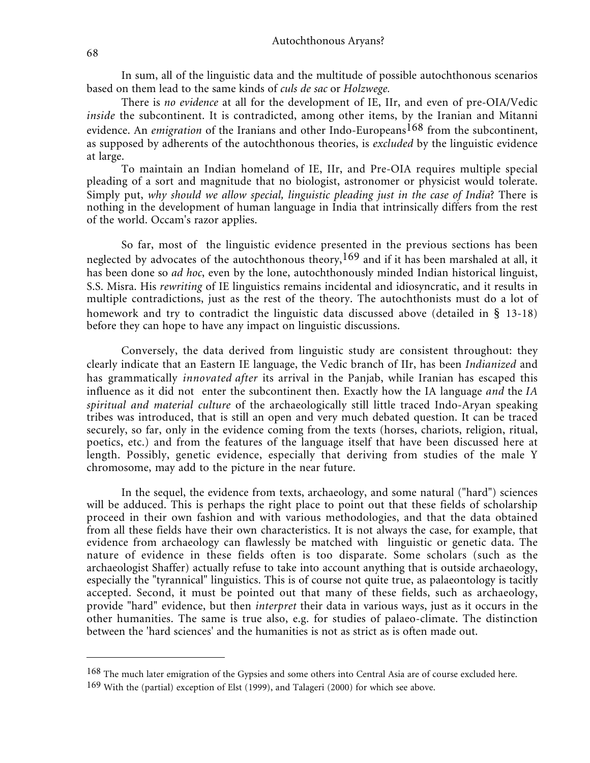In sum, all of the linguistic data and the multitude of possible autochthonous scenarios based on them lead to the same kinds of *culs de sac* or *Holzwege.*

There is *no evidence* at all for the development of IE, IIr, and even of pre-OIA/Vedic *inside* the subcontinent. It is contradicted, among other items, by the Iranian and Mitanni evidence. An *emigration* of the Iranians and other Indo-Europeans<sup>168</sup> from the subcontinent, as supposed by adherents of the autochthonous theories, is *excluded* by the linguistic evidence at large.

To maintain an Indian homeland of IE, IIr, and Pre-OIA requires multiple special pleading of a sort and magnitude that no biologist, astronomer or physicist would tolerate. Simply put, *why should we allow special, linguistic pleading just in the case of India*? There is nothing in the development of human language in India that intrinsically differs from the rest of the world. Occam's razor applies.

So far, most of the linguistic evidence presented in the previous sections has been neglected by advocates of the autochthonous theory,  $169$  and if it has been marshaled at all, it has been done so *ad hoc*, even by the lone, autochthonously minded Indian historical linguist, S.S. Misra. His *rewriting* of IE linguistics remains incidental and idiosyncratic, and it results in multiple contradictions, just as the rest of the theory. The autochthonists must do a lot of homework and try to contradict the linguistic data discussed above (detailed in § 13-18) before they can hope to have any impact on linguistic discussions.

Conversely, the data derived from linguistic study are consistent throughout: they clearly indicate that an Eastern IE language, the Vedic branch of IIr, has been *Indianized* and has grammatically *innovated after* its arrival in the Panjab, while Iranian has escaped this influence as it did not enter the subcontinent then. Exactly how the IA language *and* the *IA spiritual and material culture* of the archaeologically still little traced Indo-Aryan speaking tribes was introduced, that is still an open and very much debated question. It can be traced securely, so far, only in the evidence coming from the texts (horses, chariots, religion, ritual, poetics, etc.) and from the features of the language itself that have been discussed here at length. Possibly, genetic evidence, especially that deriving from studies of the male Y chromosome, may add to the picture in the near future.

In the sequel, the evidence from texts, archaeology, and some natural ("hard") sciences will be adduced. This is perhaps the right place to point out that these fields of scholarship proceed in their own fashion and with various methodologies, and that the data obtained from all these fields have their own characteristics. It is not always the case, for example, that evidence from archaeology can flawlessly be matched with linguistic or genetic data. The nature of evidence in these fields often is too disparate. Some scholars (such as the archaeologist Shaffer) actually refuse to take into account anything that is outside archaeology, especially the "tyrannical" linguistics. This is of course not quite true, as palaeontology is tacitly accepted. Second, it must be pointed out that many of these fields, such as archaeology, provide "hard" evidence, but then *interpret* their data in various ways, just as it occurs in the other humanities. The same is true also, e.g. for studies of palaeo-climate. The distinction between the 'hard sciences' and the humanities is not as strict as is often made out.

<sup>168</sup> The much later emigration of the Gypsies and some others into Central Asia are of course excluded here. 169 With the (partial) exception of Elst (1999), and Talageri (2000) for which see above.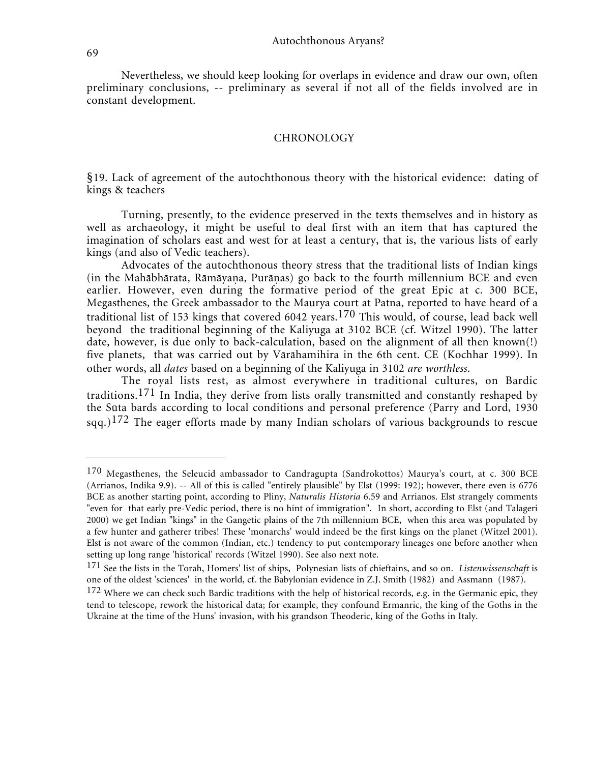Nevertheless, we should keep looking for overlaps in evidence and draw our own, often preliminary conclusions, -- preliminary as several if not all of the fields involved are in constant development.

#### **CHRONOLOGY**

§19. Lack of agreement of the autochthonous theory with the historical evidence: dating of kings & teachers

Turning, presently, to the evidence preserved in the texts themselves and in history as well as archaeology, it might be useful to deal first with an item that has captured the imagination of scholars east and west for at least a century, that is, the various lists of early kings (and also of Vedic teachers).

Advocates of the autochthonous theory stress that the traditional lists of Indian kings (in the Mahābhārata, Rāmāyaṇa, Purāṇas) go back to the fourth millennium BCE and even earlier. However, even during the formative period of the great Epic at c. 300 BCE, Megasthenes, the Greek ambassador to the Maurya court at Patna, reported to have heard of a traditional list of 153 kings that covered 6042 years.170 This would, of course, lead back well beyond the traditional beginning of the Kaliyuga at 3102 BCE (cf. Witzel 1990). The latter date, however, is due only to back-calculation, based on the alignment of all then known(!) five planets, that was carried out by Våråhamihira in the 6th cent. CE (Kochhar 1999). In other words, all *dates* based on a beginning of the Kaliyuga in 3102 *are worthless*.

The royal lists rest, as almost everywhere in traditional cultures, on Bardic traditions.<sup>171</sup> In India, they derive from lists orally transmitted and constantly reshaped by the Sūta bards according to local conditions and personal preference (Parry and Lord, 1930 sqq.)<sup>172</sup> The eager efforts made by many Indian scholars of various backgrounds to rescue

<sup>170</sup> Megasthenes, the Seleucid ambassador to Candragupta (Sandrokottos) Maurya's court, at c. 300 BCE (Arrianos, Indika 9.9). -- All of this is called "entirely plausible" by Elst (1999: 192); however, there even is 6776 BCE as another starting point, according to Pliny, *Naturalis Historia* 6.59 and Arrianos. Elst strangely comments "even for that early pre-Vedic period, there is no hint of immigration". In short, according to Elst (and Talageri 2000) we get Indian "kings" in the Gangetic plains of the 7th millennium BCE, when this area was populated by a few hunter and gatherer tribes! These 'monarchs' would indeed be the first kings on the planet (Witzel 2001). Elst is not aware of the common (Indian, etc.) tendency to put contemporary lineages one before another when setting up long range 'historical' records (Witzel 1990). See also next note.

<sup>171</sup> See the lists in the Torah, Homers' list of ships, Polynesian lists of chieftains, and so on. *Listenwissenschaft* is one of the oldest 'sciences' in the world, cf. the Babylonian evidence in Z.J. Smith (1982) and Assmann (1987).

<sup>172</sup> Where we can check such Bardic traditions with the help of historical records, e.g. in the Germanic epic, they tend to telescope, rework the historical data; for example, they confound Ermanric, the king of the Goths in the Ukraine at the time of the Huns' invasion, with his grandson Theoderic, king of the Goths in Italy.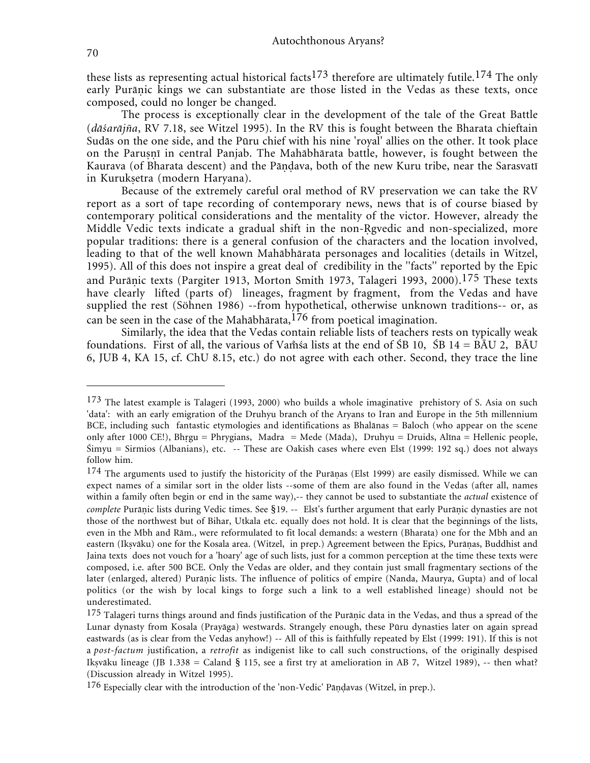these lists as representing actual historical facts<sup>173</sup> therefore are ultimately futile.<sup>174</sup> The only early Purāṇic kings we can substantiate are those listed in the Vedas as these texts, once composed, could no longer be changed.

The process is exceptionally clear in the development of the tale of the Great Battle (*dåśaråjña*, RV 7.18, see Witzel 1995). In the RV this is fought between the Bharata chieftain Sudås on the one side, and the Pūru chief with his nine 'royal' allies on the other. It took place on the Parusnī in central Panjab. The Mahābhārata battle, however, is fought between the Kaurava (of Bharata descent) and the Pāṇḍava, both of the new Kuru tribe, near the Sarasvatī in Kuruketra (modern Haryana).

Because of the extremely careful oral method of RV preservation we can take the RV report as a sort of tape recording of contemporary news, news that is of course biased by contemporary political considerations and the mentality of the victor. However, already the Middle Vedic texts indicate a gradual shift in the non-Rgvedic and non-specialized, more popular traditions: there is a general confusion of the characters and the location involved, leading to that of the well known Mahåbhårata personages and localities (details in Witzel, 1995). All of this does not inspire a great deal of credibility in the ''facts'' reported by the Epic and Purāņic texts (Pargiter 1913, Morton Smith 1973, Talageri 1993, 2000).<sup>175</sup> These texts have clearly lifted (parts of) lineages, fragment by fragment, from the Vedas and have supplied the rest (Söhnen 1986) --from hypothetical, otherwise unknown traditions-- or, as can be seen in the case of the Mahābhārata, $176$  from poetical imagination.

Similarly, the idea that the Vedas contain reliable lists of teachers rests on typically weak foundations. First of all, the various of Vama lists at the end of  $\overline{S}B$  10,  $\overline{S}B$  14 =  $\overline{B}$ AU 2,  $\overline{B}$ AU 6, JUB 4, KA 15, cf. ChU 8.15, etc.) do not agree with each other. Second, they trace the line

 $173$  The latest example is Talageri (1993, 2000) who builds a whole imaginative prehistory of S. Asia on such 'data': with an early emigration of the Druhyu branch of the Aryans to Iran and Europe in the 5th millennium BCE, including such fantastic etymologies and identifications as Bhalånas = Baloch (who appear on the scene only after 1000 CE!), Bhgu = Phrygians, Madra = Mede (Måda), Druhyu = Druids, Alīna = Hellenic people, Śimyu = Sirmios (Albanians), etc. -- These are Oakish cases where even Elst (1999: 192 sq.) does not always follow him.

 $174$  The arguments used to justify the historicity of the Purāṇas (Elst 1999) are easily dismissed. While we can expect names of a similar sort in the older lists --some of them are also found in the Vedas (after all, names within a family often begin or end in the same way),-- they cannot be used to substantiate the *actual* existence of complete Purāņic lists during Vedic times. See §19. -- Elst's further argument that early Purāņic dynasties are not those of the northwest but of Bihar, Utkala etc. equally does not hold. It is clear that the beginnings of the lists, even in the Mbh and Råm., were reformulated to fit local demands: a western (Bharata) one for the Mbh and an eastern (Ikṣvāku) one for the Kosala area. (Witzel, in prep.) Agreement between the Epics, Purāṇas, Buddhist and Jaina texts does not vouch for a 'hoary' age of such lists, just for a common perception at the time these texts were composed, i.e. after 500 BCE. Only the Vedas are older, and they contain just small fragmentary sections of the later (enlarged, altered) Purāṇic lists. The influence of politics of empire (Nanda, Maurya, Gupta) and of local politics (or the wish by local kings to forge such a link to a well established lineage) should not be underestimated.

<sup>175</sup> Talageri turns things around and finds justification of the Purānic data in the Vedas, and thus a spread of the Lunar dynasty from Kosala (Prayåga) westwards. Strangely enough, these Pūru dynasties later on again spread eastwards (as is clear from the Vedas anyhow!) -- All of this is faithfully repeated by Elst (1999: 191). If this is not a *post-factum* justification, a *retrofit* as indigenist like to call such constructions, of the originally despised Ikvåku lineage (JB 1.338 = Caland § 115, see a first try at amelioration in AB 7, Witzel 1989), -- then what? (Discussion already in Witzel 1995).

<sup>176</sup> Especially clear with the introduction of the 'non-Vedic' Pāṇḍavas (Witzel, in prep.).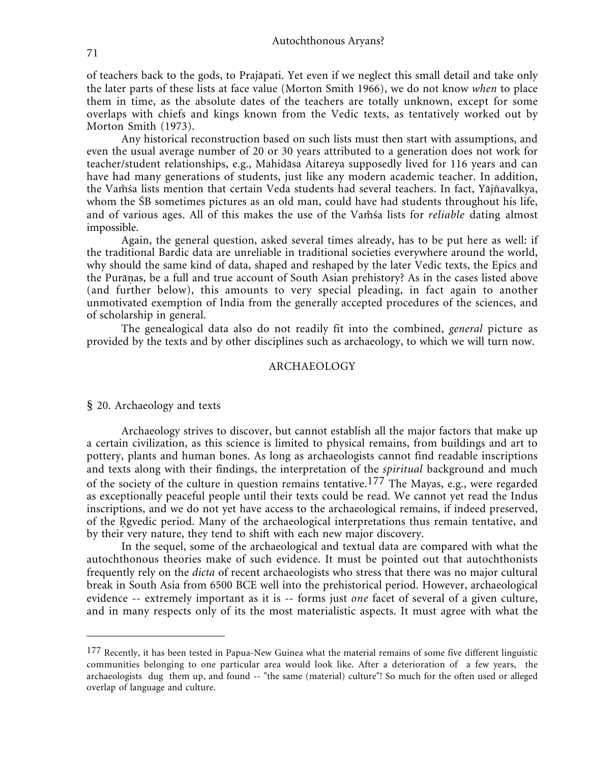of teachers back to the gods, to Prajåpati. Yet even if we neglect this small detail and take only the later parts of these lists at face value (Morton Smith 1966), we do not know *when* to place them in time, as the absolute dates of the teachers are totally unknown, except for some overlaps with chiefs and kings known from the Vedic texts, as tentatively worked out by Morton Smith (1973).

Any historical reconstruction based on such lists must then start with assumptions, and even the usual average number of 20 or 30 years attributed to a generation does not work for teacher/student relationships, e.g., Mahidåsa Aitareya supposedly lived for 116 years and can have had many generations of students, just like any modern academic teacher. In addition, the Vamša lists mention that certain Veda students had several teachers. In fact, Yājñavalkya, whom the ŚB sometimes pictures as an old man, could have had students throughout his life, and of various ages. All of this makes the use of the Vam<sup>sa</sup> lists for *reliable* dating almost impossible.

Again, the general question, asked several times already, has to be put here as well: if the traditional Bardic data are unreliable in traditional societies everywhere around the world, why should the same kind of data, shaped and reshaped by the later Vedic texts, the Epics and the Purāṇas, be a full and true account of South Asian prehistory? As in the cases listed above (and further below), this amounts to very special pleading, in fact again to another unmotivated exemption of India from the generally accepted procedures of the sciences, and of scholarship in general.

The genealogical data also do not readily fit into the combined, *general* picture as provided by the texts and by other disciplines such as archaeology, to which we will turn now.

## ARCHAEOLOGY

#### § 20. Archaeology and texts

Archaeology strives to discover, but cannot establish all the major factors that make up a certain civilization, as this science is limited to physical remains, from buildings and art to pottery, plants and human bones. As long as archaeologists cannot find readable inscriptions and texts along with their findings, the interpretation of the *spiritual* background and much of the society of the culture in question remains tentative.<sup>177</sup> The Mayas, e.g., were regarded as exceptionally peaceful people until their texts could be read. We cannot yet read the Indus inscriptions, and we do not yet have access to the archaeological remains, if indeed preserved, of the gvedic period. Many of the archaeological interpretations thus remain tentative, and by their very nature, they tend to shift with each new major discovery.

In the sequel, some of the archaeological and textual data are compared with what the autochthonous theories make of such evidence. It must be pointed out that autochthonists frequently rely on the *dicta* of recent archaeologists who stress that there was no major cultural break in South Asia from 6500 BCE well into the prehistorical period. However, archaeological evidence -- extremely important as it is -- forms just *one* facet of several of a given culture, and in many respects only of its the most materialistic aspects. It must agree with what the

<sup>177</sup> Recently, it has been tested in Papua-New Guinea what the material remains of some five different linguistic communities belonging to one particular area would look like. After a deterioration of a few years, the archaeologists dug them up, and found -- "the same (material) culture"! So much for the often used or alleged overlap of language and culture.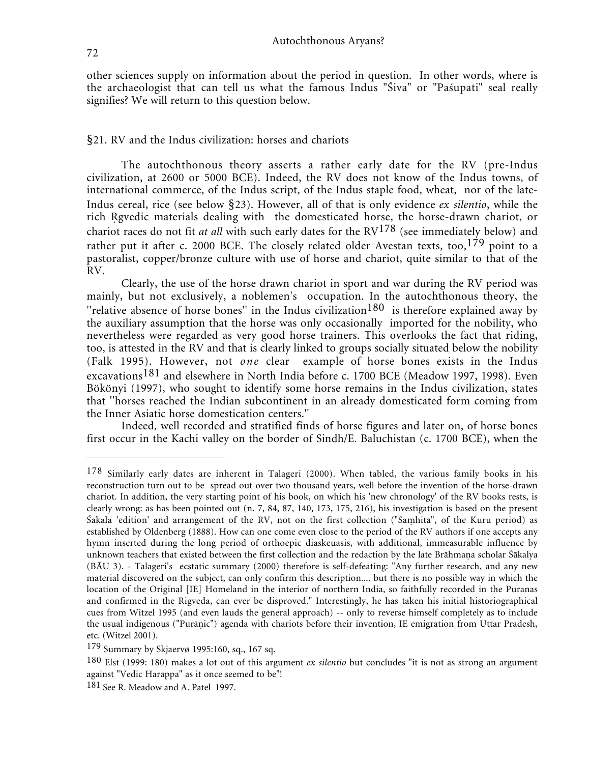other sciences supply on information about the period in question. In other words, where is the archaeologist that can tell us what the famous Indus "Śiva" or "Paśupati" seal really signifies? We will return to this question below.

# §21. RV and the Indus civilization: horses and chariots

The autochthonous theory asserts a rather early date for the RV (pre-Indus civilization, at 2600 or 5000 BCE). Indeed, the RV does not know of the Indus towns, of international commerce, of the Indus script, of the Indus staple food, wheat, nor of the late-Indus cereal, rice (see below §23). However, all of that is only evidence *ex silentio*, while the rich Rgvedic materials dealing with the domesticated horse, the horse-drawn chariot, or chariot races do not fit *at all* with such early dates for the RV178 (see immediately below) and rather put it after c. 2000 BCE. The closely related older Avestan texts, too,  $179$  point to a pastoralist, copper/bronze culture with use of horse and chariot, quite similar to that of the RV.

Clearly, the use of the horse drawn chariot in sport and war during the RV period was mainly, but not exclusively, a noblemen's occupation. In the autochthonous theory, the "relative absence of horse bones" in the Indus civilization<sup>180</sup> is therefore explained away by the auxiliary assumption that the horse was only occasionally imported for the nobility, who nevertheless were regarded as very good horse trainers. This overlooks the fact that riding, too, is attested in the RV and that is clearly linked to groups socially situated below the nobility (Falk 1995). However, not *one* clear example of horse bones exists in the Indus excavations<sup>181</sup> and elsewhere in North India before c. 1700 BCE (Meadow 1997, 1998). Even Bökönyi (1997), who sought to identify some horse remains in the Indus civilization, states that ''horses reached the Indian subcontinent in an already domesticated form coming from the Inner Asiatic horse domestication centers.''

Indeed, well recorded and stratified finds of horse figures and later on, of horse bones first occur in the Kachi valley on the border of Sindh/E. Baluchistan (c. 1700 BCE), when the

<sup>178</sup> Similarly early dates are inherent in Talageri (2000). When tabled, the various family books in his reconstruction turn out to be spread out over two thousand years, well before the invention of the horse-drawn chariot. In addition, the very starting point of his book, on which his 'new chronology' of the RV books rests, is clearly wrong: as has been pointed out (n. 7, 84, 87, 140, 173, 175, 216), his investigation is based on the present Śākala 'edition' and arrangement of the RV, not on the first collection ("Samhitā", of the Kuru period) as established by Oldenberg (1888). How can one come even close to the period of the RV authors if one accepts any hymn inserted during the long period of orthoepic diaskeuasis, with additional, immeasurable influence by unknown teachers that existed between the first collection and the redaction by the late Brāhmaṇa scholar Śākalya (BĀU 3). - Talageri's ecstatic summary (2000) therefore is self-defeating: "Any further research, and any new material discovered on the subject, can only confirm this description.... but there is no possible way in which the location of the Original [IE] Homeland in the interior of northern India, so faithfully recorded in the Puranas and confirmed in the Rigveda, can ever be disproved." Interestingly, he has taken his initial historiographical cues from Witzel 1995 (and even lauds the general approach) -- only to reverse himself completely as to include the usual indigenous ("Purāṇic") agenda with chariots before their invention, IE emigration from Uttar Pradesh, etc. (Witzel 2001).

<sup>179</sup> Summary by Skjaervø 1995:160, sq., 167 sq.

<sup>180</sup> Elst (1999: 180) makes a lot out of this argument *ex silentio* but concludes "it is not as strong an argument against "Vedic Harappa" as it once seemed to be"!

<sup>181</sup> See R. Meadow and A. Patel 1997.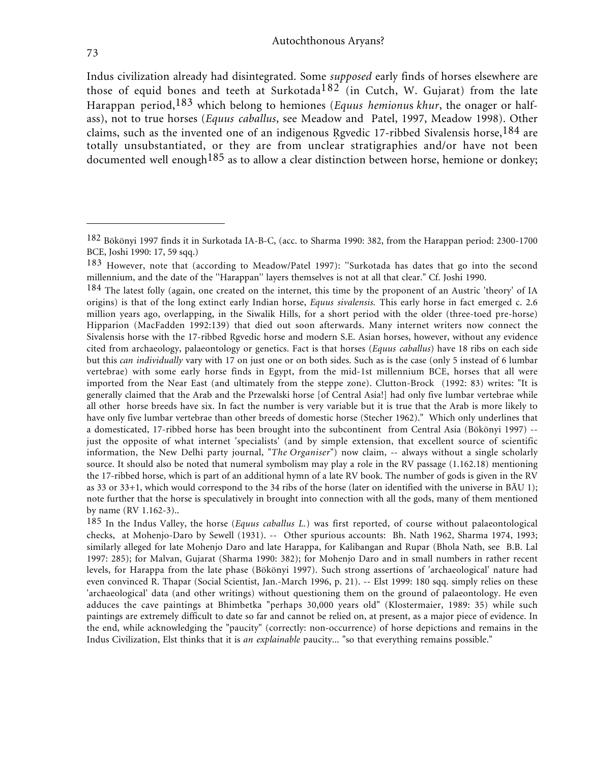Indus civilization already had disintegrated. Some *supposed* early finds of horses elsewhere are those of equid bones and teeth at Surkotada<sup>182</sup> (in Cutch, W. Gujarat) from the late Harappan period,183 which belong to hemiones (*Equus hemionu*s *khur*, the onager or halfass), not to true horses (*Equus caballus*, see Meadow and Patel, 1997, Meadow 1998). Other claims, such as the invented one of an indigenous Rgvedic 17-ribbed Sivalensis horse,  $184$  are totally unsubstantiated, or they are from unclear stratigraphies and/or have not been documented well enough<sup>185</sup> as to allow a clear distinction between horse, hemione or donkey;

185 In the Indus Valley, the horse (*Equus caballus L.*) was first reported, of course without palaeontological checks, at Mohenjo-Daro by Sewell (1931). -- Other spurious accounts: Bh. Nath 1962, Sharma 1974, 1993; similarly alleged for late Mohenjo Daro and late Harappa, for Kalibangan and Rupar (Bhola Nath, see B.B. Lal 1997: 285); for Malvan, Gujarat (Sharma 1990: 382); for Mohenjo Daro and in small numbers in rather recent levels, for Harappa from the late phase (Bökönyi 1997). Such strong assertions of 'archaeological' nature had even convinced R. Thapar (Social Scientist, Jan.-March 1996, p. 21). -- Elst 1999: 180 sqq. simply relies on these 'archaeological' data (and other writings) without questioning them on the ground of palaeontology. He even adduces the cave paintings at Bhimbetka "perhaps 30,000 years old" (Klostermaier, 1989: 35) while such paintings are extremely difficult to date so far and cannot be relied on, at present, as a major piece of evidence. In the end, while acknowledging the "paucity" (correctly: non-occurrence) of horse depictions and remains in the Indus Civilization, Elst thinks that it is *an explainable* paucity... "so that everything remains possible."

<sup>182</sup> Bökönyi 1997 finds it in Surkotada IA-B-C, (acc. to Sharma 1990: 382, from the Harappan period: 2300-1700 BCE, Joshi 1990: 17, 59 sqq.)

<sup>183</sup> However, note that (according to Meadow/Patel 1997): ''Surkotada has dates that go into the second millennium, and the date of the ''Harappan'' layers themselves is not at all that clear." Cf. Joshi 1990.

<sup>184</sup> The latest folly (again, one created on the internet, this time by the proponent of an Austric 'theory' of IA origins) is that of the long extinct early Indian horse, *Equus sivalensis.* This early horse in fact emerged c. 2.6 million years ago, overlapping, in the Siwalik Hills, for a short period with the older (three-toed pre-horse) Hipparion (MacFadden 1992:139) that died out soon afterwards. Many internet writers now connect the Sivalensis horse with the 17-ribbed Rgvedic horse and modern S.E. Asian horses, however, without any evidence cited from archaeology, palaeontology or genetics. Fact is that horses (*Equus caballus*) have 18 ribs on each side but this *can individually* vary with 17 on just one or on both sides. Such as is the case (only 5 instead of 6 lumbar vertebrae) with some early horse finds in Egypt, from the mid-1st millennium BCE, horses that all were imported from the Near East (and ultimately from the steppe zone). Clutton-Brock (1992: 83) writes: "It is generally claimed that the Arab and the Przewalski horse [of Central Asia!] had only five lumbar vertebrae while all other horse breeds have six. In fact the number is very variable but it is true that the Arab is more likely to have only five lumbar vertebrae than other breeds of domestic horse (Stecher 1962)." Which only underlines that a domesticated, 17-ribbed horse has been brought into the subcontinent from Central Asia (Bökönyi 1997) - just the opposite of what internet 'specialists' (and by simple extension, that excellent source of scientific information, the New Delhi party journal, "*The Organiser*") now claim, -- always without a single scholarly source. It should also be noted that numeral symbolism may play a role in the RV passage (1.162.18) mentioning the 17-ribbed horse, which is part of an additional hymn of a late RV book. The number of gods is given in the RV as 33 or 33+1, which would correspond to the 34 ribs of the horse (later on identified with the universe in BĀU 1); note further that the horse is speculatively in brought into connection with all the gods, many of them mentioned by name (RV 1.162-3)..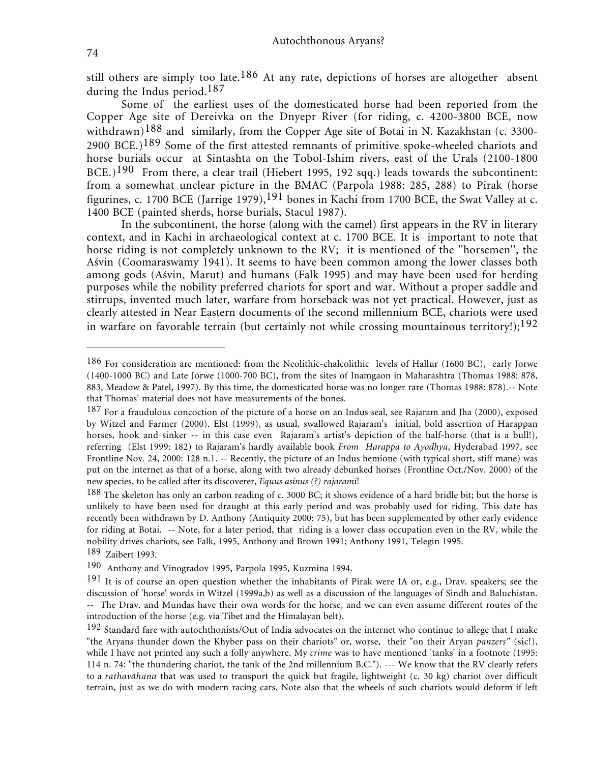still others are simply too late.<sup>186</sup> At any rate, depictions of horses are altogether absent during the Indus period.187

Some of the earliest uses of the domesticated horse had been reported from the Copper Age site of Dereivka on the Dnyepr River (for riding, c. 4200-3800 BCE, now withdrawn)<sup>188</sup> and similarly, from the Copper Age site of Botai in N. Kazakhstan (c. 3300-2900 BCE.)189 Some of the first attested remnants of primitive spoke-wheeled chariots and horse burials occur at Sintashta on the Tobol-Ishim rivers, east of the Urals (2100-1800 BCE.)<sup>190</sup> From there, a clear trail (Hiebert 1995, 192 sqq.) leads towards the subcontinent: from a somewhat unclear picture in the BMAC (Parpola 1988: 285, 288) to Pirak (horse figurines, c. 1700 BCE (Jarrige 1979), <sup>191</sup> bones in Kachi from 1700 BCE, the Swat Valley at c. 1400 BCE (painted sherds, horse burials, Stacul 1987).

In the subcontinent, the horse (along with the camel) first appears in the RV in literary context, and in Kachi in archaeological context at c. 1700 BCE. It is important to note that horse riding is not completely unknown to the RV; it is mentioned of the ''horsemen'', the Aśvin (Coomaraswamy 1941). It seems to have been common among the lower classes both among gods (Aśvin, Marut) and humans (Falk 1995) and may have been used for herding purposes while the nobility preferred chariots for sport and war. Without a proper saddle and stirrups, invented much later, warfare from horseback was not yet practical. However, just as clearly attested in Near Eastern documents of the second millennium BCE, chariots were used in warfare on favorable terrain (but certainly not while crossing mountainous territory!);  $192$ 

189 Zaibert 1993.

<sup>186</sup> For consideration are mentioned: from the Neolithic-chalcolithic levels of Hallur (1600 BC), early Jorwe (1400-1000 BC) and Late Jorwe (1000-700 BC), from the sites of Inamgaon in Maharashtra (Thomas 1988: 878, 883, Meadow & Patel, 1997). By this time, the domesticated horse was no longer rare (Thomas 1988: 878).-- Note that Thomas' material does not have measurements of the bones.

<sup>187</sup> For a fraudulous concoction of the picture of a horse on an Indus seal, see Rajaram and Jha (2000), exposed by Witzel and Farmer (2000). Elst (1999), as usual, swallowed Rajaram's initial, bold assertion of Harappan horses, hook and sinker -- in this case even Rajaram's artist's depiction of the half-horse (that is a bull!), referring (Elst 1999: 182) to Rajaram's hardly available book *From Harappa to Ayodhya*, Hyderabad 1997, see Frontline Nov. 24, 2000: 128 n.1. -- Recently, the picture of an Indus hemione (with typical short, stiff mane) was put on the internet as that of a horse, along with two already debunked horses (Frontline Oct./Nov. 2000) of the new species, to be called after its discoverer, *Equus asinus (?) rajarami*!

<sup>188</sup> The skeleton has only an carbon reading of c. 3000 BC; it shows evidence of a hard bridle bit; but the horse is unlikely to have been used for draught at this early period and was probably used for riding. This date has recently been withdrawn by D. Anthony (Antiquity 2000: 75), but has been supplemented by other early evidence for riding at Botai. -- Note, for a later period, that riding is a lower class occupation even in the RV, while the nobility drives chariots, see Falk, 1995, Anthony and Brown 1991; Anthony 1991, Telegin 1995.

<sup>190</sup> Anthony and Vinogradov 1995, Parpola 1995, Kuzmina 1994.

<sup>191</sup> It is of course an open question whether the inhabitants of Pirak were IA or, e.g., Drav. speakers; see the discussion of 'horse' words in Witzel (1999a,b) as well as a discussion of the languages of Sindh and Baluchistan. -- The Drav. and Mundas have their own words for the horse, and we can even assume different routes of the introduction of the horse (e.g. via Tibet and the Himalayan belt).

<sup>&</sup>lt;sup>192</sup> Standard fare with autochthonists/Out of India advocates on the internet who continue to allege that I make "the Aryans thunder down the Khyber pass on their chariots" or, worse, their "on their Aryan *panzers"* (sic!), while I have not printed any such a folly anywhere. My *crime* was to have mentioned 'tanks' in a footnote (1995: 114 n. 74: "the thundering chariot, the tank of the 2nd millennium B.C."). --- We know that the RV clearly refers to a *rathavåhana* that was used to transport the quick but fragile, lightweight (c. 30 kg) chariot over difficult terrain, just as we do with modern racing cars. Note also that the wheels of such chariots would deform if left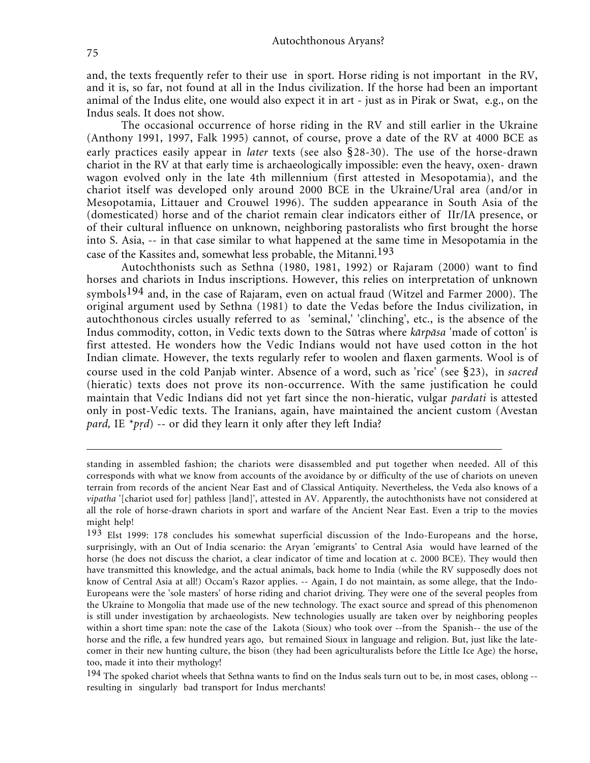and, the texts frequently refer to their use in sport. Horse riding is not important in the RV, and it is, so far, not found at all in the Indus civilization. If the horse had been an important animal of the Indus elite, one would also expect it in art - just as in Pirak or Swat, e.g., on the Indus seals. It does not show.

The occasional occurrence of horse riding in the RV and still earlier in the Ukraine (Anthony 1991, 1997, Falk 1995) cannot, of course, prove a date of the RV at 4000 BCE as early practices easily appear in *later* texts (see also §28-30). The use of the horse-drawn chariot in the RV at that early time is archaeologically impossible: even the heavy, oxen- drawn wagon evolved only in the late 4th millennium (first attested in Mesopotamia), and the chariot itself was developed only around 2000 BCE in the Ukraine/Ural area (and/or in Mesopotamia, Littauer and Crouwel 1996). The sudden appearance in South Asia of the (domesticated) horse and of the chariot remain clear indicators either of IIr/IA presence, or of their cultural influence on unknown, neighboring pastoralists who first brought the horse into S. Asia, -- in that case similar to what happened at the same time in Mesopotamia in the case of the Kassites and, somewhat less probable, the Mitanni.193

Autochthonists such as Sethna (1980, 1981, 1992) or Rajaram (2000) want to find horses and chariots in Indus inscriptions. However, this relies on interpretation of unknown symbols194 and, in the case of Rajaram, even on actual fraud (Witzel and Farmer 2000). The original argument used by Sethna (1981) to date the Vedas before the Indus civilization, in autochthonous circles usually referred to as 'seminal,' 'clinching', etc., is the absence of the Indus commodity, cotton, in Vedic texts down to the Sūtras where *kårpåsa* 'made of cotton' is first attested. He wonders how the Vedic Indians would not have used cotton in the hot Indian climate. However, the texts regularly refer to woolen and flaxen garments. Wool is of course used in the cold Panjab winter. Absence of a word, such as 'rice' (see §23), in *sacred* (hieratic) texts does not prove its non-occurrence. With the same justification he could maintain that Vedic Indians did not yet fart since the non-hieratic, vulgar *pardati* is attested only in post-Vedic texts. The Iranians, again, have maintained the ancient custom (Avestan *pard*, IE \**prd*) -- or did they learn it only after they left India?

standing in assembled fashion; the chariots were disassembled and put together when needed. All of this corresponds with what we know from accounts of the avoidance by or difficulty of the use of chariots on uneven terrain from records of the ancient Near East and of Classical Antiquity. Nevertheless, the Veda also knows of a *vipatha* '[chariot used for] pathless [land]', attested in AV. Apparently, the autochthonists have not considered at all the role of horse-drawn chariots in sport and warfare of the Ancient Near East. Even a trip to the movies might help!

<sup>193</sup> Elst 1999: 178 concludes his somewhat superficial discussion of the Indo-Europeans and the horse, surprisingly, with an Out of India scenario: the Aryan 'emigrants' to Central Asia would have learned of the horse (he does not discuss the chariot, a clear indicator of time and location at c. 2000 BCE). They would then have transmitted this knowledge, and the actual animals, back home to India (while the RV supposedly does not know of Central Asia at all!) Occam's Razor applies. -- Again, I do not maintain, as some allege, that the Indo-Europeans were the 'sole masters' of horse riding and chariot driving. They were one of the several peoples from the Ukraine to Mongolia that made use of the new technology. The exact source and spread of this phenomenon is still under investigation by archaeologists. New technologies usually are taken over by neighboring peoples within a short time span: note the case of the Lakota (Sioux) who took over --from the Spanish-- the use of the horse and the rifle, a few hundred years ago, but remained Sioux in language and religion. But, just like the latecomer in their new hunting culture, the bison (they had been agriculturalists before the Little Ice Age) the horse, too, made it into their mythology!

<sup>194</sup> The spoked chariot wheels that Sethna wants to find on the Indus seals turn out to be, in most cases, oblong - resulting in singularly bad transport for Indus merchants!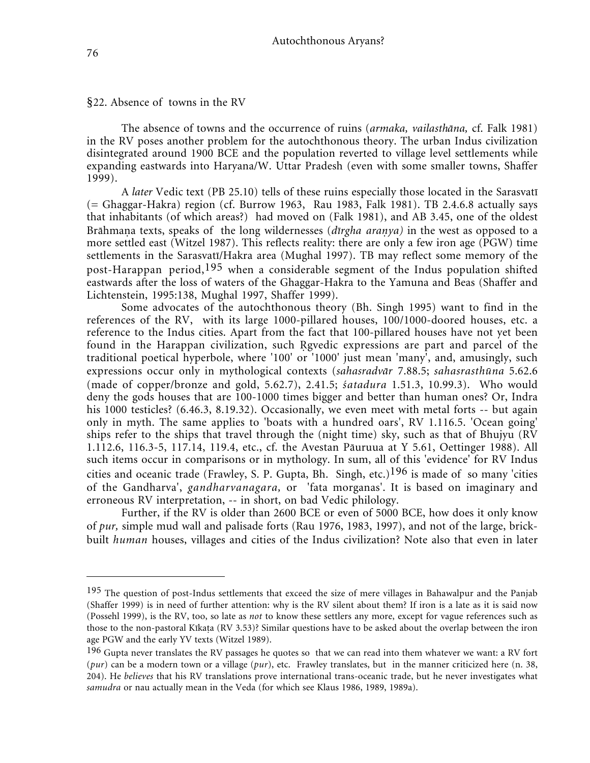§22. Absence of towns in the RV

The absence of towns and the occurrence of ruins (*armaka, vailasthåna,* cf. Falk 1981) in the RV poses another problem for the autochthonous theory. The urban Indus civilization disintegrated around 1900 BCE and the population reverted to village level settlements while expanding eastwards into Haryana/W. Uttar Pradesh (even with some smaller towns, Shaffer 1999).

A *later* Vedic text (PB 25.10) tells of these ruins especially those located in the Sarasvatī (= Ghaggar-Hakra) region (cf. Burrow 1963, Rau 1983, Falk 1981). TB 2.4.6.8 actually says that inhabitants (of which areas?) had moved on (Falk 1981), and AB 3.45, one of the oldest Brāhmaņa texts, speaks of the long wildernesses (dīrgha aranya) in the west as opposed to a more settled east (Witzel 1987). This reflects reality: there are only a few iron age (PGW) time settlements in the Sarasvatī/Hakra area (Mughal 1997). TB may reflect some memory of the post-Harappan period,195 when a considerable segment of the Indus population shifted eastwards after the loss of waters of the Ghaggar-Hakra to the Yamuna and Beas (Shaffer and Lichtenstein, 1995:138, Mughal 1997, Shaffer 1999).

Some advocates of the autochthonous theory (Bh. Singh 1995) want to find in the references of the RV, with its large 1000-pillared houses, 100/1000-doored houses, etc. a reference to the Indus cities. Apart from the fact that 100-pillared houses have not yet been found in the Harappan civilization, such Rgvedic expressions are part and parcel of the traditional poetical hyperbole, where '100' or '1000' just mean 'many', and, amusingly, such expressions occur only in mythological contexts (*sahasradvår* 7.88.5; *sahasrasthūna* 5.62.6 (made of copper/bronze and gold, 5.62.7), 2.41.5; *śatadura* 1.51.3, 10.99.3). Who would deny the gods houses that are 100-1000 times bigger and better than human ones? Or, Indra his 1000 testicles? (6.46.3, 8.19.32). Occasionally, we even meet with metal forts -- but again only in myth. The same applies to 'boats with a hundred oars', RV 1.116.5. 'Ocean going' ships refer to the ships that travel through the (night time) sky, such as that of Bhujyu (RV 1.112.6, 116.3-5, 117.14, 119.4, etc., cf. the Avestan Påuruua at Y 5.61, Oettinger 1988). All such items occur in comparisons or in mythology. In sum, all of this 'evidence' for RV Indus cities and oceanic trade (Frawley, S. P. Gupta, Bh. Singh, etc.)196 is made of so many 'cities of the Gandharva', *gandharvanagara,* or 'fata morganas'. It is based on imaginary and erroneous RV interpretation, -- in short, on bad Vedic philology.

Further, if the RV is older than 2600 BCE or even of 5000 BCE, how does it only know of *pur,* simple mud wall and palisade forts (Rau 1976, 1983, 1997), and not of the large, brickbuilt *human* houses, villages and cities of the Indus civilization? Note also that even in later

<sup>195</sup> The question of post-Indus settlements that exceed the size of mere villages in Bahawalpur and the Panjab (Shaffer 1999) is in need of further attention: why is the RV silent about them? If iron is a late as it is said now (Possehl 1999), is the RV, too, so late as *not* to know these settlers any more, except for vague references such as those to the non-pastoral Kīkaṭa (RV 3.53)? Similar questions have to be asked about the overlap between the iron age PGW and the early YV texts (Witzel 1989).

<sup>196</sup> Gupta never translates the RV passages he quotes so that we can read into them whatever we want: a RV fort (*pur*) can be a modern town or a village (*pur*), etc. Frawley translates, but in the manner criticized here (n. 38, 204). He *believes* that his RV translations prove international trans-oceanic trade, but he never investigates what *samudra* or nau actually mean in the Veda (for which see Klaus 1986, 1989, 1989a).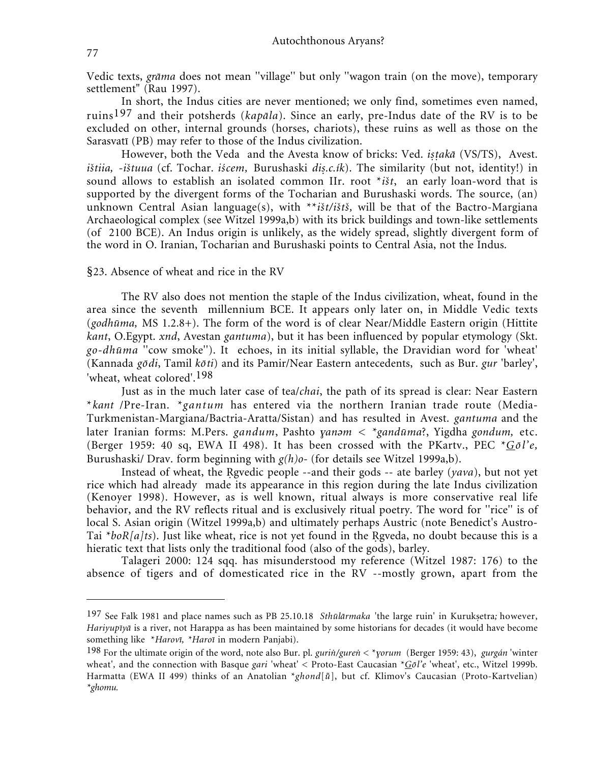Vedic texts, *gråma* does not mean ''village'' but only ''wagon train (on the move), temporary settlement" (Rau 1997).

In short, the Indus cities are never mentioned; we only find, sometimes even named, ruins197 and their potsherds (*kapåla*). Since an early, pre-Indus date of the RV is to be excluded on other, internal grounds (horses, chariots), these ruins as well as those on the Sarasvatī (PB) may refer to those of the Indus civilization.

However, both the Veda and the Avesta know of bricks: Ved. *istakā* (VS/TS), Avest. ištiia, -ištuua (cf. Tochar. *iścem*, Burushaski *dis.c.ík*). The similarity (but not, identity!) in sound allows to establish an isolated common IIr. root \**išt*, an early loan-word that is supported by the divergent forms of the Tocharian and Burushaski words. The source, (an) unknown Central Asian language(s), with \*\**išt/ištš,* will be that of the Bactro-Margiana Archaeological complex (see Witzel 1999a,b) with its brick buildings and town-like settlements (of 2100 BCE). An Indus origin is unlikely, as the widely spread, slightly divergent form of the word in O. Iranian, Tocharian and Burushaski points to Central Asia, not the Indus.

### §23. Absence of wheat and rice in the RV

The RV also does not mention the staple of the Indus civilization, wheat, found in the area since the seventh millennium BCE. It appears only later on, in Middle Vedic texts (*godhūma,* MS 1.2.8+). The form of the word is of clear Near/Middle Eastern origin (Hittite *kant*, O.Egypt. *xnd*, Avestan *gantuma*), but it has been influenced by popular etymology (Skt. *go-dhūma* ''cow smoke''). It echoes, in its initial syllable, the Dravidian word for 'wheat' (Kannada *gōdi*, Tamil *kōti*) and its Pamir/Near Eastern antecedents, such as Bur. *gur* 'barley', 'wheat, wheat colored'.198

Just as in the much later case of tea/*chai*, the path of its spread is clear: Near Eastern \**kant* /Pre-Iran. \**gantum* has entered via the northern Iranian trade route (Media-Turkmenistan-Margiana/Bactria-Aratta/Sistan) and has resulted in Avest. *gantuma* and the later Iranian forms: M.Pers. *gandum*, Pashto *γanəm < \*gandūma*?, Yigdha *gondum,* etc. (Berger 1959: 40 sq, EWA II 498). It has been crossed with the PKartv., PEC \**Gōl'e,* Burushaski/ Drav. form beginning with *g(h)o-* (for details see Witzel 1999a,b).

Instead of wheat, the Rgvedic people --and their gods -- ate barley (*yava*), but not yet rice which had already made its appearance in this region during the late Indus civilization (Kenoyer 1998). However, as is well known, ritual always is more conservative real life behavior, and the RV reflects ritual and is exclusively ritual poetry. The word for ''rice'' is of local S. Asian origin (Witzel 1999a,b) and ultimately perhaps Austric (note Benedict's Austro-Tai *\*boR[a]ts*). Just like wheat, rice is not yet found in the Rgveda, no doubt because this is a hieratic text that lists only the traditional food (also of the gods), barley.

Talageri 2000: 124 sqq. has misunderstood my reference (Witzel 1987: 176) to the absence of tigers and of domesticated rice in the RV --mostly grown, apart from the

<sup>197</sup> See Falk 1981 and place names such as PB 25.10.18 *Sthūlårmaka* 'the large ruin' in Kuruketra*;* however, *Hariyupīyå* is a river, not Harappa as has been maintained by some historians for decades (it would have become something like \**Harovī, \*Haroī* in modern Panjabi).

<sup>198</sup> For the ultimate origin of the word, note also Bur. pl. *guri/gure* < *\*γorum* (Berger 1959: 43), *gurgán* 'winter wheat'*,* and the connection with Basque *gari* 'wheat' < Proto-East Caucasian \**Gōl'e* 'wheat', etc., Witzel 1999b. Harmatta (EWA II 499) thinks of an Anatolian \**ghond*[*6*], but cf. Klimov's Caucasian (Proto-Kartvelian) *\*ghomu.*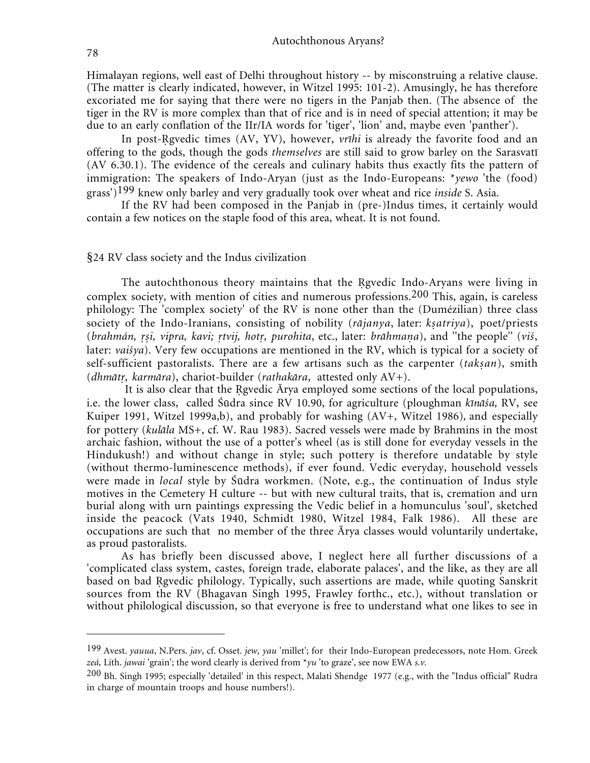Himalayan regions, well east of Delhi throughout history -- by misconstruing a relative clause. (The matter is clearly indicated, however, in Witzel 1995: 101-2). Amusingly, he has therefore excoriated me for saying that there were no tigers in the Panjab then. (The absence of the tiger in the RV is more complex than that of rice and is in need of special attention; it may be due to an early conflation of the IIr/IA words for 'tiger', 'lion' and, maybe even 'panther').

In post-Rgvedic times (AV, YV), however, *vrīhi* is already the favorite food and an offering to the gods, though the gods *themselves* are still said to grow barley on the Sarasvatī (AV 6.30.1). The evidence of the cereals and culinary habits thus exactly fits the pattern of immigration: The speakers of Indo-Aryan (just as the Indo-Europeans: \**yewo* 'the (food) grass')199 knew only barley and very gradually took over wheat and rice *inside* S. Asia.

If the RV had been composed in the Panjab in (pre-)Indus times, it certainly would contain a few notices on the staple food of this area, wheat. It is not found.

# §24 RV class society and the Indus civilization

The autochthonous theory maintains that the gvedic Indo-Aryans were living in complex society, with mention of cities and numerous professions.200 This, again, is careless philology: The 'complex society' of the RV is none other than the (Dumézilian) three class society of the Indo-Iranians, consisting of nobility (*råjanya*, later: *katriya*), poet/priests (*brahmán, rsi, vipra, kavi; rtvij, hotr, purohita, etc., later: <i>brāhmana*), and "the people" (*viś,* later: *vaiśya*). Very few occupations are mentioned in the RV, which is typical for a society of self-sufficient pastoralists. There are a few artisans such as the carpenter (*takan*), smith (*dhmåt, karmåra*), chariot-builder (*rathakåra*, attested only AV*+*).

It is also clear that the gvedic Ārya employed some sections of the local populations, i.e. the lower class, called Śūdra since RV 10.90, for agriculture (ploughman *kīnåśa,* RV, see Kuiper 1991, Witzel 1999a,b), and probably for washing (AV+, Witzel 1986)*,* and especially for pottery (*kulåla* MS+, cf. W. Rau 1983). Sacred vessels were made by Brahmins in the most archaic fashion, without the use of a potter's wheel (as is still done for everyday vessels in the Hindukush!) and without change in style; such pottery is therefore undatable by style (without thermo-luminescence methods), if ever found. Vedic everyday, household vessels were made in *local* style by Śūdra workmen. (Note, e.g., the continuation of Indus style motives in the Cemetery H culture -- but with new cultural traits, that is, cremation and urn burial along with urn paintings expressing the Vedic belief in a homunculus 'soul', sketched inside the peacock (Vats 1940, Schmidt 1980, Witzel 1984, Falk 1986). All these are occupations are such that no member of the three Ārya classes would voluntarily undertake, as proud pastoralists.

As has briefly been discussed above, I neglect here all further discussions of a 'complicated class system, castes, foreign trade, elaborate palaces', and the like, as they are all based on bad Rgvedic philology. Typically, such assertions are made, while quoting Sanskrit sources from the RV (Bhagavan Singh 1995, Frawley forthc., etc.), without translation or without philological discussion, so that everyone is free to understand what one likes to see in

<sup>199</sup> Avest. *yauua*, N.Pers. *jav*, cf. Osset. *jew, yau* 'millet'; for their Indo-European predecessors, note Hom. Greek *zeá,* Lith. *jawai* 'grain'; the word clearly is derived from \**yu* 'to graze', see now EWA *s.v.*

<sup>200</sup> Bh. Singh 1995; especially 'detailed' in this respect, Malati Shendge 1977 (e.g., with the "Indus official" Rudra in charge of mountain troops and house numbers!).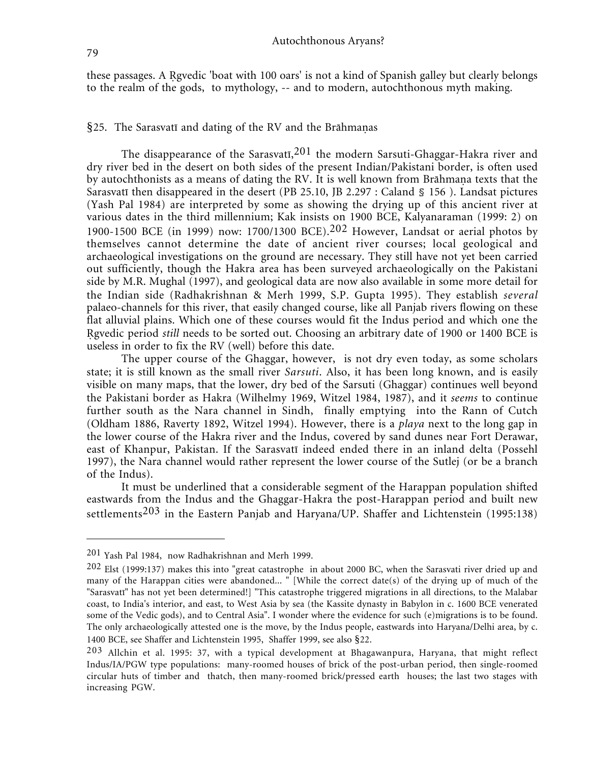these passages. A Rgyedic 'boat with 100 oars' is not a kind of Spanish galley but clearly belongs to the realm of the gods, to mythology, -- and to modern, autochthonous myth making.

# §25. The Sarasvatī and dating of the RV and the Brāhmaṇas

The disappearance of the Sarasvatī,  $201$  the modern Sarsuti-Ghaggar-Hakra river and dry river bed in the desert on both sides of the present Indian/Pakistani border, is often used by autochthonists as a means of dating the RV. It is well known from Brāhmaṇa texts that the Sarasvatī then disappeared in the desert (PB 25.10, JB 2.297 : Caland § 156 ). Landsat pictures (Yash Pal 1984) are interpreted by some as showing the drying up of this ancient river at various dates in the third millennium; Kak insists on 1900 BCE, Kalyanaraman (1999: 2) on 1900-1500 BCE (in 1999) now: 1700/1300 BCE).202 However, Landsat or aerial photos by themselves cannot determine the date of ancient river courses; local geological and archaeological investigations on the ground are necessary. They still have not yet been carried out sufficiently, though the Hakra area has been surveyed archaeologically on the Pakistani side by M.R. Mughal (1997), and geological data are now also available in some more detail for the Indian side (Radhakrishnan & Merh 1999, S.P. Gupta 1995). They establish *several* palaeo-channels for this river, that easily changed course, like all Panjab rivers flowing on these flat alluvial plains. Which one of these courses would fit the Indus period and which one the gvedic period *still* needs to be sorted out. Choosing an arbitrary date of 1900 or 1400 BCE is useless in order to fix the RV (well) before this date.

The upper course of the Ghaggar, however, is not dry even today, as some scholars state; it is still known as the small river *Sarsuti*. Also, it has been long known, and is easily visible on many maps, that the lower, dry bed of the Sarsuti (Ghaggar) continues well beyond the Pakistani border as Hakra (Wilhelmy 1969, Witzel 1984, 1987), and it *seems* to continue further south as the Nara channel in Sindh, finally emptying into the Rann of Cutch (Oldham 1886, Raverty 1892, Witzel 1994). However, there is a *playa* next to the long gap in the lower course of the Hakra river and the Indus, covered by sand dunes near Fort Derawar, east of Khanpur, Pakistan. If the Sarasvatī indeed ended there in an inland delta (Possehl 1997), the Nara channel would rather represent the lower course of the Sutlej (or be a branch of the Indus).

It must be underlined that a considerable segment of the Harappan population shifted eastwards from the Indus and the Ghaggar-Hakra the post-Harappan period and built new settlements<sup>203</sup> in the Eastern Panjab and Haryana/UP. Shaffer and Lichtenstein (1995:138)

<sup>201</sup> Yash Pal 1984, now Radhakrishnan and Merh 1999.

<sup>202</sup> Elst (1999:137) makes this into "great catastrophe in about 2000 BC, when the Sarasvati river dried up and many of the Harappan cities were abandoned... " [While the correct date(s) of the drying up of much of the "Sarasvatī" has not yet been determined!] "This catastrophe triggered migrations in all directions, to the Malabar coast, to India's interior, and east, to West Asia by sea (the Kassite dynasty in Babylon in c. 1600 BCE venerated some of the Vedic gods), and to Central Asia". I wonder where the evidence for such (e)migrations is to be found. The only archaeologically attested one is the move, by the Indus people, eastwards into Haryana/Delhi area, by c. 1400 BCE, see Shaffer and Lichtenstein 1995, Shaffer 1999, see also §22.

<sup>203</sup> Allchin et al. 1995: 37, with a typical development at Bhagawanpura, Haryana, that might reflect Indus/IA/PGW type populations: many-roomed houses of brick of the post-urban period, then single-roomed circular huts of timber and thatch, then many-roomed brick/pressed earth houses; the last two stages with increasing PGW.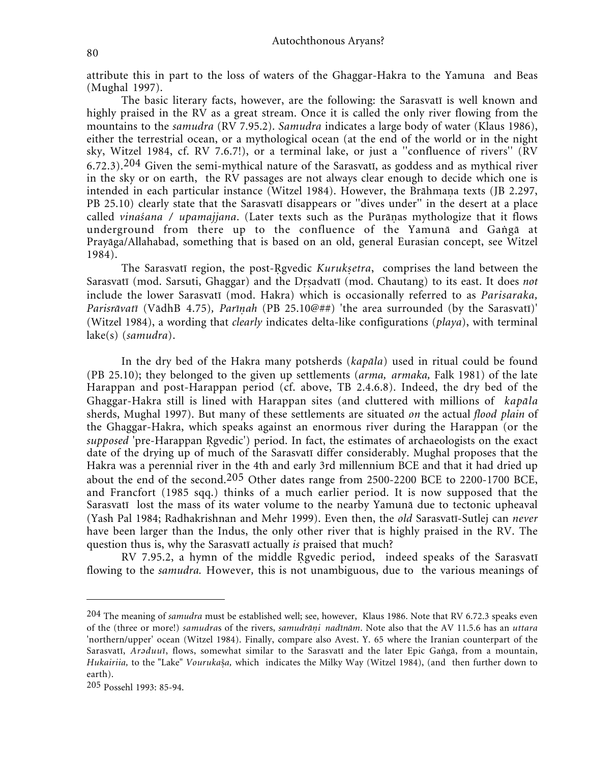attribute this in part to the loss of waters of the Ghaggar-Hakra to the Yamuna and Beas (Mughal 1997).

The basic literary facts, however, are the following: the Sarasvatī is well known and highly praised in the RV as a great stream. Once it is called the only river flowing from the mountains to the *samudra* (RV 7.95.2). *Samudra* indicates a large body of water (Klaus 1986), either the terrestrial ocean, or a mythological ocean (at the end of the world or in the night sky, Witzel 1984, cf. RV 7.6.7!), or a terminal lake, or just a ''confluence of rivers'' (RV  $6.72.3$ ).<sup>204</sup> Given the semi-mythical nature of the Sarasvatī, as goddess and as mythical river in the sky or on earth, the RV passages are not always clear enough to decide which one is intended in each particular instance (Witzel 1984). However, the Brāhmaṇa texts (JB 2.297, PB 25.10) clearly state that the Sarasvatī disappears or ''dives under'' in the desert at a place called *vinaśana / upamajjana*. (Later texts such as the Purāṇas mythologize that it flows underground from there up to the confluence of the Yamuna and Ganga at Prayåga/Allahabad, something that is based on an old, general Eurasian concept, see Witzel 1984).

The Sarasvatī region, the post-Rgvedic *Kuruksetra*, comprises the land between the Sarasvatī (mod. Sarsuti, Ghaggar) and the Drsadvatī (mod. Chautang) to its east. It does *not* include the lower Sarasvatī (mod. Hakra) which is occasionally referred to as *Parisaraka, Parisråvatī* (VådhB 4.75)*, Parīah* (PB 25.10@##) 'the area surrounded (by the Sarasvatī)' (Witzel 1984), a wording that *clearly* indicates delta-like configurations (*playa*), with terminal lake(s) (*samudra*).

In the dry bed of the Hakra many potsherds (*kapåla*) used in ritual could be found (PB 25.10); they belonged to the given up settlements (*arma, armaka,* Falk 1981) of the late Harappan and post-Harappan period (cf. above, TB 2.4.6.8). Indeed, the dry bed of the Ghaggar-Hakra still is lined with Harappan sites (and cluttered with millions of *kapåla* sherds, Mughal 1997). But many of these settlements are situated *on* the actual *flood plain* of the Ghaggar-Hakra, which speaks against an enormous river during the Harappan (or the supposed 'pre-Harappan Rgvedic') period. In fact, the estimates of archaeologists on the exact date of the drying up of much of the Sarasvatī differ considerably. Mughal proposes that the Hakra was a perennial river in the 4th and early 3rd millennium BCE and that it had dried up about the end of the second.<sup>205</sup> Other dates range from 2500-2200 BCE to 2200-1700 BCE, and Francfort (1985 sqq.) thinks of a much earlier period. It is now supposed that the Sarasvatī lost the mass of its water volume to the nearby Yamunå due to tectonic upheaval (Yash Pal 1984; Radhakrishnan and Mehr 1999). Even then, the *old* Sarasvatī-Sutlej can *never* have been larger than the Indus, the only other river that is highly praised in the RV. The question thus is, why the Sarasvatī actually *is* praised that much?

RV 7.95.2, a hymn of the middle Rgvedic period, indeed speaks of the Sarasvatī flowing to the *samudra.* However*,* this is not unambiguous, due to the various meanings of

<sup>204</sup> The meaning of *samudra* must be established well; see, however, Klaus 1986. Note that RV 6.72.3 speaks even of the (three or more!) *samudra*s of the rivers, *samudråi nadīnåm*. Note also that the AV 11.5.6 has an *uttara* 'northern/upper' ocean (Witzel 1984). Finally, compare also Avest. Y. 65 where the Iranian counterpart of the Sarasvatī, *Arəduuī*, flows, somewhat similar to the Sarasvatī and the later Epic Gangā, from a mountain, *Hukairiia,* to the "Lake" *Vourukaa,* which indicates the Milky Way (Witzel 1984), (and then further down to earth).

<sup>205</sup> Possehl 1993: 85-94.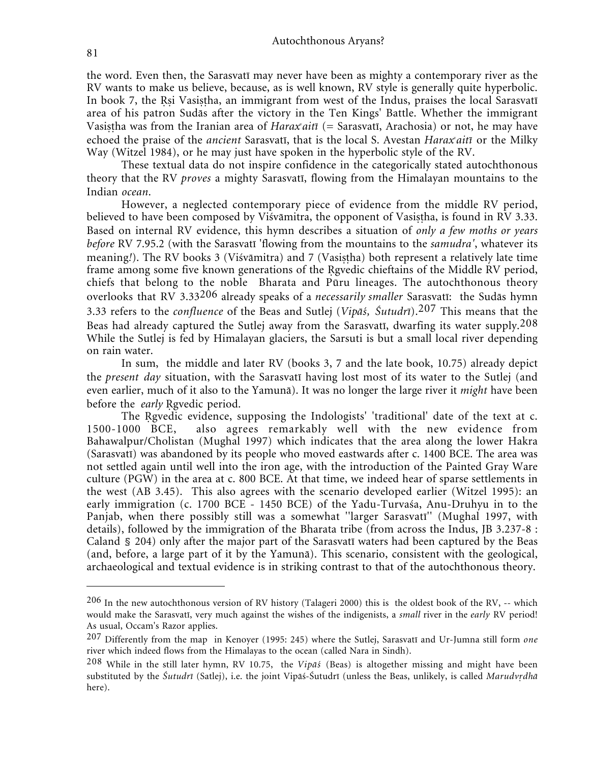the word. Even then, the Sarasvatī may never have been as mighty a contemporary river as the RV wants to make us believe, because, as is well known, RV style is generally quite hyperbolic. In book 7, the Rṣi Vasiṣṭha, an immigrant from west of the Indus, praises the local Sarasvatī area of his patron Sudås after the victory in the Ten Kings' Battle. Whether the immigrant Vasiṣṭha was from the Iranian area of *Haraxʾaitī* (= Sarasvatī, Arachosia) or not, he may have echoed the praise of the *ancient* Sarasvatī, that is the local S. Avestan *Harax aitī* or the Milky Way (Witzel 1984), or he may just have spoken in the hyperbolic style of the RV.

These textual data do not inspire confidence in the categorically stated autochthonous theory that the RV *proves* a mighty Sarasvatī, flowing from the Himalayan mountains to the Indian *ocean*.

However, a neglected contemporary piece of evidence from the middle RV period, believed to have been composed by Viśvåmitra, the opponent of Vasi ha, is found in RV 3.33. Based on internal RV evidence, this hymn describes a situation of *only a few moths or years before* RV 7.95.2 (with the Sarasvatī 'flowing from the mountains to the *samudra'*, whatever its meaning*!*). The RV books 3 (Viśvåmitra) and 7 (Vasi ha) both represent a relatively late time frame among some five known generations of the Rgvedic chieftains of the Middle RV period, chiefs that belong to the noble Bharata and Pūru lineages. The autochthonous theory overlooks that RV 3.33206 already speaks of a *necessarily smaller* Sarasvatī: the Sudås hymn 3.33 refers to the *confluence* of the Beas and Sutlej (*Vipåś, Śutudrī*).207 This means that the Beas had already captured the Sutlej away from the Sarasvatī, dwarfing its water supply.208 While the Sutlej is fed by Himalayan glaciers, the Sarsuti is but a small local river depending on rain water.

In sum, the middle and later RV (books 3, 7 and the late book, 10.75) already depict the *present day* situation, with the Sarasvatī having lost most of its water to the Sutlej (and even earlier, much of it also to the Yamunå). It was no longer the large river it *might* have been before the *early* Revedic period.

The Rgvedic evidence, supposing the Indologists' 'traditional' date of the text at c.<br>1500-1000 BCE, also agrees remarkably well with the new evidence from also agrees remarkably well with the new evidence from Bahawalpur/Cholistan (Mughal 1997) which indicates that the area along the lower Hakra (Sarasvatī) was abandoned by its people who moved eastwards after c. 1400 BCE. The area was not settled again until well into the iron age, with the introduction of the Painted Gray Ware culture (PGW) in the area at c. 800 BCE. At that time, we indeed hear of sparse settlements in the west (AB 3.45). This also agrees with the scenario developed earlier (Witzel 1995): an early immigration (c. 1700 BCE - 1450 BCE) of the Yadu-Turvaśa, Anu-Druhyu in to the Panjab, when there possibly still was a somewhat ''larger Sarasvatī'' (Mughal 1997, with details), followed by the immigration of the Bharata tribe (from across the Indus, JB 3.237-8 : Caland § 204) only after the major part of the Sarasvatī waters had been captured by the Beas (and, before, a large part of it by the Yamunå). This scenario, consistent with the geological, archaeological and textual evidence is in striking contrast to that of the autochthonous theory.

 $206$  In the new autochthonous version of RV history (Talageri 2000) this is the oldest book of the RV,  $-$  which would make the Sarasvatī, very much against the wishes of the indigenists, a *small* river in the *early* RV period! As usual, Occam's Razor applies.

<sup>207</sup> Differently from the map in Kenoyer (1995: 245) where the Sutlej, Sarasvatī and Ur-Jumna still form *one* river which indeed flows from the Himalayas to the ocean (called Nara in Sindh).

<sup>208</sup> While in the still later hymn, RV 10.75, the *Vipåś* (Beas) is altogether missing and might have been substituted by the *Śutudrī* (Satlej), i.e. the joint Vipåś-Śutudrī (unless the Beas, unlikely, is called *Marudvdhå* here).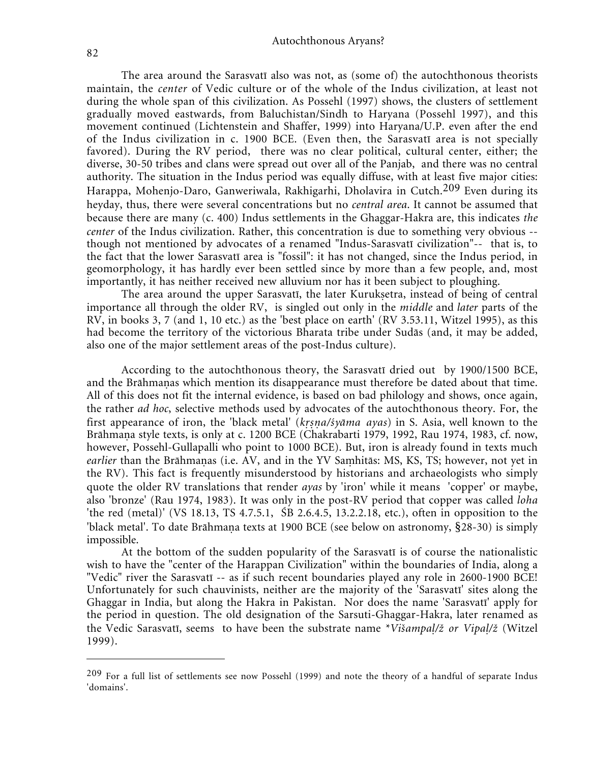#### Autochthonous Aryans?

The area around the Sarasvatī also was not, as (some of) the autochthonous theorists maintain, the *center* of Vedic culture or of the whole of the Indus civilization, at least not during the whole span of this civilization. As Possehl (1997) shows, the clusters of settlement gradually moved eastwards, from Baluchistan/Sindh to Haryana (Possehl 1997), and this movement continued (Lichtenstein and Shaffer, 1999) into Haryana/U.P. even after the end of the Indus civilization in c. 1900 BCE. (Even then, the Sarasvatī area is not specially favored). During the RV period, there was no clear political, cultural center, either; the diverse, 30-50 tribes and clans were spread out over all of the Panjab, and there was no central authority. The situation in the Indus period was equally diffuse, with at least five major cities: Harappa, Mohenjo-Daro, Ganweriwala, Rakhigarhi, Dholavira in Cutch.209 Even during its heyday, thus, there were several concentrations but no *central area*. It cannot be assumed that because there are many (c. 400) Indus settlements in the Ghaggar-Hakra are, this indicates *the center* of the Indus civilization. Rather, this concentration is due to something very obvious - though not mentioned by advocates of a renamed "Indus-Sarasvatī civilization"-- that is, to the fact that the lower Sarasvatī area is "fossil": it has not changed, since the Indus period, in geomorphology, it has hardly ever been settled since by more than a few people, and, most importantly, it has neither received new alluvium nor has it been subject to ploughing.

The area around the upper Sarasvatī, the later Kuruksetra, instead of being of central importance all through the older RV, is singled out only in the *middle* and *later* parts of the RV, in books 3, 7 (and 1, 10 etc.) as the 'best place on earth' (RV 3.53.11, Witzel 1995), as this had become the territory of the victorious Bharata tribe under Sudås (and, it may be added, also one of the major settlement areas of the post-Indus culture).

According to the autochthonous theory, the Sarasvatī dried out by 1900/1500 BCE, and the Brāhmaṇas which mention its disappearance must therefore be dated about that time. All of this does not fit the internal evidence, is based on bad philology and shows, once again, the rather *ad hoc*, selective methods used by advocates of the autochthonous theory. For, the first appearance of iron, the 'black metal' (*krsna/śyāma ayas*) in S. Asia, well known to the Brāhmaṇa style texts, is only at c. 1200 BCE (Chakrabarti 1979, 1992, Rau 1974, 1983, cf. now, however, Possehl-Gullapalli who point to 1000 BCE). But, iron is already found in texts much *earlier* than the Brāhmaṇas (i.e. AV, and in the YV Saṃhitās: MS, KS, TS; however, not yet in the RV). This fact is frequently misunderstood by historians and archaeologists who simply quote the older RV translations that render *ayas* by 'iron' while it means 'copper' or maybe, also 'bronze' (Rau 1974, 1983). It was only in the post-RV period that copper was called *loha* 'the red (metal)' (VS 18.13, TS 4.7.5.1, ŚB 2.6.4.5, 13.2.2.18, etc.), often in opposition to the 'black metal'. To date Brāhmaṇa texts at 1900 BCE (see below on astronomy, §28-30) is simply impossible.

At the bottom of the sudden popularity of the Sarasvatī is of course the nationalistic wish to have the "center of the Harappan Civilization" within the boundaries of India, along a "Vedic" river the Sarasvatī -- as if such recent boundaries played any role in 2600-1900 BCE! Unfortunately for such chauvinists, neither are the majority of the 'Sarasvatī' sites along the Ghaggar in India, but along the Hakra in Pakistan. Nor does the name 'Sarasvatī' apply for the period in question. The old designation of the Sarsuti-Ghaggar-Hakra, later renamed as the Vedic Sarasvatī, seems to have been the substrate name *\*Višampa/ž or Vipa/ž* (Witzel 1999).

<sup>209</sup> For a full list of settlements see now Possehl (1999) and note the theory of a handful of separate Indus 'domains'.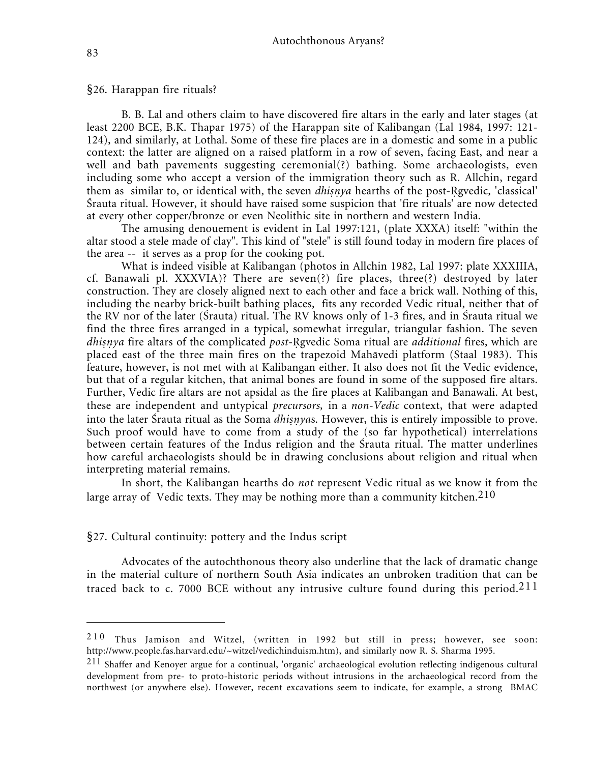#### §26. Harappan fire rituals?

B. B. Lal and others claim to have discovered fire altars in the early and later stages (at least 2200 BCE, B.K. Thapar 1975) of the Harappan site of Kalibangan (Lal 1984, 1997: 121- 124), and similarly, at Lothal. Some of these fire places are in a domestic and some in a public context: the latter are aligned on a raised platform in a row of seven, facing East, and near a well and bath pavements suggesting ceremonial(?) bathing. Some archaeologists, even including some who accept a version of the immigration theory such as R. Allchin, regard them as similar to, or identical with, the seven *dhisnya* hearths of the post-Rgvedic, 'classical' Śrauta ritual. However, it should have raised some suspicion that 'fire rituals' are now detected at every other copper/bronze or even Neolithic site in northern and western India.

The amusing denouement is evident in Lal 1997:121, (plate XXXA) itself: "within the altar stood a stele made of clay". This kind of "stele" is still found today in modern fire places of the area -- it serves as a prop for the cooking pot.

What is indeed visible at Kalibangan (photos in Allchin 1982, Lal 1997: plate XXXIIIA, cf. Banawali pl. XXXVIA)? There are seven(?) fire places, three(?) destroyed by later construction. They are closely aligned next to each other and face a brick wall. Nothing of this, including the nearby brick-built bathing places, fits any recorded Vedic ritual, neither that of the RV nor of the later (Śrauta) ritual. The RV knows only of 1-3 fires, and in Śrauta ritual we find the three fires arranged in a typical, somewhat irregular, triangular fashion. The seven *dhiya* fire altars of the complicated *post*-gvedic Soma ritual are *additional* fires, which are placed east of the three main fires on the trapezoid Mahåvedi platform (Staal 1983). This feature, however, is not met with at Kalibangan either. It also does not fit the Vedic evidence, but that of a regular kitchen, that animal bones are found in some of the supposed fire altars. Further, Vedic fire altars are not apsidal as the fire places at Kalibangan and Banawali. At best, these are independent and untypical *precursors,* in a *non-Vedic* context, that were adapted into the later Śrauta ritual as the Soma *dhiya*s. However, this is entirely impossible to prove. Such proof would have to come from a study of the (so far hypothetical) interrelations between certain features of the Indus religion and the Śrauta ritual. The matter underlines how careful archaeologists should be in drawing conclusions about religion and ritual when interpreting material remains.

In short, the Kalibangan hearths do *not* represent Vedic ritual as we know it from the large array of Vedic texts. They may be nothing more than a community kitchen.210

## §27. Cultural continuity: pottery and the Indus script

Advocates of the autochthonous theory also underline that the lack of dramatic change in the material culture of northern South Asia indicates an unbroken tradition that can be traced back to c. 7000 BCE without any intrusive culture found during this period.<sup>211</sup>

<sup>210</sup> Thus Jamison and Witzel, (written in 1992 but still in press; however, see soon: http://www.people.fas.harvard.edu/~witzel/vedichinduism.htm), and similarly now R. S. Sharma 1995.

<sup>211</sup> Shaffer and Kenoyer argue for a continual, 'organic' archaeological evolution reflecting indigenous cultural development from pre- to proto-historic periods without intrusions in the archaeological record from the northwest (or anywhere else). However, recent excavations seem to indicate, for example, a strong BMAC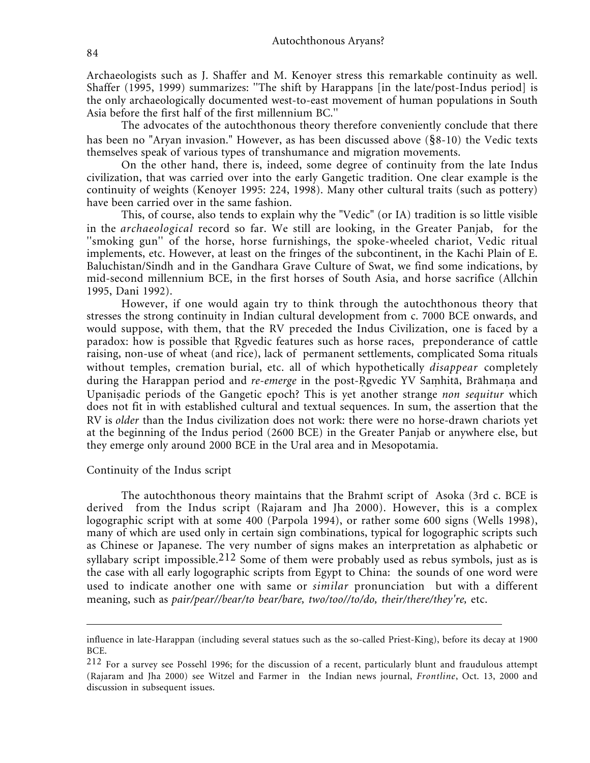Archaeologists such as J. Shaffer and M. Kenoyer stress this remarkable continuity as well. Shaffer (1995, 1999) summarizes: ''The shift by Harappans [in the late/post-Indus period] is the only archaeologically documented west-to-east movement of human populations in South Asia before the first half of the first millennium BC.''

The advocates of the autochthonous theory therefore conveniently conclude that there has been no "Aryan invasion." However, as has been discussed above (§8-10) the Vedic texts themselves speak of various types of transhumance and migration movements.

On the other hand, there is, indeed, some degree of continuity from the late Indus civilization, that was carried over into the early Gangetic tradition. One clear example is the continuity of weights (Kenoyer 1995: 224, 1998). Many other cultural traits (such as pottery) have been carried over in the same fashion.

This, of course, also tends to explain why the "Vedic" (or IA) tradition is so little visible in the *archaeological* record so far. We still are looking, in the Greater Panjab, for the ''smoking gun'' of the horse, horse furnishings, the spoke-wheeled chariot, Vedic ritual implements, etc. However, at least on the fringes of the subcontinent, in the Kachi Plain of E. Baluchistan/Sindh and in the Gandhara Grave Culture of Swat, we find some indications, by mid-second millennium BCE, in the first horses of South Asia, and horse sacrifice (Allchin 1995, Dani 1992).

However, if one would again try to think through the autochthonous theory that stresses the strong continuity in Indian cultural development from c. 7000 BCE onwards, and would suppose, with them, that the RV preceded the Indus Civilization, one is faced by a paradox: how is possible that Rgvedic features such as horse races, preponderance of cattle raising, non-use of wheat (and rice), lack of permanent settlements, complicated Soma rituals without temples, cremation burial, etc. all of which hypothetically *disappear* completely during the Harappan period and *re-emerge* in the post-Rgvedic YV Samhitā, Brāhmaṇa and Upaniadic periods of the Gangetic epoch? This is yet another strange *non sequitur* which does not fit in with established cultural and textual sequences. In sum, the assertion that the RV is *older* than the Indus civilization does not work: there were no horse-drawn chariots yet at the beginning of the Indus period (2600 BCE) in the Greater Panjab or anywhere else, but they emerge only around 2000 BCE in the Ural area and in Mesopotamia.

#### Continuity of the Indus script

The autochthonous theory maintains that the Brahmī script of Asoka (3rd c. BCE is derived from the Indus script (Rajaram and Jha 2000). However, this is a complex logographic script with at some 400 (Parpola 1994), or rather some 600 signs (Wells 1998), many of which are used only in certain sign combinations, typical for logographic scripts such as Chinese or Japanese. The very number of signs makes an interpretation as alphabetic or syllabary script impossible.<sup>212</sup> Some of them were probably used as rebus symbols, just as is the case with all early logographic scripts from Egypt to China: the sounds of one word were used to indicate another one with same or *similar* pronunciation but with a different meaning, such as *pair/pear//bear/to bear/bare, two/too//to/do, their/there/they're,* etc.

influence in late-Harappan (including several statues such as the so-called Priest-King), before its decay at 1900 BCE.

<sup>212</sup> For a survey see Possehl 1996; for the discussion of a recent, particularly blunt and fraudulous attempt (Rajaram and Jha 2000) see Witzel and Farmer in the Indian news journal, *Frontline*, Oct. 13, 2000 and discussion in subsequent issues.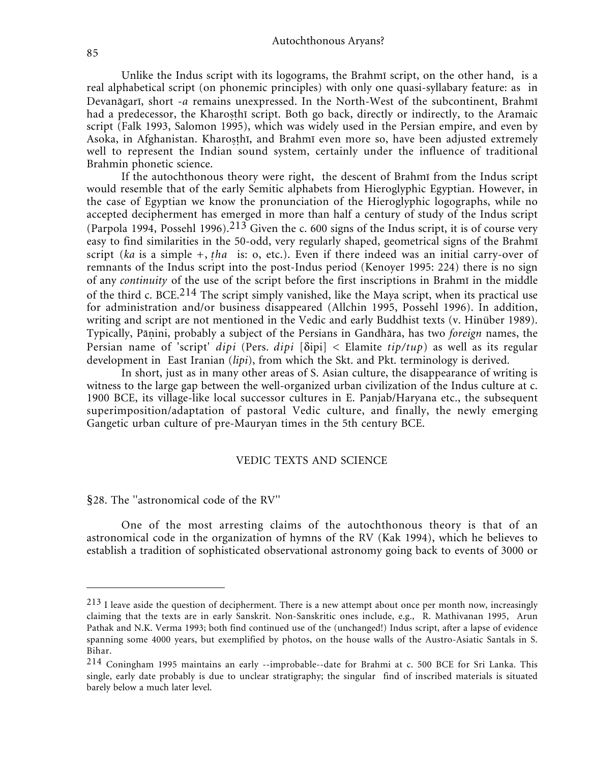Unlike the Indus script with its logograms, the Brahmī script, on the other hand, is a real alphabetical script (on phonemic principles) with only one quasi-syllabary feature: as in Devanågarī, short -*a* remains unexpressed. In the North-West of the subcontinent, Brahmī had a predecessor, the Kharoṣṭhī script. Both go back, directly or indirectly, to the Aramaic script (Falk 1993, Salomon 1995), which was widely used in the Persian empire, and even by Asoka, in Afghanistan. Kharoṣṭhī, and Brahmī even more so, have been adjusted extremely well to represent the Indian sound system, certainly under the influence of traditional Brahmin phonetic science.

If the autochthonous theory were right, the descent of Brahmī from the Indus script would resemble that of the early Semitic alphabets from Hieroglyphic Egyptian. However, in the case of Egyptian we know the pronunciation of the Hieroglyphic logographs, while no accepted decipherment has emerged in more than half a century of study of the Indus script (Parpola 1994, Possehl 1996).<sup>213</sup> Given the c. 600 signs of the Indus script, it is of course very easy to find similarities in the 50-odd, very regularly shaped, geometrical signs of the Brahmī script (*ka* is a simple *+*, *ha* is: o, etc.). Even if there indeed was an initial carry-over of remnants of the Indus script into the post-Indus period (Kenoyer 1995: 224) there is no sign of any *continuity* of the use of the script before the first inscriptions in Brahmī in the middle of the third c. BCE.<sup>214</sup> The script simply vanished, like the Maya script, when its practical use for administration and/or business disappeared (Allchin 1995, Possehl 1996). In addition, writing and script are not mentioned in the Vedic and early Buddhist texts (v. Hinüber 1989). Typically, Pāṇini, probably a subject of the Persians in Gandhāra, has two *foreign* names, the Persian name of 'script' *dipi* (Pers. *dipi* [δipi] < Elamite *tip/tup*) as well as its regular development in East Iranian (*lipi*), from which the Skt. and Pkt. terminology is derived.

In short, just as in many other areas of S. Asian culture, the disappearance of writing is witness to the large gap between the well-organized urban civilization of the Indus culture at c. 1900 BCE, its village-like local successor cultures in E. Panjab/Haryana etc., the subsequent superimposition/adaptation of pastoral Vedic culture, and finally, the newly emerging Gangetic urban culture of pre-Mauryan times in the 5th century BCE.

### VEDIC TEXTS AND SCIENCE

§28. The ''astronomical code of the RV''

One of the most arresting claims of the autochthonous theory is that of an astronomical code in the organization of hymns of the RV (Kak 1994), which he believes to establish a tradition of sophisticated observational astronomy going back to events of 3000 or

<sup>213</sup> I leave aside the question of decipherment. There is a new attempt about once per month now, increasingly claiming that the texts are in early Sanskrit. Non-Sanskritic ones include, e.g., R. Mathivanan 1995, Arun Pathak and N.K. Verma 1993; both find continued use of the (unchanged!) Indus script, after a lapse of evidence spanning some 4000 years, but exemplified by photos, on the house walls of the Austro-Asiatic Santals in S. Bihar.

<sup>214</sup> Coningham 1995 maintains an early --improbable--date for Brahmi at c. 500 BCE for Sri Lanka. This single, early date probably is due to unclear stratigraphy; the singular find of inscribed materials is situated barely below a much later level.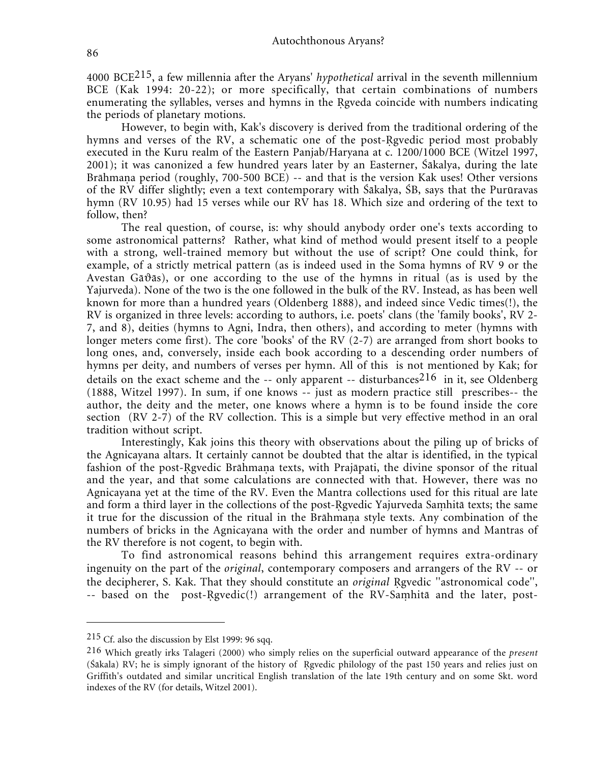4000 BCE215, a few millennia after the Aryans' *hypothetical* arrival in the seventh millennium BCE (Kak 1994: 20-22); or more specifically, that certain combinations of numbers enumerating the syllables, verses and hymns in the gveda coincide with numbers indicating the periods of planetary motions.

However, to begin with, Kak's discovery is derived from the traditional ordering of the hymns and verses of the RV, a schematic one of the post-Rgvedic period most probably executed in the Kuru realm of the Eastern Panjab/Haryana at c. 1200/1000 BCE (Witzel 1997, 2001); it was canonized a few hundred years later by an Easterner, Śåkalya, during the late Brāhmaṇa period (roughly, 700-500 BCE) -- and that is the version Kak uses! Other versions of the RV differ slightly; even a text contemporary with Śåkalya, ŚB, says that the Purūravas hymn (RV 10.95) had 15 verses while our RV has 18. Which size and ordering of the text to follow, then?

The real question, of course, is: why should anybody order one's texts according to some astronomical patterns? Rather, what kind of method would present itself to a people with a strong, well-trained memory but without the use of script? One could think, for example, of a strictly metrical pattern (as is indeed used in the Soma hymns of RV 9 or the Avestan Gåθås), or one according to the use of the hymns in ritual (as is used by the Yajurveda). None of the two is the one followed in the bulk of the RV. Instead, as has been well known for more than a hundred years (Oldenberg 1888), and indeed since Vedic times(!), the RV is organized in three levels: according to authors, i.e. poets' clans (the 'family books', RV 2- 7, and 8), deities (hymns to Agni, Indra, then others), and according to meter (hymns with longer meters come first). The core 'books' of the RV (2-7) are arranged from short books to long ones, and, conversely, inside each book according to a descending order numbers of hymns per deity, and numbers of verses per hymn. All of this is not mentioned by Kak; for details on the exact scheme and the  $-$  only apparent  $-$  disturbances<sup>216</sup> in it, see Oldenberg (1888, Witzel 1997). In sum, if one knows -- just as modern practice still prescribes-- the author, the deity and the meter, one knows where a hymn is to be found inside the core section (RV 2-7) of the RV collection. This is a simple but very effective method in an oral tradition without script.

Interestingly, Kak joins this theory with observations about the piling up of bricks of the Agnicayana altars. It certainly cannot be doubted that the altar is identified, in the typical fashion of the post-Rgvedic Brāhmaṇa texts, with Prajāpati, the divine sponsor of the ritual and the year, and that some calculations are connected with that. However, there was no Agnicayana yet at the time of the RV. Even the Mantra collections used for this ritual are late and form a third layer in the collections of the post-Revedic Yajurveda Samhitā texts; the same it true for the discussion of the ritual in the Brāhmaṇa style texts. Any combination of the numbers of bricks in the Agnicayana with the order and number of hymns and Mantras of the RV therefore is not cogent, to begin with.

To find astronomical reasons behind this arrangement requires extra-ordinary ingenuity on the part of the *original*, contemporary composers and arrangers of the RV -- or the decipherer, S. Kak. That they should constitute an *original* Rgvedic "astronomical code", -- based on the post-Rgvedic(!) arrangement of the RV-Samhitā and the later, post-

 $215$  Cf. also the discussion by Elst 1999: 96 sqq.

<sup>216</sup> Which greatly irks Talageri (2000) who simply relies on the superficial outward appearance of the *present* (Śåkala) RV; he is simply ignorant of the history of gvedic philology of the past 150 years and relies just on Griffith's outdated and similar uncritical English translation of the late 19th century and on some Skt. word indexes of the RV (for details, Witzel 2001).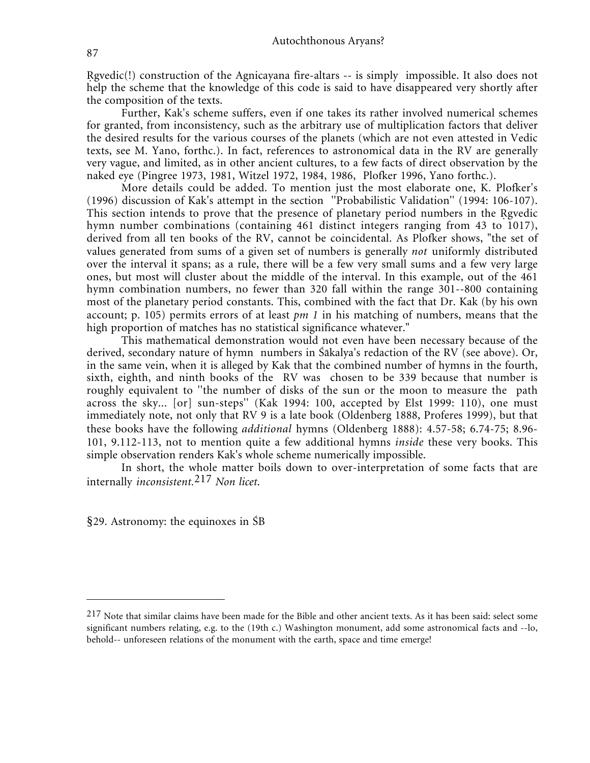Revedic(!) construction of the Agnicayana fire-altars -- is simply impossible. It also does not help the scheme that the knowledge of this code is said to have disappeared very shortly after the composition of the texts.

Further, Kak's scheme suffers, even if one takes its rather involved numerical schemes for granted, from inconsistency, such as the arbitrary use of multiplication factors that deliver the desired results for the various courses of the planets (which are not even attested in Vedic texts, see M. Yano, forthc.). In fact, references to astronomical data in the RV are generally very vague, and limited, as in other ancient cultures, to a few facts of direct observation by the naked eye (Pingree 1973, 1981, Witzel 1972, 1984, 1986, Plofker 1996, Yano forthc.).

More details could be added. To mention just the most elaborate one, K. Plofker's (1996) discussion of Kak's attempt in the section ''Probabilistic Validation'' (1994: 106-107). This section intends to prove that the presence of planetary period numbers in the Rgvedic hymn number combinations (containing 461 distinct integers ranging from 43 to 1017), derived from all ten books of the RV, cannot be coincidental. As Plofker shows, "the set of values generated from sums of a given set of numbers is generally *not* uniformly distributed over the interval it spans; as a rule, there will be a few very small sums and a few very large ones, but most will cluster about the middle of the interval. In this example, out of the 461 hymn combination numbers, no fewer than 320 fall within the range 301--800 containing most of the planetary period constants. This, combined with the fact that Dr. Kak (by his own account; p. 105) permits errors of at least *pm 1* in his matching of numbers, means that the high proportion of matches has no statistical significance whatever."

This mathematical demonstration would not even have been necessary because of the derived, secondary nature of hymn numbers in Śåkalya's redaction of the RV (see above). Or, in the same vein, when it is alleged by Kak that the combined number of hymns in the fourth, sixth, eighth, and ninth books of the RV was chosen to be 339 because that number is roughly equivalent to ''the number of disks of the sun or the moon to measure the path across the sky... [or] sun-steps'' (Kak 1994: 100, accepted by Elst 1999: 110), one must immediately note, not only that RV 9 is a late book (Oldenberg 1888, Proferes 1999), but that these books have the following *additional* hymns (Oldenberg 1888): 4.57-58; 6.74-75; 8.96- 101, 9.112-113, not to mention quite a few additional hymns *inside* these very books. This simple observation renders Kak's whole scheme numerically impossible.

In short, the whole matter boils down to over-interpretation of some facts that are internally *inconsistent.*217 *Non licet*.

§29. Astronomy: the equinoxes in ŚB

<sup>217</sup> Note that similar claims have been made for the Bible and other ancient texts. As it has been said: select some significant numbers relating, e.g. to the (19th c.) Washington monument, add some astronomical facts and --lo, behold-- unforeseen relations of the monument with the earth, space and time emerge!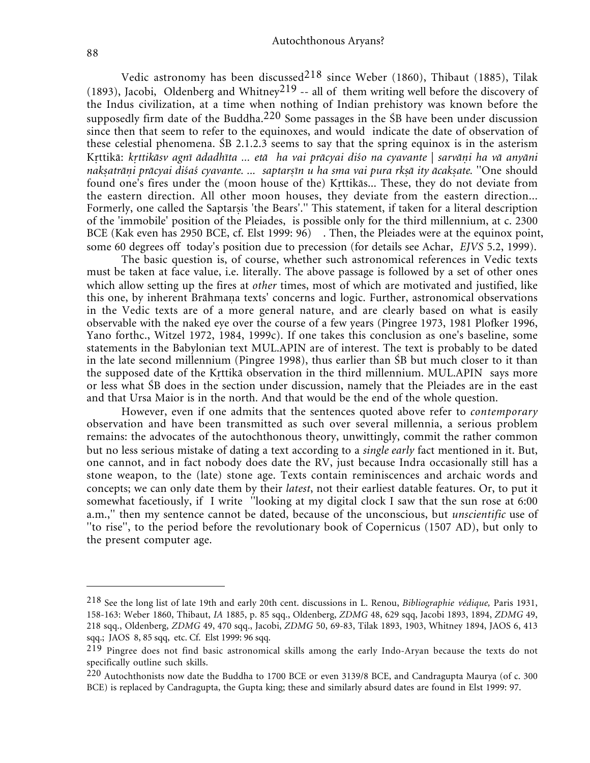Vedic astronomy has been discussed<sup>218</sup> since Weber (1860), Thibaut (1885), Tilak (1893), Jacobi, Oldenberg and Whitney<sup>219</sup> -- all of them writing well before the discovery of the Indus civilization, at a time when nothing of Indian prehistory was known before the supposedly firm date of the Buddha.220 Some passages in the ŚB have been under discussion since then that seem to refer to the equinoxes, and would indicate the date of observation of these celestial phenomena. ŚB 2.1.2.3 seems to say that the spring equinox is in the asterism Krttikā: krttikāsv agnī ādadhīta ... etā ha vai prācyai diśo na cyavante | sarvāni ha vā anyāni *nakatråi pråcyai diśaś cyavante. ... saptarīn u ha sma vai pura rkå ity åcakate.* ''One should found one's fires under the (moon house of the) Krttikās... These, they do not deviate from the eastern direction. All other moon houses, they deviate from the eastern direction... Formerly, one called the Saptarsis 'the Bears'." This statement, if taken for a literal description of the 'immobile' position of the Pleiades, is possible only for the third millennium, at c. 2300 BCE (Kak even has 2950 BCE, cf. Elst 1999: 96) . Then, the Pleiades were at the equinox point, some 60 degrees off today's position due to precession (for details see Achar, *EJVS* 5.2, 1999).

The basic question is, of course, whether such astronomical references in Vedic texts must be taken at face value, i.e. literally. The above passage is followed by a set of other ones which allow setting up the fires at *other* times, most of which are motivated and justified, like this one, by inherent Brāhmaṇa texts' concerns and logic. Further, astronomical observations in the Vedic texts are of a more general nature, and are clearly based on what is easily observable with the naked eye over the course of a few years (Pingree 1973, 1981 Plofker 1996, Yano forthc., Witzel 1972, 1984, 1999c). If one takes this conclusion as one's baseline, some statements in the Babylonian text MUL.APIN are of interest. The text is probably to be dated in the late second millennium (Pingree 1998), thus earlier than ŚB but much closer to it than the supposed date of the Kttikå observation in the third millennium. MUL.APIN says more or less what ŚB does in the section under discussion, namely that the Pleiades are in the east and that Ursa Maior is in the north. And that would be the end of the whole question.

However, even if one admits that the sentences quoted above refer to *contemporary* observation and have been transmitted as such over several millennia, a serious problem remains: the advocates of the autochthonous theory, unwittingly, commit the rather common but no less serious mistake of dating a text according to a *single early* fact mentioned in it. But, one cannot, and in fact nobody does date the RV, just because Indra occasionally still has a stone weapon, to the (late) stone age. Texts contain reminiscences and archaic words and concepts; we can only date them by their *latest*, not their earliest datable features. Or, to put it somewhat facetiously, if I write ''looking at my digital clock I saw that the sun rose at 6:00 a.m.,'' then my sentence cannot be dated, because of the unconscious, but *unscientific* use of ''to rise'', to the period before the revolutionary book of Copernicus (1507 AD), but only to the present computer age.

<sup>218</sup> See the long list of late 19th and early 20th cent. discussions in L. Renou, *Bibliographie védique,* Paris 1931, 158-163: Weber 1860, Thibaut, *IA* 1885, p. 85 sqq., Oldenberg, *ZDMG* 48, 629 sqq, Jacobi 1893, 1894, *ZDMG* 49, 218 sqq., Oldenberg, *ZDMG* 49, 470 sqq., Jacobi, *ZDMG* 50, 69-83, Tilak 1893, 1903, Whitney 1894, JAOS 6, 413 sqq.; JAOS 8, 85 sqq, etc. Cf. Elst 1999: 96 sqq.

<sup>219</sup> Pingree does not find basic astronomical skills among the early Indo-Aryan because the texts do not specifically outline such skills.

<sup>220</sup> Autochthonists now date the Buddha to 1700 BCE or even 3139/8 BCE, and Candragupta Maurya (of c. 300 BCE) is replaced by Candragupta, the Gupta king; these and similarly absurd dates are found in Elst 1999: 97.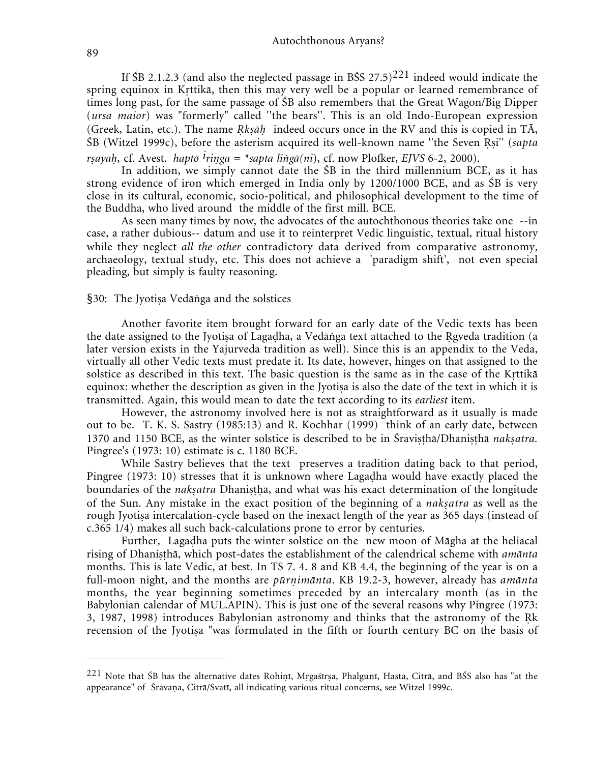If SB 2.1.2.3 (and also the neglected passage in BSS  $27.5$ ) $^{221}$  indeed would indicate the spring equinox in Kttikå, then this may very well be a popular or learned remembrance of times long past, for the same passage of ŚB also remembers that the Great Wagon/Big Dipper (*ursa maior*) was "formerly" called ''the bears''. This is an old Indo-European expression (Greek, Latin, etc.). The name *Rksāh* indeed occurs once in the RV and this is copied in TĀ, ŚB (Witzel 1999c), before the asterism acquired its well-known name "the Seven Rsi" (*sapta rsayah, cf. Avest. <i>haptō <sup>1</sup>ringa* = \**sapta lingā(ni), cf. now Plofker, EJVS* 6-2, 2000).

In addition, we simply cannot date the SB in the third millennium BCE, as it has strong evidence of iron which emerged in India only by 1200/1000 BCE, and as ŚB is very close in its cultural, economic, socio-political, and philosophical development to the time of the Buddha, who lived around the middle of the first mill. BCE.

As seen many times by now, the advocates of the autochthonous theories take one --in case, a rather dubious-- datum and use it to reinterpret Vedic linguistic, textual, ritual history while they neglect *all the other* contradictory data derived from comparative astronomy, archaeology, textual study, etc. This does not achieve a 'paradigm shift', not even special pleading, but simply is faulty reasoning.

## §30: The Jyotisa Vedānga and the solstices

Another favorite item brought forward for an early date of the Vedic texts has been the date assigned to the Jyotisa of Lagadha, a Vedāṅga text attached to the Rgveda tradition (a later version exists in the Yajurveda tradition as well). Since this is an appendix to the Veda, virtually all other Vedic texts must predate it. Its date, however, hinges on that assigned to the solstice as described in this text. The basic question is the same as in the case of the Kttikå equinox: whether the description as given in the Jyotisa is also the date of the text in which it is transmitted. Again, this would mean to date the text according to its *earliest* item.

However, the astronomy involved here is not as straightforward as it usually is made out to be. T. K. S. Sastry (1985:13) and R. Kochhar (1999) think of an early date, between 1370 and 1150 BCE, as the winter solstice is described to be in Śravi hå/Dhani hå *nakatra.* Pingree's (1973: 10) estimate is c. 1180 BCE.

While Sastry believes that the text preserves a tradition dating back to that period, Pingree (1973: 10) stresses that it is unknown where Lagadha would have exactly placed the boundaries of the *nakṣatra* Dhaniṣṭḥā, and what was his exact determination of the longitude of the Sun. Any mistake in the exact position of the beginning of a *nakatra* as well as the rough Jyotia intercalation-cycle based on the inexact length of the year as 365 days (instead of c.365 1/4) makes all such back-calculations prone to error by centuries.

Further, Lagadha puts the winter solstice on the new moon of Māgha at the heliacal rising of Dhani hå, which post-dates the establishment of the calendrical scheme with *amånta* months. This is late Vedic, at best. In TS 7. 4. 8 and KB 4.4, the beginning of the year is on a full-moon night, and the months are *pūrimånta*. KB 19.2-3, however, already has *amånta* months, the year beginning sometimes preceded by an intercalary month (as in the Babylonian calendar of MUL.APIN). This is just one of the several reasons why Pingree (1973: 3, 1987, 1998) introduces Babylonian astronomy and thinks that the astronomy of the k recension of the Jyotia "was formulated in the fifth or fourth century BC on the basis of

 $^{221}$  Note that ŚB has the alternative dates Rohiṇī, Mṛgaśīrṣa, Phalgunī, Hasta, Citrā, and BŚS also has "at the appearance" of Śravaṇa, Citrā/Svatī, all indicating various ritual concerns, see Witzel 1999c.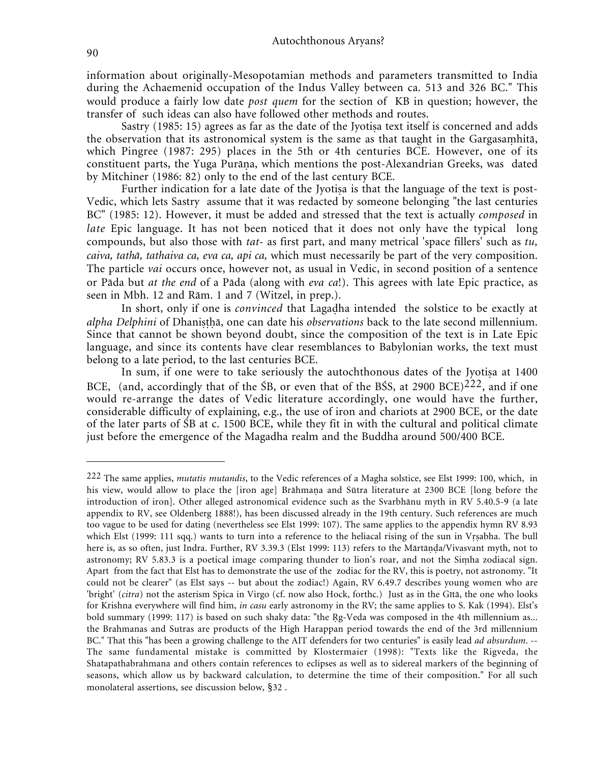information about originally-Mesopotamian methods and parameters transmitted to India during the Achaemenid occupation of the Indus Valley between ca. 513 and 326 BC." This would produce a fairly low date *post quem* for the section of KB in question; however, the transfer of such ideas can also have followed other methods and routes.

Sastry (1985: 15) agrees as far as the date of the Jyotia text itself is concerned and adds the observation that its astronomical system is the same as that taught in the Gargasamhita, which Pingree (1987: 295) places in the 5th or 4th centuries BCE. However, one of its constituent parts, the Yuga Purāṇa, which mentions the post-Alexandrian Greeks, was dated by Mitchiner (1986: 82) only to the end of the last century BCE.

Further indication for a late date of the Jyotisa is that the language of the text is post-Vedic, which lets Sastry assume that it was redacted by someone belonging "the last centuries BC" (1985: 12). However, it must be added and stressed that the text is actually *composed* in *late* Epic language. It has not been noticed that it does not only have the typical long compounds, but also those with *tat*- as first part, and many metrical 'space fillers' such as *tu, caiva, tathå, tathaiva ca, eva ca, api ca,* which must necessarily be part of the very composition. The particle *vai* occurs once, however not, as usual in Vedic, in second position of a sentence or Påda but *at the end* of a Påda (along with *eva ca*!). This agrees with late Epic practice, as seen in Mbh. 12 and Råm. 1 and 7 (Witzel, in prep.).

In short, only if one is *convinced* that Lagaha intended the solstice to be exactly at *alpha Delphini* of Dhaniṣṭḥā, one can date his *observations* back to the late second millennium. Since that cannot be shown beyond doubt, since the composition of the text is in Late Epic language, and since its contents have clear resemblances to Babylonian works, the text must belong to a late period, to the last centuries BCE.

In sum, if one were to take seriously the autochthonous dates of the Jyotisa at 1400 BCE, (and, accordingly that of the SB, or even that of the BSS, at 2900 BCE)<sup>222</sup>, and if one would re-arrange the dates of Vedic literature accordingly, one would have the further, considerable difficulty of explaining, e.g., the use of iron and chariots at 2900 BCE, or the date of the later parts of ŚB at c. 1500 BCE, while they fit in with the cultural and political climate just before the emergence of the Magadha realm and the Buddha around 500/400 BCE.

<sup>222</sup> The same applies, *mutatis mutandis*, to the Vedic references of a Magha solstice, see Elst 1999: 100, which, in his view, would allow to place the [iron age] Brāhmaṇa and Sūtra literature at 2300 BCE [long before the introduction of iron]. Other alleged astronomical evidence such as the Svarbhånu myth in RV 5.40.5-9 (a late appendix to RV, see Oldenberg 1888!), has been discussed already in the 19th century. Such references are much too vague to be used for dating (nevertheless see Elst 1999: 107). The same applies to the appendix hymn RV 8.93 which Elst (1999: 111 sqq.) wants to turn into a reference to the heliacal rising of the sun in Vrsabha. The bull here is, as so often, just Indra. Further, RV 3.39.3 (Elst 1999: 113) refers to the Mārtāṇḍa/Vivasvant myth, not to astronomy; RV 5.83.3 is a poetical image comparing thunder to lion's roar, and not the Simha zodiacal sign. Apart from the fact that Elst has to demonstrate the use of the zodiac for the RV, this is poetry, not astronomy. "It could not be clearer" (as Elst says -- but about the zodiac!) Again, RV 6.49.7 describes young women who are 'bright' (*citra*) not the asterism Spica in Virgo (cf. now also Hock, forthc.) Just as in the Gītå, the one who looks for Krishna everywhere will find him, *in casu* early astronomy in the RV; the same applies to S. Kak (1994). Elst's bold summary (1999: 117) is based on such shaky data: "the Rg-Veda was composed in the 4th millennium as... the Brahmanas and Sutras are products of the High Harappan period towards the end of the 3rd millennium BC." That this "has been a growing challenge to the AIT defenders for two centuries" is easily lead *ad absurdum*. -- The same fundamental mistake is committed by Klostermaier (1998): "Texts like the Rigveda, the Shatapathabrahmana and others contain references to eclipses as well as to sidereal markers of the beginning of seasons, which allow us by backward calculation, to determine the time of their composition." For all such monolateral assertions, see discussion below, §32 .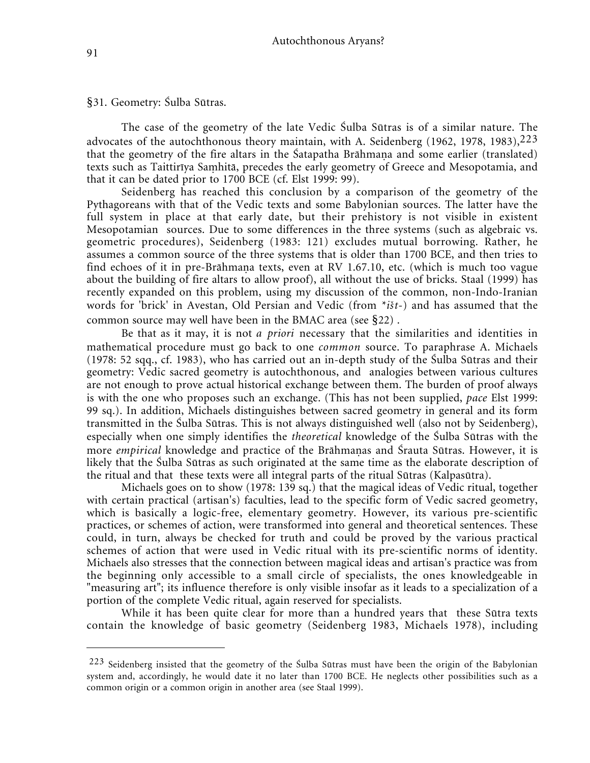§31. Geometry: Śulba Sūtras.

The case of the geometry of the late Vedic Śulba Sūtras is of a similar nature. The advocates of the autochthonous theory maintain, with A. Seidenberg  $(1962, 1978, 1983),^{223}$ that the geometry of the fire altars in the Śatapatha Brāhmaṇa and some earlier (translated) texts such as Taittirīya Samhitā, precedes the early geometry of Greece and Mesopotamia, and that it can be dated prior to 1700 BCE (cf. Elst 1999: 99).

Seidenberg has reached this conclusion by a comparison of the geometry of the Pythagoreans with that of the Vedic texts and some Babylonian sources. The latter have the full system in place at that early date, but their prehistory is not visible in existent Mesopotamian sources. Due to some differences in the three systems (such as algebraic vs. geometric procedures), Seidenberg (1983: 121) excludes mutual borrowing. Rather, he assumes a common source of the three systems that is older than 1700 BCE, and then tries to find echoes of it in pre-Brāhmaṇa texts, even at RV 1.67.10, etc. (which is much too vague about the building of fire altars to allow proof), all without the use of bricks. Staal (1999) has recently expanded on this problem, using my discussion of the common, non-Indo-Iranian words for 'brick' in Avestan, Old Persian and Vedic (from *\*išt-*) and has assumed that the common source may well have been in the BMAC area (see §22) .

Be that as it may, it is not *a priori* necessary that the similarities and identities in mathematical procedure must go back to one *common* source. To paraphrase A. Michaels (1978: 52 sqq., cf. 1983), who has carried out an in-depth study of the Śulba Sūtras and their geometry: Vedic sacred geometry is autochthonous, and analogies between various cultures are not enough to prove actual historical exchange between them. The burden of proof always is with the one who proposes such an exchange. (This has not been supplied, *pace* Elst 1999: 99 sq.). In addition, Michaels distinguishes between sacred geometry in general and its form transmitted in the Śulba Sūtras. This is not always distinguished well (also not by Seidenberg), especially when one simply identifies the *theoretical* knowledge of the Śulba Sūtras with the more *empirical* knowledge and practice of the Brāhmaṇas and Śrauta Sūtras. However, it is likely that the Śulba Sūtras as such originated at the same time as the elaborate description of the ritual and that these texts were all integral parts of the ritual Sūtras (Kalpasūtra).

Michaels goes on to show (1978: 139 sq.) that the magical ideas of Vedic ritual, together with certain practical (artisan's) faculties, lead to the specific form of Vedic sacred geometry, which is basically a logic-free, elementary geometry. However, its various pre-scientific practices, or schemes of action, were transformed into general and theoretical sentences. These could, in turn, always be checked for truth and could be proved by the various practical schemes of action that were used in Vedic ritual with its pre-scientific norms of identity. Michaels also stresses that the connection between magical ideas and artisan's practice was from the beginning only accessible to a small circle of specialists, the ones knowledgeable in "measuring art"; its influence therefore is only visible insofar as it leads to a specialization of a portion of the complete Vedic ritual, again reserved for specialists.

While it has been quite clear for more than a hundred years that these Sūtra texts contain the knowledge of basic geometry (Seidenberg 1983, Michaels 1978), including

<sup>223</sup> Seidenberg insisted that the geometry of the Śulba Sūtras must have been the origin of the Babylonian system and, accordingly, he would date it no later than 1700 BCE. He neglects other possibilities such as a common origin or a common origin in another area (see Staal 1999).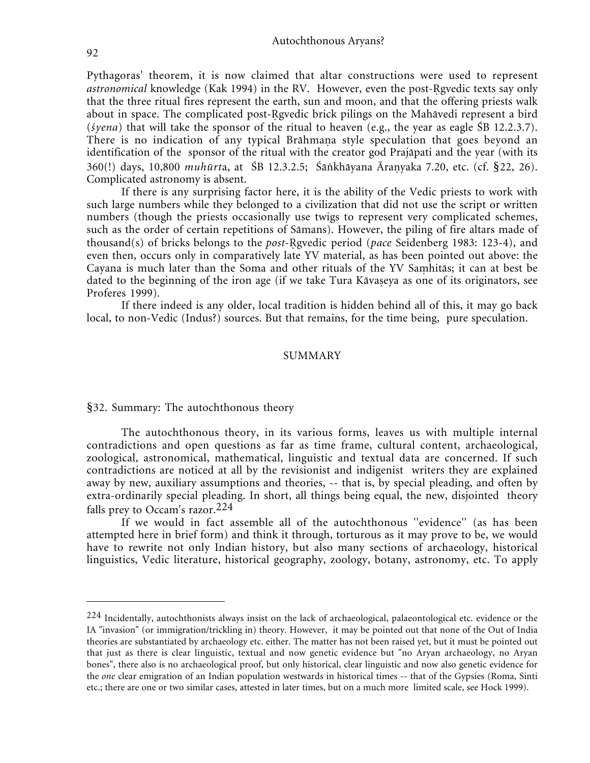Pythagoras' theorem, it is now claimed that altar constructions were used to represent *astronomical* knowledge (Kak 1994) in the RV. However, even the post-Rgvedic texts say only that the three ritual fires represent the earth, sun and moon, and that the offering priests walk about in space. The complicated post-Rgvedic brick pilings on the Mahāvedi represent a bird (*śyena*) that will take the sponsor of the ritual to heaven (e.g., the year as eagle ŚB 12.2.3.7). There is no indication of any typical Brāhmaṇa style speculation that goes beyond an identification of the sponsor of the ritual with the creator god Prajåpati and the year (with its 360(!) days, 10,800 muhūrta, at ŚB 12.3.2.5; Śāṅkhāyana Āraṇyaka 7.20, etc. (cf. §22, 26). Complicated astronomy is absent.

If there is any surprising factor here, it is the ability of the Vedic priests to work with such large numbers while they belonged to a civilization that did not use the script or written numbers (though the priests occasionally use twigs to represent very complicated schemes, such as the order of certain repetitions of Såmans). However, the piling of fire altars made of thousand(s) of bricks belongs to the *post*-Rgvedic period (*pace* Seidenberg 1983: 123-4), and even then, occurs only in comparatively late YV material, as has been pointed out above: the Cayana is much later than the Soma and other rituals of the YV Samhitās; it can at best be dated to the beginning of the iron age (if we take Tura Kāvaseya as one of its originators, see Proferes 1999).

If there indeed is any older, local tradition is hidden behind all of this, it may go back local, to non-Vedic (Indus?) sources. But that remains, for the time being, pure speculation.

# SUMMARY

§32. Summary: The autochthonous theory

The autochthonous theory, in its various forms, leaves us with multiple internal contradictions and open questions as far as time frame, cultural content, archaeological, zoological, astronomical, mathematical, linguistic and textual data are concerned. If such contradictions are noticed at all by the revisionist and indigenist writers they are explained away by new, auxiliary assumptions and theories, -- that is, by special pleading, and often by extra-ordinarily special pleading. In short, all things being equal, the new, disjointed theory falls prey to Occam's razor.224

If we would in fact assemble all of the autochthonous ''evidence'' (as has been attempted here in brief form) and think it through, torturous as it may prove to be, we would have to rewrite not only Indian history, but also many sections of archaeology, historical linguistics, Vedic literature, historical geography, zoology, botany, astronomy, etc. To apply

<sup>224</sup> Incidentally, autochthonists always insist on the lack of archaeological, palaeontological etc. evidence or the IA "invasion" (or immigration/trickling in) theory. However, it may be pointed out that none of the Out of India theories are substantiated by archaeology etc. either. The matter has not been raised yet, but it must be pointed out that just as there is clear linguistic, textual and now genetic evidence but "no Aryan archaeology, no Aryan bones", there also is no archaeological proof, but only historical, clear linguistic and now also genetic evidence for the *one* clear emigration of an Indian population westwards in historical times -- that of the Gypsies (Roma, Sinti etc.; there are one or two similar cases, attested in later times, but on a much more limited scale, see Hock 1999).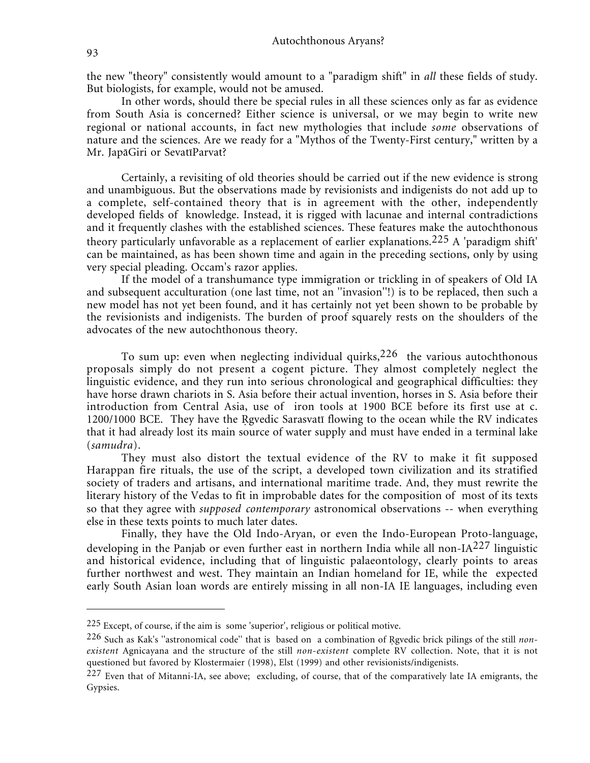the new "theory" consistently would amount to a "paradigm shift" in *all* these fields of study. But biologists, for example, would not be amused.

In other words, should there be special rules in all these sciences only as far as evidence from South Asia is concerned? Either science is universal, or we may begin to write new regional or national accounts, in fact new mythologies that include *some* observations of nature and the sciences. Are we ready for a "Mythos of the Twenty-First century," written by a Mr. JapåGiri or SevatīParvat?

Certainly, a revisiting of old theories should be carried out if the new evidence is strong and unambiguous. But the observations made by revisionists and indigenists do not add up to a complete, self-contained theory that is in agreement with the other, independently developed fields of knowledge. Instead, it is rigged with lacunae and internal contradictions and it frequently clashes with the established sciences. These features make the autochthonous theory particularly unfavorable as a replacement of earlier explanations.<sup>225</sup> A 'paradigm shift' can be maintained, as has been shown time and again in the preceding sections, only by using very special pleading. Occam's razor applies.

If the model of a transhumance type immigration or trickling in of speakers of Old IA and subsequent acculturation (one last time, not an ''invasion''!) is to be replaced, then such a new model has not yet been found, and it has certainly not yet been shown to be probable by the revisionists and indigenists. The burden of proof squarely rests on the shoulders of the advocates of the new autochthonous theory.

To sum up: even when neglecting individual quirks,  $226$  the various autochthonous proposals simply do not present a cogent picture. They almost completely neglect the linguistic evidence, and they run into serious chronological and geographical difficulties: they have horse drawn chariots in S. Asia before their actual invention, horses in S. Asia before their introduction from Central Asia, use of iron tools at 1900 BCE before its first use at c. 1200/1000 BCE. They have the Rgvedic Sarasvatī flowing to the ocean while the RV indicates that it had already lost its main source of water supply and must have ended in a terminal lake (*samudra*).

They must also distort the textual evidence of the RV to make it fit supposed Harappan fire rituals, the use of the script, a developed town civilization and its stratified society of traders and artisans, and international maritime trade. And, they must rewrite the literary history of the Vedas to fit in improbable dates for the composition of most of its texts so that they agree with *supposed contemporary* astronomical observations -- when everything else in these texts points to much later dates.

Finally, they have the Old Indo-Aryan, or even the Indo-European Proto-language, developing in the Panjab or even further east in northern India while all non-IA227 linguistic and historical evidence, including that of linguistic palaeontology, clearly points to areas further northwest and west. They maintain an Indian homeland for IE, while the expected early South Asian loan words are entirely missing in all non-IA IE languages, including even

<sup>225</sup> Except, of course, if the aim is some 'superior', religious or political motive.

<sup>226</sup> Such as Kak's ''astronomical code'' that is based on a combination of gvedic brick pilings of the still *nonexistent* Agnicayana and the structure of the still *non-existent* complete RV collection. Note, that it is not questioned but favored by Klostermaier (1998), Elst (1999) and other revisionists/indigenists.

 $227$  Even that of Mitanni-IA, see above; excluding, of course, that of the comparatively late IA emigrants, the Gypsies.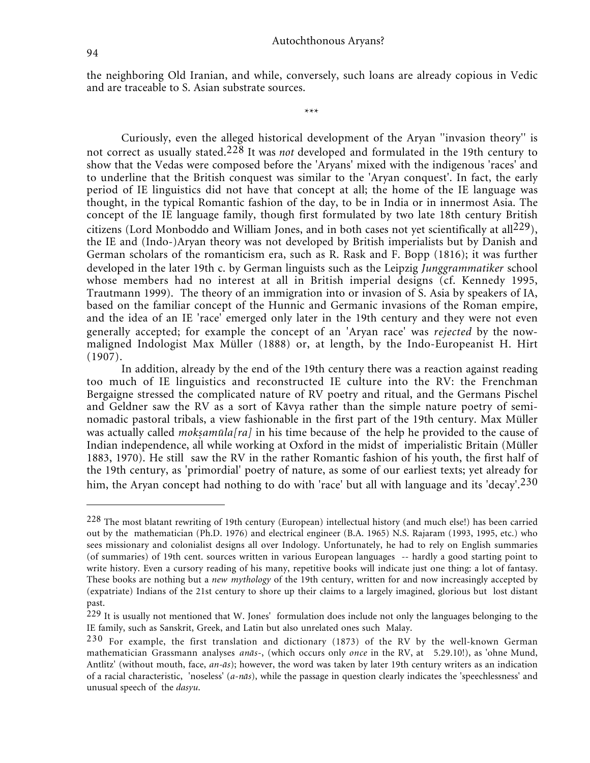the neighboring Old Iranian, and while, conversely, such loans are already copious in Vedic and are traceable to S. Asian substrate sources.

\*\*\*

Curiously, even the alleged historical development of the Aryan ''invasion theory'' is not correct as usually stated.228 It was *not* developed and formulated in the 19th century to show that the Vedas were composed before the 'Aryans' mixed with the indigenous 'races' and to underline that the British conquest was similar to the 'Aryan conquest'. In fact, the early period of IE linguistics did not have that concept at all; the home of the IE language was thought, in the typical Romantic fashion of the day, to be in India or in innermost Asia. The concept of the IE language family, though first formulated by two late 18th century British citizens (Lord Monboddo and William Jones, and in both cases not yet scientifically at all229), the IE and (Indo-)Aryan theory was not developed by British imperialists but by Danish and German scholars of the romanticism era, such as R. Rask and F. Bopp (1816); it was further developed in the later 19th c. by German linguists such as the Leipzig *Junggrammatiker* school whose members had no interest at all in British imperial designs (cf. Kennedy 1995, Trautmann 1999). The theory of an immigration into or invasion of S. Asia by speakers of IA, based on the familiar concept of the Hunnic and Germanic invasions of the Roman empire, and the idea of an IE 'race' emerged only later in the 19th century and they were not even generally accepted; for example the concept of an 'Aryan race' was *rejected* by the nowmaligned Indologist Max Müller (1888) or, at length, by the Indo-Europeanist H. Hirt (1907).

In addition, already by the end of the 19th century there was a reaction against reading too much of IE linguistics and reconstructed IE culture into the RV: the Frenchman Bergaigne stressed the complicated nature of RV poetry and ritual, and the Germans Pischel and Geldner saw the RV as a sort of Kåvya rather than the simple nature poetry of seminomadic pastoral tribals, a view fashionable in the first part of the 19th century. Max Müller was actually called *mokamūla[ra]* in his time because of the help he provided to the cause of Indian independence, all while working at Oxford in the midst of imperialistic Britain (Müller 1883, 1970). He still saw the RV in the rather Romantic fashion of his youth, the first half of the 19th century, as 'primordial' poetry of nature, as some of our earliest texts; yet already for him, the Aryan concept had nothing to do with 'race' but all with language and its 'decay'.<sup>230</sup>

<sup>228</sup> The most blatant rewriting of 19th century (European) intellectual history (and much else!) has been carried out by the mathematician (Ph.D. 1976) and electrical engineer (B.A. 1965) N.S. Rajaram (1993, 1995, etc.) who sees missionary and colonialist designs all over Indology. Unfortunately, he had to rely on English summaries (of summaries) of 19th cent. sources written in various European languages -- hardly a good starting point to write history. Even a cursory reading of his many, repetitive books will indicate just one thing: a lot of fantasy. These books are nothing but a *new mythology* of the 19th century, written for and now increasingly accepted by (expatriate) Indians of the 21st century to shore up their claims to a largely imagined, glorious but lost distant past.

<sup>229</sup> It is usually not mentioned that W. Jones' formulation does include not only the languages belonging to the IE family, such as Sanskrit, Greek, and Latin but also unrelated ones such Malay.

<sup>230</sup> For example, the first translation and dictionary (1873) of the RV by the well-known German mathematician Grassmann analyses *anås*-, (which occurs only *once* in the RV, at 5.29.10!), as 'ohne Mund, Antlitz' (without mouth, face, *an-ås*); however, the word was taken by later 19th century writers as an indication of a racial characteristic, 'noseless' (*a-nås*), while the passage in question clearly indicates the 'speechlessness' and unusual speech of the *dasyu*.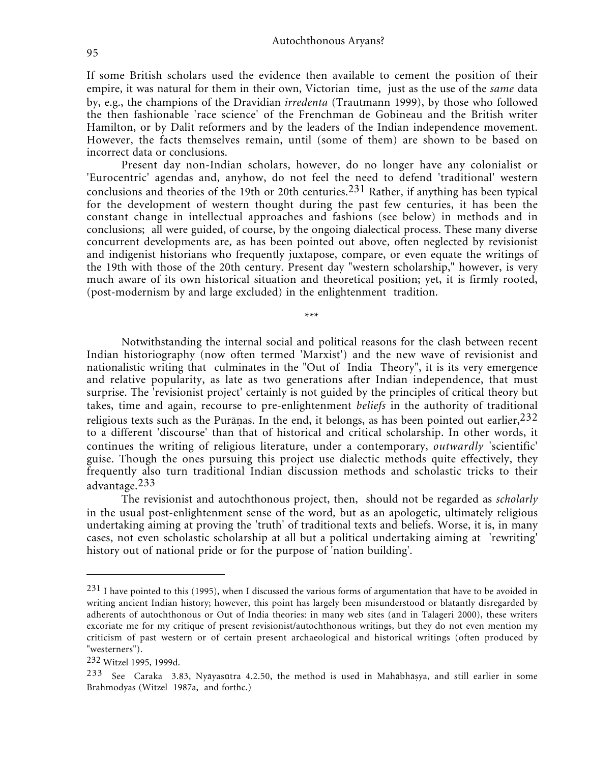If some British scholars used the evidence then available to cement the position of their empire, it was natural for them in their own, Victorian time, just as the use of the *same* data by, e.g., the champions of the Dravidian *irredenta* (Trautmann 1999), by those who followed the then fashionable 'race science' of the Frenchman de Gobineau and the British writer Hamilton, or by Dalit reformers and by the leaders of the Indian independence movement. However, the facts themselves remain, until (some of them) are shown to be based on incorrect data or conclusions.

Present day non-Indian scholars, however, do no longer have any colonialist or 'Eurocentric' agendas and, anyhow, do not feel the need to defend 'traditional' western conclusions and theories of the 19th or 20th centuries.231 Rather, if anything has been typical for the development of western thought during the past few centuries, it has been the constant change in intellectual approaches and fashions (see below) in methods and in conclusions; all were guided, of course, by the ongoing dialectical process. These many diverse concurrent developments are, as has been pointed out above, often neglected by revisionist and indigenist historians who frequently juxtapose, compare, or even equate the writings of the 19th with those of the 20th century. Present day "western scholarship," however, is very much aware of its own historical situation and theoretical position; yet, it is firmly rooted, (post-modernism by and large excluded) in the enlightenment tradition.

\*\*\*

Notwithstanding the internal social and political reasons for the clash between recent Indian historiography (now often termed 'Marxist') and the new wave of revisionist and nationalistic writing that culminates in the "Out of India Theory", it is its very emergence and relative popularity, as late as two generations after Indian independence, that must surprise. The revisionist project' certainly is not guided by the principles of critical theory but takes, time and again, recourse to pre-enlightenment *beliefs* in the authority of traditional religious texts such as the Purāṇas. In the end, it belongs, as has been pointed out earlier, $^{232}$ to a different 'discourse' than that of historical and critical scholarship. In other words, it continues the writing of religious literature, under a contemporary, *outwardly* 'scientific' guise. Though the ones pursuing this project use dialectic methods quite effectively, they frequently also turn traditional Indian discussion methods and scholastic tricks to their advantage.233

The revisionist and autochthonous project, then, should not be regarded as *scholarly* in the usual post-enlightenment sense of the word*,* but as an apologetic, ultimately religious undertaking aiming at proving the 'truth' of traditional texts and beliefs. Worse, it is, in many cases, not even scholastic scholarship at all but a political undertaking aiming at 'rewriting' history out of national pride or for the purpose of 'nation building'.

<sup>&</sup>lt;sup>231</sup> I have pointed to this (1995), when I discussed the various forms of argumentation that have to be avoided in writing ancient Indian history; however, this point has largely been misunderstood or blatantly disregarded by adherents of autochthonous or Out of India theories: in many web sites (and in Talageri 2000), these writers excoriate me for my critique of present revisionist/autochthonous writings, but they do not even mention my criticism of past western or of certain present archaeological and historical writings (often produced by "westerners").

<sup>232</sup> Witzel 1995, 1999d.

<sup>233</sup> See Caraka 3.83, Nyåyasūtra 4.2.50, the method is used in Mahåbhåya, and still earlier in some Brahmodyas (Witzel 1987a, and forthc.)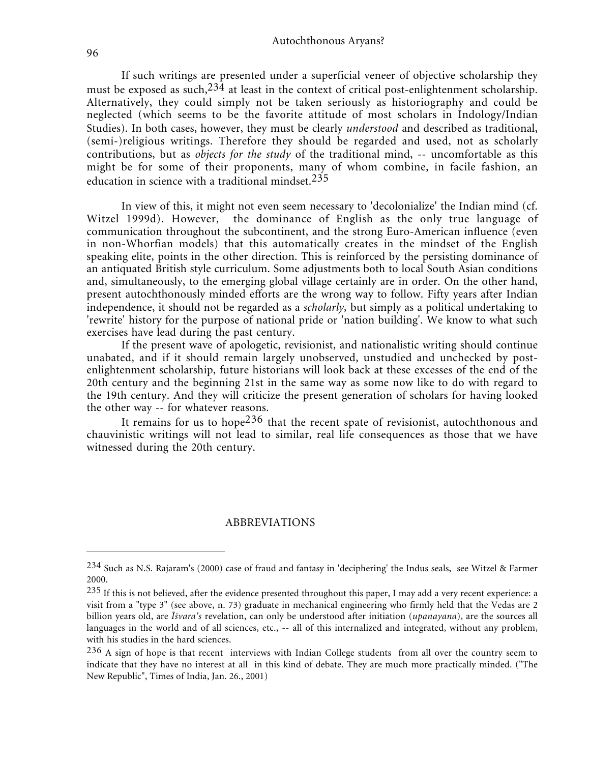#### Autochthonous Aryans?

If such writings are presented under a superficial veneer of objective scholarship they must be exposed as such,  $23\overline{4}$  at least in the context of critical post-enlightenment scholarship. Alternatively, they could simply not be taken seriously as historiography and could be neglected (which seems to be the favorite attitude of most scholars in Indology/Indian Studies). In both cases, however, they must be clearly *understood* and described as traditional, (semi-)religious writings. Therefore they should be regarded and used, not as scholarly contributions, but as *objects for the study* of the traditional mind, -- uncomfortable as this might be for some of their proponents, many of whom combine, in facile fashion, an education in science with a traditional mindset.235

In view of this, it might not even seem necessary to 'decolonialize' the Indian mind (cf. Witzel 1999d). However, the dominance of English as the only true language of communication throughout the subcontinent, and the strong Euro-American influence (even in non-Whorfian models) that this automatically creates in the mindset of the English speaking elite, points in the other direction. This is reinforced by the persisting dominance of an antiquated British style curriculum. Some adjustments both to local South Asian conditions and, simultaneously, to the emerging global village certainly are in order. On the other hand, present autochthonously minded efforts are the wrong way to follow. Fifty years after Indian independence, it should not be regarded as a *scholarly,* but simply as a political undertaking to 'rewrite' history for the purpose of national pride or 'nation building'. We know to what such exercises have lead during the past century.

If the present wave of apologetic, revisionist, and nationalistic writing should continue unabated, and if it should remain largely unobserved, unstudied and unchecked by postenlightenment scholarship, future historians will look back at these excesses of the end of the 20th century and the beginning 21st in the same way as some now like to do with regard to the 19th century. And they will criticize the present generation of scholars for having looked the other way -- for whatever reasons.

It remains for us to hope<sup>236</sup> that the recent spate of revisionist, autochthonous and chauvinistic writings will not lead to similar, real life consequences as those that we have witnessed during the 20th century.

# ABBREVIATIONS

<sup>234</sup> Such as N.S. Rajaram's (2000) case of fraud and fantasy in 'deciphering' the Indus seals, see Witzel & Farmer 2000.

 $235$  If this is not believed, after the evidence presented throughout this paper, I may add a very recent experience: a visit from a "type 3" (see above, n. 73) graduate in mechanical engineering who firmly held that the Vedas are 2 billion years old, are *Īśvara's* revelation, can only be understood after initiation (*upanayana*), are the sources all languages in the world and of all sciences, etc., -- all of this internalized and integrated, without any problem, with his studies in the hard sciences.

<sup>&</sup>lt;sup>236</sup> A sign of hope is that recent interviews with Indian College students from all over the country seem to indicate that they have no interest at all in this kind of debate. They are much more practically minded. ("The New Republic", Times of India, Jan. 26., 2001)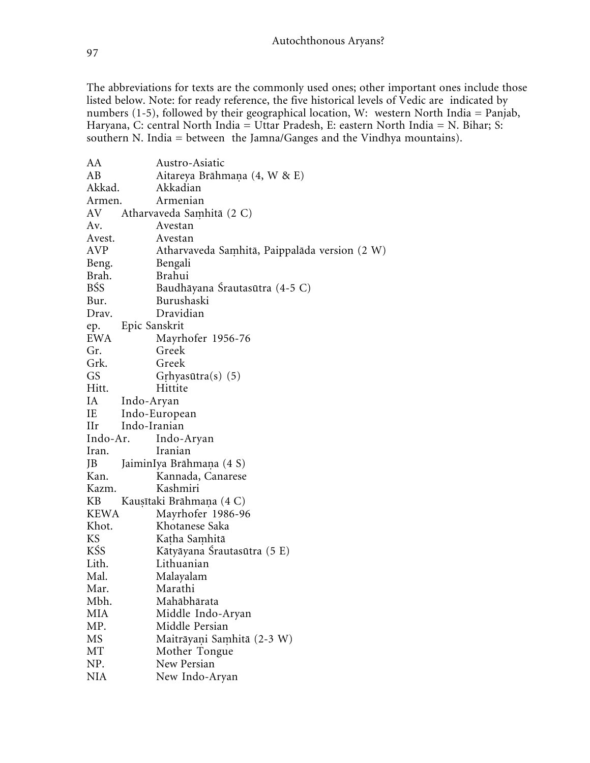The abbreviations for texts are the commonly used ones; other important ones include those listed below. Note: for ready reference, the five historical levels of  $\tilde{V}$ edic are indicated by numbers (1-5), followed by their geographical location, W: western North India = Panjab, Haryana, C: central North India = Uttar Pradesh, E: eastern North India = N. Bihar; S: southern N. India = between the Jamna/Ganges and the Vindhya mountains).

| AA          |               | Austro-Asiatic                                |
|-------------|---------------|-----------------------------------------------|
| AB.         |               | Aitareya Brāhmaṇa (4, W & E)                  |
| Akkad.      |               | Akkadian                                      |
| Armen.      |               | Armenian                                      |
| AV          |               | Atharvaveda Samhitā (2 C)                     |
| Av.         |               | Avestan                                       |
| Avest.      |               | Avestan                                       |
| AVP         |               | Atharvaveda Samhitā, Paippalāda version (2 W) |
| Beng.       |               | Bengali                                       |
| Brah.       |               | Brahui                                        |
| <b>BŚS</b>  |               | Baudhāyana Šrautasūtra (4-5 C)                |
| Bur.        |               | Burushaski                                    |
| Dray.       |               | Dravidian                                     |
| ep.         | Epic Sanskrit |                                               |
| EWA         |               | Mayrhofer 1956-76                             |
| Gr.         |               | Greek                                         |
| Grk.        |               | Greek                                         |
| <b>GS</b>   |               | Grhyasūtra $(s)$ (5)                          |
| Hitt.       |               | Hittite                                       |
| IA          | Indo-Aryan    |                                               |
| IE          |               | Indo-European                                 |
| $_{\rm Hr}$ | Indo-Iranian  |                                               |
| Indo-Ar.    |               | Indo-Aryan                                    |
| Iran.       |               | Iranian                                       |
| JB.         |               | JaiminIya Brāhmaņa (4 S)                      |
| Kan.        |               | Kannada, Canarese                             |
| Kazm.       |               | Kashmiri                                      |
| KB          |               | Kausītaki Brāhmaņa (4 C)                      |
| <b>KEWA</b> |               | Mayrhofer 1986-96                             |
| Khot.       |               | Khotanese Saka                                |
| <b>KS</b>   |               | Katha Samhitā                                 |
| <b>KŚS</b>  |               | Kātyāyana Šrautasūtra (5 E)                   |
| Lith.       |               | Lithuanian                                    |
| Mal.        |               | Malayalam                                     |
| Mar.        |               | Marathi                                       |
| Mbh.        |               | Mahābhārata                                   |
| <b>MIA</b>  |               | Middle Indo-Aryan                             |
| MP.         |               | Middle Persian                                |
| MS          |               | Maitrāyaņi Samhitā (2-3 W)                    |
| MT          |               | Mother Tongue                                 |
| NP.         |               | New Persian                                   |
| <b>NIA</b>  |               | New Indo-Aryan                                |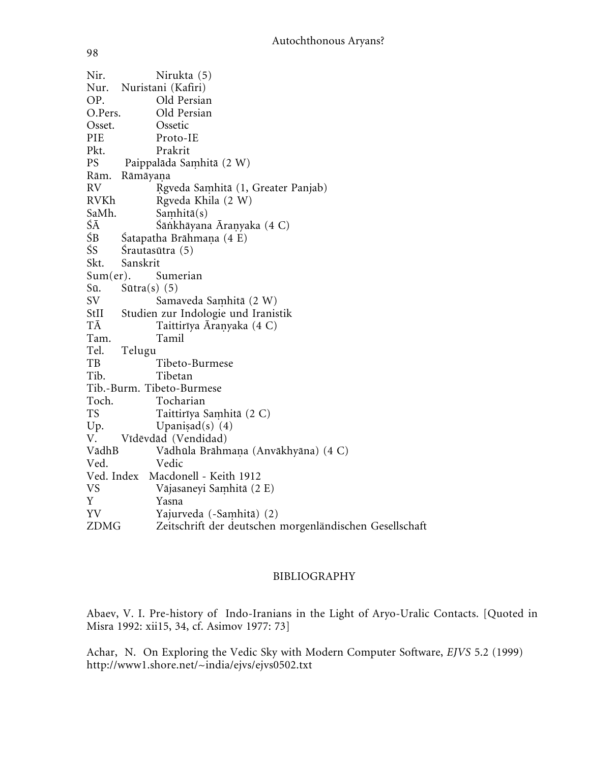| Nir.                      | Nirukta (5)                                             |  |  |
|---------------------------|---------------------------------------------------------|--|--|
| Nur.                      | Nuristani (Kafiri)                                      |  |  |
| OP.                       | Old Persian                                             |  |  |
| O.Pers.                   | Old Persian                                             |  |  |
| Osset.                    | Ossetic                                                 |  |  |
| PIE                       | Proto-IE                                                |  |  |
| Pkt.                      | Prakrit                                                 |  |  |
| <b>PS</b>                 | Paippalāda Samhitā (2 W)                                |  |  |
| Rām.                      | Rāmāyaṇa                                                |  |  |
| <b>RV</b>                 | Rgveda Samhitā (1, Greater Panjab)                      |  |  |
| RVKh                      | Rgveda Khila (2 W)                                      |  |  |
| SaMh.                     | $S$ amhitā $(s)$                                        |  |  |
| ŚĀ                        | Šāṅkhāyana Āraṇyaka (4 C)                               |  |  |
| ŚB                        | Satapatha Brāhmana (4 E)                                |  |  |
| ŚS                        | Śrautasūtra (5)                                         |  |  |
| Skt.                      | Sanskrit                                                |  |  |
| Sum(er).                  | Sumerian                                                |  |  |
| Sū.                       | $Sūtra(s)$ (5)                                          |  |  |
| <b>SV</b>                 | Samaveda Samhitā (2 W)                                  |  |  |
| StII                      | Studien zur Indologie und Iranistik                     |  |  |
| TĀ                        | Taittirīya Āraņyaka (4 C)                               |  |  |
| Tam.                      | Tamil                                                   |  |  |
| Tel.                      | Telugu                                                  |  |  |
| TB                        | Tibeto-Burmese                                          |  |  |
| Tib.                      | Tibetan                                                 |  |  |
| Tib.-Burm. Tibeto-Burmese |                                                         |  |  |
| Toch.                     | Tocharian                                               |  |  |
| <b>TS</b>                 | Taittirīya Samhitā (2 C)                                |  |  |
| Up.                       | Upanisad $(s)$ (4)                                      |  |  |
| V.<br>Vīdēvdād (Vendidad) |                                                         |  |  |
| VādhB                     | Vādhūla Brāhmana (Anvākhyāna) (4 C)                     |  |  |
| Ved.                      | Vedic                                                   |  |  |
|                           | Ved. Index Macdonell - Keith 1912                       |  |  |
| <b>VS</b>                 | Vājasaneyi Samhitā (2 E)                                |  |  |
| Y                         | Yasna                                                   |  |  |
| YV                        | Yajurveda (-Samhitā) (2)                                |  |  |
| <b>ZDMG</b>               | Zeitschrift der deutschen morgenländischen Gesellschaft |  |  |

# BIBLIOGRAPHY

Abaev, V. I. Pre-history of Indo-Iranians in the Light of Aryo-Uralic Contacts. [Quoted in Misra 1992: xii15, 34, cf. Asimov 1977: 73]

Achar, N. On Exploring the Vedic Sky with Modern Computer Software, *EJVS* 5.2 (1999) http://www1.shore.net/~india/ejvs/ejvs0502.txt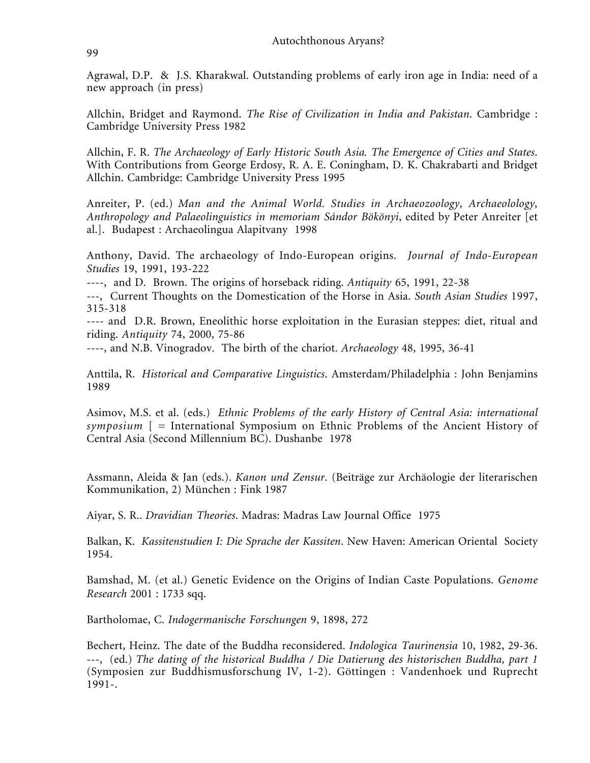Agrawal, D.P. & J.S. Kharakwal. Outstanding problems of early iron age in India: need of a new approach (in press)

Allchin, Bridget and Raymond. *The Rise of Civilization in India and Pakistan*. Cambridge : Cambridge University Press 1982

Allchin, F. R. *The Archaeology of Early Historic South Asia. The Emergence of Cities and States*. With Contributions from George Erdosy, R. A. E. Coningham, D. K. Chakrabarti and Bridget Allchin. Cambridge: Cambridge University Press 1995

Anreiter, P. (ed.) *Man and the Animal World. Studies in Archaeozoology, Archaeolology, Anthropology and Palaeolinguistics in memoriam Sándor Bökönyi*, edited by Peter Anreiter [et al.]. Budapest : Archaeolingua Alapitvany 1998

Anthony, David. The archaeology of Indo-European origins. *Journal of Indo-European Studies* 19, 1991, 193-222

----, and D. Brown. The origins of horseback riding. *Antiquity* 65, 1991, 22-38

---, Current Thoughts on the Domestication of the Horse in Asia. *South Asian Studies* 1997, 315-318

---- and D.R. Brown, Eneolithic horse exploitation in the Eurasian steppes: diet, ritual and riding. *Antiquity* 74, 2000, 75-86

----, and N.B. Vinogradov. The birth of the chariot. *Archaeology* 48, 1995, 36-41

Anttila, R. *Historical and Comparative Linguistics*. Amsterdam/Philadelphia : John Benjamins 1989

Asimov, M.S. et al. (eds.) *Ethnic Problems of the early History of Central Asia: international symposium* [ = International Symposium on Ethnic Problems of the Ancient History of Central Asia (Second Millennium BC). Dushanbe 1978

Assmann, Aleida & Jan (eds.). *Kanon und Zensur*. (Beiträge zur Archäologie der literarischen Kommunikation, 2) München : Fink 1987

Aiyar, S. R.. *Dravidian Theories*. Madras: Madras Law Journal Office 1975

Balkan, K. *Kassitenstudien I: Die Sprache der Kassiten*. New Haven: American Oriental Society 1954.

Bamshad, M. (et al.) Genetic Evidence on the Origins of Indian Caste Populations. *Genome Research* 2001 : 1733 sqq.

Bartholomae, C. *Indogermanische Forschungen* 9, 1898, 272

Bechert, Heinz. The date of the Buddha reconsidered. *Indologica Taurinensia* 10, 1982, 29-36. ---, (ed.) *The dating of the historical Buddha / Die Datierung des historischen Buddha, part 1* (Symposien zur Buddhismusforschung IV, 1-2). Göttingen : Vandenhoek und Ruprecht 1991-.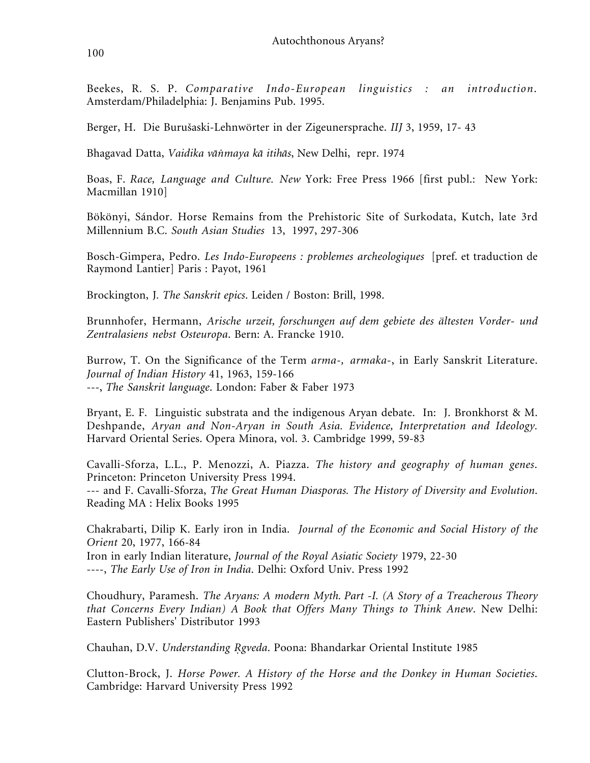Beekes, R. S. P. *Comparative Indo-European linguistics : an introduction*. Amsterdam/Philadelphia: J. Benjamins Pub. 1995.

Berger, H. Die Burušaski-Lehnwörter in der Zigeunersprache. *IIJ* 3, 1959, 17- 43

Bhagavad Datta, *Vaidika våmaya kå itihås*, New Delhi, repr. 1974

Boas, F. *Race, Language and Culture. New* York: Free Press 1966 [first publ.: New York: Macmillan 1910]

Bökönyi, Sándor. Horse Remains from the Prehistoric Site of Surkodata, Kutch, late 3rd Millennium B.C. *South Asian Studies* 13, 1997, 297-306

Bosch-Gimpera, Pedro. *Les Indo-Europeens : problemes archeologiques* [pref. et traduction de Raymond Lantier] Paris : Payot, 1961

Brockington, J*. The Sanskrit epics*. Leiden / Boston: Brill, 1998.

Brunnhofer, Hermann, *Arische urzeit, forschungen auf dem gebiete des ältesten Vorder- und Zentralasiens nebst Osteuropa*. Bern: A. Francke 1910.

Burrow, T. On the Significance of the Term *arma-, armaka-*, in Early Sanskrit Literature. *Journal of Indian History* 41, 1963, 159-166 ---, *The Sanskrit language*. London: Faber & Faber 1973

Bryant, E. F. Linguistic substrata and the indigenous Aryan debate. In: J. Bronkhorst & M. Deshpande, *Aryan and Non-Aryan in South Asia. Evidence, Interpretation and Ideology.* Harvard Oriental Series. Opera Minora, vol. 3. Cambridge 1999, 59-83

Cavalli-Sforza, L.L., P. Menozzi, A. Piazza. *The history and geography of human genes*. Princeton: Princeton University Press 1994.

--- and F. Cavalli-Sforza, *The Great Human Diasporas. The History of Diversity and Evolution*. Reading MA : Helix Books 1995

Chakrabarti, Dilip K. Early iron in India. *Journal of the Economic and Social History of the Orient* 20, 1977, 166-84 Iron in early Indian literature, *Journal of the Royal Asiatic Society* 1979, 22-30

----, *The Early Use of Iron in India*. Delhi: Oxford Univ. Press 1992

Choudhury, Paramesh. *The Aryans: A modern Myth. Part -I. (A Story of a Treacherous Theory that Concerns Every Indian) A Book that Offers Many Things to Think Anew*. New Delhi: Eastern Publishers' Distributor 1993

Chauhan, D.V. *Understanding Rgveda*. Poona: Bhandarkar Oriental Institute 1985

Clutton-Brock, J. *Horse Power. A History of the Horse and the Donkey in Human Societies*. Cambridge: Harvard University Press 1992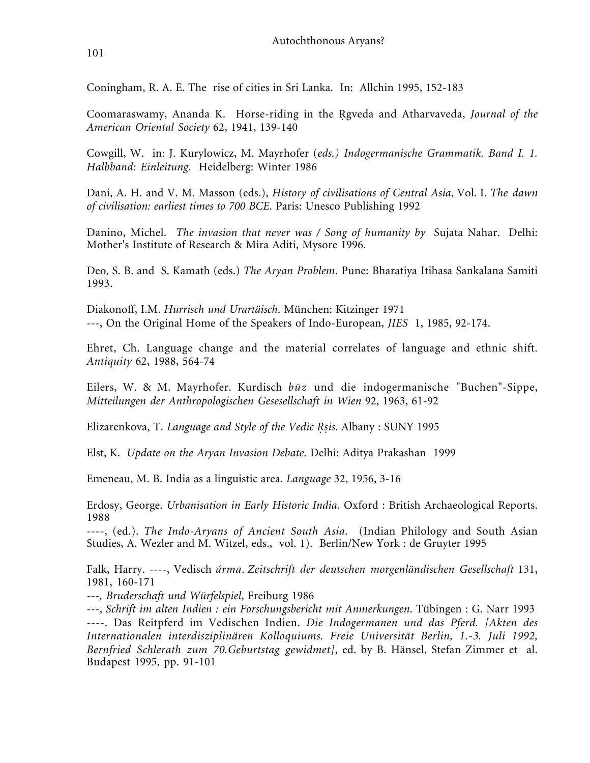Coningham, R. A. E. The rise of cities in Sri Lanka. In: Allchin 1995, 152-183

Coomaraswamy, Ananda K. Horse-riding in the gveda and Atharvaveda, *Journal of the American Oriental Society* 62, 1941, 139-140

Cowgill, W. in: J. Kurylowicz, M. Mayrhofer (*eds.) Indogermanische Grammatik. Band I. 1. Halbband: Einleitung*. Heidelberg: Winter 1986

Dani, A. H. and V. M. Masson (eds.), *History of civilisations of Central Asia*, Vol. I. *The dawn of civilisation: earliest times to 700 BCE*. Paris: Unesco Publishing 1992

Danino, Michel. *The invasion that never was / Song of humanity by* Sujata Nahar. Delhi: Mother's Institute of Research & Mira Aditi, Mysore 1996.

Deo, S. B. and S. Kamath (eds.) *The Aryan Problem*. Pune: Bharatiya Itihasa Sankalana Samiti 1993.

Diakonoff, I.M. *Hurrisch und Urartäisch*. München: Kitzinger 1971 ---, On the Original Home of the Speakers of Indo-European, *JIES* 1, 1985, 92-174.

Ehret, Ch. Language change and the material correlates of language and ethnic shift. *Antiquity* 62, 1988, 564-74

Eilers, W. & M. Mayrhofer. Kurdisch *būz* und die indogermanische "Buchen"-Sippe, *Mitteilungen der Anthropologischen Gesesellschaft in Wien* 92, 1963, 61-92

Elizarenkova, T. *Language and Style of the Vedic Rsis*. Albany : SUNY 1995

Elst, K. *Update on the Aryan Invasion Debate*. Delhi: Aditya Prakashan 1999

Emeneau, M. B. India as a linguistic area. *Language* 32, 1956, 3-16

Erdosy, George. *Urbanisation in Early Historic India.* Oxford : British Archaeological Reports. 1988

----, (ed.). *The Indo-Aryans of Ancient South Asia*. (Indian Philology and South Asian Studies, A. Wezler and M. Witzel, eds., vol. 1). Berlin/New York : de Gruyter 1995

Falk, Harry. ----, Vedisch *árma*. *Zeitschrift der deutschen morgenländischen Gesellschaft* 131, 1981, 160-171

*---, Bruderschaft und Würfelspiel*, Freiburg 1986

---, *Schrift im alten Indien : ein Forschungsbericht mit Anmerkungen*. Tübingen : G. Narr 1993 ----. Das Reitpferd im Vedischen Indien. *Die Indogermanen und das Pferd. [Akten des Internationalen interdisziplinären Kolloquiums. Freie Universität Berlin, 1.-3. Juli 1992, Bernfried Schlerath zum 70.Geburtstag gewidmet]*, ed. by B. Hänsel, Stefan Zimmer et al. Budapest 1995, pp. 91-101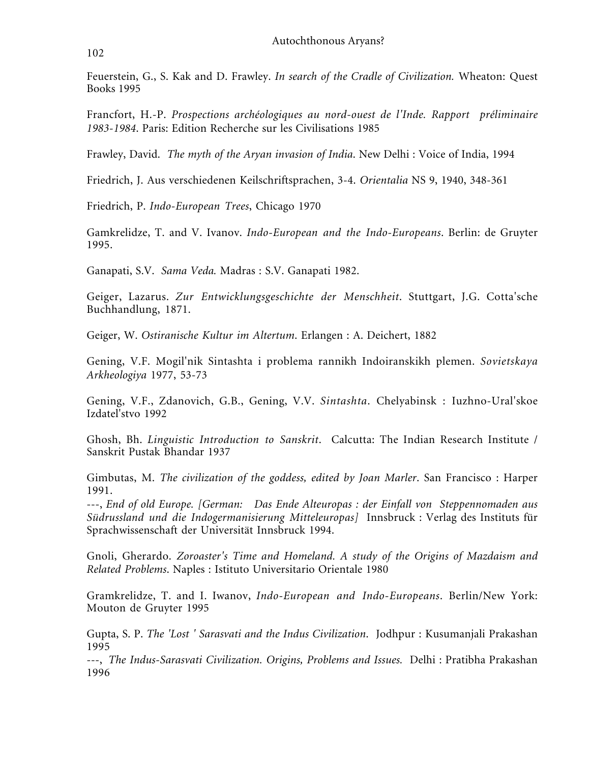Feuerstein, G., S. Kak and D. Frawley. *In search of the Cradle of Civilization.* Wheaton: Quest Books 1995

Francfort, H.-P. *Prospections archéologiques au nord-ouest de l'Inde. Rapport préliminaire 1983-1984*. Paris: Edition Recherche sur les Civilisations 1985

Frawley, David. *The myth of the Aryan invasion of India*. New Delhi : Voice of India, 1994

Friedrich, J. Aus verschiedenen Keilschriftsprachen, 3-4. *Orientalia* NS 9, 1940, 348-361

Friedrich, P. *Indo-European Trees*, Chicago 1970

Gamkrelidze, T. and V. Ivanov. *Indo-European and the Indo-Europeans*. Berlin: de Gruyter 1995.

Ganapati, S.V. *Sama Veda.* Madras : S.V. Ganapati 1982.

Geiger, Lazarus. *Zur Entwicklungsgeschichte der Menschheit*. Stuttgart, J.G. Cotta'sche Buchhandlung, 1871.

Geiger, W. *Ostiranische Kultur im Altertum*. Erlangen : A. Deichert, 1882

Gening, V.F. Mogil'nik Sintashta i problema rannikh Indoiranskikh plemen. *Sovietskaya Arkheologiya* 1977, 53-73

Gening, V.F., Zdanovich, G.B., Gening, V.V. *Sintashta*. Chelyabinsk : Iuzhno-Ural'skoe Izdatel'stvo 1992

Ghosh, Bh. *Linguistic Introduction to Sanskrit*. Calcutta: The Indian Research Institute / Sanskrit Pustak Bhandar 1937

Gimbutas, M. *The civilization of the goddess, edited by Joan Marler*. San Francisco : Harper 1991.

---, *End of old Europe. [German: Das Ende Alteuropas : der Einfall von Steppennomaden aus Südrussland und die Indogermanisierung Mitteleuropas]* Innsbruck : Verlag des Instituts für Sprachwissenschaft der Universität Innsbruck 1994.

Gnoli, Gherardo. *Zoroaster's Time and Homeland. A study of the Origins of Mazdaism and Related Problems*. Naples : Istituto Universitario Orientale 1980

Gramkrelidze, T. and I. Iwanov, *Indo-European and Indo-Europeans*. Berlin/New York: Mouton de Gruyter 1995

Gupta, S. P. *The 'Lost ' Sarasvati and the Indus Civilization*. Jodhpur : Kusumanjali Prakashan 1995

---, *The Indus-Sarasvati Civilization. Origins, Problems and Issues.* Delhi : Pratibha Prakashan 1996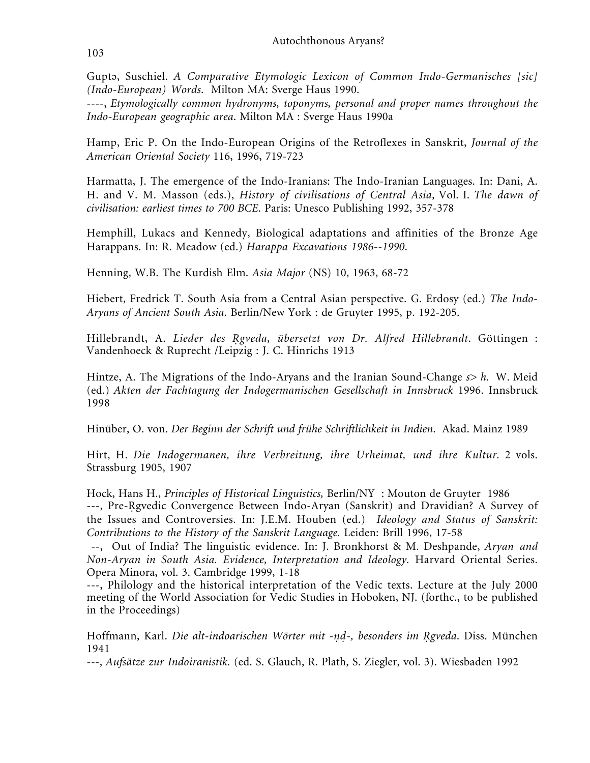Guptə, Suschiel. *A Comparative Etymologic Lexicon of Common Indo-Germanisches [sic] (Indo-European) Words*. Milton MA: Sverge Haus 1990.

----, *Etymologically common hydronyms, toponyms, personal and proper names throughout the Indo-European geographic area*. Milton MA : Sverge Haus 1990a

Hamp, Eric P. On the Indo-European Origins of the Retroflexes in Sanskrit, *Journal of the American Oriental Society* 116, 1996, 719-723

Harmatta, J. The emergence of the Indo-Iranians: The Indo-Iranian Languages. In: Dani, A. H. and V. M. Masson (eds.), *History of civilisations of Central Asia*, Vol. I. *The dawn of civilisation: earliest times to 700 BCE*. Paris: Unesco Publishing 1992, 357-378

Hemphill, Lukacs and Kennedy, Biological adaptations and affinities of the Bronze Age Harappans. In: R. Meadow (ed.) *Harappa Excavations 1986--1990*.

Henning, W.B. The Kurdish Elm. *Asia Major* (NS) 10, 1963, 68-72

Hiebert, Fredrick T. South Asia from a Central Asian perspective. G. Erdosy (ed.) *The Indo-Aryans of Ancient South Asia*. Berlin/New York : de Gruyter 1995, p. 192-205.

Hillebrandt, A. *Lieder des gveda, übersetzt von Dr. Alfred Hillebrandt*. Göttingen : Vandenhoeck & Ruprecht /Leipzig : J. C. Hinrichs 1913

Hintze, A. The Migrations of the Indo-Aryans and the Iranian Sound-Change *s> h*. W. Meid (ed.) *Akten der Fachtagung der Indogermanischen Gesellschaft in Innsbruck* 1996. Innsbruck 1998

Hinüber, O. von. *Der Beginn der Schrift und frühe Schriftlichkeit in Indien*. Akad. Mainz 1989

Hirt, H. *Die Indogermanen, ihre Verbreitung, ihre Urheimat, und ihre Kultur.* 2 vols. Strassburg 1905, 1907

Hock, Hans H., *Principles of Historical Linguistics,* Berlin/NY : Mouton de Gruyter 1986 ---, Pre-gvedic Convergence Between Indo-Aryan (Sanskrit) and Dravidian? A Survey of the Issues and Controversies. In: J.E.M. Houben (ed.) *Ideology and Status of Sanskrit: Contributions to the History of the Sanskrit Language.* Leiden: Brill 1996, 17-58

--, Out of India? The linguistic evidence. In: J. Bronkhorst & M. Deshpande, *Aryan and Non-Aryan in South Asia. Evidence, Interpretation and Ideology.* Harvard Oriental Series. Opera Minora, vol. 3. Cambridge 1999, 1-18

---, Philology and the historical interpretation of the Vedic texts. Lecture at the July 2000 meeting of the World Association for Vedic Studies in Hoboken, NJ. (forthc., to be published in the Proceedings)

Hoffmann, Karl. *Die alt-indoarischen Wörter mit -nd-, besonders im Rgveda*. Diss. München 1941

---, *Aufsätze zur Indoiranistik.* (ed. S. Glauch, R. Plath, S. Ziegler, vol. 3). Wiesbaden 1992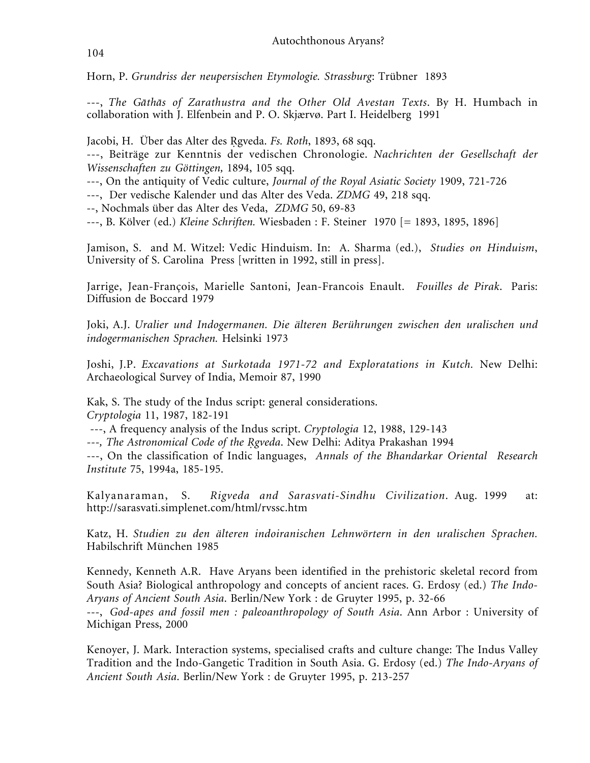Horn, P. *Grundriss der neupersischen Etymologie. Strassburg*: Trübner 1893

---, *The Gåthås of Zarathustra and the Other Old Avestan Texts*. By H. Humbach in collaboration with J. Elfenbein and P. O. Skjærvø. Part I. Heidelberg 1991

Jacobi, H. Über das Alter des gveda. *Fs. Roth*, 1893, 68 sqq.

---, Beiträge zur Kenntnis der vedischen Chronologie. *Nachrichten der Gesellschaft der Wissenschaften zu Göttingen,* 1894, 105 sqq.

---, On the antiquity of Vedic culture, *Journal of the Royal Asiatic Society* 1909, 721-726

---, Der vedische Kalender und das Alter des Veda. *ZDMG* 49, 218 sqq.

--, Nochmals über das Alter des Veda, *ZDMG* 50, 69-83

---, B. Kölver (ed.) *Kleine Schriften.* Wiesbaden : F. Steiner 1970 [= 1893, 1895, 1896]

Jamison, S. and M. Witzel: Vedic Hinduism. In: A. Sharma (ed.), *Studies on Hinduism*, University of S. Carolina Press [written in 1992, still in press].

Jarrige, Jean-François, Marielle Santoni, Jean-Francois Enault. *Fouilles de Pirak*. Paris: Diffusion de Boccard 1979

Joki, A.J. *Uralier und Indogermanen. Die älteren Berührungen zwischen den uralischen und indogermanischen Sprachen.* Helsinki 1973

Joshi, J.P. *Excavations at Surkotada 1971-72 and Exploratations in Kutch.* New Delhi: Archaeological Survey of India, Memoir 87, 1990

Kak, S. The study of the Indus script: general considerations.

*Cryptologia* 11, 1987, 182-191

---, A frequency analysis of the Indus script. *Cryptologia* 12, 1988, 129-143

*---, The Astronomical Code of the gveda*. New Delhi: Aditya Prakashan 1994

---, On the classification of Indic languages, *Annals of the Bhandarkar Oriental Research Institute* 75, 1994a, 185-195.

Kalyanaraman, S*. Rigveda and Sarasvati-Sindhu Civilization*. Aug. 1999 at: http://sarasvati.simplenet.com/html/rvssc.htm

Katz, H. *Studien zu den älteren indoiranischen Lehnwörtern in den uralischen Sprachen.* Habilschrift München 1985

Kennedy, Kenneth A.R. Have Aryans been identified in the prehistoric skeletal record from South Asia? Biological anthropology and concepts of ancient races. G. Erdosy (ed.) *The Indo-Aryans of Ancient South Asia*. Berlin/New York : de Gruyter 1995, p. 32-66 ---, *God-apes and fossil men : paleoanthropology of South Asia*. Ann Arbor : University of Michigan Press, 2000

Kenoyer, J. Mark. Interaction systems, specialised crafts and culture change: The Indus Valley Tradition and the Indo-Gangetic Tradition in South Asia. G. Erdosy (ed.) *The Indo-Aryans of Ancient South Asia*. Berlin/New York : de Gruyter 1995, p. 213-257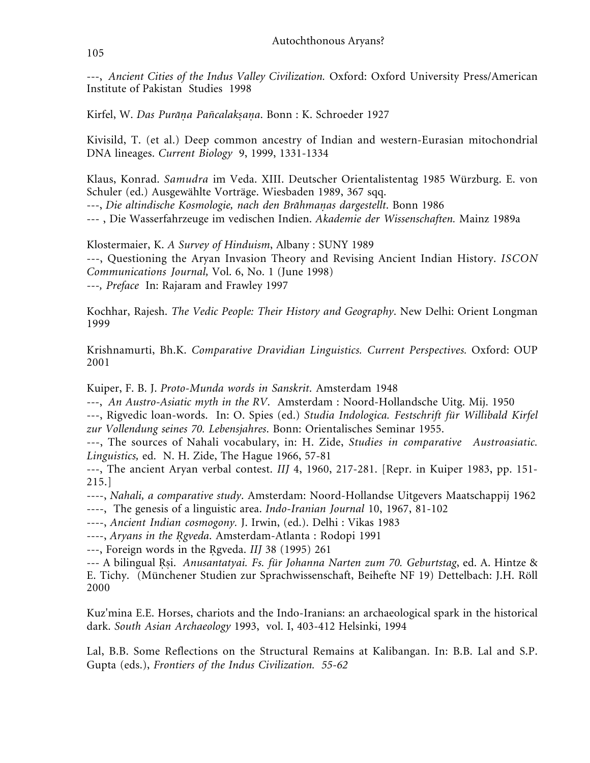---, *Ancient Cities of the Indus Valley Civilization.* Oxford: Oxford University Press/American Institute of Pakistan Studies 1998

Kirfel, W. *Das Puråa Pañcalakaa*. Bonn : K. Schroeder 1927

Kivisild, T. (et al.) Deep common ancestry of Indian and western-Eurasian mitochondrial DNA lineages. *Current Biology* 9, 1999, 1331-1334

Klaus, Konrad. *Samudra* im Veda. XIII. Deutscher Orientalistentag 1985 Würzburg. E. von Schuler (ed.) Ausgewählte Vorträge. Wiesbaden 1989, 367 sqq. ---, *Die altindische Kosmologie, nach den Bråhmaas dargestellt*. Bonn 1986

--- , Die Wasserfahrzeuge im vedischen Indien. *Akademie der Wissenschaften.* Mainz 1989a

Klostermaier, K. *A Survey of Hinduism*, Albany : SUNY 1989 ---, Questioning the Aryan Invasion Theory and Revising Ancient Indian History. *ISCON Communications Journal,* Vol. 6, No. 1 (June 1998) *---, Preface* In: Rajaram and Frawley 1997

Kochhar, Rajesh. *The Vedic People: Their History and Geography*. New Delhi: Orient Longman 1999

Krishnamurti, Bh.K. *Comparative Dravidian Linguistics. Current Perspectives.* Oxford: OUP 2001

Kuiper, F. B. J. *Proto-Munda words in Sanskrit*. Amsterdam 1948

---, *An Austro-Asiatic myth in the RV*. Amsterdam : Noord-Hollandsche Uitg. Mij. 1950

---, Rigvedic loan-words. In: O. Spies (ed.) *Studia Indologica. Festschrift für Willibald Kirfel zur Vollendung seines 70. Lebensjahres*. Bonn: Orientalisches Seminar 1955.

---, The sources of Nahali vocabulary, in: H. Zide, *Studies in comparative Austroasiatic. Linguistics,* ed. N. H. Zide, The Hague 1966, 57-81

---, The ancient Aryan verbal contest. *IIJ* 4, 1960, 217-281. [Repr. in Kuiper 1983, pp. 151- 215.]

----, *Nahali, a comparative study*. Amsterdam: Noord-Hollandse Uitgevers Maatschappij 1962

----, The genesis of a linguistic area. *Indo-Iranian Journal* 10, 1967, 81-102

----, *Ancient Indian cosmogony.* J. Irwin, (ed.). Delhi : Vikas 1983

----, *Aryans in the gveda*. Amsterdam-Atlanta : Rodopi 1991

---, Foreign words in the gveda. *IIJ* 38 (1995) 261

--- A bilingual i. *Anusantatyai. Fs. für Johanna Narten zum 70. Geburtstag*, ed. A. Hintze & E. Tichy. (Münchener Studien zur Sprachwissenschaft, Beihefte NF 19) Dettelbach: J.H. Röll 2000

Kuz'mina E.E. Horses, chariots and the Indo-Iranians: an archaeological spark in the historical dark. *South Asian Archaeology* 1993, vol. I, 403-412 Helsinki, 1994

Lal, B.B. Some Reflections on the Structural Remains at Kalibangan. In: B.B. Lal and S.P. Gupta (eds.), *Frontiers of the Indus Civilization. 55-62*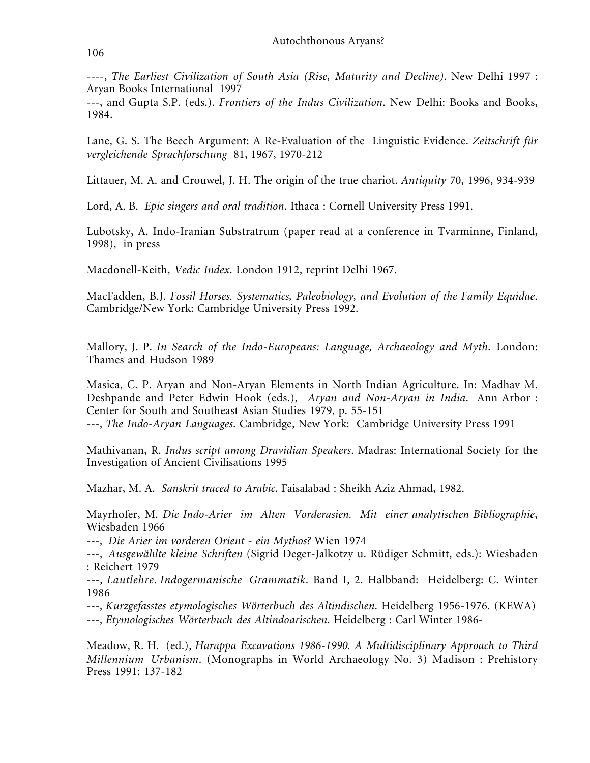----, *The Earliest Civilization of South Asia (Rise, Maturity and Decline)*. New Delhi 1997 : Aryan Books International 1997

---, and Gupta S.P. (eds.). *Frontiers of the Indus Civilization*. New Delhi: Books and Books, 1984.

Lane, G. S. The Beech Argument: A Re-Evaluation of the Linguistic Evidence. *Zeitschrift für vergleichende Sprachforschung* 81, 1967, 1970-212

Littauer, M. A. and Crouwel, J. H. The origin of the true chariot. *Antiquity* 70, 1996, 934-939

Lord, A. B. *Epic singers and oral tradition*. Ithaca : Cornell University Press 1991.

Lubotsky, A. Indo-Iranian Substratrum (paper read at a conference in Tvarminne, Finland, 1998), in press

Macdonell-Keith, *Vedic Index*. London 1912, reprint Delhi 1967.

MacFadden, B.J. *Fossil Horses. Systematics, Paleobiology, and Evolution of the Family Equidae*. Cambridge/New York: Cambridge University Press 1992.

Mallory, J. P. *In Search of the Indo-Europeans: Language, Archaeology and Myth*. London: Thames and Hudson 1989

Masica, C. P. Aryan and Non-Aryan Elements in North Indian Agriculture. In: Madhav M. Deshpande and Peter Edwin Hook (eds.), *Aryan and Non-Aryan in India*. Ann Arbor : Center for South and Southeast Asian Studies 1979, p. 55-151

---, *The Indo-Aryan Languages*. Cambridge, New York: Cambridge University Press 1991

Mathivanan, R. *Indus script among Dravidian Speakers*. Madras: International Society for the Investigation of Ancient Civilisations 1995

Mazhar, M. A. *Sanskrit traced to Arabic*. Faisalabad : Sheikh Aziz Ahmad, 1982.

Mayrhofer, M. *Die Indo-Arier im Alten Vorderasien. Mit einer analytischen Bibliographie*, Wiesbaden 1966

---, *Die Arier im vorderen Orient - ein Mythos?* Wien 1974

---, *Ausgewählte kleine Schriften* (Sigrid Deger-Jalkotzy u. Rüdiger Schmitt, eds.): Wiesbaden : Reichert 1979

---, *Lautlehre*. *Indogermanische Grammatik*. Band I, 2. Halbband: Heidelberg: C. Winter 1986

---, *Kurzgefasstes etymologisches Wörterbuch des Altindischen*. Heidelberg 1956-1976. (KEWA) ---, *Etymologisches Wörterbuch des Altindoarischen*. Heidelberg : Carl Winter 1986-

Meadow, R. H. (ed.), *Harappa Excavations 1986-1990. A Multidisciplinary Approach to Third Millennium Urbanism*. (Monographs in World Archaeology No. 3) Madison : Prehistory Press 1991: 137-182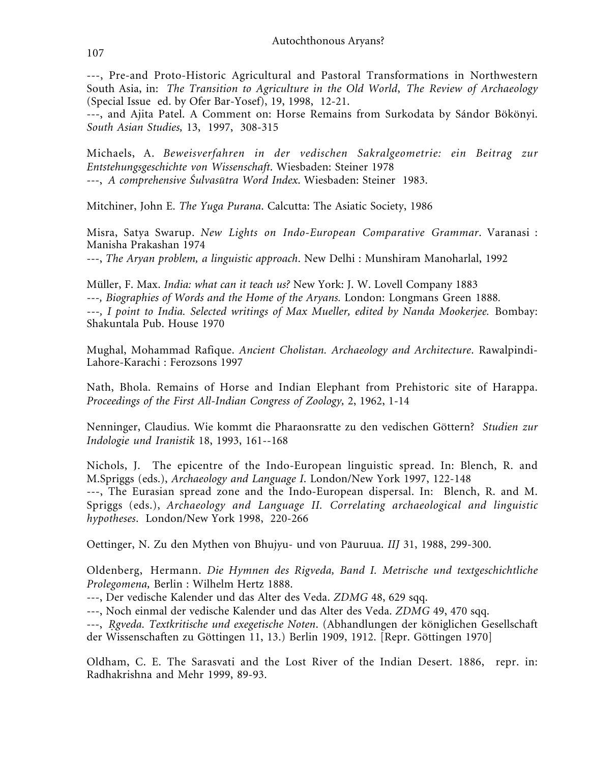---, Pre-and Proto-Historic Agricultural and Pastoral Transformations in Northwestern South Asia, in: *The Transition to Agriculture in the Old World*, *The Review of Archaeology* (Special Issue ed. by Ofer Bar-Yosef), 19, 1998, 12-21.

---, and Ajita Patel. A Comment on: Horse Remains from Surkodata by Sándor Bökönyi. *South Asian Studies,* 13, 1997, 308-315

Michaels, A. *Beweisverfahren in der vedischen Sakralgeometrie: ein Beitrag zur Entstehungsgeschichte von Wissenschaft*. Wiesbaden: Steiner 1978 ---, *A comprehensive Śulvasūtra Word Index*. Wiesbaden: Steiner 1983.

Mitchiner, John E. *The Yuga Purana*. Calcutta: The Asiatic Society, 1986

Misra, Satya Swarup. *New Lights on Indo-European Comparative Grammar*. Varanasi : Manisha Prakashan 1974

---, *The Aryan problem, a linguistic approach*. New Delhi : Munshiram Manoharlal, 1992

Müller, F. Max. *India: what can it teach us?* New York: J. W. Lovell Company 1883 *---, Biographies of Words and the Home of the Aryans.* London: Longmans Green 1888*. ---, I point to India. Selected writings of Max Mueller, edited by Nanda Mookerjee.* Bombay: Shakuntala Pub. House 1970

Mughal, Mohammad Rafique. *Ancient Cholistan. Archaeology and Architecture*. Rawalpindi-Lahore-Karachi : Ferozsons 1997

Nath, Bhola. Remains of Horse and Indian Elephant from Prehistoric site of Harappa. *Proceedings of the First All-Indian Congress of Zoology,* 2, 1962, 1-14

Nenninger, Claudius. Wie kommt die Pharaonsratte zu den vedischen Göttern? *Studien zur Indologie und Iranistik* 18, 1993, 161--168

Nichols, J. The epicentre of the Indo-European linguistic spread. In: Blench, R. and M.Spriggs (eds.), *Archaeology and Language I*. London/New York 1997, 122-148 ---, The Eurasian spread zone and the Indo-European dispersal. In: Blench, R. and M. Spriggs (eds.), *Archaeology and Language II. Correlating archaeological and linguistic hypotheses*. London/New York 1998, 220-266

Oettinger, N. Zu den Mythen von Bhujyu- und von Påuruua. *IIJ* 31, 1988, 299-300.

Oldenberg, Hermann. *Die Hymnen des Rigveda, Band I. Metrische und textgeschichtliche Prolegomena,* Berlin : Wilhelm Hertz 1888.

---, Der vedische Kalender und das Alter des Veda. *ZDMG* 48, 629 sqq.

---, Noch einmal der vedische Kalender und das Alter des Veda. *ZDMG* 49, 470 sqq.

---, *gveda. Textkritische und exegetische Noten*. (Abhandlungen der königlichen Gesellschaft der Wissenschaften zu Göttingen 11, 13.) Berlin 1909, 1912. [Repr. Göttingen 1970]

Oldham, C. E. The Sarasvati and the Lost River of the Indian Desert. 1886, repr. in: Radhakrishna and Mehr 1999, 89-93.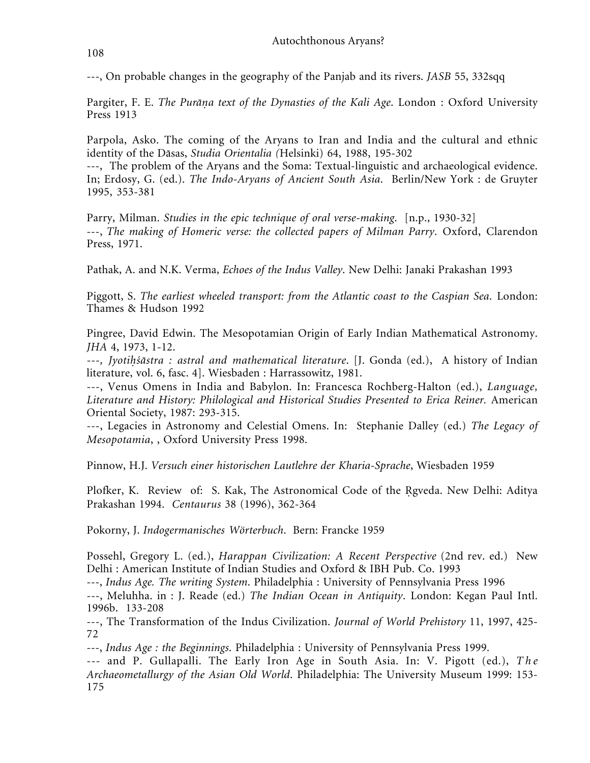---, On probable changes in the geography of the Panjab and its rivers. *JASB* 55, 332sqq

Pargiter, F. E. *The Puråa text of the Dynasties of the Kali Age*. London : Oxford University Press 1913

Parpola, Asko. The coming of the Aryans to Iran and India and the cultural and ethnic identity of the Dåsas, *Studia Orientalia (*Helsinki) 64, 1988, 195-302

---, The problem of the Aryans and the Soma: Textual-linguistic and archaeological evidence. In; Erdosy, G. (ed.). *The Indo-Aryans of Ancient South Asia*. Berlin/New York : de Gruyter 1995, 353-381

Parry, Milman. *Studies in the epic technique of oral verse-making*. [n.p., 1930-32] ---, *The making of Homeric verse: the collected papers of Milman Parry*. Oxford, Clarendon Press, 1971.

Pathak, A. and N.K. Verma, *Echoes of the Indus Valley*. New Delhi: Janaki Prakashan 1993

Piggott, S. *The earliest wheeled transport: from the Atlantic coast to the Caspian Sea*. London: Thames & Hudson 1992

Pingree, David Edwin. The Mesopotamian Origin of Early Indian Mathematical Astronomy. *JHA* 4, 1973, 1-12.

---, Jyotihśāstra : astral and mathematical literature. [J. Gonda (ed.), A history of Indian literature, vol. 6, fasc. 4]. Wiesbaden : Harrassowitz, 1981.

---, Venus Omens in India and Babylon. In: Francesca Rochberg-Halton (ed.), *Language, Literature and History: Philological and Historical Studies Presented to Erica Reiner.* American Oriental Society, 1987: 293-315.

---, Legacies in Astronomy and Celestial Omens. In: Stephanie Dalley (ed.) *The Legacy of Mesopotamia*, , Oxford University Press 1998.

Pinnow, H.J. *Versuch einer historischen Lautlehre der Kharia-Sprache*, Wiesbaden 1959

Plofker, K. Review of: S. Kak, The Astronomical Code of the Rgveda. New Delhi: Aditya Prakashan 1994. *Centaurus* 38 (1996), 362-364

Pokorny, J. *Indogermanisches Wörterbuch*. Bern: Francke 1959

Possehl, Gregory L. (ed.), *Harappan Civilization: A Recent Perspective* (2nd rev. ed.) New Delhi : American Institute of Indian Studies and Oxford & IBH Pub. Co. 1993

---, *Indus Age. The writing System*. Philadelphia : University of Pennsylvania Press 1996

---, Meluhha. in : J. Reade (ed.) *The Indian Ocean in Antiquity*. London: Kegan Paul Intl. 1996b. 133-208

---, The Transformation of the Indus Civilization. *Journal of World Prehistory* 11, 1997, 425- 72

---, *Indus Age : the Beginnings*. Philadelphia : University of Pennsylvania Press 1999.

--- and P. Gullapalli. The Early Iron Age in South Asia. In: V. Pigott (ed.), *The Archaeometallurgy of the Asian Old World*. Philadelphia: The University Museum 1999: 153- 175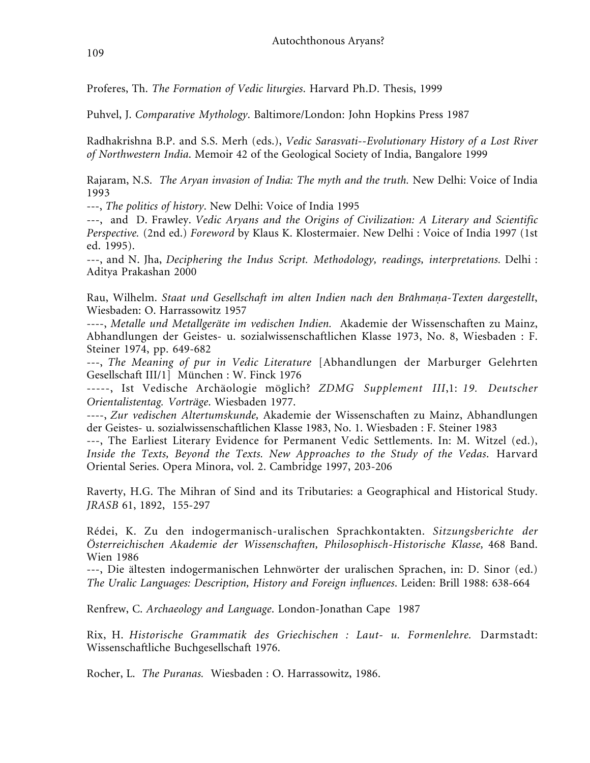Proferes, Th. *The Formation of Vedic liturgies*. Harvard Ph.D. Thesis, 1999

Puhvel, J. *Comparative Mythology*. Baltimore/London: John Hopkins Press 1987

Radhakrishna B.P. and S.S. Merh (eds.), *Vedic Sarasvati--Evolutionary History of a Lost River of Northwestern India*. Memoir 42 of the Geological Society of India, Bangalore 1999

Rajaram, N.S. *The Aryan invasion of India: The myth and the truth.* New Delhi: Voice of India 1993

---, *The politics of history*. New Delhi: Voice of India 1995

---, and D. Frawley. *Vedic Aryans and the Origins of Civilization: A Literary and Scientific Perspective.* (2nd ed.) *Foreword* by Klaus K. Klostermaier. New Delhi : Voice of India 1997 (1st ed. 1995).

---, and N. Jha, *Deciphering the Indus Script. Methodology, readings, interpretations.* Delhi : Aditya Prakashan 2000

Rau, Wilhelm. *Staat und Gesellschaft im alten Indien nach den Bråhmaa-Texten dargestellt*, Wiesbaden: O. Harrassowitz 1957

----, *Metalle und Metallgeräte im vedischen Indien.* Akademie der Wissenschaften zu Mainz, Abhandlungen der Geistes- u. sozialwissenschaftlichen Klasse 1973, No. 8, Wiesbaden : F. Steiner 1974, pp. 649-682

---, *The Meaning of pur in Vedic Literature* [Abhandlungen der Marburger Gelehrten Gesellschaft III/1] München : W. Finck 1976

-----, Ist Vedische Archäologie möglich? *ZDMG Supplement III*,1: *19. Deutscher Orientalistentag. Vorträge*. Wiesbaden 1977.

----, *Zur vedischen Altertumskunde,* Akademie der Wissenschaften zu Mainz, Abhandlungen der Geistes- u. sozialwissenschaftlichen Klasse 1983, No. 1. Wiesbaden : F. Steiner 1983

---, The Earliest Literary Evidence for Permanent Vedic Settlements. In: M. Witzel (ed.), *Inside the Texts, Beyond the Texts. New Approaches to the Study of the Vedas*. Harvard Oriental Series. Opera Minora, vol. 2. Cambridge 1997, 203-206

Raverty, H.G. The Mihran of Sind and its Tributaries: a Geographical and Historical Study. *JRASB* 61, 1892, 155-297

Rédei, K. Zu den indogermanisch-uralischen Sprachkontakten. *Sitzungsberichte der Österreichischen Akademie der Wissenschaften, Philosophisch-Historische Klasse,* 468 Band. Wien 1986

---, Die ältesten indogermanischen Lehnwörter der uralischen Sprachen, in: D. Sinor (ed.) *The Uralic Languages: Description, History and Foreign influences*. Leiden: Brill 1988: 638-664

Renfrew, C. *Archaeology and Language*. London-Jonathan Cape 1987

Rix, H. *Historische Grammatik des Griechischen : Laut- u. Formenlehre.* Darmstadt: Wissenschaftliche Buchgesellschaft 1976.

Rocher, L. *The Puranas.* Wiesbaden : O. Harrassowitz, 1986.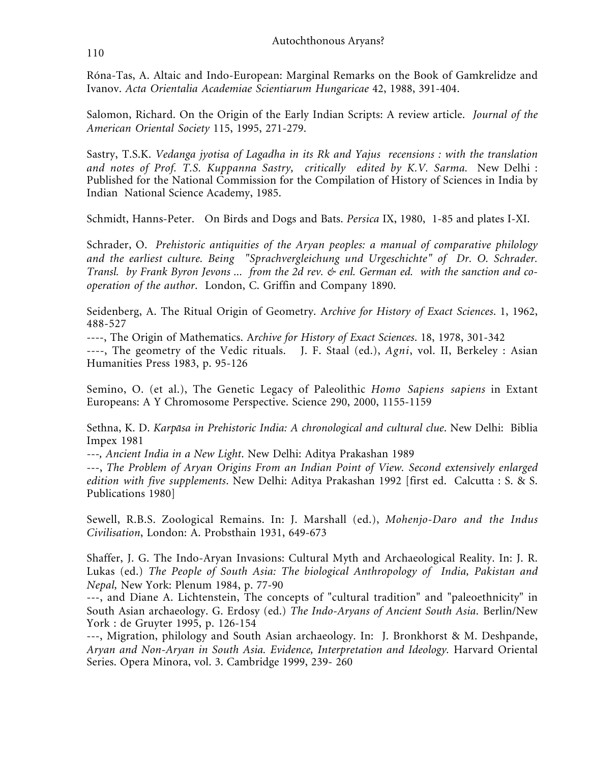Róna-Tas, A. Altaic and Indo-European: Marginal Remarks on the Book of Gamkrelidze and Ivanov. *Acta Orientalia Academiae Scientiarum Hungaricae* 42, 1988, 391-404.

Salomon, Richard. On the Origin of the Early Indian Scripts: A review article. *Journal of the American Oriental Society* 115, 1995, 271-279.

Sastry, T.S.K. *Vedanga jyotisa of Lagadha in its Rk and Yajus recensions : with the translation and notes of Prof. T.S. Kuppanna Sastry, critically edited by K.V. Sarma.* New Delhi : Published for the National Commission for the Compilation of History of Sciences in India by Indian National Science Academy, 1985.

Schmidt, Hanns-Peter. On Birds and Dogs and Bats. *Persica* IX, 1980, 1-85 and plates I-XI.

Schrader, O. *Prehistoric antiquities of the Aryan peoples: a manual of comparative philology and the earliest culture. Being "Sprachvergleichung und Urgeschichte" of Dr. O. Schrader. Transl. by Frank Byron Jevons ... from the 2d rev. & enl. German ed. with the sanction and cooperation of the author*. London, C. Griffin and Company 1890.

Seidenberg, A. The Ritual Origin of Geometry. A*rchive for History of Exact Sciences*. 1, 1962, 488-527

----, The Origin of Mathematics. A*rchive for History of Exact Sciences*. 18, 1978, 301-342

----, The geometry of the Vedic rituals. J. F. Staal (ed.), *Agni*, vol. II, Berkeley : Asian Humanities Press 1983, p. 95-126

Semino, O. (et al.), The Genetic Legacy of Paleolithic *Homo Sapiens sapiens* in Extant Europeans: A Y Chromosome Perspective. Science 290, 2000, 1155-1159

Sethna, K. D. *Karpåsa in Prehistoric India: A chronological and cultural clue*. New Delhi: Biblia Impex 1981

*---, Ancient India in a New Light*. New Delhi: Aditya Prakashan 1989

---, *The Problem of Aryan Origins From an Indian Point of View. Second extensively enlarged edition with five supplements*. New Delhi: Aditya Prakashan 1992 [first ed. Calcutta : S. & S. Publications 1980]

Sewell, R.B.S. Zoological Remains. In: J. Marshall (ed.), *Mohenjo-Daro and the Indus Civilisation*, London: A. Probsthain 1931, 649-673

Shaffer, J. G. The Indo-Aryan Invasions: Cultural Myth and Archaeological Reality. In: J. R. Lukas (ed.) *The People of South Asia: The biological Anthropology of India, Pakistan and Nepal,* New York: Plenum 1984, p. 77-90

---, and Diane A. Lichtenstein, The concepts of "cultural tradition" and "paleoethnicity" in South Asian archaeology. G. Erdosy (ed.) *The Indo-Aryans of Ancient South Asia*. Berlin/New York : de Gruyter 1995, p. 126-154

---, Migration, philology and South Asian archaeology. In: J. Bronkhorst & M. Deshpande, *Aryan and Non-Aryan in South Asia. Evidence, Interpretation and Ideology.* Harvard Oriental Series. Opera Minora, vol. 3. Cambridge 1999, 239- 260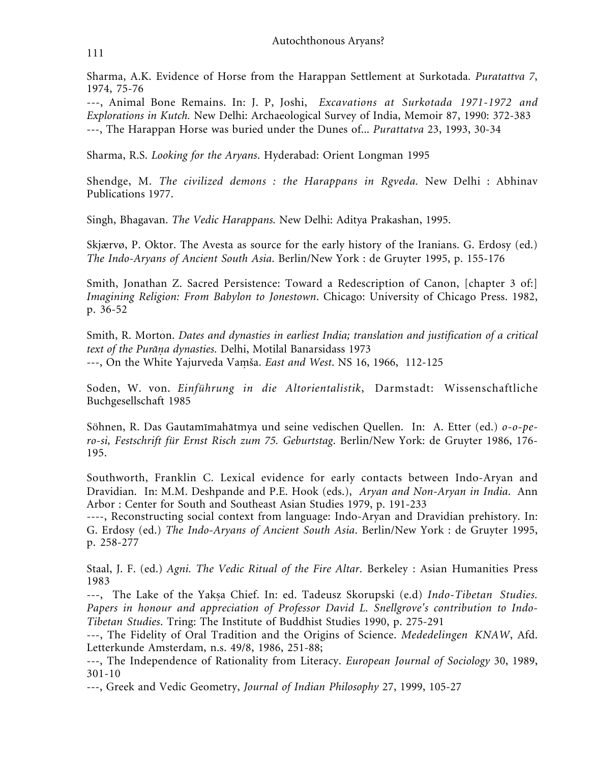Sharma, A.K. Evidence of Horse from the Harappan Settlement at Surkotada*. Puratattva 7*, 1974, 75-76

---, Animal Bone Remains. In: J. P, Joshi, *Excavations at Surkotada 1971-1972 and Explorations in Kutch.* New Delhi: Archaeological Survey of India, Memoir 87, 1990: 372-383 ---, The Harappan Horse was buried under the Dunes of... *Purattatva* 23, 1993, 30-34

Sharma, R.S. *Looking for the Aryans*. Hyderabad: Orient Longman 1995

Shendge, M. *The civilized demons : the Harappans in Rgveda.* New Delhi : Abhinav Publications 1977.

Singh, Bhagavan. *The Vedic Harappans.* New Delhi: Aditya Prakashan, 1995.

Skjærvø, P. Oktor. The Avesta as source for the early history of the Iranians. G. Erdosy (ed.) *The Indo-Aryans of Ancient South Asia*. Berlin/New York : de Gruyter 1995, p. 155-176

Smith, Jonathan Z. Sacred Persistence: Toward a Redescription of Canon, [chapter 3 of:] *Imagining Religion: From Babylon to Jonestown*. Chicago: University of Chicago Press. 1982, p. 36-52

Smith, R. Morton. *Dates and dynasties in earliest India; translation and justification of a critical text of the Puråa dynasties*. Delhi, Motilal Banarsidass 1973 ---, On the White Yajurveda Vamša. *East and West*. NS 16, 1966, 112-125

Soden, W. von. *Einführung in die Altorientalistik*, Darmstadt: Wissenschaftliche Buchgesellschaft 1985

Söhnen, R. Das Gautamīmahåtmya und seine vedischen Quellen. In: A. Etter (ed.) *o-o-pero-si, Festschrift für Ernst Risch zum 75. Geburtstag*. Berlin/New York: de Gruyter 1986, 176- 195.

Southworth, Franklin C. Lexical evidence for early contacts between Indo-Aryan and Dravidian. In: M.M. Deshpande and P.E. Hook (eds.), *Aryan and Non-Aryan in India*. Ann Arbor : Center for South and Southeast Asian Studies 1979, p. 191-233

----, Reconstructing social context from language: Indo-Aryan and Dravidian prehistory. In: G. Erdosy (ed.) *The Indo-Aryans of Ancient South Asia*. Berlin/New York : de Gruyter 1995, p. 258-277

Staal, J. F. (ed.) *Agni. The Vedic Ritual of the Fire Altar*. Berkeley : Asian Humanities Press 1983

---, The Lake of the Yaka Chief. In: ed. Tadeusz Skorupski (e.d) *Indo-Tibetan Studies. Papers in honour and appreciation of Professor David L. Snellgrove's contribution to Indo-Tibetan Studies*. Tring: The Institute of Buddhist Studies 1990, p. 275-291

---, The Fidelity of Oral Tradition and the Origins of Science. *Mededelingen KNAW*, Afd. Letterkunde Amsterdam, n.s. 49/8, 1986, 251-88;

---, The Independence of Rationality from Literacy. *European Journal of Sociology* 30, 1989, 301-10

---, Greek and Vedic Geometry, *Journal of Indian Philosophy* 27, 1999, 105-27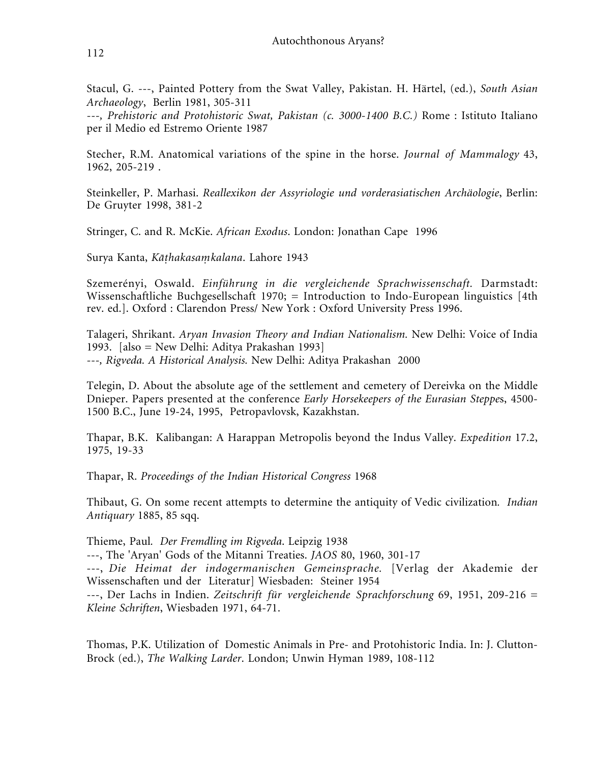Stacul, G. ---, Painted Pottery from the Swat Valley, Pakistan. H. Härtel, (ed.), *South Asian Archaeology*, Berlin 1981, 305-311

*---, Prehistoric and Protohistoric Swat, Pakistan (c. 3000-1400 B.C.)* Rome : Istituto Italiano per il Medio ed Estremo Oriente 1987

Stecher, R.M. Anatomical variations of the spine in the horse. *Journal of Mammalogy* 43, 1962, 205-219 .

Steinkeller, P. Marhasi. *Reallexikon der Assyriologie und vorderasiatischen Archäologie*, Berlin: De Gruyter 1998, 381-2

Stringer, C. and R. McKie. *African Exodus*. London: Jonathan Cape 1996

Surya Kanta, Kāthakasamkalana. Lahore 1943

Szemerényi, Oswald. *Einführung in die vergleichende Sprachwissenschaft.* Darmstadt: Wissenschaftliche Buchgesellschaft 1970; = Introduction to Indo-European linguistics [4th rev. ed.]. Oxford : Clarendon Press/ New York : Oxford University Press 1996.

Talageri, Shrikant. *Aryan Invasion Theory and Indian Nationalism.* New Delhi: Voice of India 1993. [also = New Delhi: Aditya Prakashan 1993] *---, Rigveda. A Historical Analysis.* New Delhi: Aditya Prakashan 2000

Telegin, D. About the absolute age of the settlement and cemetery of Dereivka on the Middle Dnieper. Papers presented at the conference *Early Horsekeepers of the Eurasian Steppe*s, 4500- 1500 B.C., June 19-24, 1995, Petropavlovsk, Kazakhstan.

Thapar, B.K. Kalibangan: A Harappan Metropolis beyond the Indus Valley. *Expedition* 17.2, 1975, 19-33

Thapar, R. *Proceedings of the Indian Historical Congress* 1968

Thibaut, G. On some recent attempts to determine the antiquity of Vedic civilization*. Indian Antiquary* 1885, 85 sqq.

Thieme, Paul*. Der Fremdling im Rigveda*. Leipzig 1938 ---, The 'Aryan' Gods of the Mitanni Treaties. *JAOS* 80, 1960, 301-17 ---, *Die Heimat der indogermanischen Gemeinsprache.* [Verlag der Akademie der Wissenschaften und der Literatur] Wiesbaden: Steiner 1954 ---, Der Lachs in Indien. *Zeitschrift für vergleichende Sprachforschung* 69, 1951, 209-216 = *Kleine Schriften*, Wiesbaden 1971, 64-71.

Thomas, P.K. Utilization of Domestic Animals in Pre- and Protohistoric India. In: J. Clutton-Brock (ed.), *The Walking Larder*. London; Unwin Hyman 1989, 108-112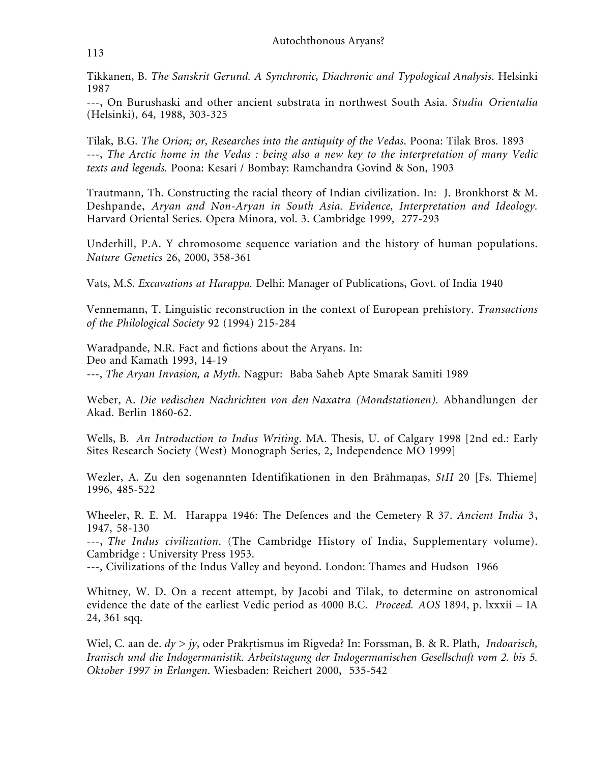113

Tikkanen, B. *The Sanskrit Gerund. A Synchronic, Diachronic and Typological Analysis*. Helsinki 1987

---, On Burushaski and other ancient substrata in northwest South Asia. *Studia Orientalia* (Helsinki), 64, 1988, 303-325

Tilak, B.G. *The Orion; or, Researches into the antiquity of the Vedas*. Poona: Tilak Bros. 1893 ---, *The Arctic home in the Vedas : being also a new key to the interpretation of many Vedic texts and legends.* Poona: Kesari / Bombay: Ramchandra Govind & Son, 1903

Trautmann, Th. Constructing the racial theory of Indian civilization. In: J. Bronkhorst & M. Deshpande, *Aryan and Non-Aryan in South Asia. Evidence, Interpretation and Ideology.* Harvard Oriental Series. Opera Minora, vol. 3. Cambridge 1999, 277-293

Underhill, P.A. Y chromosome sequence variation and the history of human populations. *Nature Genetics* 26, 2000, 358-361

Vats, M.S. *Excavations at Harappa.* Delhi: Manager of Publications, Govt. of India 1940

Vennemann, T. Linguistic reconstruction in the context of European prehistory. *Transactions of the Philological Society* 92 (1994) 215-284

Waradpande, N.R. Fact and fictions about the Aryans. In: Deo and Kamath 1993, 14-19 ---, *The Aryan Invasion, a Myth*. Nagpur: Baba Saheb Apte Smarak Samiti 1989

Weber, A. *Die vedischen Nachrichten von den Naxatra (Mondstationen).* Abhandlungen der Akad. Berlin 1860-62.

Wells, B. *An Introduction to Indus Writing*. MA. Thesis, U. of Calgary 1998 [2nd ed.: Early Sites Research Society (West) Monograph Series, 2, Independence MO 1999]

Wezler, A. Zu den sogenannten Identifikationen in den Brāhmaņas, StII 20 [Fs. Thieme] 1996, 485-522

Wheeler, R. E. M. Harappa 1946: The Defences and the Cemetery R 37. *Ancient India* 3, 1947, 58-130

---, *The Indus civilization*. (The Cambridge History of India, Supplementary volume). Cambridge : University Press 1953.

---, Civilizations of the Indus Valley and beyond. London: Thames and Hudson 1966

Whitney, W. D. On a recent attempt, by Jacobi and Tilak, to determine on astronomical evidence the date of the earliest Vedic period as 4000 B.C. *Proceed. AOS* 1894, p. lxxxii = IA 24, 361 sqq.

Wiel, C. aan de. *dy > jy*, oder Pråktismus im Rigveda? In: Forssman, B. & R. Plath, *Indoarisch, Iranisch und die Indogermanistik. Arbeitstagung der Indogermanischen Gesellschaft vom 2. bis 5. Oktober 1997 in Erlangen*. Wiesbaden: Reichert 2000, 535-542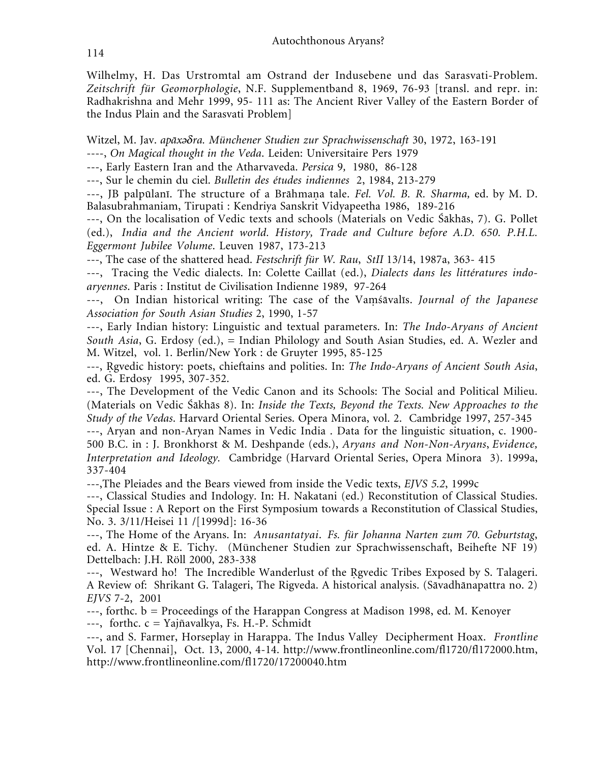Wilhelmy, H. Das Urstromtal am Ostrand der Indusebene und das Sarasvati-Problem. *Zeitschrift für Geomorphologie*, N.F. Supplementband 8, 1969, 76-93 [transl. and repr. in: Radhakrishna and Mehr 1999, 95- 111 as: The Ancient River Valley of the Eastern Border of the Indus Plain and the Sarasvati Problem]

Witzel, M. Jav. *apåxəδra. Münchener Studien zur Sprachwissenschaft* 30, 1972, 163-191 ----, *On Magical thought in the Veda*. Leiden: Universitaire Pers 1979

---, Early Eastern Iran and the Atharvaveda. *Persica* 9*,* 1980, 86-128

---, Sur le chemin du ciel. *Bulletin des études indiennes* 2, 1984, 213-279

---, JB palpūlanī. The structure of a Brāhmaṇa tale. Fel. Vol. B. R. Sharma, ed. by M. D. Balasubrahmaniam, Tirupati : Kendriya Sanskrit Vidyapeetha 1986, 189-216

---, On the localisation of Vedic texts and schools (Materials on Vedic Śåkhås, 7). G. Pollet (ed.), *India and the Ancient world. History, Trade and Culture before A.D. 650. P.H.L. Eggermont Jubilee Volume*. Leuven 1987, 173-213

---, The case of the shattered head. *Festschrift für W. Rau*, *StII* 13/14, 1987a, 363- 415

---, Tracing the Vedic dialects. In: Colette Caillat (ed.), *Dialects dans les littératures indoaryennes*. Paris : Institut de Civilisation Indienne 1989, 97-264

---, On Indian historical writing: The case of the Vamsavalis. *Journal of the Japanese Association for South Asian Studies* 2, 1990, 1-57

---, Early Indian history: Linguistic and textual parameters. In: *The Indo-Aryans of Ancient South Asia*, G. Erdosy (ed.), = Indian Philology and South Asian Studies, ed. A. Wezler and M. Witzel, vol. 1. Berlin/New York : de Gruyter 1995, 85-125

---, gvedic history: poets, chieftains and polities. In: *The Indo-Aryans of Ancient South Asia*, ed. G. Erdosy 1995, 307-352.

---, The Development of the Vedic Canon and its Schools: The Social and Political Milieu. (Materials on Vedic Śåkhås 8). In: *Inside the Texts, Beyond the Texts. New Approaches to the Study of the Vedas*. Harvard Oriental Series. Opera Minora, vol. 2. Cambridge 1997, 257-345

---, Aryan and non-Aryan Names in Vedic India . Data for the linguistic situation, c. 1900- 500 B.C. in : J. Bronkhorst & M. Deshpande (eds.), *Aryans and Non-Non-Aryans*, *Evidence, Interpretation and Ideology.* Cambridge (Harvard Oriental Series, Opera Minora 3). 1999a, 337-404

---,The Pleiades and the Bears viewed from inside the Vedic texts, *EJVS 5.2*, 1999c

---, Classical Studies and Indology. In: H. Nakatani (ed.) Reconstitution of Classical Studies. Special Issue : A Report on the First Symposium towards a Reconstitution of Classical Studies, No. 3. 3/11/Heisei 11 /[1999d]: 16-36

---, The Home of the Aryans. In: *Anusantatyai*. *Fs. für Johanna Narten zum 70. Geburtstag*, ed. A. Hintze & E. Tichy. (Münchener Studien zur Sprachwissenschaft, Beihefte NF 19) Dettelbach: J.H. Röll 2000, 283-338

---, Westward ho! The Incredible Wanderlust of the Rgvedic Tribes Exposed by S. Talageri. A Review of: Shrikant G. Talageri, The Rigveda. A historical analysis. (Såvadhånapattra no. 2) *EJVS* 7-2, 2001

---, forthc. b = Proceedings of the Harappan Congress at Madison 1998, ed. M. Kenoyer ---, forthc. c = Yajñavalkya, Fs. H.-P. Schmidt

---, and S. Farmer, Horseplay in Harappa. The Indus Valley Decipherment Hoax. *Frontline* Vol. 17 [Chennai], Oct. 13, 2000, 4-14. http://www.frontlineonline.com/fl1720/fl172000.htm, http://www.frontlineonline.com/fl1720/17200040.htm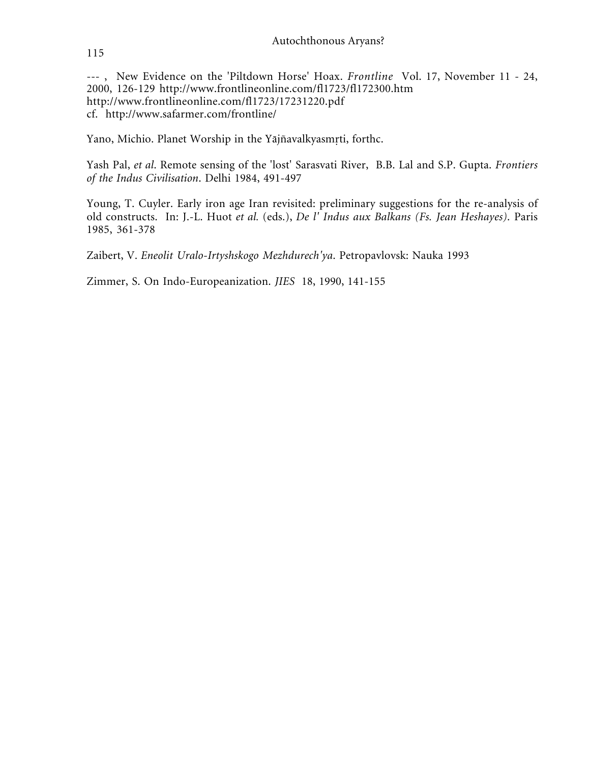--- , New Evidence on the 'Piltdown Horse' Hoax. *Frontline* Vol. 17, November 11 - 24, 2000, 126-129 http://www.frontlineonline.com/fl1723/fl172300.htm http://www.frontlineonline.com/fl1723/17231220.pdf cf. http://www.safarmer.com/frontline/

Yano, Michio. Planet Worship in the Yājñavalkyasmrti, forthc.

Yash Pal, *et al*. Remote sensing of the 'lost' Sarasvati River, B.B. Lal and S.P. Gupta. *Frontiers of the Indus Civilisation*. Delhi 1984, 491-497

Young, T. Cuyler. Early iron age Iran revisited: preliminary suggestions for the re-analysis of old constructs. In: J.-L. Huot *et al.* (eds.), *De l' Indus aux Balkans (Fs. Jean Heshayes)*. Paris 1985, 361-378

Zaibert, V. *Eneolit Uralo-Irtyshskogo Mezhdurech'ya*. Petropavlovsk: Nauka 1993

Zimmer, S. On Indo-Europeanization. *JIES* 18, 1990, 141-155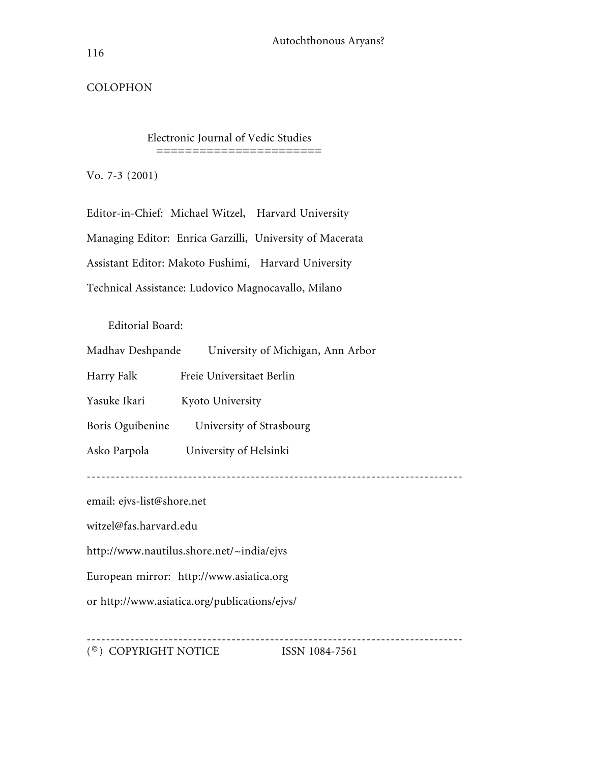COLOPHON

Electronic Journal of Vedic Studies =======================

Vo. 7-3 (2001)

Editor-in-Chief: Michael Witzel, Harvard University Managing Editor: Enrica Garzilli, University of Macerata Assistant Editor: Makoto Fushimi, Harvard University Technical Assistance: Ludovico Magnocavallo, Milano

Editorial Board:

|                                               | Madhav Deshpande University of Michigan, Ann Arbor |
|-----------------------------------------------|----------------------------------------------------|
| Harry Falk                                    | Freie Universitaet Berlin                          |
| Yasuke Ikari                                  | Kyoto University                                   |
| Boris Oguibenine                              | University of Strasbourg                           |
|                                               | Asko Parpola University of Helsinki                |
|                                               |                                                    |
| email: ejvs-list@shore.net                    |                                                    |
| witzel@fas.harvard.edu                        |                                                    |
| http://www.nautilus.shore.net/~india/ejvs     |                                                    |
| European mirror: http://www.asiatica.org      |                                                    |
| or http://www.asiatica.org/publications/ejvs/ |                                                    |

------------------------------------------------------------------------------

 $($ <sup>©</sup>) COPYRIGHT NOTICE ISSN 1084-7561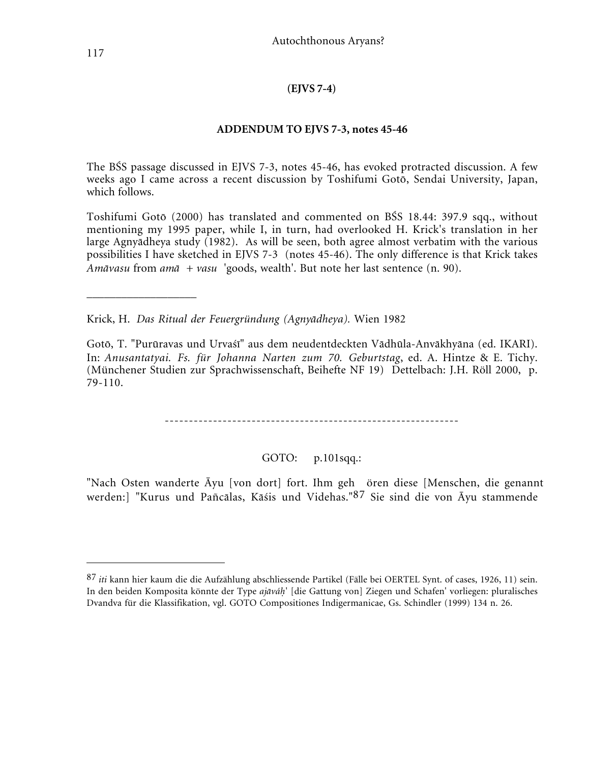## **(EJVS 7-4)**

## **ADDENDUM TO EJVS 7-3, notes 45-46**

The BŚS passage discussed in EJVS 7-3, notes 45-46, has evoked protracted discussion. A few weeks ago I came across a recent discussion by Toshifumi Gotō, Sendai University, Japan, which follows.

Toshifumi Gotō (2000) has translated and commented on BŚS 18.44: 397.9 sqq., without mentioning my 1995 paper, while I, in turn, had overlooked H. Krick's translation in her large Agnyådheya study (1982). As will be seen, both agree almost verbatim with the various possibilities I have sketched in EJVS 7-3 (notes 45-46). The only difference is that Krick takes *Amåvasu* from *amå + vasu* 'goods, wealth'. But note her last sentence (n. 90).

Krick, H. *Das Ritual der Feuergründung (Agnyådheya).* Wien 1982

Gotō, T. "Purūravas und Urvaśī" aus dem neudentdeckten Vådhūla-Anvåkhyåna (ed. IKARI). In: *Anusantatyai. Fs. für Johanna Narten zum 70. Geburtstag*, ed. A. Hintze & E. Tichy. (Münchener Studien zur Sprachwissenschaft, Beihefte NF 19) Dettelbach: J.H. Röll 2000, p. 79-110.

-------------------------------------------------------------

## GOTO: p.101sqq.:

"Nach Osten wanderte Āyu [von dort] fort. Ihm geh ören diese [Menschen, die genannt werden:] "Kurus und Pañcålas, Kåśis und Videhas."87 Sie sind die von Āyu stammende

\_\_\_\_\_\_\_\_\_\_\_\_\_\_\_\_\_\_\_

<sup>87</sup> *iti* kann hier kaum die die Aufzählung abschliessende Partikel (Fälle bei OERTEL Synt. of cases, 1926, 11) sein. In den beiden Komposita könnte der Type *ajåvá* ' [die Gattung von] Ziegen und Schafen' vorliegen: pluralisches Dvandva für die Klassifikation, vgl. GOTO Compositiones Indigermanicae, Gs. Schindler (1999) 134 n. 26.